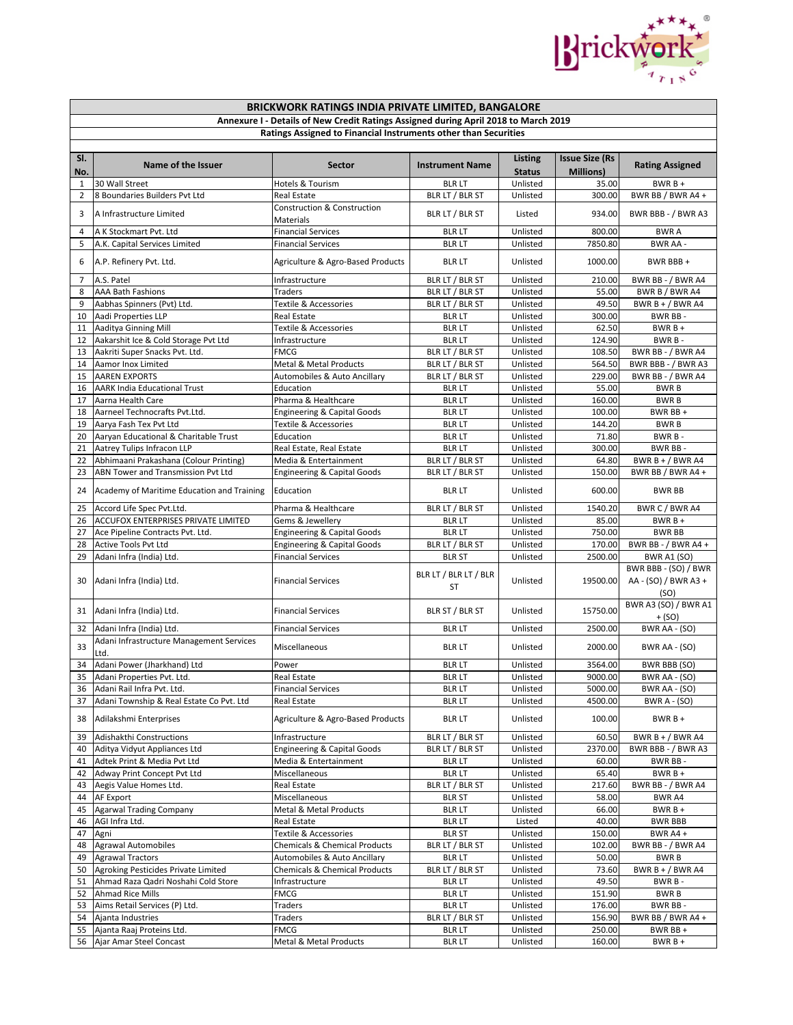

|                | BRICKWORK RATINGS INDIA PRIVATE LIMITED, BANGALORE                    |                                                                                     |                                    |                                 |                                            |                                                      |  |
|----------------|-----------------------------------------------------------------------|-------------------------------------------------------------------------------------|------------------------------------|---------------------------------|--------------------------------------------|------------------------------------------------------|--|
|                |                                                                       | Annexure I - Details of New Credit Ratings Assigned during April 2018 to March 2019 |                                    |                                 |                                            |                                                      |  |
|                |                                                                       | Ratings Assigned to Financial Instruments other than Securities                     |                                    |                                 |                                            |                                                      |  |
| SI.<br>No.     | Name of the Issuer                                                    | <b>Sector</b>                                                                       | <b>Instrument Name</b>             | <b>Listing</b><br><b>Status</b> | <b>Issue Size (Rs</b><br><b>Millions</b> ) | <b>Rating Assigned</b>                               |  |
| $\mathbf{1}$   | 30 Wall Street                                                        | Hotels & Tourism                                                                    | <b>BLR LT</b>                      | Unlisted                        | 35.00                                      | $BWRB+$                                              |  |
| $\overline{2}$ | 8 Boundaries Builders Pvt Ltd                                         | <b>Real Estate</b>                                                                  | BLR LT / BLR ST                    | Unlisted                        | 300.00                                     | BWR BB / BWR A4 +                                    |  |
| 3              | A Infrastructure Limited                                              | Construction & Construction<br>Materials                                            | BLR LT / BLR ST                    | Listed                          | 934.00                                     | BWR BBB - / BWR A3                                   |  |
| 4              | A K Stockmart Pvt. Ltd                                                | <b>Financial Services</b>                                                           | <b>BLR LT</b>                      | Unlisted                        | 800.00                                     | <b>BWRA</b>                                          |  |
| 5              | A.K. Capital Services Limited                                         | <b>Financial Services</b>                                                           | <b>BLR LT</b>                      | Unlisted                        | 7850.80                                    | <b>BWR AA -</b>                                      |  |
| 6              | A.P. Refinery Pvt. Ltd.                                               | Agriculture & Agro-Based Products                                                   | <b>BLR LT</b>                      | Unlisted                        | 1000.00                                    | BWR BBB+                                             |  |
| $\overline{7}$ | A.S. Patel                                                            | Infrastructure                                                                      | BLR LT / BLR ST                    | Unlisted                        | 210.00                                     | BWR BB - / BWR A4                                    |  |
| 8<br>9         | <b>AAA Bath Fashions</b><br>Aabhas Spinners (Pvt) Ltd.                | <b>Traders</b><br>Textile & Accessories                                             | BLR LT / BLR ST<br>BLR LT / BLR ST | Unlisted<br>Unlisted            | 55.00<br>49.50                             | BWR B / BWR A4<br>BWR $B + / BWR$ A4                 |  |
| 10             | Aadi Properties LLP                                                   | <b>Real Estate</b>                                                                  | <b>BLR LT</b>                      | Unlisted                        | 300.00                                     | <b>BWR BB-</b>                                       |  |
| 11             | Aaditya Ginning Mill                                                  | Textile & Accessories                                                               | <b>BLR LT</b>                      | Unlisted                        | 62.50                                      | $BWRB +$                                             |  |
| 12             | Aakarshit Ice & Cold Storage Pvt Ltd                                  | Infrastructure                                                                      | <b>BLR LT</b>                      | Unlisted                        | 124.90                                     | BWR B-                                               |  |
| 13             | Aakriti Super Snacks Pvt. Ltd.                                        | <b>FMCG</b>                                                                         | BLR LT / BLR ST                    | Unlisted                        | 108.50                                     | BWR BB - / BWR A4                                    |  |
| 14             | Aamor Inox Limited                                                    | Metal & Metal Products                                                              | BLR LT / BLR ST                    | Unlisted                        | 564.50                                     | BWR BBB - / BWR A3                                   |  |
| 15             | <b>AAREN EXPORTS</b>                                                  | Automobiles & Auto Ancillary                                                        | BLR LT / BLR ST                    | Unlisted                        | 229.00                                     | BWR BB - / BWR A4                                    |  |
| 16             | <b>AARK India Educational Trust</b>                                   | Education                                                                           | <b>BLR LT</b>                      | Unlisted                        | 55.00                                      | <b>BWRB</b>                                          |  |
| 17             | Aarna Health Care                                                     | Pharma & Healthcare                                                                 | <b>BLR LT</b>                      | Unlisted                        | 160.00                                     | <b>BWRB</b>                                          |  |
| 18<br>19       | Aarneel Technocrafts Pvt.Ltd.<br>Aarya Fash Tex Pvt Ltd               | <b>Engineering &amp; Capital Goods</b><br>Textile & Accessories                     | <b>BLR LT</b><br><b>BLR LT</b>     | Unlisted<br>Unlisted            | 100.00<br>144.20                           | BWR BB +<br><b>BWRB</b>                              |  |
| 20             | Aaryan Educational & Charitable Trust                                 | Education                                                                           | <b>BLR LT</b>                      | Unlisted                        | 71.80                                      | BWR B-                                               |  |
| 21             | Aatrey Tulips Infracon LLP                                            | Real Estate, Real Estate                                                            | <b>BLRLT</b>                       | Unlisted                        | 300.00                                     | BWR BB-                                              |  |
| 22             | Abhimaani Prakashana (Colour Printing)                                | Media & Entertainment                                                               | BLR LT / BLR ST                    | Unlisted                        | 64.80                                      | BWR $B + / BWR$ A4                                   |  |
| 23             | ABN Tower and Transmission Pvt Ltd                                    | <b>Engineering &amp; Capital Goods</b>                                              | BLR LT / BLR ST                    | Unlisted                        | 150.00                                     | BWR BB / BWR A4 +                                    |  |
| 24             | Academy of Maritime Education and Training                            | Education                                                                           | <b>BLR LT</b>                      | Unlisted                        | 600.00                                     | <b>BWR BB</b>                                        |  |
| 25             | Accord Life Spec Pvt.Ltd.                                             | Pharma & Healthcare                                                                 | BLR LT / BLR ST                    | Unlisted                        | 1540.20                                    | BWR C / BWR A4                                       |  |
| 26             | <b>ACCUFOX ENTERPRISES PRIVATE LIMITED</b>                            | Gems & Jewellery                                                                    | <b>BLR LT</b>                      | Unlisted                        | 85.00                                      | $BWRB +$                                             |  |
| 27             | Ace Pipeline Contracts Pvt. Ltd.                                      | <b>Engineering &amp; Capital Goods</b>                                              | <b>BLR LT</b>                      | Unlisted                        | 750.00                                     | <b>BWR BB</b>                                        |  |
| 28             | Active Tools Pvt Ltd                                                  | <b>Engineering &amp; Capital Goods</b>                                              | BLR LT / BLR ST                    | Unlisted                        | 170.00                                     | BWR BB - / BWR A4 +                                  |  |
| 29             | Adani Infra (India) Ltd.                                              | <b>Financial Services</b>                                                           | <b>BLR ST</b>                      | Unlisted                        | 2500.00                                    | <b>BWR A1 (SO)</b>                                   |  |
| 30             | Adani Infra (India) Ltd.                                              | <b>Financial Services</b>                                                           | BLR LT / BLR LT / BLR<br>ST        | Unlisted                        | 19500.00                                   | BWR BBB - (SO) / BWR<br>AA - (SO) / BWR A3 +<br>(SO) |  |
| 31             | Adani Infra (India) Ltd.                                              | <b>Financial Services</b>                                                           | BLR ST / BLR ST                    | Unlisted                        | 15750.00                                   | BWR A3 (SO) / BWR A1<br>+ (SO)                       |  |
| 32             | Adani Infra (India) Ltd.                                              | <b>Financial Services</b>                                                           | <b>BLR LT</b>                      | Unlisted                        | 2500.00                                    | BWR AA - (SO)                                        |  |
| 33             | Adani Infrastructure Management Services<br>Ltd.                      | Miscellaneous                                                                       | <b>BLR LT</b>                      | Unlisted                        | 2000.00                                    | BWR AA - (SO)                                        |  |
| 34             | Adani Power (Jharkhand) Ltd                                           | Power                                                                               | <b>BLR LT</b>                      | Unlisted                        | 3564.00                                    | BWR BBB (SO)                                         |  |
|                | 35 Adani Properties Pvt. Ltd.                                         | Real Estate                                                                         | <b>BLR LT</b>                      | Unlisted                        | 9000.00                                    | BWR AA - (SO)                                        |  |
|                | 36 Adani Rail Infra Pvt. Ltd.                                         | <b>Financial Services</b>                                                           | <b>BLR LT</b>                      | Unlisted                        | 5000.00                                    | BWR AA - (SO)                                        |  |
| 37             | Adani Township & Real Estate Co Pvt. Ltd<br>38 Adilakshmi Enterprises | Real Estate<br>Agriculture & Agro-Based Products                                    | <b>BLR LT</b><br><b>BLR LT</b>     | Unlisted<br>Unlisted            | 4500.00<br>100.00                          | <b>BWR A - (SO)</b><br>$BWRB +$                      |  |
|                | 39 Adishakthi Constructions                                           |                                                                                     | BLR LT / BLR ST                    | Unlisted                        | 60.50                                      | BWR B + $/$ BWR A4                                   |  |
|                | 40 Aditya Vidyut Appliances Ltd                                       | Infrastructure<br><b>Engineering &amp; Capital Goods</b>                            | BLR LT / BLR ST                    | Unlisted                        | 2370.00                                    | BWR BBB - / BWR A3                                   |  |
|                | 41 Adtek Print & Media Pvt Ltd                                        | Media & Entertainment                                                               | <b>BLR LT</b>                      | Unlisted                        | 60.00                                      | BWR BB-                                              |  |
| 42             | Adway Print Concept Pvt Ltd                                           | Miscellaneous                                                                       | <b>BLR LT</b>                      | Unlisted                        | 65.40                                      | $BWRB +$                                             |  |
|                | 43 Aegis Value Homes Ltd.                                             | Real Estate                                                                         | BLR LT / BLR ST                    | Unlisted                        | 217.60                                     | BWR BB - / BWR A4                                    |  |
|                | 44 AF Export                                                          | Miscellaneous                                                                       | <b>BLR ST</b>                      | Unlisted                        | 58.00                                      | BWR A4                                               |  |
|                | 45 Agarwal Trading Company                                            | Metal & Metal Products                                                              | <b>BLR LT</b>                      | Unlisted                        | 66.00                                      | $BWRB +$                                             |  |
|                | 46 AGI Infra Ltd.                                                     | Real Estate                                                                         | <b>BLR LT</b>                      | Listed                          | 40.00                                      | <b>BWR BBB</b>                                       |  |
|                | 47 Agni                                                               | Textile & Accessories                                                               | <b>BLR ST</b>                      | Unlisted                        | 150.00                                     | BWR A4+                                              |  |
|                | 48 Agrawal Automobiles                                                | Chemicals & Chemical Products                                                       | BLR LT / BLR ST                    | Unlisted                        | 102.00                                     | BWR BB - / BWR A4                                    |  |
|                | 49 Agrawal Tractors                                                   | Automobiles & Auto Ancillary                                                        | <b>BLR LT</b>                      | Unlisted                        | 50.00                                      | <b>BWRB</b>                                          |  |
|                | 50 Agroking Pesticides Private Limited                                | Chemicals & Chemical Products                                                       | BLR LT / BLR ST                    | Unlisted                        | 73.60                                      | BWR $B + / BWR$ A4                                   |  |
| 51             | Ahmad Raza Qadri Noshahi Cold Store                                   | Infrastructure<br><b>FMCG</b>                                                       | <b>BLR LT</b>                      | Unlisted                        | 49.50                                      | BWR B-                                               |  |
| 52<br>53       | <b>Ahmad Rice Mills</b><br>Aims Retail Services (P) Ltd.              | Traders                                                                             | <b>BLR LT</b><br><b>BLR LT</b>     | Unlisted<br>Unlisted            | 151.90<br>176.00                           | <b>BWRB</b><br>BWR BB-                               |  |
|                | 54 Ajanta Industries                                                  | Traders                                                                             | BLR LT / BLR ST                    | Unlisted                        | 156.90                                     | BWR BB / BWR A4 +                                    |  |
|                | 55 Ajanta Raaj Proteins Ltd.                                          | FMCG                                                                                | <b>BLR LT</b>                      | Unlisted                        | 250.00                                     | BWR BB +                                             |  |
| 56             | Ajar Amar Steel Concast                                               | Metal & Metal Products                                                              | <b>BLR LT</b>                      | Unlisted                        | 160.00                                     | $BWRB+$                                              |  |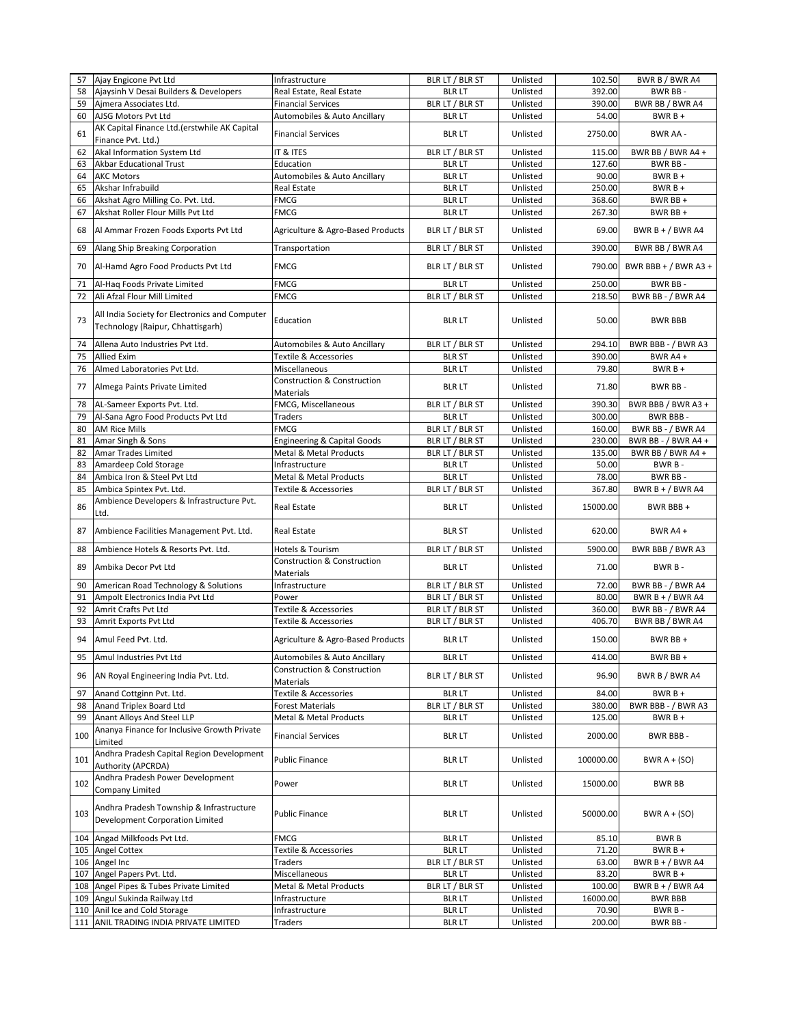| 57  | Ajay Engicone Pvt Ltd                                                               | Infrastructure                          | BLR LT / BLR ST | Unlisted | 102.50    | BWR B / BWR A4       |
|-----|-------------------------------------------------------------------------------------|-----------------------------------------|-----------------|----------|-----------|----------------------|
| 58  | Ajaysinh V Desai Builders & Developers                                              | Real Estate, Real Estate                | <b>BLR LT</b>   | Unlisted | 392.00    | BWR BB-              |
| 59  | Aimera Associates Ltd.                                                              | <b>Financial Services</b>               | BLR LT / BLR ST | Unlisted | 390.00    | BWR BB / BWR A4      |
| 60  | AJSG Motors Pvt Ltd                                                                 | Automobiles & Auto Ancillary            | <b>BLR LT</b>   | Unlisted | 54.00     | $BWRB +$             |
|     | AK Capital Finance Ltd.(erstwhile AK Capital                                        |                                         |                 |          |           |                      |
| 61  | Finance Pvt. Ltd.)                                                                  | <b>Financial Services</b>               | <b>BLR LT</b>   | Unlisted | 2750.00   | BWR AA -             |
| 62  | Akal Information System Ltd                                                         | IT & ITES                               | BLR LT / BLR ST | Unlisted | 115.00    | BWR BB / BWR A4 +    |
| 63  | <b>Akbar Educational Trust</b>                                                      | Education                               | <b>BLR LT</b>   | Unlisted | 127.60    | BWR BB-              |
| 64  | <b>AKC Motors</b>                                                                   | Automobiles & Auto Ancillary            | <b>BLR LT</b>   | Unlisted | 90.00     | $BWRB +$             |
| 65  | Akshar Infrabuild                                                                   | Real Estate                             | <b>BLR LT</b>   | Unlisted | 250.00    | $BWRB+$              |
| 66  | Akshat Agro Milling Co. Pvt. Ltd.                                                   | <b>FMCG</b>                             | <b>BLR LT</b>   | Unlisted | 368.60    | BWR BB +             |
| 67  | Akshat Roller Flour Mills Pvt Ltd                                                   | FMCG                                    | <b>BLR LT</b>   | Unlisted | 267.30    | BWR BB +             |
|     |                                                                                     |                                         |                 |          |           |                      |
| 68  | Al Ammar Frozen Foods Exports Pvt Ltd                                               | Agriculture & Agro-Based Products       | BLR LT / BLR ST | Unlisted | 69.00     | BWR B + $/$ BWR A4   |
| 69  | Alang Ship Breaking Corporation                                                     | Transportation                          | BLR LT / BLR ST | Unlisted | 390.00    | BWR BB / BWR A4      |
|     |                                                                                     |                                         |                 |          |           |                      |
| 70  | Al-Hamd Agro Food Products Pvt Ltd                                                  | <b>FMCG</b>                             | BLR LT / BLR ST | Unlisted | 790.00    | BWR BBB + / BWR A3 + |
| 71  | Al-Haq Foods Private Limited                                                        | <b>FMCG</b>                             | <b>BLR LT</b>   | Unlisted | 250.00    | BWR BB-              |
| 72  | Ali Afzal Flour Mill Limited                                                        | <b>FMCG</b>                             | BLR LT / BLR ST | Unlisted | 218.50    | BWR BB - / BWR A4    |
| 73  | All India Society for Electronics and Computer<br>Technology (Raipur, Chhattisgarh) | Education                               | <b>BLR LT</b>   | Unlisted | 50.00     | <b>BWR BBB</b>       |
| 74  | Allena Auto Industries Pvt Ltd.                                                     | <b>Automobiles &amp; Auto Ancillary</b> | BLR LT / BLR ST | Unlisted | 294.10    | BWR BBB - / BWR A3   |
| 75  | <b>Allied Exim</b>                                                                  | Textile & Accessories                   | <b>BLR ST</b>   | Unlisted | 390.00    | BWR A4 +             |
| 76  | Almed Laboratories Pvt Ltd.                                                         | Miscellaneous                           | <b>BLR LT</b>   | Unlisted | 79.80     | $BWRB +$             |
|     |                                                                                     | Construction & Construction             |                 |          |           |                      |
| 77  | Almega Paints Private Limited                                                       | <b>Materials</b>                        | <b>BLR LT</b>   | Unlisted | 71.80     | BWR BB-              |
| 78  | AL-Sameer Exports Pvt. Ltd.                                                         | FMCG, Miscellaneous                     | BLR LT / BLR ST | Unlisted | 390.30    | BWR BBB / BWR A3 +   |
| 79  | Al-Sana Agro Food Products Pvt Ltd                                                  | <b>Traders</b>                          | <b>BLR LT</b>   | Unlisted | 300.00    | BWR BBB -            |
| 80  | <b>AM Rice Mills</b>                                                                | <b>FMCG</b>                             | BLR LT / BLR ST | Unlisted | 160.00    | BWR BB - / BWR A4    |
| 81  | Amar Singh & Sons                                                                   | <b>Engineering &amp; Capital Goods</b>  | BLR LT / BLR ST | Unlisted | 230.00    | BWR BB - / BWR A4 +  |
| 82  | Amar Trades Limited                                                                 | <b>Metal &amp; Metal Products</b>       | BLR LT / BLR ST | Unlisted | 135.00    | BWR BB / BWR A4 +    |
| 83  | Amardeep Cold Storage                                                               | Infrastructure                          | <b>BLR LT</b>   | Unlisted | 50.00     | BWR B-               |
| 84  | Ambica Iron & Steel Pvt Ltd                                                         | Metal & Metal Products                  | <b>BLR LT</b>   | Unlisted | 78.00     | BWR BB-              |
| 85  | Ambica Spintex Pvt. Ltd.                                                            | Textile & Accessories                   | BLR LT / BLR ST | Unlisted | 367.80    | BWR B + $/$ BWR A4   |
|     | Ambience Developers & Infrastructure Pvt.                                           |                                         |                 |          |           |                      |
| 86  | Ltd.                                                                                | Real Estate                             | <b>BLR LT</b>   | Unlisted | 15000.00  | BWR BBB+             |
| 87  | Ambience Facilities Management Pvt. Ltd.                                            | <b>Real Estate</b>                      | <b>BLR ST</b>   | Unlisted | 620.00    | BWR A4 +             |
| 88  | Ambience Hotels & Resorts Pvt. Ltd.                                                 | Hotels & Tourism                        | BLR LT / BLR ST | Unlisted | 5900.00   | BWR BBB / BWR A3     |
|     |                                                                                     | <b>Construction &amp; Construction</b>  |                 |          |           |                      |
| 89  | Ambika Decor Pvt Ltd                                                                | <b>Materials</b>                        | <b>BLR LT</b>   | Unlisted | 71.00     | BWR B-               |
| 90  | American Road Technology & Solutions                                                | Infrastructure                          | BLR LT / BLR ST | Unlisted | 72.00     | BWR BB - / BWR A4    |
| 91  | Ampolt Electronics India Pvt Ltd                                                    | Power                                   | BLR LT / BLR ST | Unlisted | 80.00     | BWR $B + / BWR$ A4   |
| 92  | Amrit Crafts Pvt Ltd                                                                | Textile & Accessories                   | BLR LT / BLR ST | Unlisted | 360.00    | BWR BB - / BWR A4    |
| 93  | Amrit Exports Pvt Ltd                                                               | Textile & Accessories                   | BLR LT / BLR ST | Unlisted | 406.70    | BWR BB / BWR A4      |
|     |                                                                                     |                                         |                 |          |           |                      |
| 94  | Amul Feed Pvt. Ltd.                                                                 | Agriculture & Agro-Based Products       | <b>BLR LT</b>   | Unlisted | 150.00    | BWR BB +             |
| 95  | Amul Industries Pvt Ltd                                                             | Automobiles & Auto Ancillary            | <b>BLR LT</b>   | Unlisted | 414.00    | BWR BB +             |
|     |                                                                                     | Construction & Construction             |                 |          |           |                      |
| 96  | AN Royal Engineering India Pvt. Ltd.                                                | Materials                               | BLR LT / BLR ST | Unlisted | 96.90     | BWR B / BWR A4       |
| 97  | Anand Cottginn Pvt. Ltd.                                                            | Textile & Accessories                   | <b>BLR LT</b>   | Unlisted | 84.00     | $BWRB +$             |
| 98  | Anand Triplex Board Ltd                                                             | <b>Forest Materials</b>                 | BLR LT / BLR ST | Unlisted | 380.00    | BWR BBB - / BWR A3   |
| 99  | Anant Alloys And Steel LLP                                                          | <b>Metal &amp; Metal Products</b>       | <b>BLR LT</b>   | Unlisted | 125.00    | $BWRB +$             |
| 100 | Ananya Finance for Inclusive Growth Private<br>Limited                              | <b>Financial Services</b>               | <b>BLR LT</b>   | Unlisted | 2000.00   | BWR BBB -            |
| 101 | Andhra Pradesh Capital Region Development<br><b>Authority (APCRDA)</b>              | <b>Public Finance</b>                   | <b>BLR LT</b>   | Unlisted | 100000.00 | BWR $A + (SO)$       |
| 102 | Andhra Pradesh Power Development<br>Company Limited                                 | Power                                   | <b>BLR LT</b>   | Unlisted | 15000.00  | <b>BWR BB</b>        |
|     |                                                                                     |                                         |                 |          |           |                      |
| 103 | Andhra Pradesh Township & Infrastructure<br>Development Corporation Limited         | <b>Public Finance</b>                   | BLR LT          | Unlisted | 50000.00  | BWR $A + (SO)$       |
| 104 | Angad Milkfoods Pvt Ltd.                                                            | FMCG                                    | <b>BLR LT</b>   | Unlisted | 85.10     | <b>BWRB</b>          |
| 105 | <b>Angel Cottex</b>                                                                 | Textile & Accessories                   | <b>BLR LT</b>   | Unlisted | 71.20     | $BWRB +$             |
|     | 106 Angel Inc                                                                       | Traders                                 | BLR LT / BLR ST | Unlisted | 63.00     | BWR B + $/$ BWR A4   |
| 107 | Angel Papers Pvt. Ltd.                                                              | Miscellaneous                           | <b>BLR LT</b>   | Unlisted | 83.20     | $BWRB +$             |
| 108 | Angel Pipes & Tubes Private Limited                                                 | Metal & Metal Products                  | BLR LT / BLR ST | Unlisted | 100.00    | BWR $B + / BWR$ A4   |
| 109 | Angul Sukinda Railway Ltd                                                           | Infrastructure                          | <b>BLR LT</b>   | Unlisted | 16000.00  | <b>BWR BBB</b>       |
|     | 110 Anil Ice and Cold Storage                                                       | Infrastructure                          | <b>BLR LT</b>   | Unlisted | 70.90     | BWR B-               |
|     | 111 ANIL TRADING INDIA PRIVATE LIMITED                                              | <b>Traders</b>                          | <b>BLR LT</b>   | Unlisted | 200.00    | BWR BB-              |
|     |                                                                                     |                                         |                 |          |           |                      |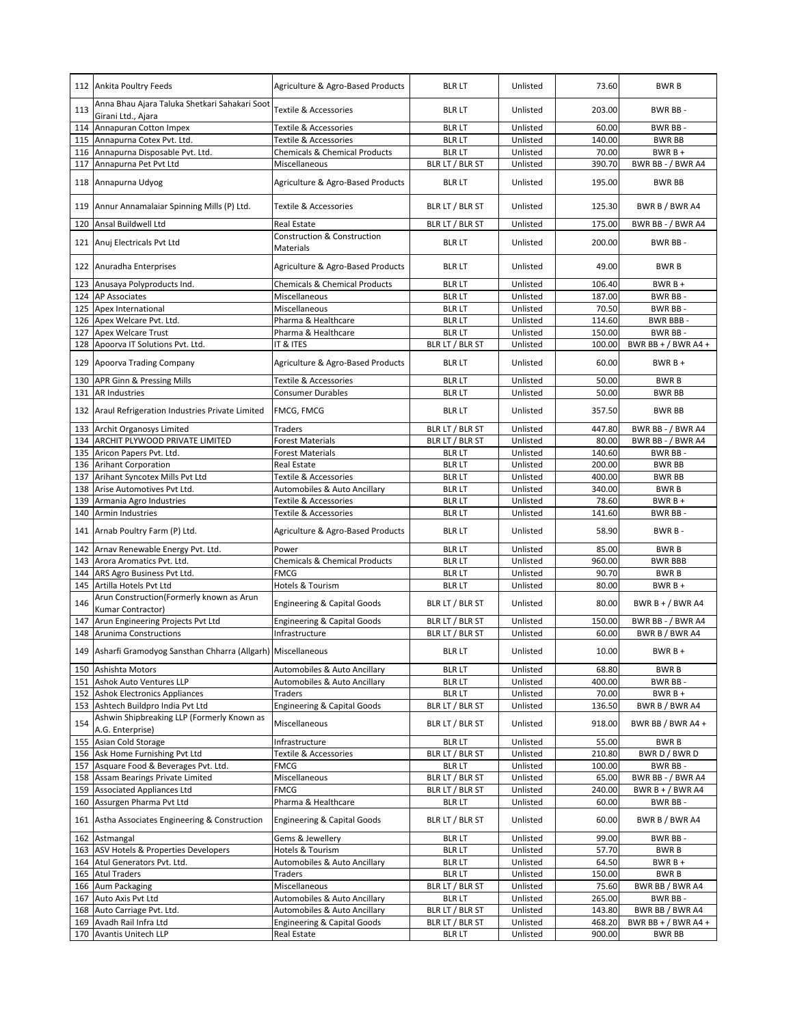|     | 112 Ankita Poultry Feeds                                            | Agriculture & Agro-Based Products                   | <b>BLR LT</b>   | Unlisted | 73.60  | <b>BWRB</b>           |
|-----|---------------------------------------------------------------------|-----------------------------------------------------|-----------------|----------|--------|-----------------------|
| 113 | Anna Bhau Ajara Taluka Shetkari Sahakari Soot<br>Girani Ltd., Ajara | Textile & Accessories                               | <b>BLR LT</b>   | Unlisted | 203.00 | BWR BB-               |
| 114 | Annapuran Cotton Impex                                              | Textile & Accessories                               | <b>BLR LT</b>   | Unlisted | 60.00  | BWR BB-               |
| 115 | Annapurna Cotex Pvt. Ltd.                                           | <b>Textile &amp; Accessories</b>                    | <b>BLR LT</b>   | Unlisted | 140.00 | <b>BWR BB</b>         |
| 116 | Annapurna Disposable Pvt. Ltd.                                      | <b>Chemicals &amp; Chemical Products</b>            | <b>BLRLT</b>    | Unlisted | 70.00  | $BWRB +$              |
| 117 | Annapurna Pet Pvt Ltd                                               | Miscellaneous                                       | BLR LT / BLR ST | Unlisted | 390.70 | BWR BB - / BWR A4     |
| 118 | Annapurna Udyog                                                     | Agriculture & Agro-Based Products                   | <b>BLR LT</b>   | Unlisted | 195.00 | <b>BWR BB</b>         |
| 119 | Annur Annamalaiar Spinning Mills (P) Ltd.                           | Textile & Accessories                               | BLR LT / BLR ST | Unlisted | 125.30 | BWR B / BWR A4        |
| 120 | Ansal Buildwell Ltd                                                 | <b>Real Estate</b>                                  | BLR LT / BLR ST | Unlisted | 175.00 | BWR BB - / BWR A4     |
|     | 121 Anuj Electricals Pvt Ltd                                        | <b>Construction &amp; Construction</b><br>Materials | <b>BLR LT</b>   | Unlisted | 200.00 | BWR BB-               |
|     | 122 Anuradha Enterprises                                            | Agriculture & Agro-Based Products                   | <b>BLR LT</b>   | Unlisted | 49.00  | <b>BWRB</b>           |
| 123 | Anusaya Polyproducts Ind.                                           | <b>Chemicals &amp; Chemical Products</b>            | <b>BLR LT</b>   | Unlisted | 106.40 | $BWRB +$              |
| 124 | <b>AP Associates</b>                                                | Miscellaneous                                       | <b>BLR LT</b>   | Unlisted | 187.00 | BWR BB-               |
| 125 | Apex International                                                  | Miscellaneous                                       | <b>BLR LT</b>   | Unlisted | 70.50  | BWR BB-               |
| 126 | Apex Welcare Pvt. Ltd.                                              | Pharma & Healthcare                                 | <b>BLR LT</b>   | Unlisted | 114.60 | BWR BBB-              |
| 127 | <b>Apex Welcare Trust</b>                                           | Pharma & Healthcare                                 | <b>BLR LT</b>   | Unlisted | 150.00 | BWR BB-               |
| 128 | Apoorva IT Solutions Pvt. Ltd.                                      | IT & ITES                                           | BLR LT / BLR ST | Unlisted | 100.00 | BWR BB + $/$ BWR A4 + |
| 129 | Apoorva Trading Company                                             | Agriculture & Agro-Based Products                   | <b>BLR LT</b>   | Unlisted | 60.00  | $BWRB +$              |
| 130 | <b>APR Ginn &amp; Pressing Mills</b>                                | Textile & Accessories                               | <b>BLR LT</b>   | Unlisted | 50.00  | <b>BWRB</b>           |
| 131 | <b>AR Industries</b>                                                | <b>Consumer Durables</b>                            | <b>BLR LT</b>   | Unlisted | 50.00  | <b>BWR BB</b>         |
| 132 | Araul Refrigeration Industries Private Limited                      | FMCG, FMCG                                          | <b>BLR LT</b>   | Unlisted | 357.50 | <b>BWR BB</b>         |
| 133 | Archit Organosys Limited                                            | <b>Traders</b>                                      | BLR LT / BLR ST | Unlisted | 447.80 | BWR BB - / BWR A4     |
| 134 | ARCHIT PLYWOOD PRIVATE LIMITED                                      | <b>Forest Materials</b>                             | BLR LT / BLR ST | Unlisted | 80.00  | BWR BB - / BWR A4     |
| 135 | Aricon Papers Pvt. Ltd.                                             | <b>Forest Materials</b>                             | <b>BLR LT</b>   | Unlisted | 140.60 | BWR BB-               |
| 136 | <b>Arihant Corporation</b>                                          | <b>Real Estate</b>                                  | <b>BLR LT</b>   | Unlisted | 200.00 | <b>BWR BB</b>         |
| 137 | Arihant Syncotex Mills Pvt Ltd                                      | Textile & Accessories                               | <b>BLR LT</b>   | Unlisted | 400.00 | <b>BWR BB</b>         |
| 138 | Arise Automotives Pvt Ltd.                                          | Automobiles & Auto Ancillary                        | <b>BLR LT</b>   | Unlisted | 340.00 | <b>BWRB</b>           |
| 139 | Armania Agro Industries                                             | <b>Textile &amp; Accessories</b>                    | <b>BLR LT</b>   | Unlisted | 78.60  | $BWRB +$              |
| 140 | <b>Armin Industries</b>                                             | <b>Textile &amp; Accessories</b>                    | <b>BLR LT</b>   | Unlisted | 141.60 | BWR BB-               |
| 141 | Arnab Poultry Farm (P) Ltd.                                         | Agriculture & Agro-Based Products                   | <b>BLR LT</b>   | Unlisted | 58.90  | BWR B-                |
| 142 | Arnav Renewable Energy Pvt. Ltd.                                    | Power                                               | <b>BLR LT</b>   | Unlisted | 85.00  | <b>BWRB</b>           |
| 143 | Arora Aromatics Pvt. Ltd.                                           | <b>Chemicals &amp; Chemical Products</b>            | <b>BLR LT</b>   | Unlisted | 960.00 | <b>BWR BBB</b>        |
| 144 | ARS Agro Business Pvt Ltd.                                          | <b>FMCG</b>                                         | <b>BLR LT</b>   | Unlisted | 90.70  | <b>BWRB</b>           |
| 145 | Artilla Hotels Pvt Ltd                                              | Hotels & Tourism                                    | <b>BLR LT</b>   | Unlisted | 80.00  | $BWRB +$              |
| 146 | Arun Construction(Formerly known as Arun<br>Kumar Contractor)       | <b>Engineering &amp; Capital Goods</b>              | BLR LT / BLR ST | Unlisted | 80.00  | BWR B + / BWR A4      |
| 147 | Arun Engineering Projects Pvt Ltd                                   | <b>Engineering &amp; Capital Goods</b>              | BLR LT / BLR ST | Unlisted | 150.00 | BWR BB - / BWR A4     |
| 148 | <b>Arunima Constructions</b>                                        | Infrastructure                                      | BLR LT / BLR ST | Unlisted | 60.00  | BWR B / BWR A4        |
| 149 | Asharfi Gramodyog Sansthan Chharra (Allgarh) Miscellaneous          |                                                     | BLR LT          | Unlisted | 10.00  | BWR B +               |
|     | 150 Ashishta Motors                                                 | Automobiles & Auto Ancillary                        | <b>BLR LT</b>   | Unlisted | 68.80  | <b>BWRB</b>           |
| 151 | Ashok Auto Ventures LLP                                             | Automobiles & Auto Ancillary                        | <b>BLR LT</b>   | Unlisted | 400.00 | BWR BB-               |
|     | 152 Ashok Electronics Appliances                                    | Traders                                             | <b>BLR LT</b>   | Unlisted | 70.00  | $BWRB +$              |
| 153 | Ashtech Buildpro India Pvt Ltd                                      | <b>Engineering &amp; Capital Goods</b>              | BLR LT / BLR ST | Unlisted | 136.50 | BWR B / BWR A4        |
| 154 | Ashwin Shipbreaking LLP (Formerly Known as<br>A.G. Enterprise)      | Miscellaneous                                       | BLR LT / BLR ST | Unlisted | 918.00 | BWR BB / BWR A4 +     |
| 155 | Asian Cold Storage                                                  | Infrastructure                                      | <b>BLR LT</b>   | Unlisted | 55.00  | <b>BWRB</b>           |
|     | 156 Ask Home Furnishing Pvt Ltd                                     | Textile & Accessories                               | BLR LT / BLR ST | Unlisted | 210.80 | BWR D / BWR D         |
| 157 | Asquare Food & Beverages Pvt. Ltd.                                  | <b>FMCG</b>                                         | <b>BLR LT</b>   | Unlisted | 100.00 | BWR BB-               |
| 158 | Assam Bearings Private Limited                                      | Miscellaneous                                       | BLR LT / BLR ST | Unlisted | 65.00  | BWR BB - / BWR A4     |
| 159 | <b>Associated Appliances Ltd</b>                                    | FMCG                                                | BLR LT / BLR ST | Unlisted | 240.00 | BWR B + / BWR A4      |
| 160 | Assurgen Pharma Pvt Ltd                                             | Pharma & Healthcare                                 | <b>BLR LT</b>   | Unlisted | 60.00  | BWR BB-               |
| 161 | Astha Associates Engineering & Construction                         | <b>Engineering &amp; Capital Goods</b>              | BLR LT / BLR ST | Unlisted | 60.00  | BWR B / BWR A4        |
| 162 | Astmangal                                                           | Gems & Jewellery                                    | <b>BLR LT</b>   | Unlisted | 99.00  | BWR BB-               |
|     | 163 ASV Hotels & Properties Developers                              | Hotels & Tourism                                    | <b>BLR LT</b>   | Unlisted | 57.70  | <b>BWRB</b>           |
| 164 | Atul Generators Pvt. Ltd.                                           | Automobiles & Auto Ancillary                        | <b>BLR LT</b>   | Unlisted | 64.50  | BWR B +               |
| 165 | <b>Atul Traders</b>                                                 | Traders                                             | <b>BLR LT</b>   | Unlisted | 150.00 | <b>BWRB</b>           |
|     | Aum Packaging                                                       | Miscellaneous                                       | BLR LT / BLR ST | Unlisted | 75.60  | BWR BB / BWR A4       |
| 166 |                                                                     |                                                     | <b>BLR LT</b>   |          |        | BWR BB-               |
| 167 | Auto Axis Pvt Ltd                                                   | Automobiles & Auto Ancillary                        |                 | Unlisted | 265.00 |                       |
| 168 | Auto Carriage Pvt. Ltd.                                             | Automobiles & Auto Ancillary                        | BLR LT / BLR ST | Unlisted | 143.80 | BWR BB / BWR A4       |
| 169 | Avadh Rail Infra Ltd                                                | <b>Engineering &amp; Capital Goods</b>              | BLR LT / BLR ST | Unlisted | 468.20 | BWR BB + $/$ BWR A4 + |
|     | 170 Avantis Unitech LLP                                             | Real Estate                                         | <b>BLR LT</b>   | Unlisted | 900.00 | BWR BB                |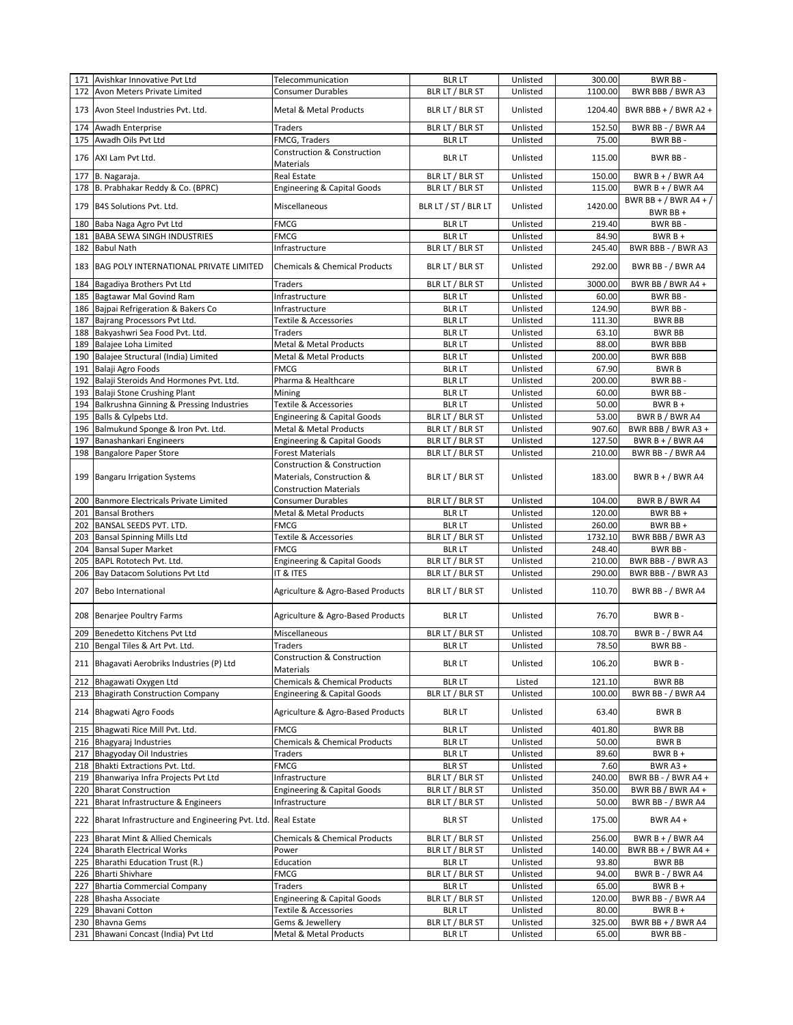|            | 171 Avishkar Innovative Pvt Ltd                                 | Telecommunication                                                                                    | <b>BLR LT</b>                      | Unlisted             | 300.00           | BWR BB-                                  |
|------------|-----------------------------------------------------------------|------------------------------------------------------------------------------------------------------|------------------------------------|----------------------|------------------|------------------------------------------|
| 172        | Avon Meters Private Limited                                     | Consumer Durables                                                                                    | BLR LT / BLR ST                    | Unlisted             | 1100.00          | BWR BBB / BWR A3                         |
|            | 173 Avon Steel Industries Pvt. Ltd.                             | Metal & Metal Products                                                                               | BLR LT / BLR ST                    | Unlisted             | 1204.40          | BWR BBB + $/$ BWR A2 +                   |
| 174        | Awadh Enterprise                                                | Traders                                                                                              | BLR LT / BLR ST                    | Unlisted             | 152.50           | BWR BB - / BWR A4                        |
| 175        | Awadh Oils Pvt Ltd                                              | FMCG, Traders                                                                                        | <b>BLR LT</b>                      | Unlisted             | 75.00            | BWR BB-                                  |
| 176        | AXI Lam Pvt Ltd.                                                | Construction & Construction<br>Materials                                                             | <b>BLR LT</b>                      | Unlisted             | 115.00           | BWR BB-                                  |
| 177        | B. Nagaraja.                                                    | <b>Real Estate</b>                                                                                   | BLR LT / BLR ST                    | Unlisted             | 150.00           | BWR B + $/$ BWR A4                       |
|            | 178 B. Prabhakar Reddy & Co. (BPRC)                             | <b>Engineering &amp; Capital Goods</b>                                                               | BLR LT / BLR ST                    | Unlisted             | 115.00           | BWR B + $/$ BWR A4                       |
|            |                                                                 |                                                                                                      |                                    |                      |                  | BWR BB + / BWR A4 + /                    |
| 179        | B4S Solutions Pvt. Ltd.                                         | Miscellaneous                                                                                        | BLR LT / ST / BLR LT               | Unlisted             | 1420.00          | BWR BB +                                 |
| 180        | Baba Naga Agro Pvt Ltd                                          | <b>FMCG</b>                                                                                          | <b>BLR LT</b>                      | Unlisted             | 219.40           | BWR BB-                                  |
| 181        | <b>BABA SEWA SINGH INDUSTRIES</b>                               | <b>FMCG</b>                                                                                          | <b>BLR LT</b>                      | Unlisted             | 84.90            | $BWRB +$                                 |
| 182        | <b>Babul Nath</b>                                               | Infrastructure                                                                                       | BLR LT / BLR ST                    | Unlisted             | 245.40           | BWR BBB - / BWR A3                       |
| 183        | BAG POLY INTERNATIONAL PRIVATE LIMITED                          | <b>Chemicals &amp; Chemical Products</b>                                                             | BLR LT / BLR ST                    | Unlisted             | 292.00           | BWR BB - / BWR A4                        |
| 184        | Bagadiya Brothers Pvt Ltd                                       | Traders                                                                                              | BLR LT / BLR ST                    | Unlisted             | 3000.00          | BWR BB / BWR A4 +                        |
| 185        | Bagtawar Mal Govind Ram                                         | Infrastructure                                                                                       | <b>BLR LT</b>                      | Unlisted             | 60.00            | BWR BB-                                  |
| 186        | Bajpai Refrigeration & Bakers Co                                | Infrastructure                                                                                       | <b>BLR LT</b>                      | Unlisted             | 124.90           | BWR BB-                                  |
| 187        | Bajrang Processors Pvt Ltd.                                     | Textile & Accessories                                                                                | <b>BLR LT</b>                      | Unlisted             | 111.30           | <b>BWR BB</b>                            |
| 188        | Bakyashwri Sea Food Pvt. Ltd.                                   | Traders                                                                                              | <b>BLR LT</b>                      | Unlisted             | 63.10            | <b>BWR BB</b>                            |
| 189        | Balajee Loha Limited                                            | Metal & Metal Products                                                                               | <b>BLR LT</b>                      | Unlisted             | 88.00            | <b>BWR BBB</b>                           |
| 190        | Balajee Structural (India) Limited                              | Metal & Metal Products                                                                               | <b>BLR LT</b>                      | Unlisted             | 200.00           | <b>BWR BBB</b>                           |
| 191        | Balaji Agro Foods                                               | <b>FMCG</b>                                                                                          | <b>BLR LT</b>                      | Unlisted             | 67.90            | <b>BWRB</b>                              |
| 192        | Balaji Steroids And Hormones Pvt. Ltd.                          | Pharma & Healthcare                                                                                  | <b>BLR LT</b>                      | Unlisted             | 200.00           | <b>BWR BB-</b>                           |
| 193        | Balaji Stone Crushing Plant                                     | Mining                                                                                               | <b>BLR LT</b>                      | Unlisted             | 60.00            | BWR BB-                                  |
| 194        | Balkrushna Ginning & Pressing Industries                        | Textile & Accessories                                                                                | <b>BLR LT</b>                      | Unlisted             | 50.00            | $BWRB +$                                 |
| 195        | Balls & Cylpebs Ltd.                                            | <b>Engineering &amp; Capital Goods</b>                                                               | BLR LT / BLR ST                    | Unlisted             | 53.00            | BWR B / BWR A4                           |
| 196        | Balmukund Sponge & Iron Pvt. Ltd.                               | Metal & Metal Products                                                                               | BLR LT / BLR ST                    | Unlisted             | 907.60           | BWR BBB / BWR A3 +                       |
| 197        | Banashankari Engineers                                          | <b>Engineering &amp; Capital Goods</b>                                                               | BLR LT / BLR ST                    | Unlisted             | 127.50           | BWR $B + / BWR$ A4                       |
| 198        | <b>Bangalore Paper Store</b>                                    | Forest Materials                                                                                     | BLR LT / BLR ST                    | Unlisted             | 210.00           | BWR BB - / BWR A4                        |
| 199        | <b>Bangaru Irrigation Systems</b>                               | <b>Construction &amp; Construction</b><br>Materials, Construction &<br><b>Construction Materials</b> | BLR LT / BLR ST                    | Unlisted             | 183.00           | BWR $B + / BWR$ A4                       |
| 200        | Banmore Electricals Private Limited                             | <b>Consumer Durables</b>                                                                             | BLR LT / BLR ST                    | Unlisted             | 104.00           | BWR B / BWR A4                           |
| 201        | <b>Bansal Brothers</b>                                          | Metal & Metal Products                                                                               | <b>BLR LT</b>                      | Unlisted             | 120.00           | BWR BB +                                 |
| 202        | BANSAL SEEDS PVT. LTD.                                          | <b>FMCG</b>                                                                                          | <b>BLR LT</b>                      | Unlisted             | 260.00           | BWR BB +                                 |
| 203        | <b>Bansal Spinning Mills Ltd</b>                                | Textile & Accessories                                                                                | BLR LT / BLR ST                    | Unlisted             | 1732.10          | BWR BBB / BWR A3                         |
|            |                                                                 |                                                                                                      |                                    |                      |                  |                                          |
|            |                                                                 |                                                                                                      |                                    |                      |                  |                                          |
| 204        | <b>Bansal Super Market</b>                                      | <b>FMCG</b>                                                                                          | <b>BLR LT</b>                      | Unlisted             | 248.40           | BWR BB-                                  |
| 205        | BAPL Rototech Pvt. Ltd.                                         | <b>Engineering &amp; Capital Goods</b>                                                               | BLR LT / BLR ST                    | Unlisted             | 210.00           | BWR BBB - / BWR A3                       |
| 206<br>207 | Bay Datacom Solutions Pvt Ltd<br><b>Bebo International</b>      | IT & ITES<br>Agriculture & Agro-Based Products                                                       | BLR LT / BLR ST<br>BLR LT / BLR ST | Unlisted<br>Unlisted | 290.00<br>110.70 | BWR BBB - / BWR A3<br>BWR BB - / BWR A4  |
| 208        | <b>Benarjee Poultry Farms</b>                                   | Agriculture & Agro-Based Products                                                                    | <b>BLR LT</b>                      | Unlisted             | 76.70            | BWR B-                                   |
| 209        | Benedetto Kitchens Pvt Ltd                                      | Miscellaneous                                                                                        | BLR LT / BLR ST                    | Unlisted             | 108.70           | BWR B - / BWR A4                         |
|            | 210 Bengal Tiles & Art Pvt. Ltd.                                | <b>Traders</b>                                                                                       | <b>BLR LT</b>                      | Unlisted             | 78.50            | BWR BB-                                  |
|            | 211 Bhagavati Aerobriks Industries (P) Ltd                      | Construction & Construction<br>Materials                                                             | <b>BLR LT</b>                      | Unlisted             | 106.20           | BWR B-                                   |
| 212        | Bhagawati Oxygen Ltd                                            | Chemicals & Chemical Products                                                                        | <b>BLR LT</b>                      | Listed               | 121.10           | <b>BWR BB</b>                            |
|            | 213 Bhagirath Construction Company                              | <b>Engineering &amp; Capital Goods</b>                                                               | BLR LT / BLR ST                    | Unlisted             | 100.00           | BWR BB - / BWR A4                        |
|            | 214 Bhagwati Agro Foods                                         | Agriculture & Agro-Based Products                                                                    | <b>BLR LT</b>                      | Unlisted             | 63.40            | <b>BWRB</b>                              |
| 215        | Bhagwati Rice Mill Pvt. Ltd.                                    | FMCG                                                                                                 | <b>BLR LT</b>                      | Unlisted             | 401.80           | <b>BWR BB</b>                            |
| 216        | Bhagyaraj Industries                                            | <b>Chemicals &amp; Chemical Products</b>                                                             | <b>BLR LT</b>                      | Unlisted             | 50.00            | <b>BWRB</b>                              |
| 217        | <b>Bhagyoday Oil Industries</b>                                 | Traders                                                                                              | <b>BLR LT</b>                      | Unlisted             | 89.60            | $BWRB +$                                 |
| 218        | Bhakti Extractions Pvt. Ltd.                                    | FMCG                                                                                                 | <b>BLR ST</b>                      | Unlisted             | 7.60             | <b>BWR A3 +</b>                          |
| 219        |                                                                 | Infrastructure                                                                                       |                                    | Unlisted             | 240.00           |                                          |
| 220        | Bhanwariya Infra Projects Pvt Ltd<br><b>Bharat Construction</b> | <b>Engineering &amp; Capital Goods</b>                                                               | BLR LT / BLR ST<br>BLR LT / BLR ST | Unlisted             | 350.00           | BWR BB - / BWR A4 +<br>BWR BB / BWR A4 + |
| 221        | Bharat Infrastructure & Engineers                               | Infrastructure                                                                                       | BLR LT / BLR ST                    | Unlisted             | 50.00            | BWR BB - / BWR A4                        |
| 222        | Bharat Infrastructure and Engineering Pvt. Ltd. Real Estate     |                                                                                                      | <b>BLR ST</b>                      | Unlisted             | 175.00           | BWR A4 +                                 |
| 223        |                                                                 |                                                                                                      |                                    |                      |                  |                                          |
|            | <b>Bharat Mint &amp; Allied Chemicals</b>                       | Chemicals & Chemical Products                                                                        | BLR LT / BLR ST                    | Unlisted             | 256.00           | BWR $B + / BWR$ A4                       |
| 224        | <b>Bharath Electrical Works</b>                                 | Power                                                                                                | BLR LT / BLR ST                    | Unlisted             | 140.00           | BWR BB + $/$ BWR A4 +                    |
| 225        | Bharathi Education Trust (R.)                                   | Education                                                                                            | <b>BLR LT</b>                      | Unlisted             | 93.80            | <b>BWR BB</b>                            |
| 226        | <b>Bharti Shivhare</b>                                          | FMCG                                                                                                 | BLR LT / BLR ST                    | Unlisted             | 94.00            | BWR B - / BWR A4                         |
| 227        | <b>Bhartia Commercial Company</b>                               | Traders                                                                                              | <b>BLR LT</b>                      | Unlisted             | 65.00            | $BWRB +$                                 |
| 228        | Bhasha Associate                                                | <b>Engineering &amp; Capital Goods</b>                                                               | BLR LT / BLR ST                    | Unlisted             | 120.00           | BWR BB - / BWR A4                        |
| 229        | <b>Bhavani Cotton</b>                                           | Textile & Accessories                                                                                | <b>BLR LT</b>                      | Unlisted             | 80.00            | $BWRB +$                                 |
| 230<br>231 | <b>Bhavna Gems</b><br>Bhawani Concast (India) Pvt Ltd           | Gems & Jewellery<br>Metal & Metal Products                                                           | BLR LT / BLR ST<br><b>BLR LT</b>   | Unlisted<br>Unlisted | 325.00<br>65.00  | BWR BB + $/$ BWR A4<br>BWR BB-           |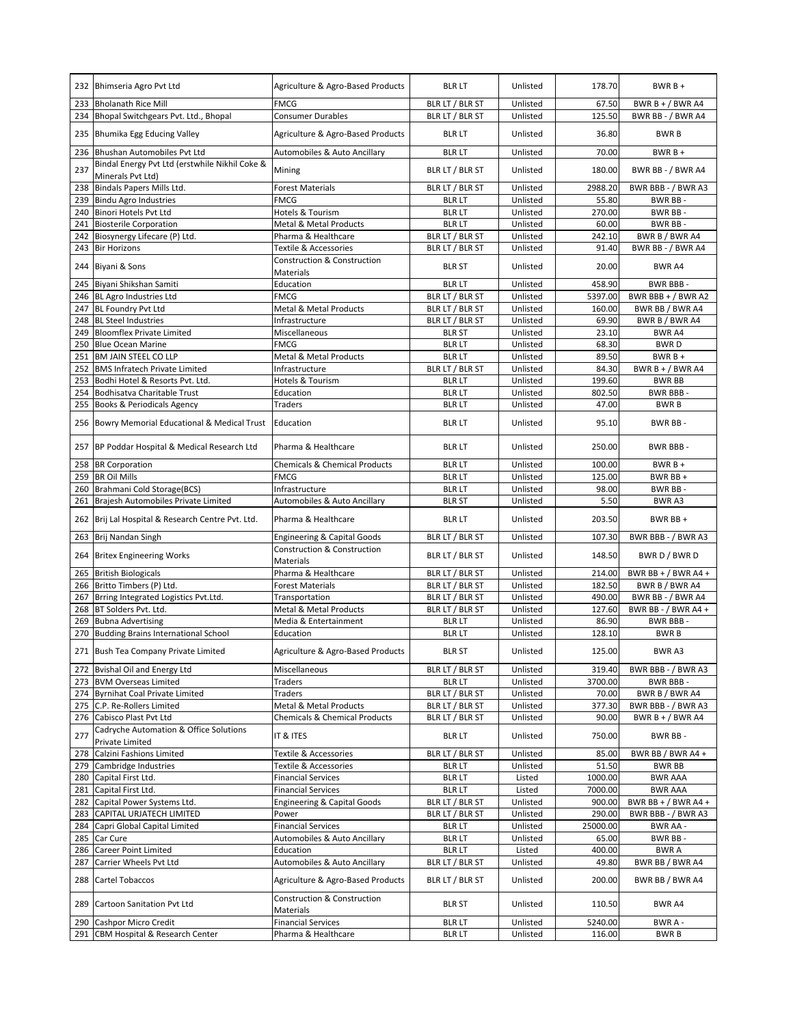|     | 232 Bhimseria Agro Pvt Ltd                                          | Agriculture & Agro-Based Products                   | <b>BLR LT</b>   | Unlisted | 178.70   | $BWRB+$               |
|-----|---------------------------------------------------------------------|-----------------------------------------------------|-----------------|----------|----------|-----------------------|
| 233 | <b>Bholanath Rice Mill</b>                                          | FMCG                                                | BLR LT / BLR ST | Unlisted | 67.50    | BWR B + $/$ BWR A4    |
| 234 | Bhopal Switchgears Pvt. Ltd., Bhopal                                | <b>Consumer Durables</b>                            | BLR LT / BLR ST | Unlisted | 125.50   | BWR BB - / BWR A4     |
| 235 | Bhumika Egg Educing Valley                                          | Agriculture & Agro-Based Products                   | <b>BLR LT</b>   | Unlisted | 36.80    | <b>BWRB</b>           |
| 236 | Bhushan Automobiles Pvt Ltd                                         | Automobiles & Auto Ancillary                        | <b>BLR LT</b>   | Unlisted | 70.00    | $BWRB +$              |
| 237 | Bindal Energy Pvt Ltd (erstwhile Nikhil Coke &<br>Minerals Pvt Ltd) | Mining                                              | BLR LT / BLR ST | Unlisted | 180.00   | BWR BB - / BWR A4     |
| 238 | Bindals Papers Mills Ltd.                                           | <b>Forest Materials</b>                             | BLR LT / BLR ST | Unlisted | 2988.20  | BWR BBB - / BWR A3    |
| 239 | <b>Bindu Agro Industries</b>                                        | FMCG                                                | <b>BLR LT</b>   | Unlisted | 55.80    | <b>BWR BB-</b>        |
| 240 | Binori Hotels Pvt Ltd                                               | Hotels & Tourism                                    | <b>BLR LT</b>   | Unlisted | 270.00   | BWR BB-               |
| 241 | <b>Biosterile Corporation</b>                                       | Metal & Metal Products                              | <b>BLR LT</b>   | Unlisted | 60.00    | BWR BB-               |
| 242 | Biosynergy Lifecare (P) Ltd.                                        | Pharma & Healthcare                                 | BLR LT / BLR ST | Unlisted | 242.10   | BWR B / BWR A4        |
| 243 | <b>Bir Horizons</b>                                                 | Textile & Accessories                               | BLR LT / BLR ST | Unlisted | 91.40    | BWR BB - / BWR A4     |
|     | 244 Biyani & Sons                                                   | Construction & Construction<br>Materials            | <b>BLR ST</b>   | Unlisted | 20.00    | BWR A4                |
| 245 | Biyani Shikshan Samiti                                              | Education                                           | <b>BLR LT</b>   | Unlisted | 458.90   | BWR BBB-              |
| 246 | BL Agro Industries Ltd                                              | FMCG                                                | BLR LT / BLR ST | Unlisted | 5397.00  | BWR BBB + $/$ BWR A2  |
| 247 | BL Foundry Pvt Ltd                                                  | Metal & Metal Products                              | BLR LT / BLR ST | Unlisted | 160.00   | BWR BB / BWR A4       |
| 248 | <b>BL Steel Industries</b>                                          | Infrastructure                                      | BLR LT / BLR ST | Unlisted | 69.90    | BWR B / BWR A4        |
| 249 | <b>Bloomflex Private Limited</b>                                    | Miscellaneous                                       | <b>BLR ST</b>   | Unlisted | 23.10    | BWR A4                |
| 250 | <b>Blue Ocean Marine</b>                                            | FMCG                                                | <b>BLR LT</b>   | Unlisted | 68.30    | <b>BWRD</b>           |
| 251 | <b>BM JAIN STEEL CO LLP</b>                                         | Metal & Metal Products                              | <b>BLR LT</b>   | Unlisted | 89.50    | $BWRB +$              |
| 252 | <b>BMS Infratech Private Limited</b>                                | Infrastructure                                      | BLR LT / BLR ST | Unlisted | 84.30    | BWR $B + / BWR$ A4    |
| 253 | Bodhi Hotel & Resorts Pvt. Ltd.                                     | Hotels & Tourism                                    | <b>BLR LT</b>   | Unlisted | 199.60   | <b>BWR BB</b>         |
| 254 | Bodhisatva Charitable Trust                                         | Education                                           | <b>BLR LT</b>   | Unlisted | 802.50   | BWR BBB-              |
| 255 | <b>Books &amp; Periodicals Agency</b>                               | <b>Traders</b>                                      | <b>BLR LT</b>   | Unlisted | 47.00    | <b>BWRB</b>           |
|     | 256 Bowry Memorial Educational & Medical Trust                      | Education                                           | <b>BLR LT</b>   | Unlisted | 95.10    | BWR BB-               |
| 257 | BP Poddar Hospital & Medical Research Ltd                           | Pharma & Healthcare                                 | <b>BLR LT</b>   | Unlisted | 250.00   | BWR BBB -             |
| 258 | <b>BR Corporation</b>                                               | Chemicals & Chemical Products                       | <b>BLR LT</b>   | Unlisted | 100.00   | $BWRB +$              |
| 259 | <b>BR Oil Mills</b>                                                 | <b>FMCG</b>                                         | <b>BLR LT</b>   | Unlisted | 125.00   | BWR BB +              |
| 260 | Brahmani Cold Storage(BCS)                                          | Infrastructure                                      | <b>BLR LT</b>   | Unlisted | 98.00    | BWR BB-               |
| 261 | Brajesh Automobiles Private Limited                                 | Automobiles & Auto Ancillary                        | <b>BLR ST</b>   | Unlisted | 5.50     | BWR A3                |
| 262 | Brij Lal Hospital & Research Centre Pvt. Ltd.                       | Pharma & Healthcare                                 | <b>BLR LT</b>   | Unlisted | 203.50   | BWR BB +              |
| 263 | Brij Nandan Singh                                                   | <b>Engineering &amp; Capital Goods</b>              | BLR LT / BLR ST | Unlisted | 107.30   | BWR BBB - / BWR A3    |
| 264 | <b>Britex Engineering Works</b>                                     | <b>Construction &amp; Construction</b><br>Materials | BLR LT / BLR ST | Unlisted | 148.50   | BWR D / BWR D         |
| 265 | <b>British Biologicals</b>                                          | Pharma & Healthcare                                 | BLR LT / BLR ST | Unlisted | 214.00   | BWR BB + $/$ BWR A4 + |
| 266 | Britto Timbers (P) Ltd.                                             | <b>Forest Materials</b>                             | BLR LT / BLR ST | Unlisted | 182.50   | BWR B / BWR A4        |
| 267 | Brring Integrated Logistics Pvt.Ltd.                                | Transportation                                      | BLR LT / BLR ST | Unlisted | 490.00   | BWR BB - / BWR A4     |
| 268 | BT Solders Pvt. Ltd.                                                | Metal & Metal Products                              | BLR LT / BLR ST | Unlisted | 127.60   | BWR BB - / BWR A4 +   |
| 269 | <b>Bubna Advertising</b>                                            | Media & Entertainment                               | <b>BLR LT</b>   | Unlisted | 86.90    | <b>BWR BBB-</b>       |
| 270 | <b>Budding Brains International School</b>                          | Education                                           | <b>BLR LT</b>   | Unlisted | 128.10   | <b>BWRB</b>           |
|     | 271 Bush Tea Company Private Limited                                | Agriculture & Agro-Based Products                   | <b>BLR ST</b>   | Unlisted | 125.00   | BWR A3                |
|     | 272 Bvishal Oil and Energy Ltd                                      | Miscellaneous                                       | BLR LT / BLR ST | Unlisted | 319.40   | BWR BBB - / BWR A3    |
| 273 | <b>BVM Overseas Limited</b>                                         | Traders                                             | <b>BLR LT</b>   | Unlisted | 3700.00  | BWR BBB-              |
|     | 274 Byrnihat Coal Private Limited                                   | Traders                                             | BLR LT / BLR ST | Unlisted | 70.00    | BWR B / BWR A4        |
|     | 275 C.P. Re-Rollers Limited                                         | Metal & Metal Products                              | BLR LT / BLR ST | Unlisted | 377.30   | BWR BBB - / BWR A3    |
|     | 276 Cabisco Plast Pvt Ltd                                           | <b>Chemicals &amp; Chemical Products</b>            | BLR LT / BLR ST | Unlisted | 90.00    | BWR B + / BWR A4      |
| 277 | Cadryche Automation & Office Solutions<br>Private Limited           | IT & ITES                                           | <b>BLR LT</b>   | Unlisted | 750.00   | BWR BB-               |
| 278 | Calzini Fashions Limited                                            | Textile & Accessories                               | BLR LT / BLR ST | Unlisted | 85.00    | BWR BB / BWR A4 +     |
| 279 | Cambridge Industries                                                | Textile & Accessories                               | <b>BLR LT</b>   | Unlisted | 51.50    | <b>BWR BB</b>         |
| 280 | Capital First Ltd.                                                  | <b>Financial Services</b>                           | <b>BLR LT</b>   | Listed   | 1000.00  | <b>BWR AAA</b>        |
| 281 | Capital First Ltd.                                                  | <b>Financial Services</b>                           | <b>BLR LT</b>   | Listed   | 7000.00  | <b>BWR AAA</b>        |
| 282 | Capital Power Systems Ltd.                                          | <b>Engineering &amp; Capital Goods</b>              | BLR LT / BLR ST | Unlisted | 900.00   | BWR BB + $/$ BWR A4 + |
| 283 | CAPITAL URJATECH LIMITED                                            | Power                                               | BLR LT / BLR ST | Unlisted | 290.00   | BWR BBB - / BWR A3    |
| 284 | Capri Global Capital Limited                                        | <b>Financial Services</b>                           | <b>BLR LT</b>   | Unlisted | 25000.00 | BWR AA -              |
| 285 | Car Cure                                                            | Automobiles & Auto Ancillary                        | <b>BLR LT</b>   | Unlisted | 65.00    | BWR BB-               |
| 286 | <b>Career Point Limited</b>                                         | Education                                           | <b>BLR LT</b>   | Listed   | 400.00   | <b>BWR A</b>          |
| 287 | Carrier Wheels Pvt Ltd                                              | Automobiles & Auto Ancillary                        | BLR LT / BLR ST | Unlisted | 49.80    | BWR BB / BWR A4       |
| 288 | Cartel Tobaccos                                                     | Agriculture & Agro-Based Products                   | BLR LT / BLR ST | Unlisted | 200.00   | BWR BB / BWR A4       |
|     | 289 Cartoon Sanitation Pvt Ltd                                      | Construction & Construction<br>Materials            | BLR ST          | Unlisted | 110.50   | BWR A4                |
| 290 | Cashpor Micro Credit                                                | <b>Financial Services</b>                           | <b>BLR LT</b>   | Unlisted | 5240.00  | BWR A -               |
|     | 291 CBM Hospital & Research Center                                  | Pharma & Healthcare                                 | <b>BLR LT</b>   | Unlisted | 116.00   | <b>BWRB</b>           |
|     |                                                                     |                                                     |                 |          |          |                       |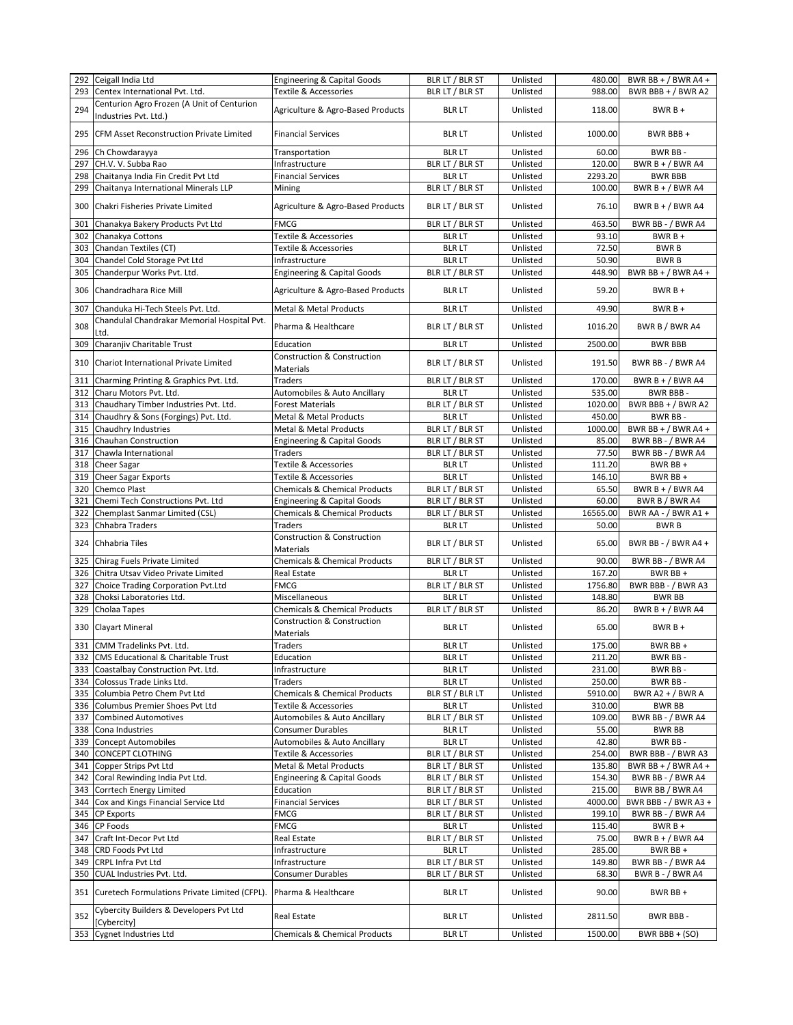|     | 292 Ceigall India Ltd                                                               | <b>Engineering &amp; Capital Goods</b>                   | BLR LT / BLR ST | Unlisted | 480.00   | BWR BB + $/$ BWR A4 + |
|-----|-------------------------------------------------------------------------------------|----------------------------------------------------------|-----------------|----------|----------|-----------------------|
| 293 | Centex International Pvt. Ltd.                                                      | Textile & Accessories                                    | BLR LT / BLR ST | Unlisted | 988.00   | BWR BBB + $/$ BWR A2  |
|     | Centurion Agro Frozen (A Unit of Centurion                                          |                                                          |                 |          |          |                       |
| 294 | Industries Pvt. Ltd.)                                                               | Agriculture & Agro-Based Products                        | <b>BLR LT</b>   | Unlisted | 118.00   | $BWRB +$              |
| 295 | <b>CFM Asset Reconstruction Private Limited</b>                                     | <b>Financial Services</b>                                | <b>BLR LT</b>   | Unlisted | 1000.00  | BWR BBB+              |
| 296 | Ch Chowdarayya                                                                      | Transportation                                           | <b>BLR LT</b>   | Unlisted | 60.00    | BWR BB-               |
| 297 | CH.V. V. Subba Rao                                                                  | Infrastructure                                           | BLR LT / BLR ST | Unlisted | 120.00   | BWR $B + / BWR$ A4    |
| 298 | Chaitanya India Fin Credit Pvt Ltd                                                  | <b>Financial Services</b>                                | <b>BLR LT</b>   | Unlisted | 2293.20  | <b>BWR BBB</b>        |
| 299 | Chaitanya International Minerals LLP                                                | Mining                                                   | BLR LT / BLR ST | Unlisted | 100.00   | BWR $B + / BWR$ A4    |
| 300 | Chakri Fisheries Private Limited                                                    | Agriculture & Agro-Based Products                        | BLR LT / BLR ST | Unlisted | 76.10    | BWR $B + / BWR$ A4    |
| 301 | Chanakya Bakery Products Pvt Ltd                                                    | <b>FMCG</b>                                              | BLR LT / BLR ST | Unlisted | 463.50   | BWR BB - / BWR A4     |
| 302 | Chanakya Cottons                                                                    | <b>Textile &amp; Accessories</b>                         | <b>BLR LT</b>   | Unlisted | 93.10    | $BWRB +$              |
| 303 | Chandan Textiles (CT)                                                               | <b>Textile &amp; Accessories</b>                         | <b>BLR LT</b>   | Unlisted | 72.50    | <b>BWRB</b>           |
| 304 | Chandel Cold Storage Pvt Ltd                                                        | Infrastructure                                           | <b>BLR LT</b>   | Unlisted | 50.90    | <b>BWRB</b>           |
| 305 | Chanderpur Works Pvt. Ltd.                                                          | <b>Engineering &amp; Capital Goods</b>                   | BLR LT / BLR ST | Unlisted | 448.90   | BWR BB + $/$ BWR A4 + |
|     |                                                                                     |                                                          |                 |          |          |                       |
| 306 | Chandradhara Rice Mill                                                              | Agriculture & Agro-Based Products                        | <b>BLR LT</b>   | Unlisted | 59.20    | $BWRB +$              |
| 307 | Chanduka Hi-Tech Steels Pvt. Ltd.                                                   | Metal & Metal Products                                   | <b>BLR LT</b>   | Unlisted | 49.90    | $BWRB +$              |
| 308 | Chandulal Chandrakar Memorial Hospital Pvt.<br>Ltd.                                 | Pharma & Healthcare                                      | BLR LT / BLR ST | Unlisted | 1016.20  | BWR B / BWR A4        |
| 309 | Charanjiv Charitable Trust                                                          | Education                                                | <b>BLR LT</b>   | Unlisted | 2500.00  | <b>BWR BBB</b>        |
| 310 | Chariot International Private Limited                                               | <b>Construction &amp; Construction</b>                   | BLR LT / BLR ST | Unlisted | 191.50   | BWR BB - / BWR A4     |
|     |                                                                                     | Materials                                                |                 |          |          |                       |
| 311 | Charming Printing & Graphics Pvt. Ltd.                                              | <b>Traders</b>                                           | BLR LT / BLR ST | Unlisted | 170.00   | BWR B + / BWR A4      |
| 312 | Charu Motors Pvt. Ltd.                                                              | Automobiles & Auto Ancillary                             | <b>BLR LT</b>   | Unlisted | 535.00   | BWR BBB-              |
| 313 | Chaudhary Timber Industries Pvt. Ltd.                                               | <b>Forest Materials</b>                                  | BLR LT / BLR ST | Unlisted | 1020.00  | BWR BBB + / BWR A2    |
| 314 | Chaudhry & Sons (Forgings) Pvt. Ltd.                                                | Metal & Metal Products                                   | <b>BLR LT</b>   | Unlisted | 450.00   | <b>BWR BB-</b>        |
| 315 | Chaudhry Industries                                                                 | Metal & Metal Products                                   | BLR LT / BLR ST | Unlisted | 1000.00  | BWR BB + $/$ BWR A4 + |
| 316 | Chauhan Construction                                                                | <b>Engineering &amp; Capital Goods</b>                   | BLR LT / BLR ST | Unlisted | 85.00    | BWR BB - / BWR A4     |
| 317 | Chawla International                                                                | <b>Traders</b>                                           | BLR LT / BLR ST | Unlisted | 77.50    | BWR BB - / BWR A4     |
| 318 | <b>Cheer Sagar</b>                                                                  | <b>Textile &amp; Accessories</b>                         | <b>BLR LT</b>   | Unlisted | 111.20   | BWR BB+               |
| 319 | <b>Cheer Sagar Exports</b>                                                          | <b>Textile &amp; Accessories</b>                         | <b>BLR LT</b>   | Unlisted | 146.10   | BWR BB +              |
| 320 | <b>Chemco Plast</b>                                                                 | <b>Chemicals &amp; Chemical Products</b>                 | BLR LT / BLR ST | Unlisted | 65.50    | BWR $B + / BWR$ A4    |
| 321 | Chemi Tech Constructions Pvt. Ltd                                                   | <b>Engineering &amp; Capital Goods</b>                   | BLR LT / BLR ST | Unlisted | 60.00    | BWR B / BWR A4        |
|     | Chemplast Sanmar Limited (CSL)                                                      | Chemicals & Chemical Products                            | BLR LT / BLR ST | Unlisted | 16565.00 | BWR AA - / BWR A1 +   |
|     |                                                                                     |                                                          |                 |          |          |                       |
| 322 |                                                                                     |                                                          |                 |          |          |                       |
| 323 | Chhabra Traders                                                                     | <b>Traders</b><br><b>Construction &amp; Construction</b> | <b>BLR LT</b>   | Unlisted | 50.00    | <b>BWRB</b>           |
| 324 | Chhabria Tiles                                                                      | Materials                                                | BLR LT / BLR ST | Unlisted | 65.00    | BWR BB - / BWR A4 +   |
| 325 | Chirag Fuels Private Limited                                                        | <b>Chemicals &amp; Chemical Products</b>                 | BLR LT / BLR ST | Unlisted | 90.00    | BWR BB - / BWR A4     |
| 326 | Chitra Utsav Video Private Limited                                                  | <b>Real Estate</b>                                       | <b>BLR LT</b>   | Unlisted | 167.20   | BWR BB +              |
| 327 | Choice Trading Corporation Pvt.Ltd                                                  | <b>FMCG</b>                                              | BLR LT / BLR ST | Unlisted | 1756.80  | BWR BBB - / BWR A3    |
| 328 | Choksi Laboratories Ltd.                                                            | Miscellaneous                                            | <b>BLR LT</b>   | Unlisted | 148.80   | <b>BWR BB</b>         |
| 329 | Cholaa Tapes                                                                        | <b>Chemicals &amp; Chemical Products</b>                 | BLR LT / BLR ST | Unlisted | 86.20    | BWR $B + / BWR$ A4    |
| 330 | <b>Clayart Mineral</b>                                                              | Construction & Construction                              | <b>BLR LT</b>   | Unlisted | 65.00    | $BWRB+$               |
|     |                                                                                     | <b>Materials</b>                                         |                 |          |          |                       |
|     | 331 CMM Tradelinks Pvt. Ltd.                                                        | Traders                                                  | <b>BLR LT</b>   | Unlisted | 175.00   | BWR BB +              |
|     | 332 CMS Educational & Charitable Trust                                              | Education                                                | <b>BLR LT</b>   | Unlisted | 211.20   | BWR BB-               |
|     | 333 Coastalbay Construction Pvt. Ltd.                                               | Infrastructure                                           | <b>BLR LT</b>   | Unlisted | 231.00   | BWR BB-               |
| 334 | Colossus Trade Links Ltd.                                                           | Traders                                                  | <b>BLR LT</b>   | Unlisted | 250.00   | <b>BWR BB-</b>        |
| 335 | Columbia Petro Chem Pvt Ltd                                                         | <b>Chemicals &amp; Chemical Products</b>                 | BLR ST / BLR LT | Unlisted | 5910.00  | BWR A2 + $/$ BWR A    |
| 336 | Columbus Premier Shoes Pvt Ltd                                                      | <b>Textile &amp; Accessories</b>                         | <b>BLR LT</b>   | Unlisted | 310.00   | <b>BWR BB</b>         |
| 337 | <b>Combined Automotives</b>                                                         | Automobiles & Auto Ancillary                             | BLR LT / BLR ST | Unlisted | 109.00   | BWR BB - / BWR A4     |
| 338 | Cona Industries                                                                     | <b>Consumer Durables</b>                                 | <b>BLR LT</b>   | Unlisted | 55.00    | BWR BB                |
| 339 | <b>Concept Automobiles</b>                                                          | Automobiles & Auto Ancillary                             | <b>BLR LT</b>   | Unlisted | 42.80    | BWR BB-               |
| 340 | <b>CONCEPT CLOTHING</b>                                                             | Textile & Accessories                                    | BLR LT / BLR ST | Unlisted | 254.00   | BWR BBB - / BWR A3    |
| 341 | Copper Strips Pvt Ltd                                                               | Metal & Metal Products                                   | BLR LT / BLR ST | Unlisted | 135.80   | BWR BB + $/$ BWR A4 + |
| 342 | Coral Rewinding India Pvt Ltd.                                                      | <b>Engineering &amp; Capital Goods</b>                   | BLR LT / BLR ST | Unlisted | 154.30   | BWR BB - / BWR A4     |
| 343 | Corrtech Energy Limited                                                             | Education                                                | BLR LT / BLR ST | Unlisted | 215.00   | BWR BB / BWR A4       |
| 344 | Cox and Kings Financial Service Ltd                                                 | <b>Financial Services</b>                                | BLR LT / BLR ST |          | 4000.00  |                       |
|     |                                                                                     |                                                          |                 | Unlisted | 199.10   | BWR BBB - / BWR A3 +  |
| 345 | <b>CP Exports</b>                                                                   | <b>FMCG</b>                                              | BLR LT / BLR ST | Unlisted |          | BWR BB - / BWR A4     |
| 346 | <b>CP Foods</b>                                                                     | <b>FMCG</b>                                              | <b>BLR LT</b>   | Unlisted | 115.40   | $BWRB +$              |
| 347 | Craft Int-Decor Pvt Ltd                                                             | Real Estate                                              | BLR LT / BLR ST | Unlisted | 75.00    | BWR B + / BWR A4      |
| 348 | CRD Foods Pvt Ltd                                                                   | Infrastructure                                           | <b>BLR LT</b>   | Unlisted | 285.00   | BWR BB +              |
| 349 | CRPL Infra Pvt Ltd                                                                  | Infrastructure                                           | BLR LT / BLR ST | Unlisted | 149.80   | BWR BB - / BWR A4     |
| 350 | CUAL Industries Pvt. Ltd.                                                           | <b>Consumer Durables</b>                                 | BLR LT / BLR ST | Unlisted | 68.30    | BWR B - / BWR A4      |
|     | 351 Curetech Formulations Private Limited (CFPL).                                   | Pharma & Healthcare                                      | <b>BLR LT</b>   | Unlisted | 90.00    | BWR BB +              |
| 352 | Cybercity Builders & Developers Pvt Ltd<br>[Cybercity]<br>353 Cygnet Industries Ltd | Real Estate                                              | <b>BLR LT</b>   | Unlisted | 2811.50  | BWR BBB -             |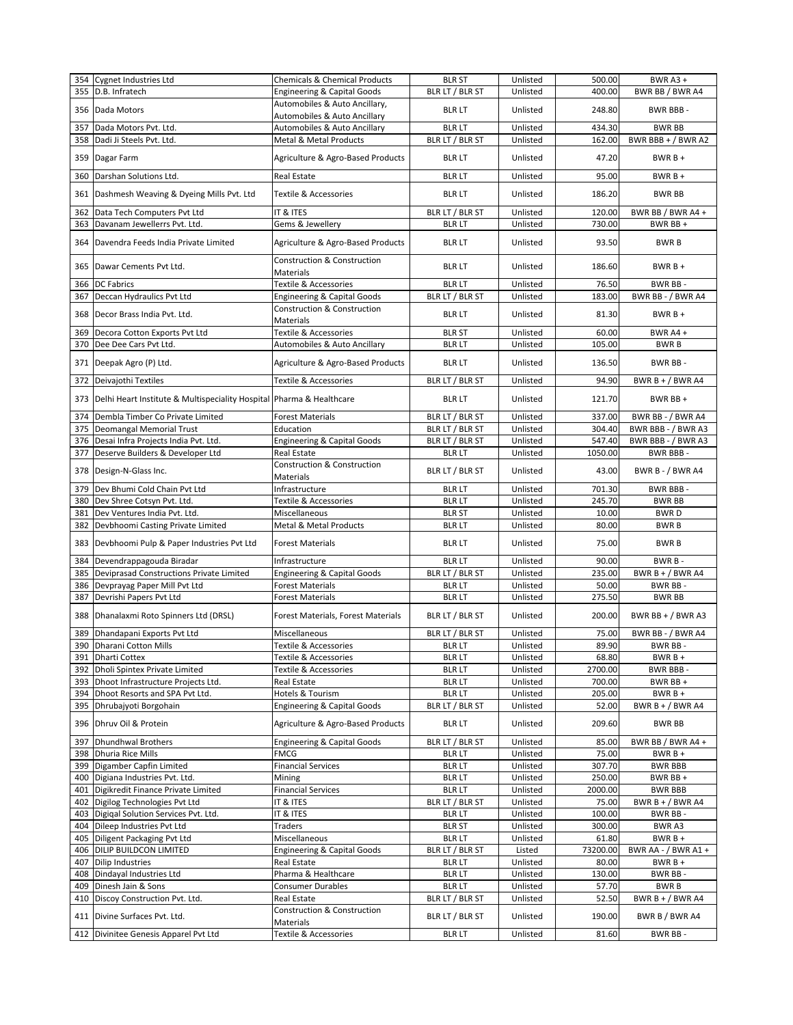|            | 354 Cygnet Industries Ltd                                            | <b>Chemicals &amp; Chemical Products</b>                   | <b>BLR ST</b>                    | Unlisted             | 500.00           | <b>BWR A3 +</b>                      |
|------------|----------------------------------------------------------------------|------------------------------------------------------------|----------------------------------|----------------------|------------------|--------------------------------------|
| 355        | D.B. Infratech                                                       | <b>Engineering &amp; Capital Goods</b>                     | BLR LT / BLR ST                  | Unlisted             | 400.00           | BWR BB / BWR A4                      |
|            |                                                                      | Automobiles & Auto Ancillary,                              |                                  |                      |                  |                                      |
|            | 356 Dada Motors                                                      | Automobiles & Auto Ancillary                               | <b>BLR LT</b>                    | Unlisted             | 248.80           | BWR BBB-                             |
| 357        | Dada Motors Pvt. Ltd.                                                | Automobiles & Auto Ancillary                               | <b>BLR LT</b>                    | Unlisted             | 434.30           | <b>BWR BB</b>                        |
|            |                                                                      | <b>Metal &amp; Metal Products</b>                          |                                  |                      |                  |                                      |
| 358        | Dadi Ji Steels Pvt. Ltd.                                             |                                                            | BLR LT / BLR ST                  | Unlisted             | 162.00           | BWR BBB + $/$ BWR A2                 |
|            | 359 Dagar Farm                                                       | Agriculture & Agro-Based Products                          | <b>BLR LT</b>                    | Unlisted             | 47.20            | $BWRB +$                             |
| 360        | Darshan Solutions Ltd.                                               | <b>Real Estate</b>                                         | <b>BLR LT</b>                    | Unlisted             | 95.00            | $BWRB +$                             |
|            | 361 Dashmesh Weaving & Dyeing Mills Pvt. Ltd                         | <b>Textile &amp; Accessories</b>                           | BLR LT                           | Unlisted             | 186.20           | <b>BWR BB</b>                        |
| 362        | Data Tech Computers Pvt Ltd                                          | IT & ITES                                                  | BLR LT / BLR ST                  | Unlisted             | 120.00           | BWR BB / BWR A4 +                    |
| 363        | Davanam Jewellerrs Pvt. Ltd.                                         | Gems & Jewellery                                           | <b>BLR LT</b>                    | Unlisted             | 730.00           | BWR BB +                             |
|            |                                                                      |                                                            |                                  |                      |                  |                                      |
| 364        | Davendra Feeds India Private Limited                                 | Agriculture & Agro-Based Products                          | <b>BLR LT</b>                    | Unlisted             | 93.50            | <b>BWRB</b>                          |
| 365        | Dawar Cements Pvt Ltd.                                               | <b>Construction &amp; Construction</b><br>Materials        | <b>BLR LT</b>                    | Unlisted             | 186.60           | $BWRB +$                             |
| 366        | <b>DC Fabrics</b>                                                    | Textile & Accessories                                      | <b>BLR LT</b>                    | Unlisted             | 76.50            | BWR BB-                              |
| 367        | Deccan Hydraulics Pvt Ltd                                            | <b>Engineering &amp; Capital Goods</b>                     | BLR LT / BLR ST                  | Unlisted             | 183.00           | BWR BB - / BWR A4                    |
|            |                                                                      | <b>Construction &amp; Construction</b>                     |                                  |                      |                  |                                      |
| 368        | Decor Brass India Pvt. Ltd.                                          | Materials                                                  | <b>BLR LT</b>                    | Unlisted             | 81.30            | $BWRB +$                             |
| 369        | Decora Cotton Exports Pvt Ltd                                        | Textile & Accessories                                      | <b>BLR ST</b>                    | Unlisted             | 60.00            | BWR A4 +                             |
| 370        | Dee Dee Cars Pvt Ltd.                                                | Automobiles & Auto Ancillary                               | <b>BLR LT</b>                    | Unlisted             | 105.00           | <b>BWRB</b>                          |
|            | 371 Deepak Agro (P) Ltd.                                             | Agriculture & Agro-Based Products                          | BLR LT                           | Unlisted             | 136.50           | BWR BB-                              |
| 372        | Deivajothi Textiles                                                  | Textile & Accessories                                      | BLR LT / BLR ST                  | Unlisted             | 94.90            | BWR B + $/$ BWR A4                   |
| 373        | Delhi Heart Institute & Multispeciality Hospital Pharma & Healthcare |                                                            | BLR LT                           | Unlisted             | 121.70           | BWR BB +                             |
|            |                                                                      |                                                            |                                  |                      |                  |                                      |
| 374        | Dembla Timber Co Private Limited                                     | <b>Forest Materials</b>                                    | BLR LT / BLR ST                  | Unlisted             | 337.00           | BWR BB - / BWR A4                    |
| 375        | Deomangal Memorial Trust                                             | Education                                                  | BLR LT / BLR ST                  | Unlisted             | 304.40           | BWR BBB - / BWR A3                   |
| 376        | Desai Infra Projects India Pvt. Ltd.                                 | <b>Engineering &amp; Capital Goods</b>                     | BLR LT / BLR ST                  | Unlisted             | 547.40           | BWR BBB - / BWR A3                   |
| 377        | Deserve Builders & Developer Ltd                                     | <b>Real Estate</b>                                         | <b>BLR LT</b>                    | Unlisted             | 1050.00          | <b>BWR BBB-</b>                      |
| 378        | Design-N-Glass Inc.                                                  | Construction & Construction<br>Materials                   | BLR LT / BLR ST                  | Unlisted             | 43.00            | BWR B - / BWR A4                     |
| 379        | Dev Bhumi Cold Chain Pvt Ltd                                         | Infrastructure                                             | <b>BLR LT</b>                    | Unlisted             | 701.30           | <b>BWR BBB-</b>                      |
| 380        | Dev Shree Cotsyn Pvt. Ltd.                                           | Textile & Accessories                                      | <b>BLR LT</b>                    | Unlisted             | 245.70           | <b>BWR BB</b>                        |
|            | Dev Ventures India Pvt. Ltd.                                         | Miscellaneous                                              | <b>BLR ST</b>                    | Unlisted             | 10.00            | <b>BWRD</b>                          |
| 381        |                                                                      |                                                            |                                  |                      |                  |                                      |
| 382        | Devbhoomi Casting Private Limited                                    | Metal & Metal Products                                     | <b>BLR LT</b>                    | Unlisted             | 80.00            | <b>BWRB</b>                          |
| 383        | Devbhoomi Pulp & Paper Industries Pvt Ltd                            | <b>Forest Materials</b>                                    | <b>BLR LT</b>                    | Unlisted             | 75.00            | <b>BWRB</b>                          |
| 384        | Devendrappagouda Biradar                                             | Infrastructure                                             | <b>BLR LT</b>                    | Unlisted             | 90.00            | BWR B-                               |
| 385        |                                                                      |                                                            |                                  | Unlisted             | 235.00           |                                      |
|            | Deviprasad Constructions Private Limited                             | <b>Engineering &amp; Capital Goods</b>                     | BLR LT / BLR ST                  |                      |                  | BWR $B + / BWR$ A4                   |
| 386        | Devprayag Paper Mill Pvt Ltd                                         | Forest Materials<br><b>Forest Materials</b>                | <b>BLR LT</b>                    | Unlisted             | 50.00            | BWR BB-                              |
| 387<br>388 | Devrishi Papers Pvt Ltd<br>Dhanalaxmi Roto Spinners Ltd (DRSL)       | Forest Materials, Forest Materials                         | <b>BLR LT</b><br>BLR LT / BLR ST | Unlisted<br>Unlisted | 275.50<br>200.00 | <b>BWR BB</b><br>BWR BB + $/$ BWR A3 |
|            |                                                                      |                                                            |                                  |                      |                  |                                      |
| 389        | Dhandapani Exports Pvt Ltd                                           | Miscellaneous                                              | BLR LT / BLR ST                  | Unlisted             | 75.00            | BWR BB - / BWR A4                    |
|            | 390 Dharani Cotton Mills                                             | Textile & Accessories                                      | <b>BLR LT</b>                    | Unlisted             | 89.90            | BWR BB-                              |
|            | 391 Dharti Cottex                                                    | Textile & Accessories                                      | <b>BLR LT</b>                    | Unlisted             | 68.80            | $BWRB +$                             |
| 392        | Dholi Spintex Private Limited                                        | Textile & Accessories                                      | <b>BLR LT</b>                    | Unlisted             | 2700.00          | BWR BBB-                             |
| 393        | Dhoot Infrastructure Projects Ltd.                                   | Real Estate                                                | BLR LT                           | Unlisted             | 700.00           | BWR BB +                             |
| 394        | Dhoot Resorts and SPA Pvt Ltd.                                       | Hotels & Tourism                                           | <b>BLR LT</b>                    | Unlisted             | 205.00           | $BWRB +$                             |
| 395        | Dhrubajyoti Borgohain                                                | <b>Engineering &amp; Capital Goods</b>                     | BLR LT / BLR ST                  | Unlisted             | 52.00            | BWR B + $/$ BWR A4                   |
|            | 396 Dhruv Oil & Protein                                              | Agriculture & Agro-Based Products                          | <b>BLR LT</b>                    | Unlisted             | 209.60           | <b>BWR BB</b>                        |
| 397        | <b>Dhundhwal Brothers</b>                                            | <b>Engineering &amp; Capital Goods</b>                     | BLR LT / BLR ST                  | Unlisted             | 85.00            | BWR BB / BWR A4 +                    |
| 398        | Dhuria Rice Mills                                                    | <b>FMCG</b>                                                | <b>BLR LT</b>                    | Unlisted             | 75.00            | $BWRB +$                             |
| 399        | Digamber Capfin Limited                                              | <b>Financial Services</b>                                  | <b>BLR LT</b>                    | Unlisted             | 307.70           | <b>BWR BBB</b>                       |
| 400        | Digiana Industries Pvt. Ltd.                                         | Mining                                                     | <b>BLR LT</b>                    | Unlisted             | 250.00           | BWR BB +                             |
| 401        | Digikredit Finance Private Limited                                   | <b>Financial Services</b>                                  | <b>BLR LT</b>                    | Unlisted             | 2000.00          | <b>BWR BBB</b>                       |
| 402        | Digilog Technologies Pvt Ltd                                         | IT & ITES                                                  | BLR LT / BLR ST                  | Unlisted             | 75.00            | BWR $B + / BWR$ A4                   |
| 403        | Digigal Solution Services Pvt. Ltd.                                  | IT & ITES                                                  | <b>BLR LT</b>                    | Unlisted             | 100.00           | BWR BB-                              |
| 404        | Dileep Industries Pvt Ltd                                            | Traders                                                    | <b>BLR ST</b>                    | Unlisted             | 300.00           | BWR A3                               |
| 405        | Diligent Packaging Pvt Ltd                                           | Miscellaneous                                              | <b>BLR LT</b>                    | Unlisted             | 61.80            | $BWRB +$                             |
| 406        | DILIP BUILDCON LIMITED                                               | Engineering & Capital Goods                                | BLR LT / BLR ST                  | Listed               | 73200.00         | BWR AA - $/$ BWR A1 +                |
| 407        | <b>Dilip Industries</b>                                              | Real Estate                                                | <b>BLR LT</b>                    | Unlisted             | 80.00            | $BWRB +$                             |
| 408        | Dindayal Industries Ltd                                              | Pharma & Healthcare                                        | <b>BLR LT</b>                    | Unlisted             | 130.00           | BWR BB-                              |
| 409        | Dinesh Jain & Sons                                                   | <b>Consumer Durables</b>                                   | <b>BLR LT</b>                    | Unlisted             | 57.70            | BWR B                                |
| 410        | Discoy Construction Pvt. Ltd.                                        | Real Estate                                                | BLR LT / BLR ST                  | Unlisted             | 52.50            | BWR B + $/$ BWR A4                   |
|            | 411 Divine Surfaces Pvt. Ltd.                                        | <b>Construction &amp; Construction</b><br><b>Materials</b> | BLR LT / BLR ST                  | Unlisted             | 190.00           | BWR B / BWR A4                       |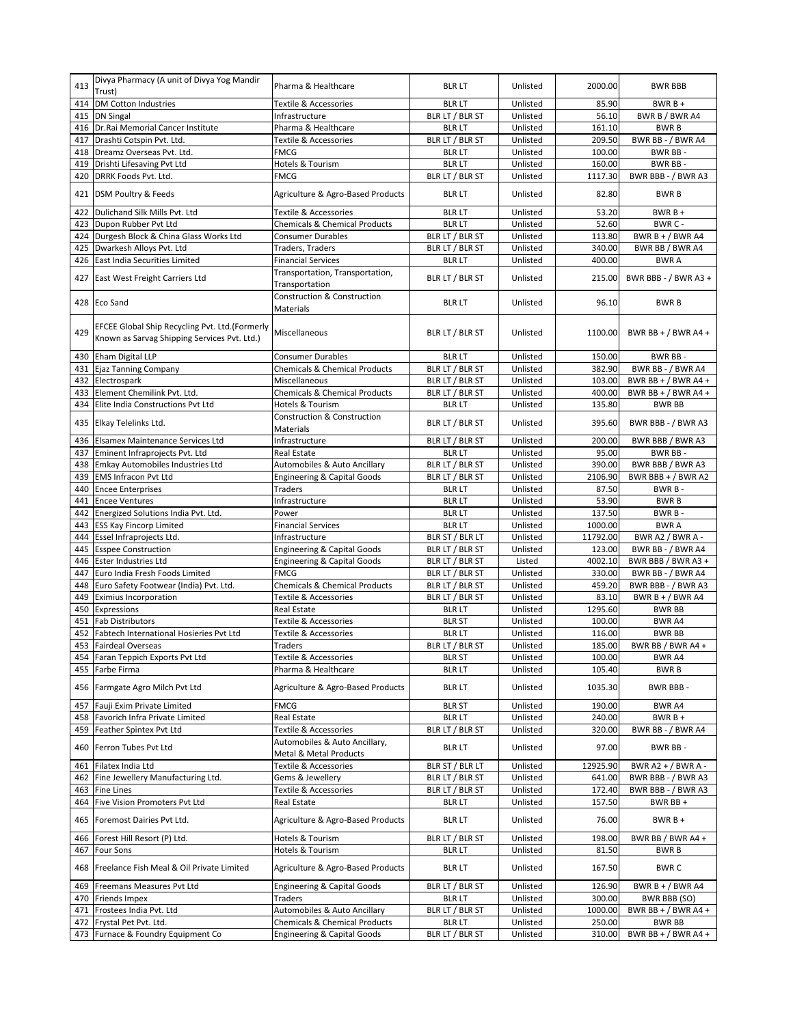| 413        | Divya Pharmacy (A unit of Divya Yog Mandir<br>Trust)                                           | Pharma & Healthcare                                        | <b>BLR LT</b>                    | Unlisted             | 2000.00           | <b>BWR BBB</b>                 |
|------------|------------------------------------------------------------------------------------------------|------------------------------------------------------------|----------------------------------|----------------------|-------------------|--------------------------------|
| 414        | <b>DM Cotton Industries</b>                                                                    | <b>Textile &amp; Accessories</b>                           | <b>BLR LT</b>                    | Unlisted             | 85.90             | BWR B+                         |
| 415        | <b>DN Singal</b>                                                                               | Infrastructure                                             | BLR LT / BLR ST                  | Unlisted             | 56.10             | BWR B / BWR A4                 |
| 416        | Dr.Rai Memorial Cancer Institute                                                               | Pharma & Healthcare                                        | <b>BLR LT</b>                    | Unlisted             | 161.10            | <b>BWRB</b>                    |
| 417        | Drashti Cotspin Pvt. Ltd.                                                                      | <b>Textile &amp; Accessories</b>                           | BLR LT / BLR ST                  | Unlisted             | 209.50            | BWR BB - / BWR A4              |
| 418<br>419 | Dreamz Overseas Pvt. Ltd.                                                                      | <b>FMCG</b>                                                | <b>BLR LT</b><br><b>BLR LT</b>   | Unlisted<br>Unlisted | 100.00<br>160.00  | BWR BB-<br>BWR BB-             |
| 420        | Drishti Lifesaving Pvt Ltd<br>DRRK Foods Pvt. Ltd.                                             | Hotels & Tourism<br><b>FMCG</b>                            | BLR LT / BLR ST                  | Unlisted             | 1117.30           | BWR BBB - / BWR A3             |
|            | 421 DSM Poultry & Feeds                                                                        | Agriculture & Agro-Based Products                          | <b>BLR LT</b>                    | Unlisted             | 82.80             | <b>BWRB</b>                    |
| 422        | Dulichand Silk Mills Pvt. Ltd                                                                  | <b>Textile &amp; Accessories</b>                           | <b>BLR LT</b>                    | Unlisted             | 53.20             | $BWRB +$                       |
| 423        | Dupon Rubber Pvt Ltd                                                                           | <b>Chemicals &amp; Chemical Products</b>                   | <b>BLR LT</b>                    | Unlisted             | 52.60             | BWR C-                         |
| 424        | Durgesh Block & China Glass Works Ltd                                                          | <b>Consumer Durables</b>                                   | BLR LT / BLR ST                  | Unlisted             | 113.80            | BWR B + $/$ BWR A4             |
| 425        | Dwarkesh Alloys Pvt. Ltd                                                                       | Traders, Traders                                           | BLR LT / BLR ST                  | Unlisted             | 340.00            | BWR BB / BWR A4                |
| 426        | East India Securities Limited                                                                  | <b>Financial Services</b>                                  | <b>BLR LT</b>                    | Unlisted             | 400.00            | <b>BWRA</b>                    |
| 427        | East West Freight Carriers Ltd                                                                 | Transportation, Transportation,<br>Transportation          | BLR LT / BLR ST                  | Unlisted             | 215.00            | BWR BBB - / BWR A3 +           |
|            | 428 Eco Sand                                                                                   | <b>Construction &amp; Construction</b><br>Materials        | <b>BLR LT</b>                    | Unlisted             | 96.10             | <b>BWRB</b>                    |
| 429        | EFCEE Global Ship Recycling Pvt. Ltd.(Formerly<br>Known as Sarvag Shipping Services Pvt. Ltd.) | Miscellaneous                                              | BLR LT / BLR ST                  | Unlisted             | 1100.00           | BWR BB + $/$ BWR A4 +          |
| 430        | Eham Digital LLP                                                                               | <b>Consumer Durables</b>                                   | <b>BLR LT</b>                    | Unlisted             | 150.00            | BWR BB-                        |
| 431        | Ejaz Tanning Company                                                                           | <b>Chemicals &amp; Chemical Products</b>                   | BLR LT / BLR ST                  | Unlisted             | 382.90            | BWR BB - / BWR A4              |
| 432        | Electrospark                                                                                   | Miscellaneous                                              | BLR LT / BLR ST                  | Unlisted             | 103.00            | BWR BB + $/$ BWR A4 +          |
| 433        | Element Chemilink Pvt. Ltd.                                                                    | <b>Chemicals &amp; Chemical Products</b>                   | BLR LT / BLR ST                  | Unlisted             | 400.00            | BWR BB + $/$ BWR A4 +          |
| 434        | Elite India Constructions Pvt Ltd                                                              | Hotels & Tourism<br><b>Construction &amp; Construction</b> | <b>BLR LT</b>                    | Unlisted             | 135.80            | <b>BWR BB</b>                  |
| 435        | Elkay Telelinks Ltd.                                                                           | Materials                                                  | BLR LT / BLR ST                  | Unlisted             | 395.60            | BWR BBB - / BWR A3             |
| 436        | Elsamex Maintenance Services Ltd                                                               | Infrastructure                                             | BLR LT / BLR ST                  | Unlisted             | 200.00            | BWR BBB / BWR A3               |
| 437<br>438 | Eminent Infraprojects Pvt. Ltd<br>Emkay Automobiles Industries Ltd                             | <b>Real Estate</b><br>Automobiles & Auto Ancillary         | <b>BLR LT</b><br>BLR LT / BLR ST | Unlisted<br>Unlisted | 95.00<br>390.00   | BWR BB-<br>BWR BBB / BWR A3    |
| 439        | <b>EMS Infracon Pvt Ltd</b>                                                                    | <b>Engineering &amp; Capital Goods</b>                     | BLR LT / BLR ST                  | Unlisted             | 2106.90           | BWR BBB + $/$ BWR A2           |
| 440        | <b>Encee Enterprises</b>                                                                       | Traders                                                    | <b>BLR LT</b>                    | Unlisted             | 87.50             | BWR B-                         |
| 441        | <b>Encee Ventures</b>                                                                          | Infrastructure                                             | <b>BLR LT</b>                    | Unlisted             | 53.90             | <b>BWRB</b>                    |
| 442        | Energized Solutions India Pvt. Ltd.                                                            | Power                                                      | <b>BLR LT</b>                    | Unlisted             | 137.50            | BWR B-                         |
| 443        | <b>ESS Kay Fincorp Limited</b>                                                                 | <b>Financial Services</b>                                  | <b>BLR LT</b>                    | Unlisted             | 1000.00           | <b>BWRA</b>                    |
| 444        | Essel Infraprojects Ltd.                                                                       | Infrastructure                                             | BLR ST / BLR LT                  | Unlisted             | 11792.00          | BWR A2 / BWR A -               |
| 445        | <b>Esspee Construction</b>                                                                     | <b>Engineering &amp; Capital Goods</b>                     | BLR LT / BLR ST                  | Unlisted             | 123.00            | BWR BB - / BWR A4              |
| 446        | <b>Ester Industries Ltd</b>                                                                    | <b>Engineering &amp; Capital Goods</b>                     | BLR LT / BLR ST                  | Listed               | 4002.10           | BWR BBB / BWR A3 +             |
| 447        | Euro India Fresh Foods Limited                                                                 | <b>FMCG</b>                                                | BLR LT / BLR ST                  | Unlisted             | 330.00            | BWR BB - / BWR A4              |
| 448        | Euro Safety Footwear (India) Pvt. Ltd.                                                         | <b>Chemicals &amp; Chemical Products</b>                   | BLR LT / BLR ST                  | Unlisted             | 459.20            | BWR BBB - / BWR A3             |
| 449        | <b>Eximius Incorporation</b>                                                                   | <b>Textile &amp; Accessories</b>                           | BLR LT / BLR ST                  | Unlisted             | 83.10             | BWR $B + / BWR$ A4             |
| 450        | Expressions<br><b>Fab Distributors</b>                                                         | <b>Real Estate</b>                                         | <b>BLR LT</b>                    | Unlisted             | 1295.60<br>100.00 | <b>BWR BB</b>                  |
| 451<br>452 | Fabtech International Hosieries Pvt Ltd                                                        | Textile & Accessories<br><b>Textile &amp; Accessories</b>  | <b>BLR ST</b><br><b>BLR LT</b>   | Unlisted<br>Unlisted | 116.00            | BWR A4<br><b>BWR BB</b>        |
|            | 453 Fairdeal Overseas                                                                          | Traders                                                    | BLR LT / BLR ST                  | Unlisted             | 185.00            | BWR BB / BWR A4 +              |
|            | 454 Faran Teppich Exports Pvt Ltd                                                              | Textile & Accessories                                      | BLR ST                           | Unlisted             | 100.00            | BWR A4                         |
|            | 455 Farbe Firma                                                                                | Pharma & Healthcare                                        | <b>BLR LT</b>                    | Unlisted             | 105.40            | <b>BWRB</b>                    |
|            | 456 Farmgate Agro Milch Pvt Ltd                                                                | Agriculture & Agro-Based Products                          | <b>BLR LT</b>                    | Unlisted             | 1035.30           | BWR BBB -                      |
| 457        | Fauji Exim Private Limited                                                                     | <b>FMCG</b>                                                | <b>BLR ST</b>                    | Unlisted             | 190.00            | BWR A4                         |
| 458        | Favorich Infra Private Limited                                                                 | Real Estate                                                | <b>BLR LT</b>                    | Unlisted             | 240.00            | $BWRB +$                       |
| 459<br>460 | Feather Spintex Pvt Ltd<br>Ferron Tubes Pvt Ltd                                                | Textile & Accessories<br>Automobiles & Auto Ancillary,     | BLR LT / BLR ST<br><b>BLR LT</b> | Unlisted<br>Unlisted | 320.00<br>97.00   | BWR BB - / BWR A4<br>BWR BB-   |
|            |                                                                                                | Metal & Metal Products                                     |                                  |                      |                   |                                |
| 461        | Filatex India Ltd                                                                              | <b>Textile &amp; Accessories</b>                           | BLR ST / BLR LT                  | Unlisted             | 12925.90          | BWR A2 + / BWR A -             |
| 462        | Fine Jewellery Manufacturing Ltd.                                                              | Gems & Jewellery                                           | BLR LT / BLR ST                  | Unlisted             | 641.00            | BWR BBB - / BWR A3             |
| 463        | <b>Fine Lines</b><br>Five Vision Promoters Pvt Ltd                                             | Textile & Accessories<br>Real Estate                       | BLR LT / BLR ST                  | Unlisted             | 172.40<br>157.50  | BWR BBB - / BWR A3<br>BWR BB + |
| 464<br>465 | Foremost Dairies Pvt Ltd.                                                                      | Agriculture & Agro-Based Products                          | <b>BLR LT</b><br><b>BLR LT</b>   | Unlisted<br>Unlisted | 76.00             | $BWRB +$                       |
|            |                                                                                                |                                                            |                                  |                      |                   |                                |
| 466        | Forest Hill Resort (P) Ltd.                                                                    | Hotels & Tourism                                           | BLR LT / BLR ST                  | Unlisted             | 198.00            | BWR BB / BWR A4 +              |
| 467<br>468 | <b>Four Sons</b><br>Freelance Fish Meal & Oil Private Limited                                  | Hotels & Tourism<br>Agriculture & Agro-Based Products      | <b>BLR LT</b><br><b>BLR LT</b>   | Unlisted<br>Unlisted | 81.50<br>167.50   | <b>BWRB</b><br><b>BWRC</b>     |
| 469        | Freemans Measures Pvt Ltd                                                                      | <b>Engineering &amp; Capital Goods</b>                     | BLR LT / BLR ST                  | Unlisted             | 126.90            | BWR $B + / BWR$ A4             |
| 470        | Friends Impex                                                                                  | Traders                                                    | <b>BLR LT</b>                    | Unlisted             | 300.00            | BWR BBB (SO)                   |
| 471        | Frostees India Pvt. Ltd                                                                        | Automobiles & Auto Ancillary                               | BLR LT / BLR ST                  | Unlisted             | 1000.00           | BWR BB + $/$ BWR A4 +          |
| 472        | Frystal Pet Pvt. Ltd.                                                                          | Chemicals & Chemical Products                              | <b>BLR LT</b>                    | Unlisted             | 250.00            | <b>BWR BB</b>                  |
|            | 473 Furnace & Foundry Equipment Co                                                             | <b>Engineering &amp; Capital Goods</b>                     | BLR LT / BLR ST                  | Unlisted             | 310.00            | BWR BB + $/$ BWR A4 +          |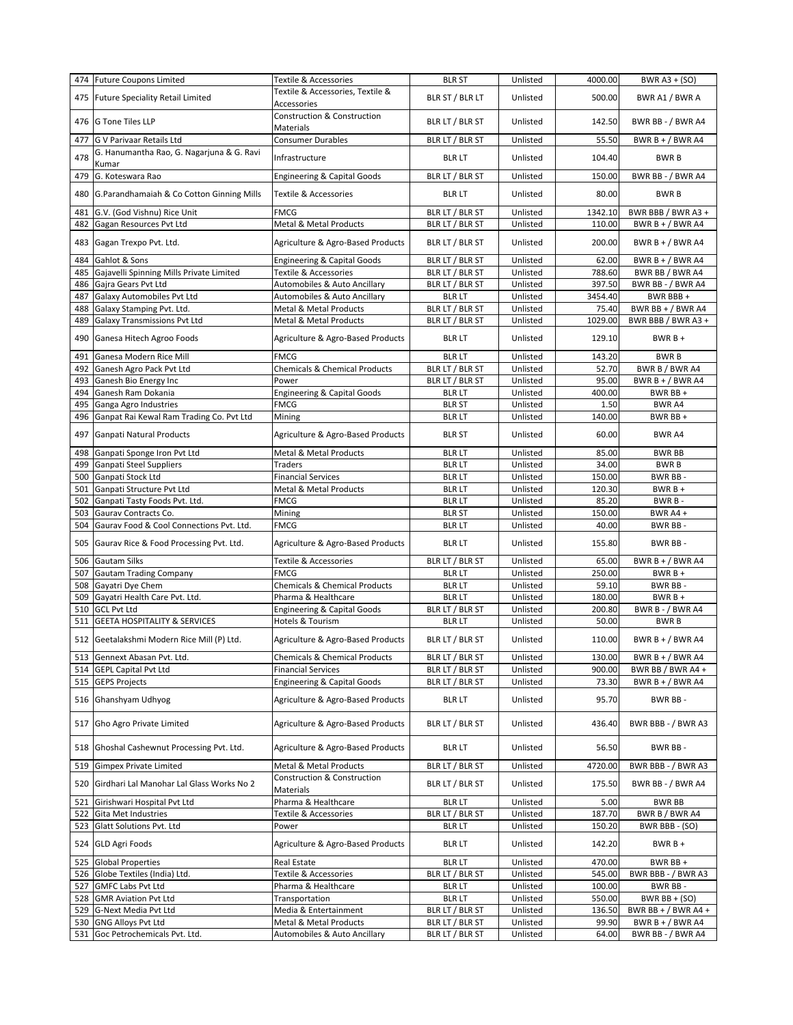|            | 474 Future Coupons Limited                                                          | Textile & Accessories                               | <b>BLR ST</b>                      | Unlisted             | 4000.00          | <b>BWR A3 + (SO)</b>                        |
|------------|-------------------------------------------------------------------------------------|-----------------------------------------------------|------------------------------------|----------------------|------------------|---------------------------------------------|
| 475        | <b>Future Speciality Retail Limited</b>                                             | Textile & Accessories, Textile &<br>Accessories     | BLR ST / BLR LT                    | Unlisted             | 500.00           | BWR A1 / BWR A                              |
| 476        | <b>G Tone Tiles LLP</b>                                                             | Construction & Construction<br>Materials            | BLR LT / BLR ST                    | Unlisted             | 142.50           | BWR BB - / BWR A4                           |
| 477        | G V Parivaar Retails Ltd                                                            | <b>Consumer Durables</b>                            | BLR LT / BLR ST                    | Unlisted             | 55.50            | BWR B + / BWR A4                            |
| 478        | G. Hanumantha Rao, G. Nagarjuna & G. Ravi<br>Kumar                                  | Infrastructure                                      | <b>BLR LT</b>                      | Unlisted             | 104.40           | <b>BWRB</b>                                 |
| 479        | G. Koteswara Rao                                                                    | <b>Engineering &amp; Capital Goods</b>              | BLR LT / BLR ST                    | Unlisted             | 150.00           | BWR BB - / BWR A4                           |
| 480        | G.Parandhamaiah & Co Cotton Ginning Mills                                           | <b>Textile &amp; Accessories</b>                    | <b>BLR LT</b>                      | Unlisted             | 80.00            | <b>BWRB</b>                                 |
| 481        | G.V. (God Vishnu) Rice Unit                                                         | <b>FMCG</b>                                         | BLR LT / BLR ST                    | Unlisted             | 1342.10          | BWR BBB / BWR A3 +                          |
| 482        | Gagan Resources Pvt Ltd                                                             | Metal & Metal Products                              | BLR LT / BLR ST                    | Unlisted             | 110.00           | BWR B + $/$ BWR A4                          |
| 483        | Gagan Trexpo Pvt. Ltd.                                                              | Agriculture & Agro-Based Products                   | BLR LT / BLR ST                    | Unlisted             | 200.00           | BWR B + $/$ BWR A4                          |
| 484        | Gahlot & Sons                                                                       | <b>Engineering &amp; Capital Goods</b>              | BLR LT / BLR ST                    | Unlisted             | 62.00            | BWR B + / BWR A4                            |
| 485        | Gajavelli Spinning Mills Private Limited                                            | Textile & Accessories                               | BLR LT / BLR ST                    | Unlisted             | 788.60           | BWR BB / BWR A4                             |
| 486        | Gajra Gears Pvt Ltd                                                                 | Automobiles & Auto Ancillary                        | BLR LT / BLR ST                    | Unlisted             | 397.50           | BWR BB - / BWR A4                           |
| 487        | Galaxy Automobiles Pvt Ltd                                                          | Automobiles & Auto Ancillary                        | <b>BLR LT</b>                      | Unlisted<br>Unlisted | 3454.40<br>75.40 | BWR BBB+<br>BWR BB + $/$ BWR A4             |
| 488<br>489 | Galaxy Stamping Pvt. Ltd.<br><b>Galaxy Transmissions Pvt Ltd</b>                    | Metal & Metal Products<br>Metal & Metal Products    | BLR LT / BLR ST<br>BLR LT / BLR ST | Unlisted             | 1029.00          | BWR BBB / BWR A3 +                          |
| 490        | Ganesa Hitech Agroo Foods                                                           | Agriculture & Agro-Based Products                   | <b>BLR LT</b>                      | Unlisted             | 129.10           | $BWRB+$                                     |
| 491        | Ganesa Modern Rice Mill                                                             | <b>FMCG</b>                                         | <b>BLR LT</b>                      | Unlisted             | 143.20           | <b>BWRB</b>                                 |
| 492        | Ganesh Agro Pack Pvt Ltd                                                            | <b>Chemicals &amp; Chemical Products</b>            | BLR LT / BLR ST                    | Unlisted             | 52.70            | BWR B / BWR A4                              |
| 493        | Ganesh Bio Energy Inc                                                               | Power                                               | BLR LT / BLR ST                    | Unlisted             | 95.00            | BWR B + $/$ BWR A4                          |
| 494        | Ganesh Ram Dokania                                                                  | <b>Engineering &amp; Capital Goods</b>              | <b>BLR LT</b>                      | Unlisted             | 400.00           | BWR BB +                                    |
| 495        | Ganga Agro Industries                                                               | <b>FMCG</b>                                         | <b>BLR ST</b>                      | Unlisted             | 1.50             | BWR A4                                      |
| 496        | Ganpat Rai Kewal Ram Trading Co. Pvt Ltd                                            | Mining                                              | <b>BLR LT</b>                      | Unlisted             | 140.00           | BWR BB+                                     |
| 497        | <b>Ganpati Natural Products</b>                                                     | Agriculture & Agro-Based Products                   | <b>BLR ST</b>                      | Unlisted             | 60.00            | BWR A4                                      |
| 498        | Ganpati Sponge Iron Pvt Ltd                                                         | Metal & Metal Products                              | <b>BLR LT</b>                      | Unlisted             | 85.00            | <b>BWR BB</b>                               |
| 499        | <b>Ganpati Steel Suppliers</b>                                                      | <b>Traders</b>                                      | <b>BLR LT</b>                      | Unlisted             | 34.00            | <b>BWRB</b>                                 |
| 500        | Ganpati Stock Ltd                                                                   | <b>Financial Services</b>                           | <b>BLR LT</b>                      | Unlisted             | 150.00           | BWR BB-                                     |
| 501        | Ganpati Structure Pvt Ltd                                                           | Metal & Metal Products                              | <b>BLR LT</b>                      | Unlisted             | 120.30           | $BWRB +$                                    |
| 502        | Ganpati Tasty Foods Pvt. Ltd.                                                       | <b>FMCG</b>                                         | <b>BLR LT</b>                      | Unlisted             | 85.20            | BWR B-                                      |
| 503        | Gaurav Contracts Co.                                                                | Mining                                              | <b>BLR ST</b>                      | Unlisted             | 150.00           | BWR A4+                                     |
| 504<br>505 | Gaurav Food & Cool Connections Pvt. Ltd.<br>Gaurav Rice & Food Processing Pvt. Ltd. | <b>FMCG</b><br>Agriculture & Agro-Based Products    | <b>BLR LT</b><br><b>BLR LT</b>     | Unlisted<br>Unlisted | 40.00<br>155.80  | BWR BB-<br>BWR BB-                          |
| 506        | Gautam Silks                                                                        | Textile & Accessories                               | BLR LT / BLR ST                    | Unlisted             | 65.00            | BWR B + $/$ BWR A4                          |
| 507        | <b>Gautam Trading Company</b>                                                       | <b>FMCG</b>                                         | <b>BLR LT</b>                      | Unlisted             | 250.00           | $BWRB +$                                    |
| 508        | Gayatri Dye Chem                                                                    | <b>Chemicals &amp; Chemical Products</b>            | <b>BLR LT</b>                      | Unlisted             | 59.10            | BWR BB-                                     |
| 509        | Gayatri Health Care Pvt. Ltd.                                                       | Pharma & Healthcare                                 | <b>BLR LT</b>                      | Unlisted             | 180.00           | $BWRB +$                                    |
| 510        | <b>GCL Pvt Ltd</b>                                                                  | <b>Engineering &amp; Capital Goods</b>              | BLR LT / BLR ST                    | Unlisted             | 200.80           | BWR B - / BWR A4                            |
| 511        | <b>GEETA HOSPITALITY &amp; SERVICES</b>                                             | Hotels & Tourism                                    | <b>BLR LT</b>                      | Unlisted             | 50.00            | <b>BWRB</b>                                 |
|            | 512 Geetalakshmi Modern Rice Mill (P) Ltd.                                          | Agriculture & Agro-Based Products                   | BLR LT / BLR ST                    | Unlisted             | 110.00           | BWR $B + / BWR$ A4                          |
|            | 513 Gennext Abasan Pvt. Ltd.                                                        | <b>Chemicals &amp; Chemical Products</b>            | BLR LT / BLR ST                    | Unlisted             | 130.00           | BWR B + $/$ BWR A4                          |
|            | 514 GEPL Capital Pvt Ltd                                                            | <b>Financial Services</b>                           | BLR LT / BLR ST                    | Unlisted             | 900.00           | BWR BB / BWR A4+                            |
|            | 515 GEPS Projects                                                                   | <b>Engineering &amp; Capital Goods</b>              | BLR LT / BLR ST                    | Unlisted             | 73.30            | BWR B + / BWR A4                            |
| 516        | Ghanshyam Udhyog                                                                    | Agriculture & Agro-Based Products                   | <b>BLR LT</b>                      | Unlisted             | 95.70            | BWR BB-                                     |
| 517        | Gho Agro Private Limited                                                            | Agriculture & Agro-Based Products                   | BLR LT / BLR ST                    | Unlisted             | 436.40           | BWR BBB - / BWR A3                          |
| 518        | Ghoshal Cashewnut Processing Pvt. Ltd.                                              | Agriculture & Agro-Based Products                   | <b>BLR LT</b>                      | Unlisted             | 56.50            | BWR BB-                                     |
| 519        | <b>Gimpex Private Limited</b>                                                       | Metal & Metal Products                              | BLR LT / BLR ST                    | Unlisted             | 4720.00          | BWR BBB - / BWR A3                          |
| 520        | Girdhari Lal Manohar Lal Glass Works No 2                                           | <b>Construction &amp; Construction</b><br>Materials | BLR LT / BLR ST                    | Unlisted             | 175.50           | BWR BB - / BWR A4                           |
| 521        | Girishwari Hospital Pvt Ltd                                                         | Pharma & Healthcare                                 | <b>BLR LT</b>                      | Unlisted             | 5.00             | <b>BWR BB</b>                               |
| 522        | Gita Met Industries                                                                 | Textile & Accessories                               | BLR LT / BLR ST                    | Unlisted             | 187.70           | BWR B / BWR A4                              |
| 523        | Glatt Solutions Pvt. Ltd                                                            | Power                                               | <b>BLR LT</b>                      | Unlisted             | 150.20           | BWR BBB - (SO)                              |
| 524        | <b>GLD Agri Foods</b>                                                               | Agriculture & Agro-Based Products                   | <b>BLR LT</b>                      | Unlisted             | 142.20           | $BWRB +$                                    |
| 525        | <b>Global Properties</b>                                                            | <b>Real Estate</b>                                  | <b>BLR LT</b>                      | Unlisted             | 470.00           | BWR BB +                                    |
| 526        | Globe Textiles (India) Ltd.                                                         | Textile & Accessories                               | BLR LT / BLR ST                    | Unlisted             | 545.00           | BWR BBB - / BWR A3                          |
| 527        | <b>GMFC Labs Pvt Ltd</b>                                                            | Pharma & Healthcare                                 | <b>BLR LT</b>                      | Unlisted             | 100.00           | BWR BB-                                     |
| 528        | <b>GMR Aviation Pvt Ltd</b>                                                         | Transportation                                      | <b>BLR LT</b>                      | Unlisted             | 550.00           | BWR $BB + (SO)$                             |
| 529<br>530 | G-Next Media Pvt Ltd<br><b>GNG Alloys Pvt Ltd</b>                                   | Media & Entertainment<br>Metal & Metal Products     | BLR LT / BLR ST<br>BLR LT / BLR ST | Unlisted<br>Unlisted | 136.50<br>99.90  | BWR BB + $/$ BWR A4 +<br>BWR B + $/$ BWR A4 |
| 531        | Goc Petrochemicals Pvt. Ltd.                                                        | Automobiles & Auto Ancillary                        | BLR LT / BLR ST                    | Unlisted             | 64.00            | BWR BB - / BWR A4                           |
|            |                                                                                     |                                                     |                                    |                      |                  |                                             |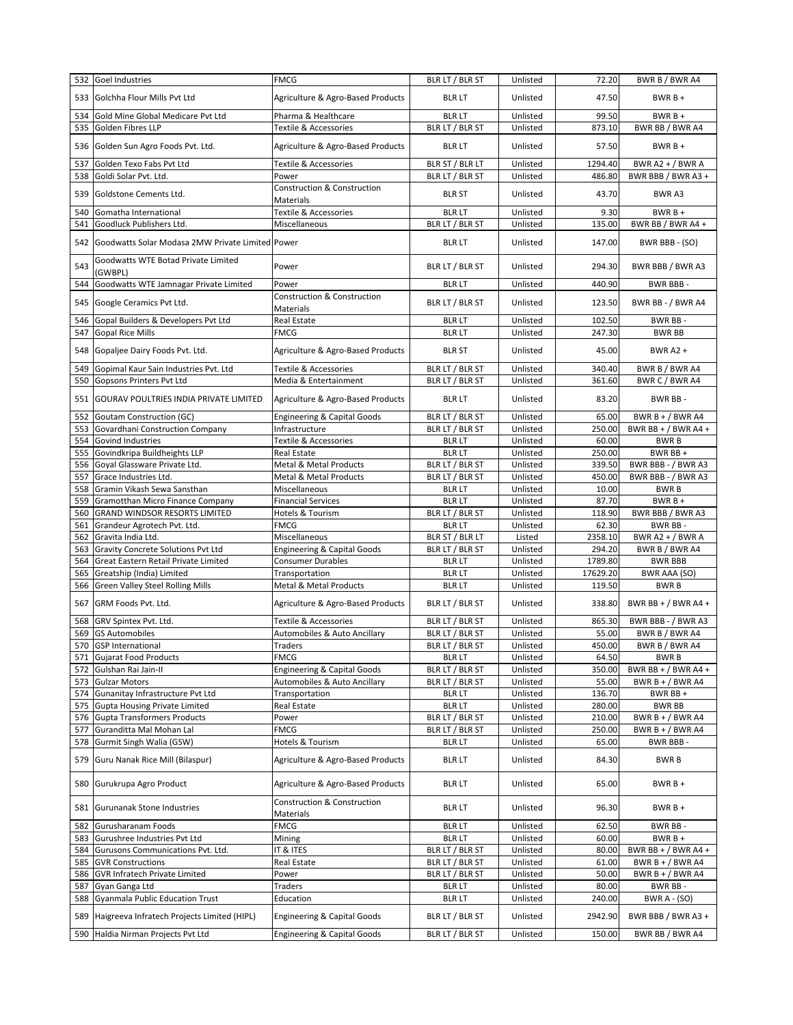|            | 532 Goel Industries                                            | <b>FMCG</b>                              | BLR LT / BLR ST                  | Unlisted             | 72.20            | BWR B / BWR A4                           |
|------------|----------------------------------------------------------------|------------------------------------------|----------------------------------|----------------------|------------------|------------------------------------------|
| 533        | Golchha Flour Mills Pvt Ltd                                    | Agriculture & Agro-Based Products        | <b>BLR LT</b>                    | Unlisted             | 47.50            | $BWRB +$                                 |
| 534        | Gold Mine Global Medicare Pvt Ltd                              | Pharma & Healthcare                      | <b>BLR LT</b>                    | Unlisted             | 99.50            | $BWRB +$                                 |
| 535        | Golden Fibres LLP                                              | <b>Textile &amp; Accessories</b>         | BLR LT / BLR ST                  | Unlisted             | 873.10           | BWR BB / BWR A4                          |
| 536        | Golden Sun Agro Foods Pvt. Ltd.                                | Agriculture & Agro-Based Products        | <b>BLR LT</b>                    | Unlisted             | 57.50            | $BWRB +$                                 |
| 537        | Golden Texo Fabs Pvt Ltd                                       | Textile & Accessories                    | BLR ST / BLR LT                  | Unlisted             | 1294.40          | BWR A2 + $/$ BWR A                       |
| 538        | Goldi Solar Pvt. Ltd.                                          | Power                                    | BLR LT / BLR ST                  | Unlisted             | 486.80           | BWR BBB / BWR A3 +                       |
| 539        | Goldstone Cements Ltd.                                         | Construction & Construction<br>Materials | <b>BLR ST</b>                    | Unlisted             | 43.70            | BWR A3                                   |
| 540        | Gomatha International                                          | Textile & Accessories                    | <b>BLR LT</b>                    | Unlisted             | 9.30             | $BWRB +$                                 |
| 541        | Goodluck Publishers Ltd.                                       | Miscellaneous                            | BLR LT / BLR ST                  | Unlisted             | 135.00           | BWR BB / BWR A4 +                        |
| 542        | Goodwatts Solar Modasa 2MW Private Limited Power               |                                          | <b>BLR LT</b>                    | Unlisted             | 147.00           | BWR BBB - (SO)                           |
| 543        | Goodwatts WTE Botad Private Limited<br>(GWBPL)                 | Power                                    | BLR LT / BLR ST                  | Unlisted             | 294.30           | BWR BBB / BWR A3                         |
| 544        | Goodwatts WTE Jamnagar Private Limited                         | Power                                    | <b>BLR LT</b>                    | Unlisted             | 440.90           | BWR BBB-                                 |
| 545        | Google Ceramics Pvt Ltd.                                       | Construction & Construction<br>Materials | BLR LT / BLR ST                  | Unlisted             | 123.50           | BWR BB - / BWR A4                        |
| 546        | Gopal Builders & Developers Pvt Ltd                            | Real Estate                              | <b>BLR LT</b>                    | Unlisted             | 102.50           | BWR BB-                                  |
| 547        | <b>Gopal Rice Mills</b>                                        | <b>FMCG</b>                              | <b>BLR LT</b>                    | Unlisted             | 247.30           | <b>BWR BB</b>                            |
| 548        | Gopaljee Dairy Foods Pvt. Ltd.                                 | Agriculture & Agro-Based Products        | <b>BLR ST</b>                    | Unlisted             | 45.00            | <b>BWR A2 +</b>                          |
| 549        | Gopimal Kaur Sain Industries Pvt. Ltd                          | Textile & Accessories                    | BLR LT / BLR ST                  | Unlisted             | 340.40           | BWR B / BWR A4                           |
| 550        | Gopsons Printers Pvt Ltd                                       | Media & Entertainment                    | BLR LT / BLR ST                  | Unlisted             | 361.60           | BWR C / BWR A4                           |
| 551        | <b>GOURAV POULTRIES INDIA PRIVATE LIMITED</b>                  | Agriculture & Agro-Based Products        | <b>BLR LT</b>                    | Unlisted             | 83.20            | BWR BB-                                  |
| 552        | <b>Goutam Construction (GC)</b>                                | <b>Engineering &amp; Capital Goods</b>   | BLR LT / BLR ST                  | Unlisted             | 65.00            | BWR B + $/$ BWR A4                       |
| 553        | Govardhani Construction Company                                | Infrastructure                           | BLR LT / BLR ST                  | Unlisted             | 250.00           | BWR BB + $/$ BWR A4 +                    |
| 554        | Govind Industries                                              | Textile & Accessories                    | <b>BLR LT</b>                    | Unlisted             | 60.00            | <b>BWRB</b>                              |
| 555        | Govindkripa Buildheights LLP                                   | Real Estate                              | <b>BLR LT</b>                    | Unlisted             | 250.00           | BWR BB +                                 |
| 556        | Goyal Glassware Private Ltd.                                   | Metal & Metal Products                   | BLR LT / BLR ST                  | Unlisted             | 339.50           | BWR BBB - / BWR A3                       |
| 557        | Grace Industries Ltd.                                          | Metal & Metal Products                   | BLR LT / BLR ST                  | Unlisted             | 450.00           | BWR BBB - / BWR A3                       |
| 558        | Gramin Vikash Sewa Sansthan                                    | Miscellaneous                            | <b>BLR LT</b>                    | Unlisted             | 10.00            | <b>BWRB</b>                              |
| 559        | Gramotthan Micro Finance Company                               | <b>Financial Services</b>                | <b>BLR LT</b>                    | Unlisted             | 87.70            | $BWRB +$                                 |
| 560<br>561 | GRAND WINDSOR RESORTS LIMITED<br>Grandeur Agrotech Pvt. Ltd.   | Hotels & Tourism<br><b>FMCG</b>          | BLR LT / BLR ST<br><b>BLR LT</b> | Unlisted<br>Unlisted | 118.90<br>62.30  | BWR BBB / BWR A3<br>BWR BB-              |
| 562        | Gravita India Ltd.                                             | Miscellaneous                            | BLR ST / BLR LT                  | Listed               | 2358.10          | BWR A2 + $/$ BWR A                       |
| 563        | Gravity Concrete Solutions Pvt Ltd                             | <b>Engineering &amp; Capital Goods</b>   | BLR LT / BLR ST                  | Unlisted             | 294.20           | BWR B / BWR A4                           |
| 564        | Great Eastern Retail Private Limited                           | <b>Consumer Durables</b>                 | <b>BLR LT</b>                    | Unlisted             | 1789.80          | <b>BWR BBB</b>                           |
| 565        | Greatship (India) Limited                                      | Transportation                           | <b>BLR LT</b>                    | Unlisted             | 17629.20         | BWR AAA (SO)                             |
| 566        | Green Valley Steel Rolling Mills                               | Metal & Metal Products                   | <b>BLR LT</b>                    | Unlisted             | 119.50           | <b>BWRB</b>                              |
| 567        | GRM Foods Pvt. Ltd.                                            | Agriculture & Agro-Based Products        | BLR LT / BLR ST                  | Unlisted             | 338.80           | BWR BB + $/$ BWR A4 +                    |
| 568        | GRV Spintex Pvt. Ltd.                                          | Textile & Accessories                    | BLR LT / BLR ST                  | Unlisted             | 865.30           | BWR BBB - / BWR A3                       |
| 569        | <b>GS Automobiles</b>                                          | Automobiles & Auto Ancillary             | BLR LT / BLR ST                  | Unlisted             | 55.00            | BWR B / BWR A4                           |
| 570        | <b>GSP</b> International                                       | Traders                                  | BLR LT / BLR ST                  | Unlisted             | 450.00           | BWR B / BWR A4                           |
|            | 571 Gujarat Food Products                                      | FMCG                                     | <b>BLR LT</b>                    | Unlisted             | 64.50            | <b>BWRB</b>                              |
| 572        | Gulshan Rai Jain-II                                            | <b>Engineering &amp; Capital Goods</b>   | BLR LT / BLR ST                  | Unlisted             | 350.00           | BWR BB + $/$ BWR A4 +                    |
| 573        | <b>Gulzar Motors</b>                                           | Automobiles & Auto Ancillary             | BLR LT / BLR ST                  | Unlisted             | 55.00            | BWR $B + / BWR$ A4                       |
| 574        | Gunanitay Infrastructure Pvt Ltd                               | Transportation                           | <b>BLR LT</b>                    | Unlisted             | 136.70           | BWR BB +                                 |
| 575        | <b>Gupta Housing Private Limited</b>                           | Real Estate                              | <b>BLR LT</b><br>BLR LT / BLR ST | Unlisted             | 280.00           | <b>BWR BB</b>                            |
| 576<br>577 | <b>Gupta Transformers Products</b><br>Guranditta Mal Mohan Lal | Power<br>FMCG                            | BLR LT / BLR ST                  | Unlisted<br>Unlisted | 210.00<br>250.00 | BWR $B + / BWR$ A4<br>BWR $B + / BWR$ A4 |
| 578        | Gurmit Singh Walia (GSW)                                       | Hotels & Tourism                         | <b>BLR LT</b>                    | Unlisted             | 65.00            | BWR BBB-                                 |
| 579        | Guru Nanak Rice Mill (Bilaspur)                                | Agriculture & Agro-Based Products        | <b>BLR LT</b>                    | Unlisted             | 84.30            | <b>BWRB</b>                              |
| 580        | Gurukrupa Agro Product                                         | Agriculture & Agro-Based Products        | <b>BLR LT</b>                    | Unlisted             | 65.00            | $BWRB +$                                 |
| 581        | Gurunanak Stone Industries                                     | <b>Construction &amp; Construction</b>   | <b>BLR LT</b>                    | Unlisted             | 96.30            | BWR B +                                  |
|            |                                                                | Materials                                |                                  |                      |                  |                                          |
| 582<br>583 | Gurusharanam Foods<br>Gurushree Industries Pvt Ltd             | <b>FMCG</b><br>Mining                    | <b>BLR LT</b><br><b>BLR LT</b>   | Unlisted<br>Unlisted | 62.50<br>60.00   | BWR BB-<br>$BWRB +$                      |
| 584        | Gurusons Communications Pvt. Ltd.                              | IT & ITES                                | BLR LT / BLR ST                  | Unlisted             | 80.00            | BWR BB + $/$ BWR A4 +                    |
| 585        | <b>GVR Constructions</b>                                       | Real Estate                              | BLR LT / BLR ST                  | Unlisted             | 61.00            | BWR B + / BWR A4                         |
| 586        | <b>GVR Infratech Private Limited</b>                           | Power                                    | BLR LT / BLR ST                  | Unlisted             | 50.00            | BWR $B + / BWR$ A4                       |
| 587        | Gyan Ganga Ltd                                                 | Traders                                  | <b>BLR LT</b>                    | Unlisted             | 80.00            | BWR BB-                                  |
| 588        | <b>Gyanmala Public Education Trust</b>                         | Education                                | <b>BLR LT</b>                    | Unlisted             | 240.00           | <b>BWR A - (SO)</b>                      |
| 589        | Haigreeva Infratech Projects Limited (HIPL)                    | <b>Engineering &amp; Capital Goods</b>   | BLR LT / BLR ST                  | Unlisted             | 2942.90          | BWR BBB / BWR A3 +                       |
|            | 590 Haldia Nirman Projects Pvt Ltd                             | <b>Engineering &amp; Capital Goods</b>   | BLR LT / BLR ST                  | Unlisted             | 150.00           | BWR BB / BWR A4                          |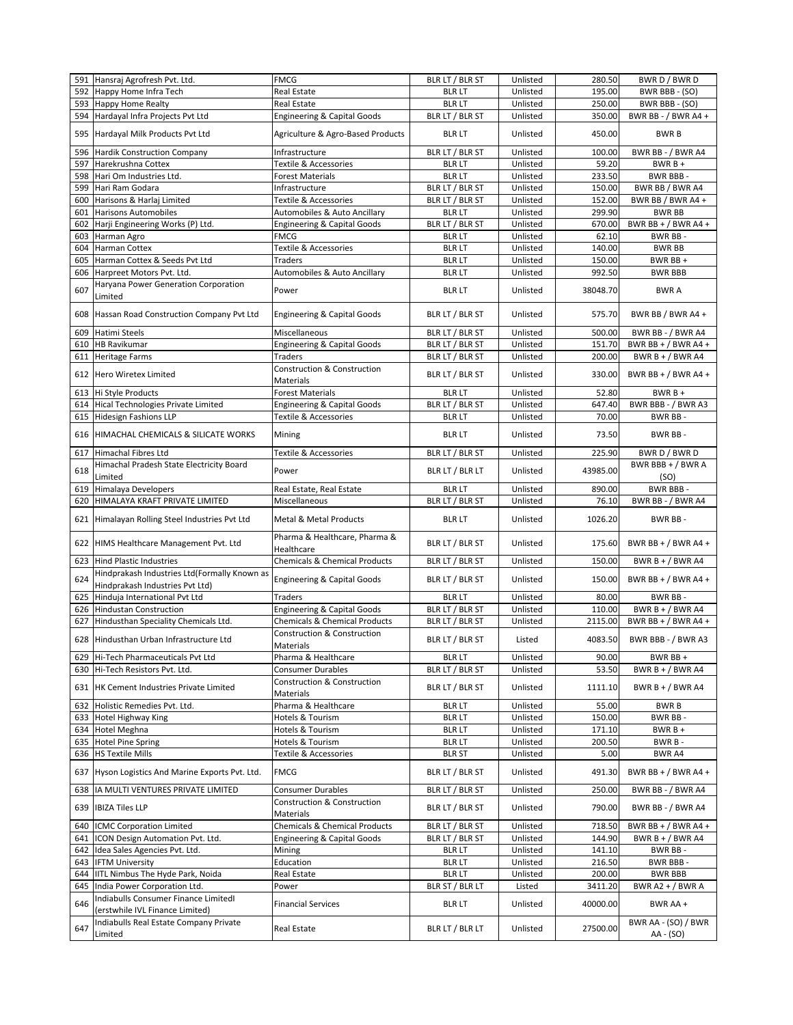|            | 591 Hansraj Agrofresh Pvt. Ltd.                                                 | <b>FMCG</b>                                                | BLR LT / BLR ST                  | Unlisted             | 280.50            | BWR D / BWR D                          |
|------------|---------------------------------------------------------------------------------|------------------------------------------------------------|----------------------------------|----------------------|-------------------|----------------------------------------|
| 592        | Happy Home Infra Tech                                                           | Real Estate                                                | <b>BLR LT</b>                    | Unlisted             | 195.00            | BWR BBB - (SO)                         |
| 593        | <b>Happy Home Realty</b>                                                        | Real Estate                                                | <b>BLRLT</b>                     | Unlisted             | 250.00            | BWR BBB - (SO)                         |
| 594        | Hardayal Infra Projects Pvt Ltd                                                 | <b>Engineering &amp; Capital Goods</b>                     | BLR LT / BLR ST                  | Unlisted             | 350.00            | BWR BB - / BWR A4 +                    |
| 595        | Hardayal Milk Products Pvt Ltd                                                  | Agriculture & Agro-Based Products                          | <b>BLR LT</b>                    | Unlisted             | 450.00            | <b>BWRB</b>                            |
| 596        | <b>Hardik Construction Company</b>                                              | Infrastructure                                             | BLR LT / BLR ST                  | Unlisted             | 100.00            | BWR BB - / BWR A4                      |
| 597        | Harekrushna Cottex                                                              | <b>Textile &amp; Accessories</b>                           | <b>BLR LT</b>                    | Unlisted             | 59.20             | $BWRB +$                               |
| 598        | Hari Om Industries Ltd.                                                         | <b>Forest Materials</b>                                    | <b>BLR LT</b>                    | Unlisted             | 233.50            | <b>BWR BBB-</b>                        |
| 599        | Hari Ram Godara                                                                 | Infrastructure                                             | BLR LT / BLR ST                  | Unlisted             | 150.00            | BWR BB / BWR A4                        |
| 600        | Harisons & Harlaj Limited                                                       | Textile & Accessories                                      | BLR LT / BLR ST                  | Unlisted             | 152.00            | BWR BB / BWR A4 +                      |
| 601<br>602 | <b>Harisons Automobiles</b>                                                     | Automobiles & Auto Ancillary                               | <b>BLR LT</b>                    | Unlisted             | 299.90<br>670.00  | <b>BWR BB</b><br>BWR BB + $/$ BWR A4 + |
| 603        | Harji Engineering Works (P) Ltd.<br>Harman Agro                                 | <b>Engineering &amp; Capital Goods</b><br><b>FMCG</b>      | BLR LT / BLR ST<br><b>BLRLT</b>  | Unlisted<br>Unlisted | 62.10             | BWR BB-                                |
| 604        | Harman Cottex                                                                   | <b>Textile &amp; Accessories</b>                           | <b>BLR LT</b>                    | Unlisted             | 140.00            | <b>BWR BB</b>                          |
| 605        | Harman Cottex & Seeds Pvt Ltd                                                   | <b>Traders</b>                                             | <b>BLR LT</b>                    | Unlisted             | 150.00            | BWR BB +                               |
| 606        | Harpreet Motors Pvt. Ltd.                                                       | Automobiles & Auto Ancillary                               | <b>BLR LT</b>                    | Unlisted             | 992.50            | <b>BWR BBB</b>                         |
| 607        | Haryana Power Generation Corporation<br>Limited                                 | Power                                                      | <b>BLR LT</b>                    | Unlisted             | 38048.70          | <b>BWRA</b>                            |
| 608        | Hassan Road Construction Company Pvt Ltd                                        | <b>Engineering &amp; Capital Goods</b>                     | BLR LT / BLR ST                  | Unlisted             | 575.70            | BWR BB / BWR A4 +                      |
| 609        | Hatimi Steels                                                                   | Miscellaneous                                              | BLR LT / BLR ST                  | Unlisted             | 500.00            | BWR BB - / BWR A4                      |
| 610        | <b>HB Ravikumar</b>                                                             | <b>Engineering &amp; Capital Goods</b>                     | BLR LT / BLR ST                  | Unlisted             | 151.70            | BWR BB + $/$ BWR A4 +                  |
| 611        | <b>Heritage Farms</b>                                                           | <b>Traders</b>                                             | BLR LT / BLR ST                  | Unlisted             | 200.00            | BWR $B + / BWR$ A4                     |
| 612        | <b>Hero Wiretex Limited</b>                                                     | <b>Construction &amp; Construction</b><br><b>Materials</b> | BLR LT / BLR ST                  | Unlisted             | 330.00            | BWR BB + $/$ BWR A4 +                  |
| 613        | Hi Style Products                                                               | <b>Forest Materials</b>                                    | <b>BLR LT</b>                    | Unlisted             | 52.80             | $BWRB +$                               |
| 614        | Hical Technologies Private Limited                                              | <b>Engineering &amp; Capital Goods</b>                     | BLR LT / BLR ST                  | Unlisted             | 647.40            | BWR BBB - / BWR A3                     |
| 615        | <b>Hidesign Fashions LLP</b>                                                    | <b>Textile &amp; Accessories</b>                           | <b>BLR LT</b>                    | Unlisted             | 70.00             | BWR BB-                                |
| 616        | HIMACHAL CHEMICALS & SILICATE WORKS                                             | Mining                                                     | <b>BLR LT</b>                    | Unlisted             | 73.50             | BWR BB-                                |
| 617        | Himachal Fibres Ltd                                                             | Textile & Accessories                                      | BLR LT / BLR ST                  | Unlisted             | 225.90            | BWR D / BWR D                          |
| 618        | Himachal Pradesh State Electricity Board<br>Limited                             | Power                                                      | BLR LT / BLR LT                  | Unlisted             | 43985.00          | BWR BBB + $/$ BWR A<br>(SO)            |
| 619        | Himalaya Developers                                                             | Real Estate, Real Estate                                   | <b>BLR LT</b>                    | Unlisted             | 890.00            | BWR BBB-                               |
| 620        | HIMALAYA KRAFT PRIVATE LIMITED                                                  | Miscellaneous                                              | BLR LT / BLR ST                  | Unlisted             | 76.10             | BWR BB - / BWR A4                      |
| 621        | Himalayan Rolling Steel Industries Pvt Ltd                                      | <b>Metal &amp; Metal Products</b>                          | <b>BLR LT</b>                    | Unlisted             | 1026.20           | BWR BB-                                |
|            | 622 HIMS Healthcare Management Pvt. Ltd                                         | Pharma & Healthcare, Pharma &<br>Healthcare                | BLR LT / BLR ST                  | Unlisted             | 175.60            | BWR BB + $/$ BWR A4 +                  |
| 623        | <b>Hind Plastic Industries</b>                                                  | <b>Chemicals &amp; Chemical Products</b>                   | BLR LT / BLR ST                  | Unlisted             | 150.00            | BWR B + / BWR A4                       |
| 624        | Hindprakash Industries Ltd(Formally Known as<br>Hindprakash Industries Pvt Ltd) | <b>Engineering &amp; Capital Goods</b>                     | BLR LT / BLR ST                  | Unlisted             | 150.00            | BWR BB + $/$ BWR A4 +                  |
| 625        | Hinduja International Pvt Ltd                                                   | <b>Traders</b>                                             | <b>BLR LT</b>                    | Unlisted             | 80.00             | BWR BB-                                |
| 626        | <b>Hindustan Construction</b>                                                   | <b>Engineering &amp; Capital Goods</b>                     | BLR LT / BLR ST                  | Unlisted             | 110.00            | BWR $B + / BWR$ A4                     |
| 627        | Hindusthan Speciality Chemicals Ltd.                                            | <b>Chemicals &amp; Chemical Products</b>                   | BLR LT / BLR ST                  | Unlisted             | 2115.00           | BWR BB + $/$ BWR A4 +                  |
| 628        | Hindusthan Urban Infrastructure Ltd                                             | Construction & Construction<br>Materials                   | BLR LT / BLR ST                  | Listed               | 4083.50           | BWR BBB - / BWR A3                     |
| 629        | Hi-Tech Pharmaceuticals Pvt Ltd                                                 | Pharma & Healthcare                                        | <b>BLR LT</b>                    | Unlisted             | 90.00             | BWR BB +                               |
| 630        | Hi-Tech Resistors Pvt. Ltd.                                                     | <b>Consumer Durables</b>                                   | BLR LT / BLR ST                  | Unlisted             | 53.50             | BWR $B + / BWR$ A4                     |
|            | 631 HK Cement Industries Private Limited                                        | Construction & Construction<br>Materials                   | BLR LT / BLR ST                  | Unlisted             | 1111.10           | BWR B + / BWR A4                       |
| 632        | Holistic Remedies Pvt. Ltd.                                                     | Pharma & Healthcare                                        | <b>BLR LT</b>                    | Unlisted             | 55.00             | <b>BWRB</b>                            |
| 633        | <b>Hotel Highway King</b>                                                       | Hotels & Tourism                                           | <b>BLR LT</b>                    | Unlisted             | 150.00            | BWR BB-                                |
| 634        | Hotel Meghna                                                                    | Hotels & Tourism                                           | <b>BLR LT</b>                    | Unlisted             | 171.10            | $BWRB +$                               |
| 635        | <b>Hotel Pine Spring</b>                                                        | Hotels & Tourism                                           | <b>BLR LT</b>                    | Unlisted             | 200.50            | BWR B-                                 |
| 636        | <b>HS Textile Mills</b>                                                         | Textile & Accessories                                      | <b>BLR ST</b>                    | Unlisted             | 5.00              | BWR A4                                 |
| 637        | Hyson Logistics And Marine Exports Pvt. Ltd.                                    | <b>FMCG</b>                                                | BLR LT / BLR ST                  | Unlisted             | 491.30            | BWR BB + $/$ BWR A4 +                  |
| 638        | IA MULTI VENTURES PRIVATE LIMITED                                               | <b>Consumer Durables</b>                                   | BLR LT / BLR ST                  | Unlisted             | 250.00            | BWR BB - / BWR A4                      |
|            | 639 IBIZA Tiles LLP                                                             | Construction & Construction<br>Materials                   | BLR LT / BLR ST                  | Unlisted             | 790.00            | BWR BB - / BWR A4                      |
| 640        | <b>ICMC Corporation Limited</b>                                                 | <b>Chemicals &amp; Chemical Products</b>                   | BLR LT / BLR ST                  | Unlisted             | 718.50            | BWR BB + $/$ BWR A4 +                  |
| 641        | ICON Design Automation Pvt. Ltd.                                                | <b>Engineering &amp; Capital Goods</b>                     | BLR LT / BLR ST                  | Unlisted             | 144.90            | BWR $B + / BWR$ A4                     |
| 642        | Idea Sales Agencies Pvt. Ltd.                                                   | Mining                                                     | <b>BLR LT</b>                    | Unlisted             | 141.10            | BWR BB-                                |
| 643        | <b>IFTM University</b>                                                          | Education                                                  | <b>BLR LT</b>                    | Unlisted             | 216.50            | BWR BBB-                               |
| 644<br>645 | IITL Nimbus The Hyde Park, Noida<br>India Power Corporation Ltd.                | Real Estate<br>Power                                       | <b>BLR LT</b><br>BLR ST / BLR LT | Unlisted<br>Listed   | 200.00<br>3411.20 | <b>BWR BBB</b><br>BWR A2 + / BWR A     |
| 646        | Indiabulls Consumer Finance Limitedl<br>(erstwhile IVL Finance Limited)         | <b>Financial Services</b>                                  | <b>BLR LT</b>                    | Unlisted             | 40000.00          | BWR AA +                               |
| 647        | Indiabulls Real Estate Company Private<br>Limited                               | Real Estate                                                | BLR LT / BLR LT                  | Unlisted             | 27500.00          | BWR AA - (SO) / BWR<br>AA - (SO)       |
|            |                                                                                 |                                                            |                                  |                      |                   |                                        |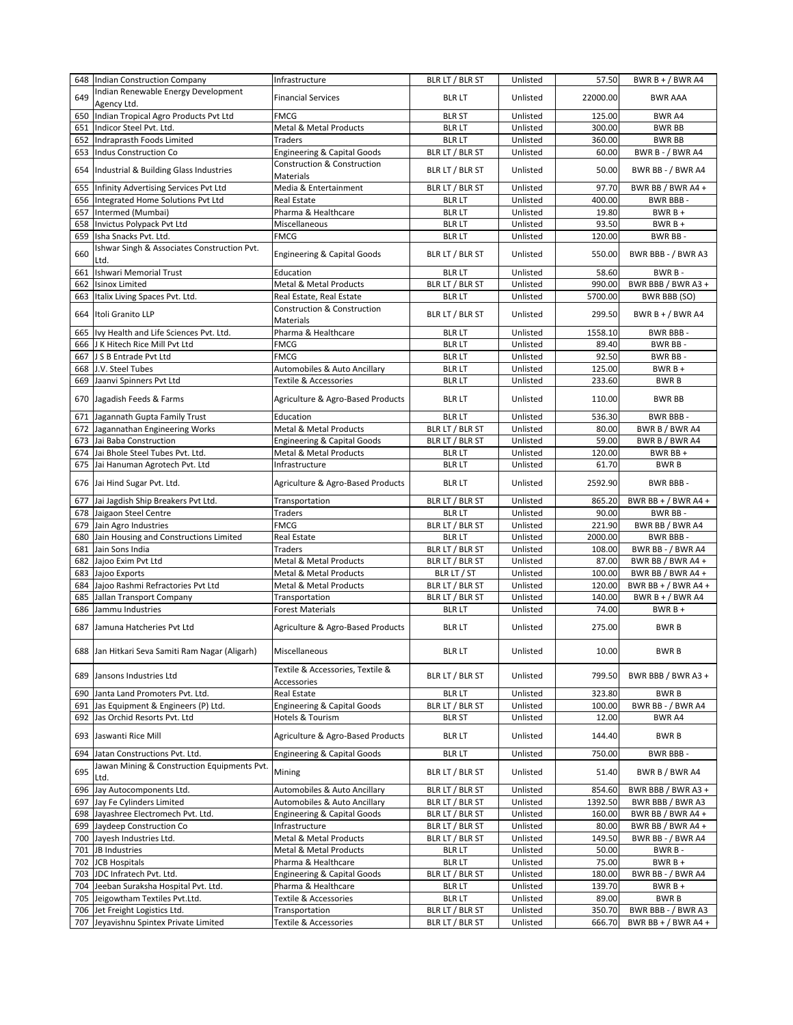|            | 648 Indian Construction Company                                              | Infrastructure                                        | BLR LT / BLR ST                  | Unlisted             | 57.50             | BWR B + $/$ BWR A4                |
|------------|------------------------------------------------------------------------------|-------------------------------------------------------|----------------------------------|----------------------|-------------------|-----------------------------------|
| 649        | Indian Renewable Energy Development<br>Agency Ltd.                           | <b>Financial Services</b>                             | <b>BLR LT</b>                    | Unlisted             | 22000.00          | <b>BWR AAA</b>                    |
| 650        | Indian Tropical Agro Products Pvt Ltd                                        | FMCG                                                  | <b>BLR ST</b>                    | Unlisted             | 125.00            | BWR A4                            |
| 651        | Indicor Steel Pvt. Ltd.                                                      | Metal & Metal Products                                | <b>BLR LT</b>                    | Unlisted             | 300.00            | <b>BWR BB</b>                     |
| 652        | Indraprasth Foods Limited                                                    | <b>Traders</b>                                        | <b>BLR LT</b>                    | Unlisted             | 360.00            | <b>BWR BB</b>                     |
| 653        | <b>Indus Construction Co</b>                                                 | <b>Engineering &amp; Capital Goods</b>                | BLR LT / BLR ST                  | Unlisted             | 60.00             | BWR B - / BWR A4                  |
| 654        | Industrial & Building Glass Industries                                       | <b>Construction &amp; Construction</b><br>Materials   | BLR LT / BLR ST                  | Unlisted             | 50.00             | BWR BB - / BWR A4                 |
| 655        | Infinity Advertising Services Pvt Ltd                                        | Media & Entertainment                                 | BLR LT / BLR ST                  | Unlisted             | 97.70             | BWR BB / BWR A4 +                 |
| 656        | Integrated Home Solutions Pvt Ltd                                            | <b>Real Estate</b>                                    | <b>BLR LT</b>                    | Unlisted             | 400.00            | BWR BBB-                          |
| 657        | Intermed (Mumbai)                                                            | Pharma & Healthcare                                   | <b>BLR LT</b>                    | Unlisted             | 19.80             | $BWRB +$                          |
| 658        | Invictus Polypack Pvt Ltd                                                    | Miscellaneous                                         | <b>BLR LT</b>                    | Unlisted             | 93.50             | $BWRB +$                          |
| 659        | Isha Snacks Pvt. Ltd.                                                        | FMCG                                                  | <b>BLR LT</b>                    | Unlisted             | 120.00            | BWR BB-                           |
| 660        | Ishwar Singh & Associates Construction Pvt.<br>Ltd.                          | <b>Engineering &amp; Capital Goods</b>                | BLR LT / BLR ST                  | Unlisted             | 550.00            | BWR BBB - / BWR A3                |
| 661        | Ishwari Memorial Trust                                                       | Education                                             | <b>BLR LT</b>                    | Unlisted             | 58.60             | BWR B-                            |
| 662        | <b>Isinox Limited</b>                                                        | Metal & Metal Products                                | BLR LT / BLR ST                  | Unlisted             | 990.00            | BWR BBB / BWR A3 +                |
| 663        | Italix Living Spaces Pvt. Ltd.                                               | Real Estate, Real Estate                              | <b>BLR LT</b>                    | Unlisted             | 5700.00           | BWR BBB (SO)                      |
| 664        | Itoli Granito LLP                                                            | Construction & Construction<br>Materials              | BLR LT / BLR ST                  | Unlisted             | 299.50            | BWR $B + / BWR$ A4                |
| 665        | Ivy Health and Life Sciences Pvt. Ltd.                                       | Pharma & Healthcare                                   | <b>BLR LT</b>                    | Unlisted             | 1558.10           | BWR BBB-                          |
|            | 666 J K Hitech Rice Mill Pvt Ltd                                             | FMCG                                                  | <b>BLR LT</b>                    | Unlisted             | 89.40             | BWR BB-                           |
| 667        | J S B Entrade Pvt Ltd                                                        | <b>FMCG</b>                                           | <b>BLR LT</b>                    | Unlisted             | 92.50             | BWR BB-                           |
| 668        | J.V. Steel Tubes                                                             | Automobiles & Auto Ancillary                          | <b>BLR LT</b>                    | Unlisted             | 125.00            | $BWRB +$                          |
| 669        | Jaanvi Spinners Pvt Ltd                                                      | <b>Textile &amp; Accessories</b>                      | <b>BLR LT</b>                    | Unlisted             | 233.60            | <b>BWRB</b>                       |
| 670        | Jagadish Feeds & Farms                                                       | Agriculture & Agro-Based Products                     | <b>BLR LT</b>                    | Unlisted             | 110.00            | <b>BWR BB</b>                     |
| 671        |                                                                              | Education                                             | <b>BLR LT</b>                    | Unlisted             | 536.30            | BWR BBB-                          |
|            | Jagannath Gupta Family Trust<br>Jagannathan Engineering Works                | Metal & Metal Products                                | BLR LT / BLR ST                  |                      | 80.00             |                                   |
| 672        | Jai Baba Construction                                                        |                                                       |                                  | Unlisted<br>Unlisted | 59.00             | BWR B / BWR A4                    |
| 673        |                                                                              | <b>Engineering &amp; Capital Goods</b>                | BLR LT / BLR ST                  |                      |                   | BWR B / BWR A4                    |
| 674        | Jai Bhole Steel Tubes Pvt. Ltd.                                              | Metal & Metal Products<br>Infrastructure              | <b>BLR LT</b>                    | Unlisted             | 120.00            | BWR BB +<br><b>BWRB</b>           |
| 675        | Jai Hanuman Agrotech Pvt. Ltd                                                |                                                       | <b>BLR LT</b>                    | Unlisted             | 61.70             |                                   |
|            | 676 Jai Hind Sugar Pvt. Ltd.<br>Jai Jagdish Ship Breakers Pvt Ltd.           | Agriculture & Agro-Based Products                     | <b>BLR LT</b>                    | Unlisted<br>Unlisted | 2592.90<br>865.20 | BWR BBB-<br>BWR BB + $/$ BWR A4 + |
| 677<br>678 |                                                                              | Transportation<br><b>Traders</b>                      | BLR LT / BLR ST<br><b>BLR LT</b> | Unlisted             | 90.00             | BWR BB-                           |
| 679        | Jaigaon Steel Centre<br>Jain Agro Industries                                 | FMCG                                                  | BLR LT / BLR ST                  | Unlisted             | 221.90            | BWR BB / BWR A4                   |
| 680        | Jain Housing and Constructions Limited                                       | Real Estate                                           | <b>BLR LT</b>                    | Unlisted             | 2000.00           | BWR BBB-                          |
| 681        | Jain Sons India                                                              | <b>Traders</b>                                        | BLR LT / BLR ST                  | Unlisted             | 108.00            | BWR BB - / BWR A4                 |
| 682        | Jajoo Exim Pvt Ltd                                                           | Metal & Metal Products                                | BLR LT / BLR ST                  | Unlisted             | 87.00             | BWR BB / BWR A4 +                 |
| 683        | Jaioo Exports                                                                | <b>Metal &amp; Metal Products</b>                     | BLR LT / ST                      | Unlisted             | 100.00            | BWR BB / BWR A4 +                 |
| 684        | Jajoo Rashmi Refractories Pvt Ltd                                            | Metal & Metal Products                                | BLR LT / BLR ST                  | Unlisted             | 120.00            | BWR BB + $/$ BWR A4 +             |
| 685        | Jallan Transport Company                                                     | Transportation                                        | BLR LT / BLR ST                  | Unlisted             | 140.00            | BWR $B + / BWR$ A4                |
| 686        | Jammu Industries                                                             | <b>Forest Materials</b>                               | <b>BLR LT</b>                    | Unlisted             | 74.00             | $BWRB +$                          |
| 687        | Jamuna Hatcheries Pvt Ltd                                                    | Agriculture & Agro-Based Products                     | <b>BLR LT</b>                    | Unlisted             | 275.00            | <b>BWRB</b>                       |
|            | 688 Jan Hitkari Seva Samiti Ram Nagar (Aligarh)                              | Miscellaneous                                         | BLR LT                           | Unlisted             | 10.00             | <b>BWRB</b>                       |
|            | 689 Jansons Industries Ltd                                                   | Textile & Accessories, Textile &                      | BLR LT / BLR ST                  | Unlisted             | 799.50            | BWR BBB / BWR A3 +                |
|            |                                                                              | Accessories                                           |                                  |                      |                   |                                   |
| 690        | Janta Land Promoters Pvt. Ltd.                                               | <b>Real Estate</b>                                    | <b>BLR LT</b>                    | Unlisted             | 323.80            | <b>BWRB</b>                       |
| 691        | Jas Equipment & Engineers (P) Ltd.                                           | <b>Engineering &amp; Capital Goods</b>                | BLR LT / BLR ST                  | Unlisted             | 100.00            | BWR BB - / BWR A4                 |
| 692<br>693 | Jas Orchid Resorts Pvt. Ltd<br>Jaswanti Rice Mill                            | Hotels & Tourism<br>Agriculture & Agro-Based Products | <b>BLR ST</b><br><b>BLR LT</b>   | Unlisted<br>Unlisted | 12.00<br>144.40   | BWR A4<br><b>BWRB</b>             |
|            |                                                                              |                                                       |                                  |                      |                   |                                   |
| 694        | Jatan Constructions Pvt. Ltd.<br>Jawan Mining & Construction Equipments Pvt. | <b>Engineering &amp; Capital Goods</b>                | <b>BLR LT</b>                    | Unlisted             | 750.00            | <b>BWR BBB-</b>                   |
| 695        | Ltd.                                                                         | Mining                                                | BLR LT / BLR ST                  | Unlisted             | 51.40             | BWR B / BWR A4                    |
| 696        | Jay Autocomponents Ltd.                                                      | Automobiles & Auto Ancillary                          | BLR LT / BLR ST                  | Unlisted             | 854.60            | BWR BBB / BWR A3 +                |
| 697        | Jay Fe Cylinders Limited                                                     | Automobiles & Auto Ancillary                          | BLR LT / BLR ST                  | Unlisted             | 1392.50           | BWR BBB / BWR A3                  |
| 698        | Jayashree Electromech Pvt. Ltd.                                              | <b>Engineering &amp; Capital Goods</b>                | BLR LT / BLR ST                  | Unlisted             | 160.00            | BWR BB / BWR A4 +                 |
| 699        | Jaydeep Construction Co                                                      | Infrastructure                                        | BLR LT / BLR ST                  | Unlisted             | 80.00             | BWR BB / BWR A4 +                 |
| 700        | Jayesh Industries Ltd.                                                       | Metal & Metal Products                                | BLR LT / BLR ST                  | Unlisted             | 149.50            | BWR BB - / BWR A4                 |
| 701        | JB Industries                                                                | Metal & Metal Products                                | <b>BLR LT</b>                    | Unlisted             | 50.00             | BWR B-                            |
| 702        | <b>JCB Hospitals</b>                                                         | Pharma & Healthcare                                   | <b>BLR LT</b>                    | Unlisted             | 75.00             | $BWRB +$                          |
| 703        | JDC Infratech Pvt. Ltd.                                                      | <b>Engineering &amp; Capital Goods</b>                | BLR LT / BLR ST                  | Unlisted             | 180.00            | BWR BB - / BWR A4                 |
| 704        | Jeeban Suraksha Hospital Pvt. Ltd.                                           | Pharma & Healthcare                                   | <b>BLR LT</b>                    | Unlisted             | 139.70            | BWR B +                           |
| 705        | Jeigowtham Textiles Pvt.Ltd.                                                 | Textile & Accessories                                 | <b>BLR LT</b>                    | Unlisted             | 89.00             | <b>BWRB</b>                       |
|            | 706 Jet Freight Logistics Ltd.                                               | Transportation                                        | BLR LT / BLR ST                  | Unlisted             | 350.70            | BWR BBB - / BWR A3                |
|            | 707 Jeyavishnu Spintex Private Limited                                       | Textile & Accessories                                 | BLR LT / BLR ST                  | Unlisted             | 666.70            | BWR BB + $/$ BWR A4 +             |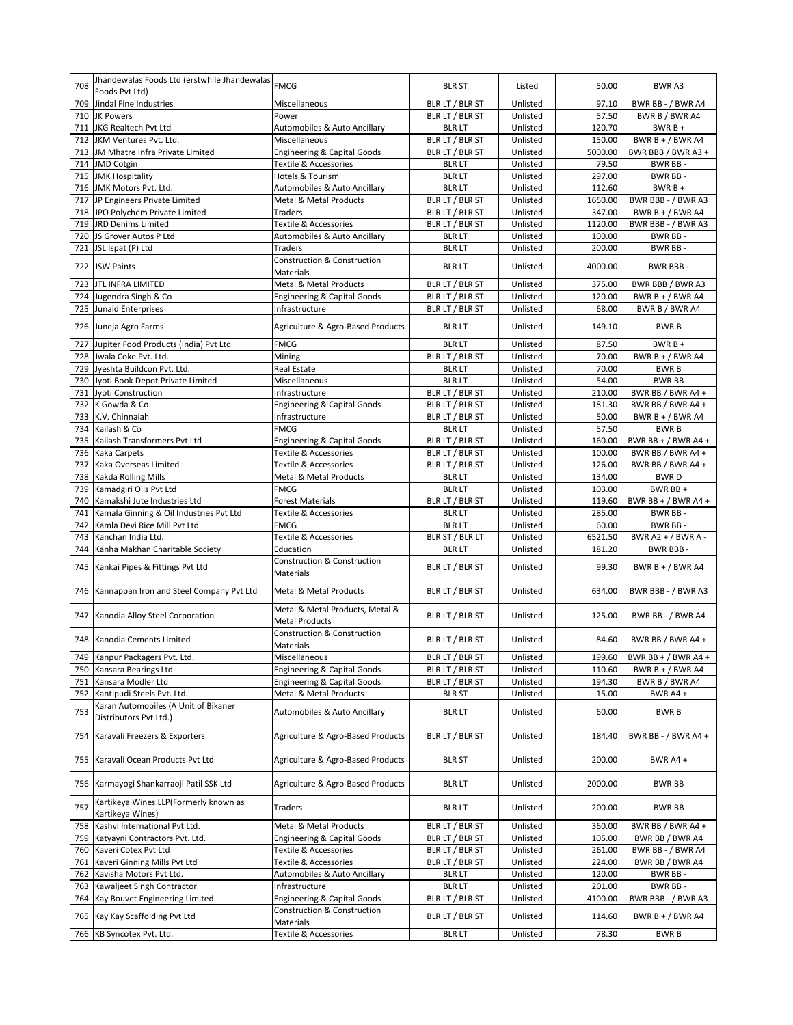| 708        | Jhandewalas Foods Ltd (erstwhile Jhandewalas) FMCG<br>Foods Pvt Ltd) |                                                          | <b>BLR ST</b>                    | Listed               | 50.00           | BWR A3                       |
|------------|----------------------------------------------------------------------|----------------------------------------------------------|----------------------------------|----------------------|-----------------|------------------------------|
| 709        | Jindal Fine Industries                                               | Miscellaneous                                            | BLR LT / BLR ST                  | Unlisted             | 97.10           | BWR BB - / BWR A4            |
| 710        | <b>JK Powers</b>                                                     | Power                                                    | BLR LT / BLR ST                  | Unlisted             | 57.50           | BWR B / BWR A4               |
| 711        | JKG Realtech Pvt Ltd                                                 | Automobiles & Auto Ancillary                             | <b>BLR LT</b>                    | Unlisted             | 120.70          | $BWRB+$                      |
| 712        | JKM Ventures Pvt. Ltd.                                               | Miscellaneous                                            | BLR LT / BLR ST                  | Unlisted             | 150.00          | BWR $B + / BWR$ A4           |
| 713        | JM Mhatre Infra Private Limited                                      | <b>Engineering &amp; Capital Goods</b>                   | BLR LT / BLR ST                  | Unlisted             | 5000.00         | BWR BBB / BWR A3 +           |
| 714        | <b>JMD Cotgin</b>                                                    | Textile & Accessories                                    | <b>BLR LT</b>                    | Unlisted             | 79.50           | BWR BB-                      |
| 715        | <b>JMK Hospitality</b>                                               | Hotels & Tourism                                         | <b>BLR LT</b>                    | Unlisted             | 297.00          | BWR BB-                      |
| 716        | JMK Motors Pvt. Ltd.                                                 | Automobiles & Auto Ancillary                             | <b>BLR LT</b>                    | Unlisted             | 112.60          | $BWRB +$                     |
| 717        | JP Engineers Private Limited                                         | <b>Metal &amp; Metal Products</b>                        | BLR LT / BLR ST                  | Unlisted             | 1650.00         | BWR BBB - / BWR A3           |
| 718        | JPO Polychem Private Limited                                         | Traders                                                  | BLR LT / BLR ST                  | Unlisted             | 347.00          | BWR B + $/$ BWR A4           |
| 719        | <b>JRD Denims Limited</b>                                            | Textile & Accessories                                    | BLR LT / BLR ST                  | Unlisted             | 1120.00         | BWR BBB - / BWR A3           |
| 720        | JS Grover Autos P Ltd                                                | Automobiles & Auto Ancillary                             | <b>BLR LT</b>                    | Unlisted             | 100.00          | BWR BB-                      |
| 721        | JSL Ispat (P) Ltd                                                    | <b>Traders</b>                                           | <b>BLR LT</b>                    | Unlisted             | 200.00          | BWR BB-                      |
|            | 722 JSW Paints                                                       | <b>Construction &amp; Construction</b><br>Materials      | <b>BLR LT</b>                    | Unlisted             | 4000.00         | BWR BBB-                     |
| 723        | <b>JTL INFRA LIMITED</b>                                             | Metal & Metal Products                                   | BLR LT / BLR ST                  | Unlisted             | 375.00          | BWR BBB / BWR A3             |
| 724        | Jugendra Singh & Co                                                  | <b>Engineering &amp; Capital Goods</b>                   | BLR LT / BLR ST                  | Unlisted             | 120.00          | BWR B + / BWR A4             |
| 725        | <b>Junaid Enterprises</b>                                            | Infrastructure                                           | BLR LT / BLR ST                  | Unlisted             | 68.00           | BWR B / BWR A4               |
|            | 726 Juneja Agro Farms                                                | Agriculture & Agro-Based Products                        | <b>BLR LT</b>                    | Unlisted             | 149.10          | <b>BWRB</b>                  |
| 727        | Jupiter Food Products (India) Pvt Ltd                                | FMCG                                                     | <b>BLR LT</b>                    | Unlisted             | 87.50           | $BWRB +$                     |
| 728        | Jwala Coke Pvt. Ltd.                                                 | Mining                                                   | BLR LT / BLR ST                  | Unlisted             | 70.00           | BWR $B + / BWR$ A4           |
| 729        | Jyeshta Buildcon Pvt. Ltd.                                           | Real Estate                                              | <b>BLR LT</b>                    | Unlisted             | 70.00           | <b>BWRB</b>                  |
| 730        | Jyoti Book Depot Private Limited                                     | Miscellaneous                                            | <b>BLR LT</b>                    | Unlisted             | 54.00           | <b>BWR BB</b>                |
| 731        | Jyoti Construction                                                   | Infrastructure                                           | BLR LT / BLR ST                  | Unlisted             | 210.00          | BWR BB / BWR A4 +            |
| 732        | K Gowda & Co                                                         | <b>Engineering &amp; Capital Goods</b>                   | BLR LT / BLR ST                  | Unlisted             | 181.30          | BWR BB / BWR A4 +            |
| 733        | K.V. Chinnaiah                                                       | Infrastructure                                           | BLR LT / BLR ST                  | Unlisted             | 50.00           | BWR $B + / BWR$ A4           |
| 734        | Kailash & Co                                                         | <b>FMCG</b>                                              | <b>BLR LT</b>                    | Unlisted             | 57.50           | <b>BWRB</b>                  |
| 735        | Kailash Transformers Pvt Ltd                                         | <b>Engineering &amp; Capital Goods</b>                   | BLR LT / BLR ST                  | Unlisted             | 160.00          | BWR BB + $/$ BWR A4 +        |
| 736        | Kaka Carpets                                                         | Textile & Accessories                                    | BLR LT / BLR ST                  | Unlisted             | 100.00          | BWR BB / BWR A4 +            |
| 737        | Kaka Overseas Limited                                                | Textile & Accessories                                    | BLR LT / BLR ST                  | Unlisted             | 126.00          | BWR BB / BWR A4 +            |
| 738        | Kakda Rolling Mills                                                  | Metal & Metal Products                                   | <b>BLR LT</b>                    | Unlisted             | 134.00          | <b>BWRD</b>                  |
| 739        | Kamadgiri Oils Pvt Ltd                                               | <b>FMCG</b>                                              | <b>BLR LT</b>                    | Unlisted             | 103.00          | BWR BB +                     |
| 740        | Kamakshi Jute Industries Ltd                                         | <b>Forest Materials</b>                                  | BLR LT / BLR ST                  | Unlisted             | 119.60          | BWR BB + $/$ BWR A4 +        |
|            |                                                                      |                                                          |                                  |                      |                 |                              |
|            |                                                                      |                                                          |                                  |                      |                 |                              |
| 741        | Kamala Ginning & Oil Industries Pvt Ltd                              | Textile & Accessories                                    | <b>BLR LT</b>                    | Unlisted             | 285.00          | BWR BB-                      |
| 742        | Kamla Devi Rice Mill Pvt Ltd                                         | FMCG                                                     | <b>BLR LT</b>                    | Unlisted             | 60.00           | BWR BB-                      |
| 743        | Kanchan India Ltd.                                                   | Textile & Accessories                                    | BLR ST / BLR LT                  | Unlisted             | 6521.50         | BWR A2 + / BWR A -           |
| 744<br>745 | Kanha Makhan Charitable Society<br>Kankai Pipes & Fittings Pvt Ltd   | Education<br>Construction & Construction<br>Materials    | <b>BLR LT</b><br>BLR LT / BLR ST | Unlisted<br>Unlisted | 181.20<br>99.30 | BWR BBB-<br>BWR B + / BWR A4 |
| 746        | Kannappan Iron and Steel Company Pvt Ltd                             | <b>Metal &amp; Metal Products</b>                        | BLR LT / BLR ST                  | Unlisted             | 634.00          | BWR BBB - / BWR A3           |
| 747        | Kanodia Alloy Steel Corporation                                      | Metal & Metal Products, Metal &<br><b>Metal Products</b> | BLR LT / BLR ST                  | Unlisted             | 125.00          | BWR BB - / BWR A4            |
| 748        | Kanodia Cements Limited                                              | <b>Construction &amp; Construction</b><br>Materials      | BLR LT / BLR ST                  | Unlisted             | 84.60           | BWR BB / BWR A4 +            |
| 749        | Kanpur Packagers Pvt. Ltd.                                           | Miscellaneous                                            | BLR LT / BLR ST                  | Unlisted             | 199.60          | BWR BB + $/$ BWR A4 +        |
| 750        | Kansara Bearings Ltd                                                 | <b>Engineering &amp; Capital Goods</b>                   | BLR LT / BLR ST                  | Unlisted             | 110.60          | BWR B + $/$ BWR A4           |
| 751        | Kansara Modler Ltd                                                   | <b>Engineering &amp; Capital Goods</b>                   | BLR LT / BLR ST                  | Unlisted             | 194.30          | BWR B / BWR A4               |
| 752        | Kantipudi Steels Pvt. Ltd.                                           | Metal & Metal Products                                   | <b>BLR ST</b>                    | Unlisted             | 15.00           | BWR A4 +                     |
| 753        | Karan Automobiles (A Unit of Bikaner<br>Distributors Pvt Ltd.)       | Automobiles & Auto Ancillary                             | <b>BLR LT</b>                    | Unlisted             | 60.00           | <b>BWRB</b>                  |
| 754        | Karavali Freezers & Exporters                                        | Agriculture & Agro-Based Products                        | BLR LT / BLR ST                  | Unlisted             | 184.40          | BWR BB - / BWR A4 +          |
| 755        | Karavali Ocean Products Pvt Ltd                                      | Agriculture & Agro-Based Products                        | <b>BLR ST</b>                    | Unlisted             | 200.00          | BWR A4 +                     |
|            | 756 Karmayogi Shankarraoji Patil SSK Ltd                             | Agriculture & Agro-Based Products                        | <b>BLR LT</b>                    | Unlisted             | 2000.00         | BWR BB                       |
| 757        | Kartikeya Wines LLP(Formerly known as<br>Kartikeya Wines)            | Traders                                                  | <b>BLR LT</b>                    | Unlisted             | 200.00          | BWR BB                       |
| 758        | Kashvi International Pvt Ltd.                                        | Metal & Metal Products                                   | BLR LT / BLR ST                  | Unlisted             | 360.00          | BWR BB / BWR A4 +            |
| 759        | Katyayni Contractors Pvt. Ltd.                                       | <b>Engineering &amp; Capital Goods</b>                   | BLR LT / BLR ST                  | Unlisted             | 105.00          | BWR BB / BWR A4              |
| 760        | Kaveri Cotex Pvt Ltd                                                 | Textile & Accessories                                    | BLR LT / BLR ST                  | Unlisted             | 261.00          | BWR BB - / BWR A4            |
| 761        | Kaveri Ginning Mills Pvt Ltd                                         | Textile & Accessories                                    | BLR LT / BLR ST                  | Unlisted             | 224.00          | BWR BB / BWR A4              |
| 762        | Kavisha Motors Pvt Ltd.                                              | Automobiles & Auto Ancillary                             | <b>BLR LT</b>                    | Unlisted             | 120.00          | BWR BB-                      |
| 763        | Kawaljeet Singh Contractor                                           | Infrastructure                                           | <b>BLR LT</b>                    | Unlisted             | 201.00          | BWR BB-                      |
| 764        | Kay Bouvet Engineering Limited                                       | <b>Engineering &amp; Capital Goods</b>                   | BLR LT / BLR ST                  | Unlisted             | 4100.00         | BWR BBB - / BWR A3           |
|            | 765 Kay Kay Scaffolding Pvt Ltd                                      | Construction & Construction<br>Materials                 | BLR LT / BLR ST                  | Unlisted             | 114.60          | BWR B + / BWR A4             |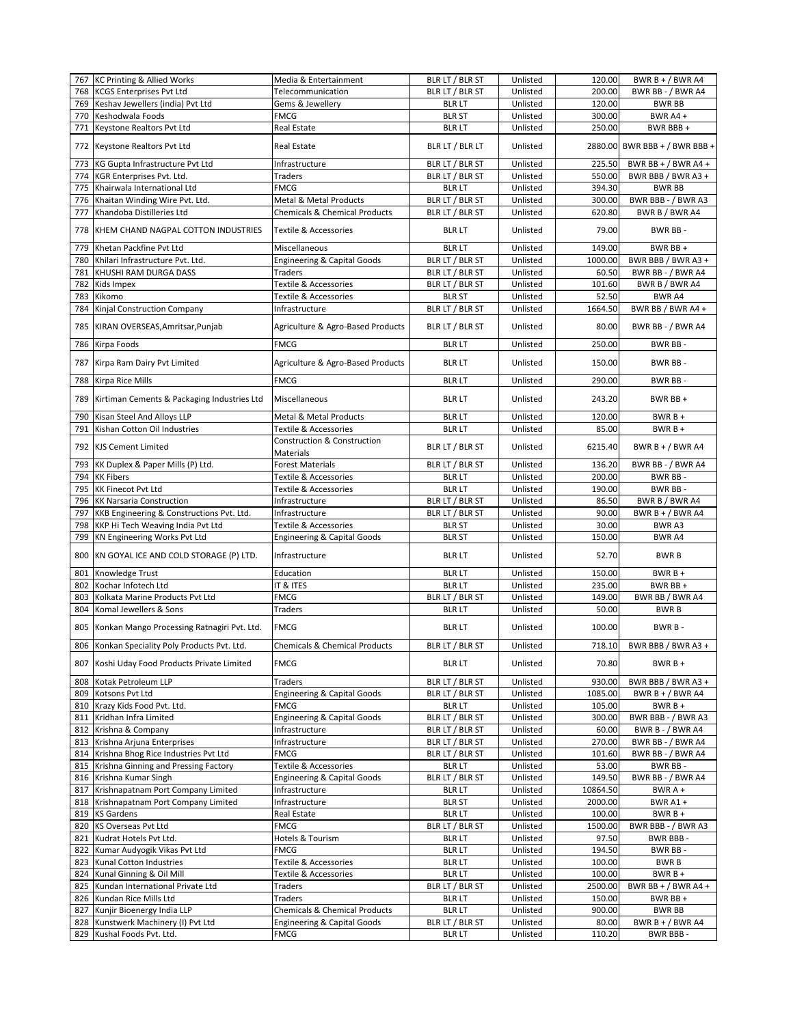|     | 767 KC Printing & Allied Works                                | Media & Entertainment                          | BLR LT / BLR ST                  | Unlisted             | 120.00          | BWR $B + / BWR$ A4              |
|-----|---------------------------------------------------------------|------------------------------------------------|----------------------------------|----------------------|-----------------|---------------------------------|
| 768 | <b>KCGS Enterprises Pvt Ltd</b>                               | Telecommunication                              | BLR LT / BLR ST                  | Unlisted             | 200.00          | BWR BB - / BWR A4               |
| 769 | Keshav Jewellers (india) Pvt Ltd                              | Gems & Jewellery                               | <b>BLR LT</b>                    | Unlisted             | 120.00          | <b>BWR BB</b>                   |
| 770 | Keshodwala Foods                                              | FMCG                                           | <b>BLR ST</b>                    | Unlisted             | 300.00          | BWR A4 +                        |
|     |                                                               |                                                |                                  |                      |                 |                                 |
| 771 | Keystone Realtors Pvt Ltd                                     | Real Estate                                    | <b>BLR LT</b>                    | Unlisted             | 250.00          | BWR BBB +                       |
| 772 | Keystone Realtors Pvt Ltd                                     | <b>Real Estate</b>                             | BLR LT / BLR LT                  | Unlisted             |                 | 2880.00 BWR BBB + / BWR BBB +   |
| 773 | KG Gupta Infrastructure Pvt Ltd                               | Infrastructure                                 | BLR LT / BLR ST                  | Unlisted             | 225.50          | BWR BB + $/$ BWR A4 +           |
| 774 | KGR Enterprises Pvt. Ltd.                                     | Traders                                        | BLR LT / BLR ST                  | Unlisted             | 550.00          | BWR BBB / BWR A3 +              |
| 775 | Khairwala International Ltd                                   | FMCG                                           | <b>BLR LT</b>                    | Unlisted             | 394.30          | <b>BWR BB</b>                   |
|     |                                                               |                                                |                                  |                      |                 |                                 |
| 776 | Khaitan Winding Wire Pvt. Ltd.                                | Metal & Metal Products                         | BLR LT / BLR ST                  | Unlisted             | 300.00          | BWR BBB - / BWR A3              |
| 777 | Khandoba Distilleries Ltd                                     | <b>Chemicals &amp; Chemical Products</b>       | BLR LT / BLR ST                  | Unlisted             | 620.80          | BWR B / BWR A4                  |
| 778 | KHEM CHAND NAGPAL COTTON INDUSTRIES                           | Textile & Accessories                          | <b>BLR LT</b>                    | Unlisted             | 79.00           | BWR BB-                         |
| 779 | Khetan Packfine Pvt Ltd                                       | Miscellaneous                                  | <b>BLR LT</b>                    | Unlisted             | 149.00          | BWR BB +                        |
| 780 | Khilari Infrastructure Pvt. Ltd.                              | <b>Engineering &amp; Capital Goods</b>         | BLR LT / BLR ST                  | Unlisted             | 1000.00         | BWR BBB / BWR A3 +              |
| 781 | KHUSHI RAM DURGA DASS                                         | Traders                                        | BLR LT / BLR ST                  | Unlisted             | 60.50           | BWR BB - / BWR A4               |
| 782 | Kids Impex                                                    | Textile & Accessories                          | BLR LT / BLR ST                  | Unlisted             | 101.60          | BWR B / BWR A4                  |
|     |                                                               |                                                |                                  |                      |                 |                                 |
| 783 | Kikomo                                                        | Textile & Accessories                          | <b>BLR ST</b>                    | Unlisted             | 52.50           | <b>BWR A4</b>                   |
| 784 | Kinjal Construction Company                                   | Infrastructure                                 | BLR LT / BLR ST                  | Unlisted             | 1664.50         | BWR BB / BWR A4 +               |
| 785 | KIRAN OVERSEAS, Amritsar, Punjab                              | Agriculture & Agro-Based Products              | BLR LT / BLR ST                  | Unlisted             | 80.00           | BWR BB - / BWR A4               |
| 786 | Kirpa Foods                                                   | FMCG                                           | <b>BLR LT</b>                    | Unlisted             | 250.00          | BWR BB-                         |
| 787 | Kirpa Ram Dairy Pvt Limited                                   | Agriculture & Agro-Based Products              | <b>BLR LT</b>                    | Unlisted             | 150.00          | BWR BB-                         |
|     |                                                               |                                                |                                  |                      | 290.00          | BWR BB-                         |
| 788 | Kirpa Rice Mills                                              | <b>FMCG</b>                                    | <b>BLR LT</b>                    | Unlisted             |                 |                                 |
| 789 | Kirtiman Cements & Packaging Industries Ltd                   | Miscellaneous                                  | <b>BLR LT</b>                    | Unlisted             | 243.20          | BWR BB +                        |
| 790 | Kisan Steel And Alloys LLP                                    | Metal & Metal Products                         | <b>BLR LT</b>                    | Unlisted             | 120.00          | $BWRB +$                        |
| 791 | Kishan Cotton Oil Industries                                  | Textile & Accessories                          | <b>BLR LT</b>                    | Unlisted             | 85.00           | $BWRB +$                        |
| 792 | <b>KJS Cement Limited</b>                                     | Construction & Construction<br>Materials       | BLR LT / BLR ST                  | Unlisted             | 6215.40         | BWR B + / BWR A4                |
| 793 | KK Duplex & Paper Mills (P) Ltd.                              | <b>Forest Materials</b>                        | BLR LT / BLR ST                  | Unlisted             | 136.20          | BWR BB - / BWR A4               |
|     | 794 KK Fibers                                                 |                                                |                                  | Unlisted             | 200.00          | BWR BB-                         |
|     |                                                               | Textile & Accessories                          | <b>BLR LT</b>                    |                      |                 |                                 |
| 795 | <b>KK Finecot Pvt Ltd</b>                                     | Textile & Accessories                          | <b>BLR LT</b>                    | Unlisted             | 190.00          | BWR BB-                         |
| 796 | <b>KK Narsaria Construction</b>                               | Infrastructure                                 | BLR LT / BLR ST                  | Unlisted             | 86.50           | BWR B / BWR A4                  |
| 797 | KKB Engineering & Constructions Pvt. Ltd.                     | Infrastructure                                 | BLR LT / BLR ST                  | Unlisted             | 90.00           | BWR B + / BWR A4                |
| 798 | KKP Hi Tech Weaving India Pvt Ltd                             | Textile & Accessories                          | <b>BLR ST</b>                    | Unlisted             | 30.00           | BWR A3                          |
| 799 | KN Engineering Works Pvt Ltd                                  | <b>Engineering &amp; Capital Goods</b>         | <b>BLR ST</b>                    | Unlisted             | 150.00          | <b>BWR A4</b>                   |
| 800 | KN GOYAL ICE AND COLD STORAGE (P) LTD.                        | Infrastructure                                 | <b>BLR LT</b>                    | Unlisted             | 52.70           | <b>BWRB</b>                     |
| 801 | Knowledge Trust                                               | Education                                      | <b>BLR LT</b>                    | Unlisted             | 150.00          | $BWRB +$                        |
| 802 | Kochar Infotech Ltd                                           | IT & ITES                                      | <b>BLR LT</b>                    | Unlisted             | 235.00          | BWR BB+                         |
|     |                                                               |                                                |                                  |                      |                 |                                 |
| 803 | Kolkata Marine Products Pvt Ltd                               | <b>FMCG</b>                                    | BLR LT / BLR ST                  | Unlisted             | 149.00          | BWR BB / BWR A4                 |
| 804 | Komal Jewellers & Sons                                        | Traders                                        | <b>BLR LT</b>                    | Unlisted             | 50.00           | <b>BWRB</b>                     |
| 805 | Konkan Mango Processing Ratnagiri Pvt. Ltd.                   | <b>FMCG</b>                                    | <b>BLR LT</b>                    | Unlisted             | 100.00          | BWR B-                          |
| 806 | Konkan Speciality Poly Products Pvt. Ltd.                     | <b>Chemicals &amp; Chemical Products</b>       | BLR LT / BLR ST                  | Unlisted             | 718.10          | BWR BBB / BWR A3 +              |
|     |                                                               |                                                |                                  |                      |                 |                                 |
|     | 807 Koshi Uday Food Products Private Limited                  | FMCG                                           | <b>BLR LT</b>                    | Unlisted             | 70.80           | $BWRB +$                        |
| 808 | Kotak Petroleum LLP                                           | <b>Traders</b>                                 | BLR LT / BLR ST                  | Unlisted             | 930.00          | BWR BBB / BWR A3 +              |
|     | 809 Kotsons Pvt Ltd                                           | <b>Engineering &amp; Capital Goods</b>         | BLR LT / BLR ST                  | Unlisted             | 1085.00         | BWR B + $/$ BWR A4              |
| 810 | Krazy Kids Food Pvt. Ltd.                                     | FMCG                                           | <b>BLR LT</b>                    | Unlisted             | 105.00          | $BWRB +$                        |
| 811 | Kridhan Infra Limited                                         | <b>Engineering &amp; Capital Goods</b>         | BLR LT / BLR ST                  | Unlisted             | 300.00          | BWR BBB - / BWR A3              |
| 812 | Krishna & Company                                             | Infrastructure                                 | BLR LT / BLR ST                  | Unlisted             | 60.00           | <b>BWR B - / BWR A4</b>         |
| 813 | Krishna Arjuna Enterprises                                    | Infrastructure                                 | BLR LT / BLR ST                  | Unlisted             | 270.00          | BWR BB - / BWR A4               |
| 814 | Krishna Bhog Rice Industries Pvt Ltd                          | FMCG                                           | BLR LT / BLR ST                  | Unlisted             | 101.60          | BWR BB - / BWR A4               |
| 815 | Krishna Ginning and Pressing Factory                          | Textile & Accessories                          | <b>BLR LT</b>                    | Unlisted             | 53.00           | BWR BB-                         |
|     | 816 Krishna Kumar Singh                                       |                                                |                                  | Unlisted             |                 |                                 |
|     |                                                               | <b>Engineering &amp; Capital Goods</b>         | BLR LT / BLR ST                  |                      | 149.50          | BWR BB - / BWR A4               |
| 817 | Krishnapatnam Port Company Limited                            | Infrastructure                                 | <b>BLR LT</b>                    | Unlisted             | 10864.50        | $BWRA +$                        |
|     | 818 Krishnapatnam Port Company Limited                        | Infrastructure                                 | <b>BLR ST</b>                    | Unlisted             | 2000.00         | BWR A1+                         |
|     | 819 KS Gardens                                                | Real Estate                                    | <b>BLR LT</b>                    | Unlisted             | 100.00          | $BWRB +$                        |
| 820 | KS Overseas Pvt Ltd                                           | FMCG                                           | BLR LT / BLR ST                  | Unlisted             | 1500.00         | BWR BBB - / BWR A3              |
| 821 | Kudrat Hotels Pvt Ltd.                                        | Hotels & Tourism                               | <b>BLR LT</b>                    | Unlisted             | 97.50           | BWR BBB -                       |
| 822 | Kumar Audyogik Vikas Pvt Ltd                                  | FMCG                                           | <b>BLR LT</b>                    | Unlisted             | 194.50          | BWR BB-                         |
|     |                                                               |                                                |                                  |                      |                 |                                 |
| 823 | Kunal Cotton Industries                                       | Textile & Accessories                          | <b>BLR LT</b>                    | Unlisted             | 100.00          | <b>BWRB</b>                     |
| 824 | Kunal Ginning & Oil Mill                                      | Textile & Accessories                          | <b>BLR LT</b>                    | Unlisted             | 100.00          | $BWRB +$                        |
| 825 | Kundan International Private Ltd                              | Traders                                        | BLR LT / BLR ST                  | Unlisted             | 2500.00         | BWR BB + $/$ BWR A4 +           |
| 826 | Kundan Rice Mills Ltd                                         | Traders                                        | <b>BLR LT</b>                    | Unlisted             | 150.00          | BWR BB +                        |
|     |                                                               |                                                |                                  |                      |                 |                                 |
| 827 | Kunjir Bioenergy India LLP                                    | <b>Chemicals &amp; Chemical Products</b>       | <b>BLR LT</b>                    | Unlisted             | 900.00          | BWR BB                          |
|     |                                                               |                                                |                                  |                      |                 |                                 |
| 828 | Kunstwerk Machinery (I) Pvt Ltd<br>829 Kushal Foods Pvt. Ltd. | <b>Engineering &amp; Capital Goods</b><br>FMCG | BLR LT / BLR ST<br><b>BLR LT</b> | Unlisted<br>Unlisted | 80.00<br>110.20 | BWR $B + / BWR$ A4<br>BWR BBB - |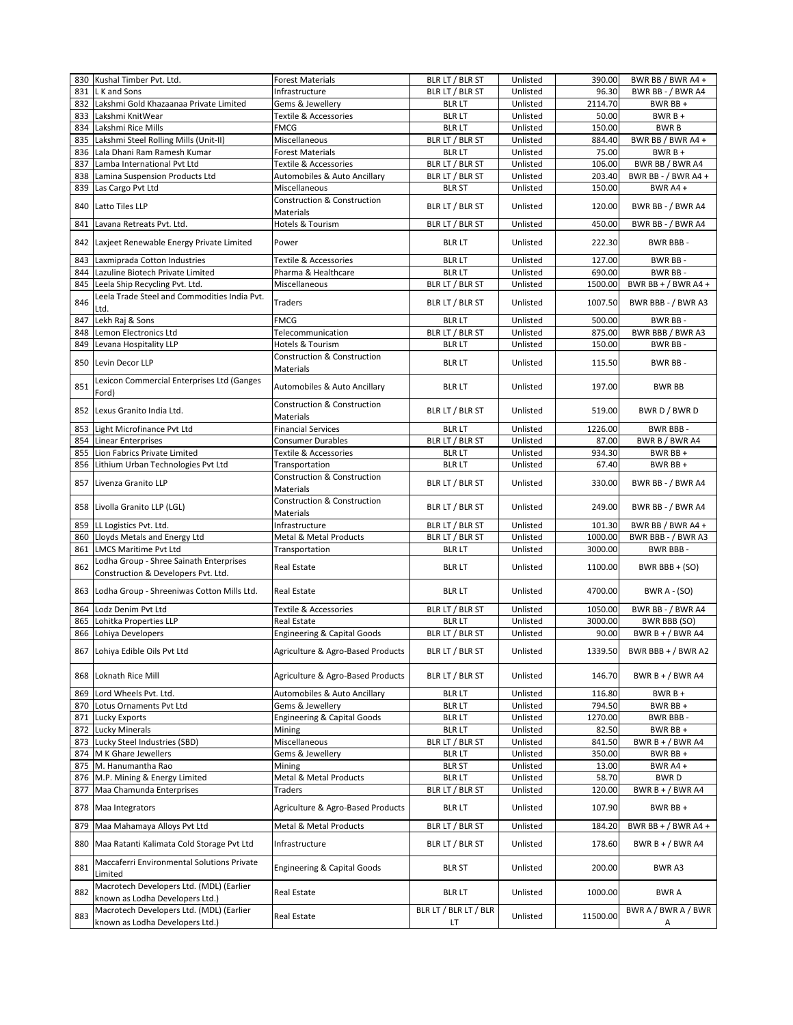|     | 830 Kushal Timber Pvt. Ltd.                                                    | <b>Forest Materials</b>                                    | BLR LT / BLR ST             | Unlisted             | 390.00   | BWR BB / BWR A4 +        |
|-----|--------------------------------------------------------------------------------|------------------------------------------------------------|-----------------------------|----------------------|----------|--------------------------|
| 831 | L K and Sons                                                                   | Infrastructure                                             | BLR LT / BLR ST             | Unlisted             | 96.30    | BWR BB - / BWR A4        |
| 832 | Lakshmi Gold Khazaanaa Private Limited                                         | Gems & Jewellery                                           | <b>BLR LT</b>               | Unlisted             | 2114.70  | BWR BB +                 |
| 833 | Lakshmi KnitWear                                                               | <b>Textile &amp; Accessories</b>                           | <b>BLR LT</b>               | Unlisted             | 50.00    | $BWRB +$                 |
| 834 | Lakshmi Rice Mills                                                             | <b>FMCG</b>                                                | <b>BLR LT</b>               | Unlisted             | 150.00   | <b>BWRB</b>              |
| 835 | Lakshmi Steel Rolling Mills (Unit-II)                                          | Miscellaneous                                              | BLR LT / BLR ST             | Unlisted             | 884.40   | BWR BB / BWR A4 +        |
| 836 | Lala Dhani Ram Ramesh Kumar                                                    | <b>Forest Materials</b>                                    | <b>BLR LT</b>               | Unlisted             | 75.00    | $BWRB +$                 |
| 837 | Lamba International Pvt Ltd                                                    | Textile & Accessories                                      | BLR LT / BLR ST             | Unlisted             | 106.00   | BWR BB / BWR A4          |
| 838 | Lamina Suspension Products Ltd                                                 | Automobiles & Auto Ancillary                               | BLR LT / BLR ST             | Unlisted             | 203.40   | BWR BB - / BWR A4 +      |
| 839 | Las Cargo Pvt Ltd                                                              | Miscellaneous                                              | <b>BLR ST</b>               | Unlisted             | 150.00   | BWR A4+                  |
| 840 | Latto Tiles LLP                                                                | <b>Construction &amp; Construction</b><br><b>Materials</b> | BLR LT / BLR ST             | Unlisted             | 120.00   | BWR BB - / BWR A4        |
| 841 | Lavana Retreats Pvt. Ltd.                                                      | Hotels & Tourism                                           | BLR LT / BLR ST             | Unlisted             | 450.00   | BWR BB - / BWR A4        |
|     | 842 Laxjeet Renewable Energy Private Limited                                   | Power                                                      | <b>BLR LT</b>               | Unlisted             | 222.30   | BWR BBB -                |
| 843 | Laxmiprada Cotton Industries                                                   | Textile & Accessories                                      | <b>BLR LT</b>               | Unlisted             | 127.00   | BWR BB-                  |
| 844 | Lazuline Biotech Private Limited                                               | Pharma & Healthcare                                        | <b>BLR LT</b>               | Unlisted             | 690.00   | BWR BB-                  |
| 845 | Leela Ship Recycling Pvt. Ltd.                                                 | Miscellaneous                                              | BLR LT / BLR ST             | Unlisted             | 1500.00  | BWR BB + $/$ BWR A4 +    |
|     | Leela Trade Steel and Commodities India Pvt.                                   |                                                            |                             |                      |          |                          |
| 846 | Ltd.                                                                           | <b>Traders</b>                                             | BLR LT / BLR ST             | Unlisted             | 1007.50  | BWR BBB - / BWR A3       |
| 847 | Lekh Raj & Sons                                                                | <b>FMCG</b>                                                | <b>BLR LT</b>               | Unlisted             | 500.00   | BWR BB-                  |
| 848 | Lemon Electronics Ltd<br>Levana Hospitality LLP                                | Telecommunication                                          | BLR LT / BLR ST             | Unlisted<br>Unlisted | 875.00   | BWR BBB / BWR A3         |
| 849 |                                                                                | Hotels & Tourism                                           | <b>BLR LT</b>               |                      | 150.00   | BWR BB-                  |
| 850 | Levin Decor LLP                                                                | <b>Construction &amp; Construction</b><br><b>Materials</b> | <b>BLR LT</b>               | Unlisted             | 115.50   | BWR BB-                  |
| 851 | Lexicon Commercial Enterprises Ltd (Ganges<br>Ford)                            | Automobiles & Auto Ancillary                               | <b>BLR LT</b>               | Unlisted             | 197.00   | <b>BWR BB</b>            |
|     | 852 Lexus Granito India Ltd.                                                   | <b>Construction &amp; Construction</b><br>Materials        | BLR LT / BLR ST             | Unlisted             | 519.00   | BWR D / BWR D            |
| 853 | Light Microfinance Pvt Ltd                                                     | <b>Financial Services</b>                                  | <b>BLR LT</b>               | Unlisted             | 1226.00  | <b>BWR BBB-</b>          |
| 854 | Linear Enterprises                                                             | <b>Consumer Durables</b>                                   | BLR LT / BLR ST             | Unlisted             | 87.00    | BWR B / BWR A4           |
| 855 | Lion Fabrics Private Limited                                                   | Textile & Accessories                                      | <b>BLR LT</b>               | Unlisted             | 934.30   | BWR BB +                 |
| 856 | Lithium Urban Technologies Pvt Ltd                                             | Transportation                                             | <b>BLR LT</b>               | Unlisted             | 67.40    | BWR BB +                 |
| 857 | Livenza Granito LLP                                                            | <b>Construction &amp; Construction</b><br><b>Materials</b> | BLR LT / BLR ST             | Unlisted             | 330.00   | BWR BB - / BWR A4        |
|     | 858 Livolla Granito LLP (LGL)                                                  | <b>Construction &amp; Construction</b><br>Materials        | BLR LT / BLR ST             | Unlisted             | 249.00   | BWR BB - / BWR A4        |
| 859 | LL Logistics Pvt. Ltd.                                                         | Infrastructure                                             | BLR LT / BLR ST             | Unlisted             | 101.30   | BWR BB / BWR A4 +        |
| 860 | Lloyds Metals and Energy Ltd                                                   | Metal & Metal Products                                     | BLR LT / BLR ST             | Unlisted             | 1000.00  | BWR BBB - / BWR A3       |
| 861 | <b>LMCS Maritime Pvt Ltd</b>                                                   | Transportation                                             | <b>BLR LT</b>               | Unlisted             | 3000.00  | BWR BBB-                 |
| 862 | Lodha Group - Shree Sainath Enterprises<br>Construction & Developers Pvt. Ltd. | <b>Real Estate</b>                                         | <b>BLR LT</b>               | Unlisted             | 1100.00  | BWR BBB $+$ (SO)         |
| 863 | Lodha Group - Shreeniwas Cotton Mills Ltd.                                     | <b>Real Estate</b>                                         | <b>BLR LT</b>               | Unlisted             | 4700.00  | <b>BWR A - (SO)</b>      |
| 864 | Lodz Denim Pvt Ltd                                                             | <b>Textile &amp; Accessories</b>                           | BLR LT / BLR ST             | Unlisted             | 1050.00  | BWR BB - / BWR A4        |
| 865 | Lohitka Properties LLP                                                         | Real Estate                                                | <b>BLR LT</b>               | Unlisted             | 3000.00  | BWR BBB (SO)             |
| 866 | Lohiya Developers                                                              | <b>Engineering &amp; Capital Goods</b>                     | BLR LT / BLR ST             | Unlisted             | 90.00    | BWR B + $/$ BWR A4       |
|     | 867 Lohiya Edible Oils Pvt Ltd                                                 | Agriculture & Agro-Based Products                          | BLR LT / BLR ST             | Unlisted             | 1339.50  | BWR BBB + / BWR A2       |
|     | 868 Loknath Rice Mill                                                          | Agriculture & Agro-Based Products                          | BLR LT / BLR ST             | Unlisted             | 146.70   | BWR B + / BWR A4         |
| 869 | Lord Wheels Pvt. Ltd.                                                          | Automobiles & Auto Ancillary                               | <b>BLR LT</b>               | Unlisted             | 116.80   | $BWRB +$                 |
| 870 | Lotus Ornaments Pvt Ltd                                                        | Gems & Jewellery                                           | <b>BLR LT</b>               | Unlisted             | 794.50   | BWR BB +                 |
| 871 | Lucky Exports                                                                  | <b>Engineering &amp; Capital Goods</b>                     | <b>BLR LT</b>               | Unlisted             | 1270.00  | BWR BBB-                 |
| 872 | <b>Lucky Minerals</b>                                                          | Mining                                                     | <b>BLR LT</b>               | Unlisted             | 82.50    | BWR BB +                 |
| 873 | Lucky Steel Industries (SBD)                                                   | Miscellaneous                                              | BLR LT / BLR ST             | Unlisted             | 841.50   | BWR $B + / BWR$ A4       |
| 874 | M K Ghare Jewellers                                                            | Gems & Jewellery                                           | <b>BLR LT</b>               | Unlisted             | 350.00   | BWR BB +                 |
| 875 | M. Hanumantha Rao                                                              | Mining                                                     | <b>BLR ST</b>               | Unlisted             | 13.00    | BWR A4+                  |
| 876 | M.P. Mining & Energy Limited                                                   | Metal & Metal Products                                     | <b>BLR LT</b>               | Unlisted             | 58.70    | BWR D                    |
| 877 | Maa Chamunda Enterprises                                                       | Traders                                                    | BLR LT / BLR ST             | Unlisted             | 120.00   | BWR $B + / BWR$ A4       |
| 878 | Maa Integrators                                                                | Agriculture & Agro-Based Products                          | <b>BLR LT</b>               | Unlisted             | 107.90   | BWR BB +                 |
| 879 | Maa Mahamaya Alloys Pvt Ltd                                                    | Metal & Metal Products                                     | BLR LT / BLR ST             | Unlisted             | 184.20   | BWR BB + $/$ BWR A4 +    |
| 880 | Maa Ratanti Kalimata Cold Storage Pvt Ltd                                      | Infrastructure                                             | BLR LT / BLR ST             | Unlisted             | 178.60   | BWR B + / BWR A4         |
| 881 | Maccaferri Environmental Solutions Private<br>Limited                          | <b>Engineering &amp; Capital Goods</b>                     | <b>BLR ST</b>               | Unlisted             | 200.00   | BWR A3                   |
| 882 | Macrotech Developers Ltd. (MDL) (Earlier<br>known as Lodha Developers Ltd.)    | Real Estate                                                | <b>BLR LT</b>               | Unlisted             | 1000.00  | <b>BWRA</b>              |
| 883 | Macrotech Developers Ltd. (MDL) (Earlier<br>known as Lodha Developers Ltd.)    | Real Estate                                                | BLR LT / BLR LT / BLR<br>LT | Unlisted             | 11500.00 | BWR A / BWR A / BWR<br>А |
|     |                                                                                |                                                            |                             |                      |          |                          |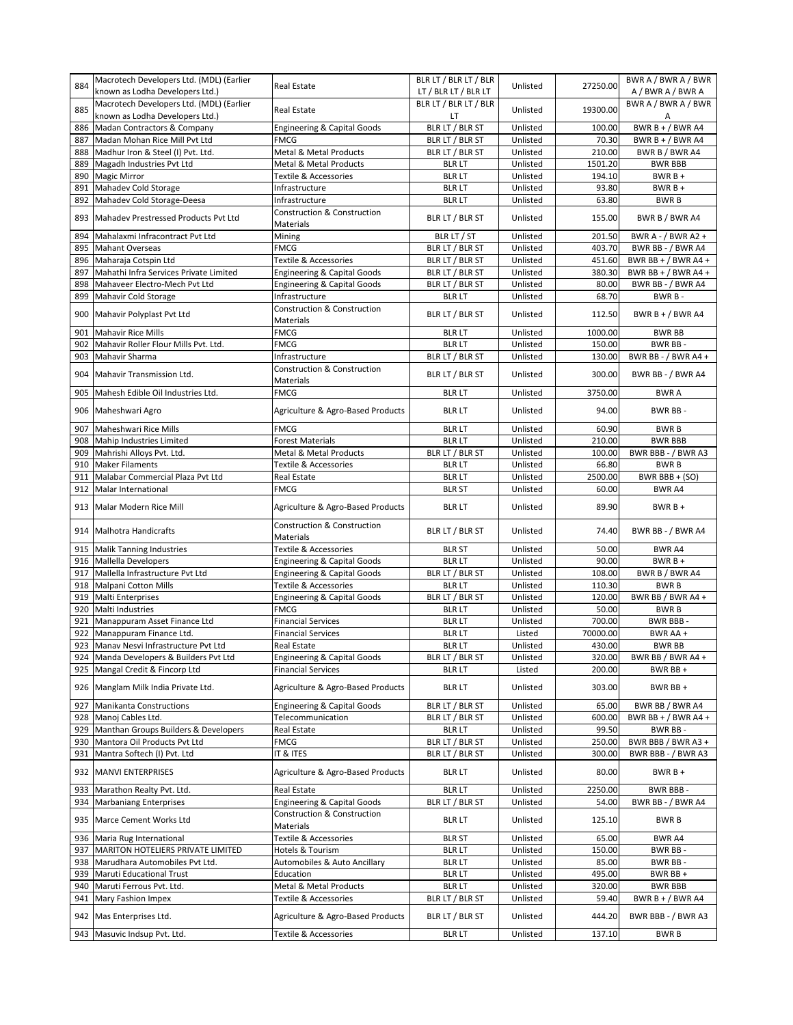| 884 | Macrotech Developers Ltd. (MDL) (Earlier<br>known as Lodha Developers Ltd.) | <b>Real Estate</b>                                         | BLR LT / BLR LT / BLR<br>LT / BLR LT / BLR LT | Unlisted | 27250.00 | BWR A / BWR A / BWR<br>A/BWRA/BWRA |
|-----|-----------------------------------------------------------------------------|------------------------------------------------------------|-----------------------------------------------|----------|----------|------------------------------------|
| 885 | Macrotech Developers Ltd. (MDL) (Earlier<br>known as Lodha Developers Ltd.) | <b>Real Estate</b>                                         | BLR LT / BLR LT / BLR<br>LT                   | Unlisted | 19300.00 | BWR A / BWR A / BWR<br>Α           |
| 886 | Madan Contractors & Company                                                 | Engineering & Capital Goods                                | BLR LT / BLR ST                               | Unlisted | 100.00   | BWR $B + / BWR$ A4                 |
| 887 | Madan Mohan Rice Mill Pvt Ltd                                               | <b>FMCG</b>                                                | BLR LT / BLR ST                               | Unlisted | 70.30    | BWR $B + / BWR$ A4                 |
| 888 | Madhur Iron & Steel (I) Pvt. Ltd.                                           | <b>Metal &amp; Metal Products</b>                          | BLR LT / BLR ST                               | Unlisted | 210.00   | BWR B / BWR A4                     |
| 889 | Magadh Industries Pvt Ltd                                                   | Metal & Metal Products                                     | <b>BLR LT</b>                                 | Unlisted | 1501.20  | <b>BWR BBB</b>                     |
| 890 | <b>Magic Mirror</b>                                                         | <b>Textile &amp; Accessories</b>                           | <b>BLR LT</b>                                 | Unlisted | 194.10   | $BWRB +$                           |
| 891 | Mahadev Cold Storage                                                        | Infrastructure                                             | <b>BLR LT</b>                                 | Unlisted | 93.80    | $BWRB +$                           |
| 892 | Mahadev Cold Storage-Deesa                                                  | Infrastructure                                             | <b>BLR LT</b>                                 | Unlisted | 63.80    | <b>BWRB</b>                        |
| 893 | Mahadev Prestressed Products Pvt Ltd                                        | <b>Construction &amp; Construction</b><br>Materials        | BLR LT / BLR ST                               | Unlisted | 155.00   | BWR B / BWR A4                     |
| 894 | Mahalaxmi Infracontract Pvt Ltd                                             | Mining                                                     | BLR LT / ST                                   | Unlisted | 201.50   | BWR A - $/$ BWR A2 +               |
| 895 | <b>Mahant Overseas</b>                                                      | <b>FMCG</b>                                                | BLR LT / BLR ST                               | Unlisted | 403.70   | BWR BB - / BWR A4                  |
| 896 | Maharaja Cotspin Ltd                                                        | <b>Textile &amp; Accessories</b>                           | BLR LT / BLR ST                               | Unlisted | 451.60   | BWR BB + $/$ BWR A4 +              |
| 897 | Mahathi Infra Services Private Limited                                      | <b>Engineering &amp; Capital Goods</b>                     | BLR LT / BLR ST                               | Unlisted | 380.30   | BWR BB + $/$ BWR A4 +              |
| 898 | Mahaveer Electro-Mech Pvt Ltd                                               | <b>Engineering &amp; Capital Goods</b>                     | BLR LT / BLR ST                               | Unlisted | 80.00    | BWR BB - / BWR A4                  |
| 899 | Mahavir Cold Storage                                                        | Infrastructure                                             | <b>BLR LT</b>                                 | Unlisted | 68.70    | BWR B-                             |
| 900 | Mahavir Polyplast Pvt Ltd                                                   | <b>Construction &amp; Construction</b><br>Materials        | BLR LT / BLR ST                               | Unlisted | 112.50   | BWR B + $/$ BWR A4                 |
| 901 | <b>Mahavir Rice Mills</b>                                                   | <b>FMCG</b>                                                | <b>BLR LT</b>                                 | Unlisted | 1000.00  | <b>BWR BB</b>                      |
| 902 | Mahavir Roller Flour Mills Pvt. Ltd.                                        | FMCG                                                       | <b>BLR LT</b>                                 | Unlisted | 150.00   | <b>BWR BB-</b>                     |
| 903 | Mahavir Sharma                                                              | Infrastructure                                             | BLR LT / BLR ST                               | Unlisted | 130.00   | BWR BB - / BWR A4 +                |
| 904 | Mahavir Transmission Ltd.                                                   | <b>Construction &amp; Construction</b><br><b>Materials</b> | BLR LT / BLR ST                               | Unlisted | 300.00   | BWR BB - / BWR A4                  |
| 905 | Mahesh Edible Oil Industries Ltd.                                           | <b>FMCG</b>                                                | <b>BLR LT</b>                                 | Unlisted | 3750.00  | <b>BWRA</b>                        |
| 906 | Maheshwari Agro                                                             | Agriculture & Agro-Based Products                          | <b>BLR LT</b>                                 | Unlisted | 94.00    | BWR BB-                            |
| 907 | Maheshwari Rice Mills                                                       | <b>FMCG</b>                                                | <b>BLR LT</b>                                 | Unlisted | 60.90    | <b>BWRB</b>                        |
| 908 | Mahip Industries Limited                                                    | <b>Forest Materials</b>                                    | <b>BLR LT</b>                                 | Unlisted | 210.00   | <b>BWR BBB</b>                     |
| 909 | Mahrishi Alloys Pvt. Ltd.                                                   | Metal & Metal Products                                     | BLR LT / BLR ST                               | Unlisted | 100.00   | BWR BBB - / BWR A3                 |
| 910 | <b>Maker Filaments</b>                                                      | Textile & Accessories                                      | <b>BLR LT</b>                                 | Unlisted | 66.80    | <b>BWRB</b>                        |
| 911 | Malabar Commercial Plaza Pvt Ltd                                            | Real Estate                                                | <b>BLR LT</b>                                 | Unlisted | 2500.00  | BWR BBB + (SO)                     |
| 912 | Malar International                                                         | <b>FMCG</b>                                                | <b>BLR ST</b>                                 | Unlisted | 60.00    | <b>BWR A4</b>                      |
| 913 | Malar Modern Rice Mill                                                      | Agriculture & Agro-Based Products                          | <b>BLR LT</b>                                 | Unlisted | 89.90    | $BWRB +$                           |
|     | 914 Malhotra Handicrafts                                                    | <b>Construction &amp; Construction</b><br>Materials        | BLR LT / BLR ST                               | Unlisted | 74.40    | BWR BB - / BWR A4                  |
| 915 | <b>Malik Tanning Industries</b>                                             | Textile & Accessories                                      | <b>BLR ST</b>                                 | Unlisted | 50.00    | BWR A4                             |
| 916 | Mallella Developers                                                         | <b>Engineering &amp; Capital Goods</b>                     | <b>BLR LT</b>                                 | Unlisted | 90.00    | $BWRB +$                           |
| 917 | Mallella Infrastructure Pvt Ltd                                             | <b>Engineering &amp; Capital Goods</b>                     | BLR LT / BLR ST                               | Unlisted | 108.00   | BWR B / BWR A4                     |
| 918 | <b>Malpani Cotton Mills</b>                                                 | Textile & Accessories                                      | <b>BLR LT</b>                                 | Unlisted | 110.30   | <b>BWRB</b>                        |
| 919 | Malti Enterprises                                                           | <b>Engineering &amp; Capital Goods</b>                     | BLR LT / BLR ST                               | Unlisted | 120.00   | BWR BB / BWR A4 +                  |
| 920 | Malti Industries                                                            | <b>FMCG</b>                                                | <b>BLR LT</b>                                 | Unlisted | 50.00    | <b>BWRB</b>                        |
| 921 | Manappuram Asset Finance Ltd                                                | <b>Financial Services</b>                                  | <b>BLR LT</b>                                 | Unlisted | 700.00   | BWR BBB-                           |
| 922 | Manappuram Finance Ltd.                                                     | <b>Financial Services</b>                                  | <b>BLR LT</b>                                 | Listed   | 70000.00 | BWR AA +                           |
| 923 | Manay Nesvi Infrastructure Pvt Ltd                                          | Real Estate                                                | <b>BLR LT</b>                                 | Unlisted | 430.00   | <b>BWR BB</b>                      |
|     | 924 Manda Developers & Builders Pvt Ltd                                     | <b>Engineering &amp; Capital Goods</b>                     | BLR LT / BLR ST                               | Unlisted | 320.00   | BWR BB / BWR A4 +                  |
| 925 | Mangal Credit & Fincorp Ltd                                                 | <b>Financial Services</b>                                  | <b>BLR LT</b>                                 | Listed   | 200.00   | BWR BB +                           |
|     | 926 Manglam Milk India Private Ltd.                                         | Agriculture & Agro-Based Products                          | <b>BLR LT</b>                                 | Unlisted | 303.00   | BWR BB +                           |
| 927 | <b>Manikanta Constructions</b>                                              | <b>Engineering &amp; Capital Goods</b>                     | BLR LT / BLR ST                               | Unlisted | 65.00    | BWR BB / BWR A4                    |
| 928 | Manoj Cables Ltd.                                                           | Telecommunication                                          | BLR LT / BLR ST                               | Unlisted | 600.00   | BWR BB + $/$ BWR A4 +              |
| 929 | Manthan Groups Builders & Developers                                        | <b>Real Estate</b>                                         | <b>BLR LT</b>                                 | Unlisted | 99.50    | BWR BB-                            |
| 930 | Mantora Oil Products Pvt Ltd                                                | <b>FMCG</b>                                                | BLR LT / BLR ST                               | Unlisted | 250.00   | BWR BBB / BWR A3 +                 |
| 931 | Mantra Softech (I) Pvt. Ltd                                                 | IT & ITES                                                  | BLR LT / BLR ST                               | Unlisted | 300.00   | BWR BBB - / BWR A3                 |
| 932 | <b>MANVI ENTERPRISES</b>                                                    | Agriculture & Agro-Based Products                          | <b>BLR LT</b>                                 | Unlisted | 80.00    | $BWRB +$                           |
| 933 | Marathon Realty Pvt. Ltd.                                                   | <b>Real Estate</b>                                         | <b>BLR LT</b>                                 | Unlisted | 2250.00  | BWR BBB -                          |
| 934 | <b>Marbaniang Enterprises</b>                                               | <b>Engineering &amp; Capital Goods</b>                     | BLR LT / BLR ST                               | Unlisted | 54.00    | BWR BB - / BWR A4                  |
| 935 | Marce Cement Works Ltd                                                      | Construction & Construction<br>Materials                   | <b>BLR LT</b>                                 | Unlisted | 125.10   | <b>BWRB</b>                        |
| 936 | Maria Rug International                                                     | <b>Textile &amp; Accessories</b>                           | <b>BLR ST</b>                                 | Unlisted | 65.00    | BWR A4                             |
| 937 | MARITON HOTELIERS PRIVATE LIMITED                                           | Hotels & Tourism                                           | <b>BLR LT</b>                                 | Unlisted | 150.00   | BWR BB-                            |
| 938 | Marudhara Automobiles Pvt Ltd.                                              | Automobiles & Auto Ancillary                               | <b>BLR LT</b>                                 | Unlisted | 85.00    | BWR BB-                            |
| 939 | <b>Maruti Educational Trust</b>                                             | Education                                                  | <b>BLR LT</b>                                 | Unlisted | 495.00   | BWR BB+                            |
| 940 | Maruti Ferrous Pvt. Ltd.                                                    | Metal & Metal Products                                     | <b>BLR LT</b>                                 | Unlisted | 320.00   | <b>BWR BBB</b>                     |
| 941 | Mary Fashion Impex                                                          | Textile & Accessories                                      | BLR LT / BLR ST                               | Unlisted | 59.40    | BWR $B + / BWR$ A4                 |
| 942 | Mas Enterprises Ltd.                                                        | Agriculture & Agro-Based Products                          | BLR LT / BLR ST                               | Unlisted | 444.20   | BWR BBB - / BWR A3                 |
|     | 943 Masuvic Indsup Pvt. Ltd.                                                | Textile & Accessories                                      | <b>BLR LT</b>                                 | Unlisted | 137.10   | <b>BWRB</b>                        |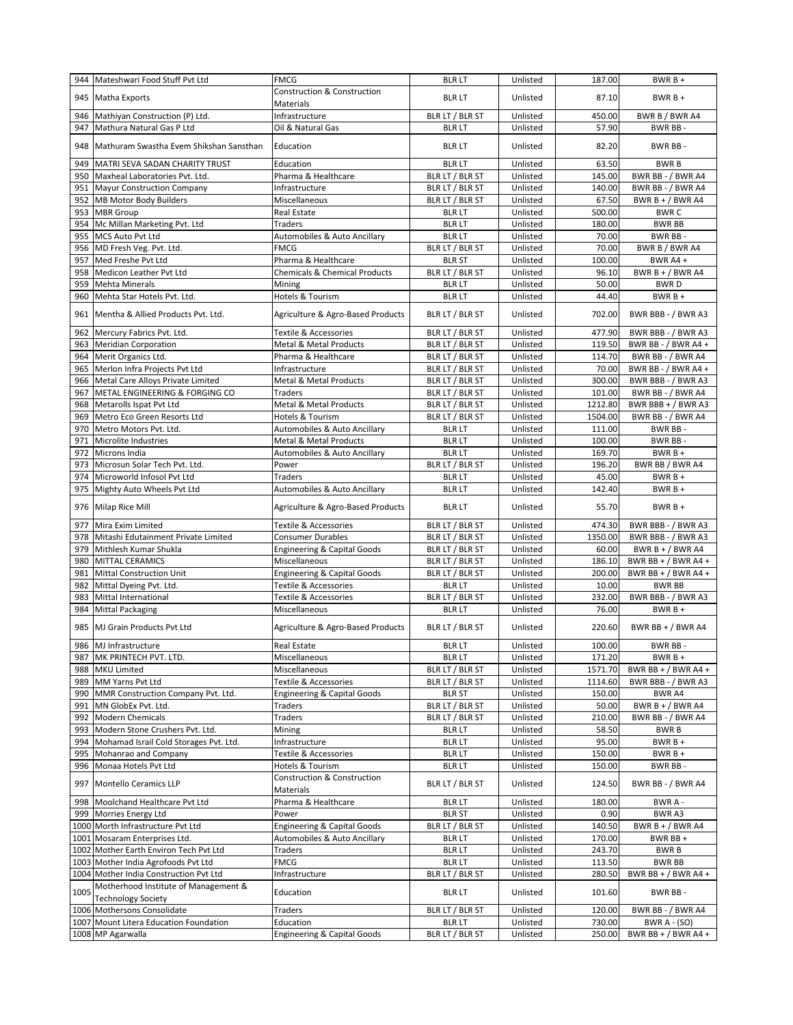|            | 944 Mateshwari Food Stuff Pvt Ltd                                 | <b>FMCG</b>                                         | <b>BLR LT</b>                      | Unlisted             | 187.00           | $BWRB +$                                  |
|------------|-------------------------------------------------------------------|-----------------------------------------------------|------------------------------------|----------------------|------------------|-------------------------------------------|
| 945        | Matha Exports                                                     | <b>Construction &amp; Construction</b><br>Materials | <b>BLR LT</b>                      | Unlisted             | 87.10            | $BWRB +$                                  |
| 946        | Mathiyan Construction (P) Ltd.                                    | Infrastructure                                      | BLR LT / BLR ST                    | Unlisted             | 450.00           | BWR B / BWR A4                            |
| 947        | Mathura Natural Gas P Ltd                                         | Oil & Natural Gas                                   | <b>BLR LT</b>                      | Unlisted             | 57.90            | BWR BB-                                   |
|            | 948 Mathuram Swastha Evem Shikshan Sansthan                       | Education                                           | <b>BLR LT</b>                      | Unlisted             | 82.20            | BWR BB-                                   |
| 949        | MATRI SEVA SADAN CHARITY TRUST                                    | Education                                           | <b>BLR LT</b>                      | Unlisted             | 63.50            | <b>BWRB</b>                               |
| 950        | Maxheal Laboratories Pvt. Ltd.                                    | Pharma & Healthcare                                 | BLR LT / BLR ST                    | Unlisted             | 145.00           | BWR BB - / BWR A4                         |
| 951        | <b>Mayur Construction Company</b>                                 | Infrastructure                                      | BLR LT / BLR ST                    | Unlisted             | 140.00           | BWR BB - / BWR A4                         |
| 952        | <b>MB Motor Body Builders</b>                                     | Miscellaneous                                       | BLR LT / BLR ST                    | Unlisted             | 67.50            | BWR $B + / BWR$ A4                        |
| 953        | <b>MBR</b> Group                                                  | Real Estate                                         | <b>BLR LT</b>                      | Unlisted             | 500.00           | <b>BWRC</b>                               |
| 954        | Mc Millan Marketing Pvt. Ltd                                      | Traders                                             | <b>BLR LT</b>                      | Unlisted             | 180.00           | <b>BWR BB</b>                             |
| 955        | MCS Auto Pvt Ltd                                                  | Automobiles & Auto Ancillary                        | <b>BLR LT</b>                      | Unlisted             | 70.00            | BWR BB-                                   |
| 956        | MD Fresh Veg. Pvt. Ltd.                                           | <b>FMCG</b>                                         | BLR LT / BLR ST                    | Unlisted             | 70.00            | BWR B / BWR A4                            |
| 957<br>958 | Med Freshe Pvt Ltd                                                | Pharma & Healthcare                                 | <b>BLR ST</b>                      | Unlisted             | 100.00<br>96.10  | BWR A4+                                   |
| 959        | Medicon Leather Pvt Ltd<br><b>Mehta Minerals</b>                  | <b>Chemicals &amp; Chemical Products</b><br>Mining  | BLR LT / BLR ST<br><b>BLR LT</b>   | Unlisted<br>Unlisted | 50.00            | BWR $B + / BWR$ A4<br><b>BWRD</b>         |
| 960        | Mehta Star Hotels Pvt. Ltd.                                       | Hotels & Tourism                                    | <b>BLR LT</b>                      | Unlisted             | 44.40            | $BWRB +$                                  |
| 961        | Mentha & Allied Products Pvt. Ltd.                                | Agriculture & Agro-Based Products                   | BLR LT / BLR ST                    | Unlisted             | 702.00           | BWR BBB - / BWR A3                        |
|            |                                                                   |                                                     |                                    |                      |                  |                                           |
| 962        | Mercury Fabrics Pvt. Ltd.<br>963 Meridian Corporation             | Textile & Accessories<br>Metal & Metal Products     | BLR LT / BLR ST<br>BLR LT / BLR ST | Unlisted<br>Unlisted | 477.90<br>119.50 | BWR BBB - / BWR A3<br>BWR BB - / BWR A4 + |
|            | 964 Merit Organics Ltd.                                           | Pharma & Healthcare                                 | BLR LT / BLR ST                    | Unlisted             | 114.70           | BWR BB - / BWR A4                         |
| 965        | Merlon Infra Projects Pvt Ltd                                     | Infrastructure                                      | BLR LT / BLR ST                    | Unlisted             | 70.00            | BWR BB - / BWR A4 +                       |
| 966        | Metal Care Alloys Private Limited                                 | Metal & Metal Products                              | BLR LT / BLR ST                    | Unlisted             | 300.00           | BWR BBB - / BWR A3                        |
| 967        | METAL ENGINEERING & FORGING CO                                    | Traders                                             | BLR LT / BLR ST                    | Unlisted             | 101.00           | BWR BB - / BWR A4                         |
| 968        | Metarolls Ispat Pvt Ltd                                           | Metal & Metal Products                              | BLR LT / BLR ST                    | Unlisted             | 1212.80          | BWR BBB + / BWR A3                        |
| 969        | Metro Eco Green Resorts Ltd                                       | Hotels & Tourism                                    | BLR LT / BLR ST                    | Unlisted             | 1504.00          | BWR BB - / BWR A4                         |
| 970        | Metro Motors Pvt. Ltd.                                            | Automobiles & Auto Ancillary                        | <b>BLR LT</b>                      | Unlisted             | 111.00           | BWR BB-                                   |
| 971        | Microlite Industries                                              | <b>Metal &amp; Metal Products</b>                   | <b>BLR LT</b>                      | Unlisted             | 100.00           | BWR BB-                                   |
| 972        | Microns India                                                     | Automobiles & Auto Ancillary                        | <b>BLR LT</b>                      | Unlisted             | 169.70           | $BWRB +$                                  |
| 973        | Microsun Solar Tech Pvt. Ltd.                                     | Power                                               | BLR LT / BLR ST                    | Unlisted             | 196.20           | BWR BB / BWR A4                           |
| 974        | Microworld Infosol Pvt Ltd                                        | Traders                                             | <b>BLR LT</b>                      | Unlisted             | 45.00            | $BWRB +$                                  |
| 975        | Mighty Auto Wheels Pvt Ltd                                        | Automobiles & Auto Ancillary                        | <b>BLR LT</b>                      | Unlisted             | 142.40           | $BWRB +$                                  |
|            | 976 Milap Rice Mill                                               | Agriculture & Agro-Based Products                   | <b>BLR LT</b>                      | Unlisted             | 55.70            | $BWRB +$                                  |
| 977        | Mira Exim Limited                                                 | Textile & Accessories                               | BLR LT / BLR ST                    | Unlisted             | 474.30           | BWR BBB - / BWR A3                        |
| 978        | Mitashi Edutainment Private Limited                               | <b>Consumer Durables</b>                            | BLR LT / BLR ST                    | Unlisted             | 1350.00          | BWR BBB - / BWR A3                        |
| 979        | Mithlesh Kumar Shukla                                             | <b>Engineering &amp; Capital Goods</b>              | BLR LT / BLR ST                    | Unlisted             | 60.00            | BWR B + $/$ BWR A4                        |
| 980        | <b>MITTAL CERAMICS</b>                                            | Miscellaneous                                       | BLR LT / BLR ST                    | Unlisted             | 186.10           | BWR BB + $/$ BWR A4 +                     |
| 981        | Mittal Construction Unit                                          | <b>Engineering &amp; Capital Goods</b>              | BLR LT / BLR ST                    | Unlisted             | 200.00           | BWR BB + $/$ BWR A4 +                     |
| 982        | Mittal Dyeing Pvt. Ltd.                                           | Textile & Accessories                               | <b>BLR LT</b>                      | Unlisted             | 10.00            | <b>BWR BB</b>                             |
| 983        | <b>Mittal International</b>                                       | <b>Textile &amp; Accessories</b>                    | BLR LT / BLR ST                    | Unlisted             | 232.00           | BWR BBB - / BWR A3                        |
| 984        | <b>Mittal Packaging</b>                                           | Miscellaneous                                       | <b>BLR LT</b>                      | Unlisted             | 76.00            | $BWRB+$                                   |
| 985        | MJ Grain Products Pyt Ltd                                         | Agriculture & Agro-Based Products                   | BLR LT / BLR ST                    | Unlisted             | 220.60           | BWR BB + $/$ BWR A4                       |
|            | 986 MJ Infrastructure                                             | <b>Real Estate</b>                                  | <b>BLR LT</b>                      | Unlisted             | 100.00           | BWR BB-                                   |
|            | 987 MK PRINTECH PVT. LTD.                                         | Miscellaneous                                       | <b>BLR LT</b>                      | Unlisted             | 171.20           | $BWRB +$                                  |
|            | 988 MKU Limited                                                   | Miscellaneous                                       | BLR LT / BLR ST                    | Unlisted             | 1571.70          | BWR BB + $/$ BWR A4 +                     |
|            | 989 MM Yarns Pvt Ltd                                              | Textile & Accessories                               | BLR LT / BLR ST                    | Unlisted             | 1114.60          | BWR BBB - / BWR A3                        |
|            | 990 MMR Construction Company Pvt. Ltd.                            | <b>Engineering &amp; Capital Goods</b>              | <b>BLR ST</b>                      | Unlisted             | 150.00           | BWR A4                                    |
| 991        | MN GlobEx Pvt. Ltd.                                               | Traders                                             | BLR LT / BLR ST                    | Unlisted             | 50.00            | BWR $B + / BWR$ A4                        |
| 992<br>993 | <b>Modern Chemicals</b><br>Modern Stone Crushers Pvt. Ltd.        | Traders<br>Mining                                   | BLR LT / BLR ST<br><b>BLR LT</b>   | Unlisted<br>Unlisted | 210.00<br>58.50  | BWR BB - / BWR A4<br><b>BWRB</b>          |
| 994        | Mohamad Israil Cold Storages Pvt. Ltd.                            | Infrastructure                                      | <b>BLR LT</b>                      | Unlisted             | 95.00            | $BWRB +$                                  |
| 995        | Mohanrao and Company                                              | Textile & Accessories                               | <b>BLR LT</b>                      | Unlisted             | 150.00           | $BWRB +$                                  |
| 996        | Monaa Hotels Pvt Ltd                                              | Hotels & Tourism                                    | <b>BLR LT</b>                      | Unlisted             | 150.00           | BWR BB-                                   |
|            | 997 Montello Ceramics LLP                                         | Construction & Construction<br>Materials            | BLR LT / BLR ST                    | Unlisted             | 124.50           | BWR BB - / BWR A4                         |
| 998        | Moolchand Healthcare Pvt Ltd                                      | Pharma & Healthcare                                 | <b>BLR LT</b>                      | Unlisted             | 180.00           | BWR A -                                   |
|            | 999 Morries Energy Ltd                                            | Power                                               | <b>BLR ST</b>                      | Unlisted             | 0.90             | BWR A3                                    |
|            | 1000 Morth Infrastructure Pvt Ltd                                 | <b>Engineering &amp; Capital Goods</b>              | BLR LT / BLR ST                    | Unlisted             | 140.50           | BWR B + $/$ BWR A4                        |
|            | 1001 Mosaram Enterprises Ltd.                                     | Automobiles & Auto Ancillary                        | <b>BLR LT</b>                      | Unlisted             | 170.00           | BWR BB +                                  |
| 1002       | Mother Earth Environ Tech Pvt Ltd                                 | Traders                                             | <b>BLR LT</b>                      | Unlisted             | 243.70           | <b>BWRB</b>                               |
|            | 1003 Mother India Agrofoods Pvt Ltd                               | <b>FMCG</b>                                         | <b>BLR LT</b>                      | Unlisted             | 113.50           | <b>BWR BB</b>                             |
| 1004       |                                                                   | Infrastructure                                      | BLR LT / BLR ST                    | Unlisted             | 280.50           | BWR BB + $/$ BWR A4 +                     |
| 1005       | Mother India Construction Pvt Ltd                                 |                                                     |                                    |                      |                  |                                           |
|            | Motherhood Institute of Management &<br><b>Technology Society</b> | Education                                           | <b>BLR LT</b>                      | Unlisted             | 101.60           | BWR BB-                                   |
|            | 1006 Mothersons Consolidate                                       | Traders                                             | BLR LT / BLR ST                    | Unlisted             | 120.00           | BWR BB - / BWR A4                         |
|            | 1007 Mount Litera Education Foundation                            | Education                                           | <b>BLR LT</b>                      | Unlisted             | 730.00           | BWR A - (SO)                              |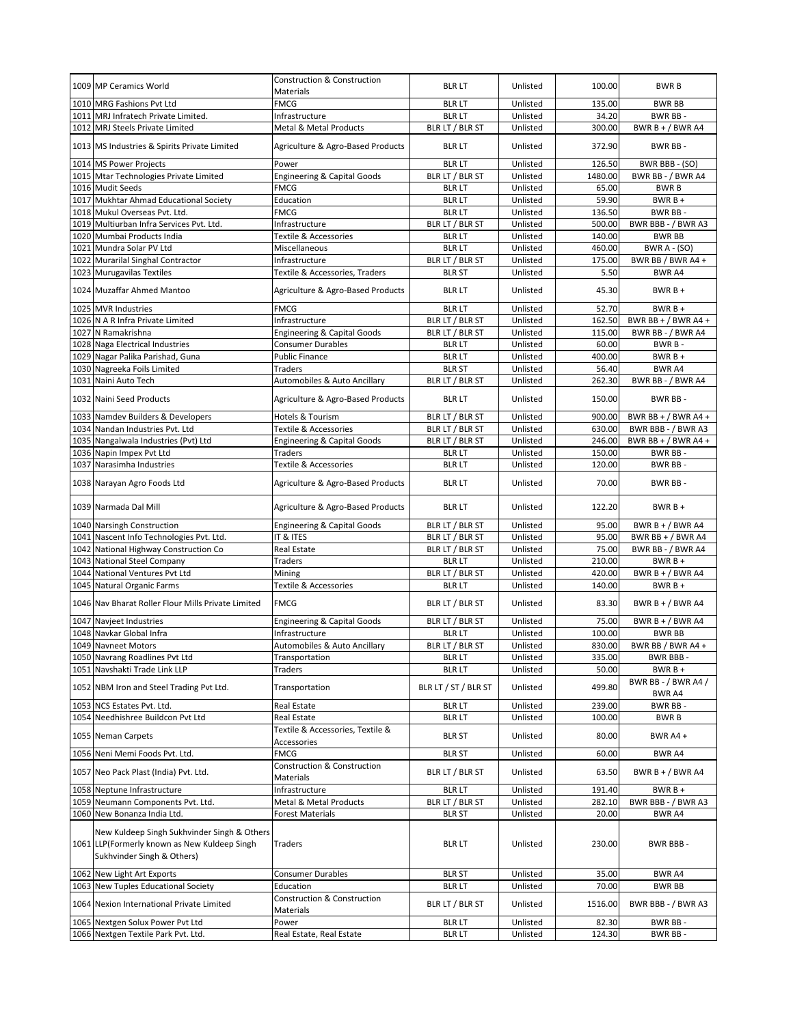|      | 1009 MP Ceramics World                                                                                                    | <b>Construction &amp; Construction</b><br>Materials        | <b>BLR LT</b>        | Unlisted | 100.00  | <b>BWRB</b>                   |
|------|---------------------------------------------------------------------------------------------------------------------------|------------------------------------------------------------|----------------------|----------|---------|-------------------------------|
|      | 1010 MRG Fashions Pvt Ltd                                                                                                 | <b>FMCG</b>                                                | <b>BLR LT</b>        | Unlisted | 135.00  | <b>BWR BB</b>                 |
|      | 1011 MRJ Infratech Private Limited.                                                                                       | Infrastructure                                             | <b>BLR LT</b>        | Unlisted | 34.20   | BWR BB-                       |
|      | 1012 MRJ Steels Private Limited                                                                                           | <b>Metal &amp; Metal Products</b>                          | BLR LT / BLR ST      | Unlisted | 300.00  | BWR B + $/$ BWR A4            |
|      | 1013 MS Industries & Spirits Private Limited                                                                              | Agriculture & Agro-Based Products                          | <b>BLR LT</b>        | Unlisted | 372.90  | BWR BB-                       |
|      | 1014 MS Power Projects                                                                                                    | Power                                                      | <b>BLR LT</b>        | Unlisted | 126.50  | BWR BBB - (SO)                |
|      | 1015 Mtar Technologies Private Limited                                                                                    | <b>Engineering &amp; Capital Goods</b>                     | BLR LT / BLR ST      | Unlisted | 1480.00 | BWR BB - / BWR A4             |
|      | 1016 Mudit Seeds                                                                                                          | FMCG                                                       | <b>BLR LT</b>        | Unlisted | 65.00   | <b>BWRB</b>                   |
| 1017 | Mukhtar Ahmad Educational Society                                                                                         | Education                                                  | <b>BLR LT</b>        | Unlisted | 59.90   | $BWRB +$                      |
|      | 1018 Mukul Overseas Pvt. Ltd.                                                                                             | <b>FMCG</b>                                                | <b>BLR LT</b>        | Unlisted | 136.50  | BWR BB-                       |
|      | 1019 Multiurban Infra Services Pvt. Ltd.                                                                                  | Infrastructure                                             | BLR LT / BLR ST      | Unlisted | 500.00  | BWR BBB - / BWR A3            |
|      | 1020 Mumbai Products India                                                                                                | Textile & Accessories                                      | <b>BLR LT</b>        | Unlisted | 140.00  | <b>BWR BB</b>                 |
|      | 1021 Mundra Solar PV Ltd                                                                                                  | Miscellaneous                                              | <b>BLR LT</b>        | Unlisted | 460.00  | <b>BWR A - (SO)</b>           |
|      | 1022 Murarilal Singhal Contractor                                                                                         | Infrastructure                                             | BLR LT / BLR ST      | Unlisted | 175.00  | BWR BB / BWR A4 +             |
|      | 1023 Murugavilas Textiles                                                                                                 | Textile & Accessories, Traders                             | <b>BLR ST</b>        | Unlisted | 5.50    | <b>BWR A4</b>                 |
|      | 1024 Muzaffar Ahmed Mantoo                                                                                                | Agriculture & Agro-Based Products                          | <b>BLR LT</b>        | Unlisted | 45.30   | $BWRB+$                       |
|      | 1025 MVR Industries                                                                                                       | <b>FMCG</b>                                                | <b>BLR LT</b>        | Unlisted | 52.70   | $BWRB +$                      |
|      | 1026 N A R Infra Private Limited                                                                                          | Infrastructure                                             | BLR LT / BLR ST      | Unlisted | 162.50  | BWR BB + $/$ BWR A4 +         |
|      | 1027 N Ramakrishna                                                                                                        | <b>Engineering &amp; Capital Goods</b>                     | BLR LT / BLR ST      | Unlisted | 115.00  | BWR BB - / BWR A4             |
|      | 1028 Naga Electrical Industries                                                                                           | <b>Consumer Durables</b>                                   | <b>BLR LT</b>        | Unlisted | 60.00   | BWR B-                        |
|      | 1029 Nagar Palika Parishad, Guna                                                                                          | <b>Public Finance</b>                                      | <b>BLR LT</b>        | Unlisted | 400.00  | $BWRB +$                      |
|      | 1030 Nagreeka Foils Limited                                                                                               | <b>Traders</b>                                             | <b>BLR ST</b>        | Unlisted | 56.40   | BWR A4                        |
|      | 1031 Naini Auto Tech                                                                                                      | Automobiles & Auto Ancillary                               | BLR LT / BLR ST      | Unlisted | 262.30  | BWR BB - / BWR A4             |
|      | 1032 Naini Seed Products                                                                                                  | Agriculture & Agro-Based Products                          | <b>BLR LT</b>        | Unlisted | 150.00  | BWR BB-                       |
|      | 1033 Namdev Builders & Developers                                                                                         | Hotels & Tourism                                           | BLR LT / BLR ST      | Unlisted | 900.00  | BWR BB + $/$ BWR A4 +         |
|      | 1034 Nandan Industries Pvt. Ltd                                                                                           | Textile & Accessories                                      | BLR LT / BLR ST      | Unlisted | 630.00  | BWR BBB - / BWR A3            |
| 1035 | Nangalwala Industries (Pvt) Ltd                                                                                           | <b>Engineering &amp; Capital Goods</b>                     | BLR LT / BLR ST      | Unlisted | 246.00  | BWR BB + $/$ BWR A4 +         |
|      | 1036 Napin Impex Pvt Ltd                                                                                                  | <b>Traders</b>                                             | <b>BLR LT</b>        | Unlisted | 150.00  | BWR BB-                       |
|      | 1037 Narasimha Industries                                                                                                 | <b>Textile &amp; Accessories</b>                           | <b>BLR LT</b>        | Unlisted | 120.00  | BWR BB-                       |
|      | 1038 Narayan Agro Foods Ltd                                                                                               | Agriculture & Agro-Based Products                          | <b>BLR LT</b>        | Unlisted | 70.00   | BWR BB-                       |
|      | 1039 Narmada Dal Mill                                                                                                     | Agriculture & Agro-Based Products                          | <b>BLR LT</b>        | Unlisted | 122.20  | $BWRB +$                      |
|      | 1040 Narsingh Construction                                                                                                | <b>Engineering &amp; Capital Goods</b>                     | BLR LT / BLR ST      | Unlisted | 95.00   | BWR $B + / BWR$ A4            |
|      | 1041 Nascent Info Technologies Pvt. Ltd.                                                                                  | IT & ITES                                                  | BLR LT / BLR ST      | Unlisted | 95.00   | BWR BB + $/$ BWR A4           |
|      | 1042 National Highway Construction Co                                                                                     | Real Estate                                                | BLR LT / BLR ST      | Unlisted | 75.00   | BWR BB - / BWR A4             |
|      | 1043 National Steel Company                                                                                               | Traders                                                    | <b>BLR LT</b>        | Unlisted | 210.00  | $BWRB+$                       |
|      | 1044 National Ventures Pvt Ltd                                                                                            | Mining                                                     | BLR LT / BLR ST      | Unlisted | 420.00  | BWR $B + / BWR$ A4            |
|      | 1045 Natural Organic Farms                                                                                                | Textile & Accessories                                      | <b>BLR LT</b>        | Unlisted | 140.00  | $BWRB +$                      |
|      | 1046 Nav Bharat Roller Flour Mills Private Limited                                                                        | <b>FMCG</b>                                                | BLR LT / BLR ST      | Unlisted | 83.30   | BWR B + / BWR A4              |
|      | 1047 Navieet Industries                                                                                                   | <b>Engineering &amp; Capital Goods</b>                     | BLR LT / BLR ST      | Unlisted | 75.00   | BWR $B + / BWR$ A4            |
| 1048 | Navkar Global Infra                                                                                                       | Infrastructure                                             | <b>BLR LT</b>        | Unlisted | 100.00  | <b>BWR BB</b>                 |
|      | 1049 Navneet Motors                                                                                                       | Automobiles & Auto Ancillary                               | BLR LT / BLR ST      | Unlisted | 830.00  | BWR BB / BWR A4 +             |
|      | 1050 Navrang Roadlines Pvt Ltd                                                                                            | Transportation                                             | BLR LT               | Unlisted | 335.00  | BWR BBB -                     |
|      | 1051 Navshakti Trade Link LLP                                                                                             | Traders                                                    | <b>BLR LT</b>        | Unlisted | 50.00   | $BWRB +$                      |
|      | 1052 NBM Iron and Steel Trading Pvt Ltd.                                                                                  | Transportation                                             | BLR LT / ST / BLR ST | Unlisted | 499.80  | BWR BB - / BWR A4 /<br>BWR A4 |
|      | 1053 NCS Estates Pvt. Ltd.                                                                                                | Real Estate                                                | <b>BLR LT</b>        | Unlisted | 239.00  | BWR BB-                       |
|      | 1054 Needhishree Buildcon Pvt Ltd                                                                                         | Real Estate                                                | <b>BLR LT</b>        | Unlisted | 100.00  | <b>BWRB</b>                   |
|      | 1055 Neman Carpets                                                                                                        | Textile & Accessories, Textile &<br>Accessories            | <b>BLR ST</b>        | Unlisted | 80.00   | BWR A4 +                      |
|      | 1056 Neni Memi Foods Pvt. Ltd.                                                                                            | FMCG                                                       | <b>BLR ST</b>        | Unlisted | 60.00   | BWR A4                        |
|      | 1057 Neo Pack Plast (India) Pvt. Ltd.                                                                                     | <b>Construction &amp; Construction</b><br><b>Materials</b> | BLR LT / BLR ST      | Unlisted | 63.50   | BWR B + / BWR A4              |
|      | 1058 Neptune Infrastructure                                                                                               | Infrastructure                                             | <b>BLR LT</b>        | Unlisted | 191.40  | $BWRB +$                      |
|      | 1059 Neumann Components Pvt. Ltd.                                                                                         | Metal & Metal Products                                     | BLR LT / BLR ST      | Unlisted | 282.10  | BWR BBB - / BWR A3            |
|      | 1060 New Bonanza India Ltd.                                                                                               | <b>Forest Materials</b>                                    | <b>BLR ST</b>        | Unlisted | 20.00   | BWR A4                        |
|      | New Kuldeep Singh Sukhvinder Singh & Others<br>1061 LLP(Formerly known as New Kuldeep Singh<br>Sukhvinder Singh & Others) | Traders                                                    | <b>BLR LT</b>        | Unlisted | 230.00  | BWR BBB -                     |
|      | 1062 New Light Art Exports                                                                                                | <b>Consumer Durables</b>                                   | <b>BLR ST</b>        | Unlisted | 35.00   | BWR A4                        |
|      | 1063 New Tuples Educational Society                                                                                       | Education                                                  | <b>BLR LT</b>        | Unlisted | 70.00   | <b>BWR BB</b>                 |
|      | 1064 Nexion International Private Limited                                                                                 | Construction & Construction<br>Materials                   | BLR LT / BLR ST      | Unlisted | 1516.00 | BWR BBB - / BWR A3            |
|      | 1065 Nextgen Solux Power Pvt Ltd                                                                                          | Power                                                      | <b>BLR LT</b>        | Unlisted | 82.30   | BWR BB-                       |
|      | 1066 Nextgen Textile Park Pvt. Ltd.                                                                                       | Real Estate, Real Estate                                   | <b>BLR LT</b>        | Unlisted | 124.30  | BWR BB-                       |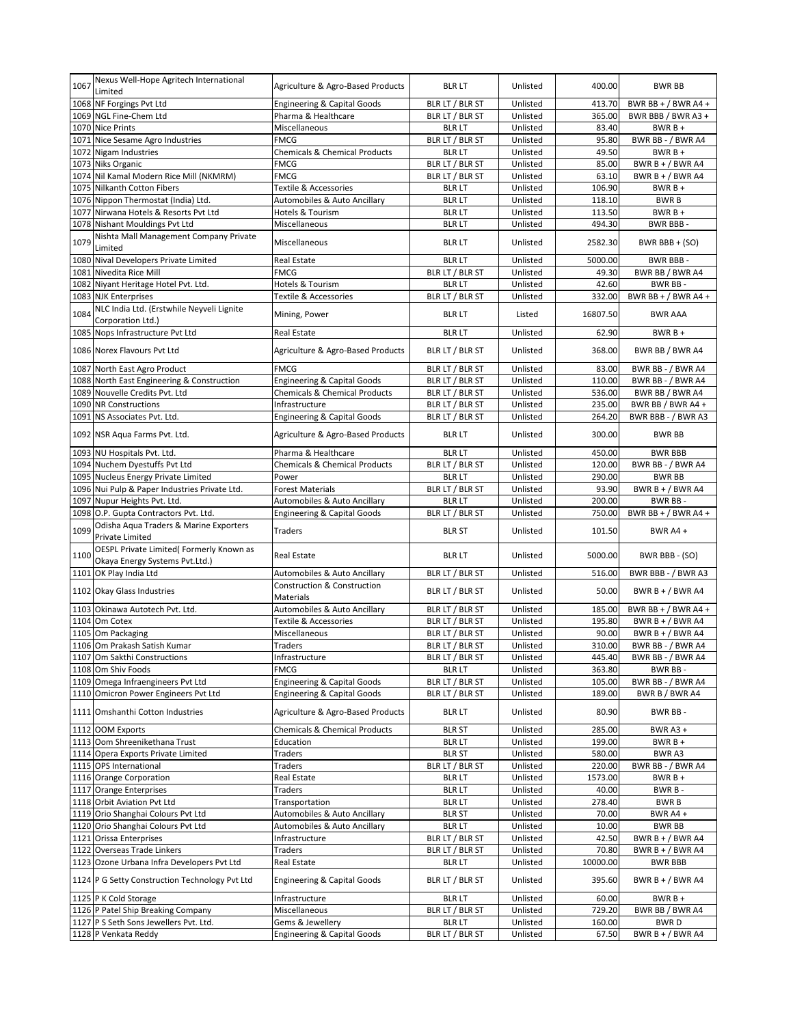| 1067 | Nexus Well-Hope Agritech International<br>Limited                          | Agriculture & Agro-Based Products                   | <b>BLR LT</b>   | Unlisted | 400.00   | <b>BWR BB</b>         |
|------|----------------------------------------------------------------------------|-----------------------------------------------------|-----------------|----------|----------|-----------------------|
|      | 1068 NF Forgings Pvt Ltd                                                   | <b>Engineering &amp; Capital Goods</b>              | BLR LT / BLR ST | Unlisted | 413.70   | BWR BB + $/$ BWR A4 + |
|      | 1069 NGL Fine-Chem Ltd                                                     | Pharma & Healthcare                                 | BLR LT / BLR ST | Unlisted | 365.00   | BWR BBB / BWR A3 +    |
|      | 1070 Nice Prints                                                           | Miscellaneous                                       | <b>BLR LT</b>   | Unlisted | 83.40    | $BWRB +$              |
| 1071 | Nice Sesame Agro Industries                                                | <b>FMCG</b>                                         | BLR LT / BLR ST | Unlisted | 95.80    | BWR BB - / BWR A4     |
| 1072 | Nigam Industries                                                           | <b>Chemicals &amp; Chemical Products</b>            | <b>BLR LT</b>   | Unlisted | 49.50    | $BWRB +$              |
| 1073 | <b>Niks Organic</b>                                                        | <b>FMCG</b>                                         | BLR LT / BLR ST | Unlisted | 85.00    | BWR B + $/$ BWR A4    |
| 1074 | Nil Kamal Modern Rice Mill (NKMRM)                                         | <b>FMCG</b>                                         | BLR LT / BLR ST | Unlisted | 63.10    | BWR B + / BWR A4      |
| 1075 | <b>Nilkanth Cotton Fibers</b>                                              | Textile & Accessories                               | <b>BLR LT</b>   | Unlisted | 106.90   | $BWRB+$               |
|      | 1076 Nippon Thermostat (India) Ltd.                                        | Automobiles & Auto Ancillary                        | <b>BLR LT</b>   | Unlisted | 118.10   | <b>BWRB</b>           |
| 1077 | Nirwana Hotels & Resorts Pvt Ltd                                           | Hotels & Tourism                                    | <b>BLR LT</b>   | Unlisted | 113.50   | $BWRB +$              |
| 1078 | <b>Nishant Mouldings Pvt Ltd</b>                                           | Miscellaneous                                       | <b>BLR LT</b>   | Unlisted | 494.30   | <b>BWR BBB-</b>       |
| 1079 | Nishta Mall Management Company Private<br>Limited                          | Miscellaneous                                       | <b>BLR LT</b>   | Unlisted | 2582.30  | BWR BBB + (SO)        |
| 1080 | Nival Developers Private Limited                                           | <b>Real Estate</b>                                  | <b>BLR LT</b>   | Unlisted | 5000.00  | BWR BBB-              |
| 1081 | Nivedita Rice Mill                                                         | FMCG                                                | BLR LT / BLR ST | Unlisted | 49.30    | BWR BB / BWR A4       |
| 1082 | Niyant Heritage Hotel Pvt. Ltd.                                            | Hotels & Tourism                                    | <b>BLR LT</b>   | Unlisted | 42.60    | BWR BB-               |
|      | 1083 NJK Enterprises                                                       | <b>Textile &amp; Accessories</b>                    | BLR LT / BLR ST | Unlisted | 332.00   | BWR BB + $/$ BWR A4 + |
| 1084 | NLC India Ltd. (Erstwhile Neyveli Lignite<br>Corporation Ltd.)             | Mining, Power                                       | <b>BLR LT</b>   | Listed   | 16807.50 | <b>BWR AAA</b>        |
|      | 1085 Nops Infrastructure Pvt Ltd                                           | <b>Real Estate</b>                                  | <b>BLR LT</b>   | Unlisted | 62.90    | $BWRB +$              |
|      | 1086 Norex Flavours Pvt Ltd                                                | Agriculture & Agro-Based Products                   | BLR LT / BLR ST | Unlisted | 368.00   | BWR BB / BWR A4       |
|      | 1087 North East Agro Product                                               | <b>FMCG</b>                                         | BLR LT / BLR ST | Unlisted | 83.00    | BWR BB - / BWR A4     |
|      | 1088 North East Engineering & Construction                                 | <b>Engineering &amp; Capital Goods</b>              | BLR LT / BLR ST | Unlisted | 110.00   | BWR BB - / BWR A4     |
| 1089 | Nouvelle Credits Pvt. Ltd                                                  | <b>Chemicals &amp; Chemical Products</b>            | BLR LT / BLR ST | Unlisted | 536.00   | BWR BB / BWR A4       |
|      | 1090 NR Constructions                                                      | Infrastructure                                      | BLR LT / BLR ST | Unlisted | 235.00   | BWR BB / BWR A4 +     |
| 1091 | NS Associates Pvt. Ltd.                                                    | <b>Engineering &amp; Capital Goods</b>              | BLR LT / BLR ST | Unlisted | 264.20   | BWR BBB - / BWR A3    |
|      | 1092 NSR Aqua Farms Pvt. Ltd.                                              | Agriculture & Agro-Based Products                   | <b>BLR LT</b>   | Unlisted | 300.00   | <b>BWR BB</b>         |
|      | 1093 NU Hospitals Pvt. Ltd.                                                | Pharma & Healthcare                                 | <b>BLR LT</b>   | Unlisted | 450.00   | <b>BWR BBB</b>        |
|      | 1094 Nuchem Dyestuffs Pvt Ltd                                              | <b>Chemicals &amp; Chemical Products</b>            | BLR LT / BLR ST | Unlisted | 120.00   | BWR BB - / BWR A4     |
|      | 1095 Nucleus Energy Private Limited                                        | Power                                               | <b>BLR LT</b>   | Unlisted | 290.00   | <b>BWR BB</b>         |
|      | 1096 Nui Pulp & Paper Industries Private Ltd.                              | <b>Forest Materials</b>                             | BLR LT / BLR ST | Unlisted | 93.90    | BWR $B + / BWR$ A4    |
|      | 1097 Nupur Heights Pvt. Ltd.                                               | Automobiles & Auto Ancillary                        | <b>BLR LT</b>   | Unlisted | 200.00   | BWR BB-               |
|      | 1098 O.P. Gupta Contractors Pvt. Ltd.                                      | <b>Engineering &amp; Capital Goods</b>              | BLR LT / BLR ST | Unlisted | 750.00   | BWR BB + $/$ BWR A4 + |
| 1099 | Odisha Aqua Traders & Marine Exporters<br>Private Limited                  | Traders                                             | <b>BLR ST</b>   | Unlisted | 101.50   | BWR A4+               |
| 1100 | OESPL Private Limited( Formerly Known as<br>Okaya Energy Systems Pvt.Ltd.) | Real Estate                                         | <b>BLR LT</b>   | Unlisted | 5000.00  | BWR BBB - (SO)        |
|      | 1101 OK Play India Ltd                                                     | Automobiles & Auto Ancillary                        | BLR LT / BLR ST | Unlisted | 516.00   | BWR BBB - / BWR A3    |
|      | 1102 Okay Glass Industries                                                 | <b>Construction &amp; Construction</b><br>Materials | BLR LT / BLR ST | Unlisted | 50.00    | BWR B + / BWR A4      |
|      | 1103 Okinawa Autotech Pvt. Ltd.                                            | Automobiles & Auto Ancillary                        | BLR LT / BLR ST | Unlisted | 185.00   | BWR BB + $/$ BWR A4 + |
|      | 1104 Om Cotex                                                              | Textile & Accessories                               | BLR LT / BLR ST | Unlisted | 195.80   | BWR $B + / BWR$ A4    |
| 1105 | Om Packaging                                                               | Miscellaneous                                       | BLR LT / BLR ST | Unlisted | 90.00    | BWR B + $/$ BWR A4    |
|      | 1106 Om Prakash Satish Kumar                                               | Traders                                             | BLR LT / BLR ST | Unlisted | 310.00   | BWR BB - / BWR A4     |
|      | 1107 Om Sakthi Constructions                                               | Infrastructure                                      | BLR LT / BLR ST | Unlisted | 445.40   | BWR BB - / BWR A4     |
|      | 1108 Om Shiv Foods                                                         | FMCG                                                | <b>BLR LT</b>   | Unlisted | 363.80   | BWR BB-               |
|      | 1109 Omega Infraengineers Pvt Ltd                                          | <b>Engineering &amp; Capital Goods</b>              | BLR LT / BLR ST | Unlisted | 105.00   | BWR BB - / BWR A4     |
|      | 1110 Omicron Power Engineers Pvt Ltd                                       | <b>Engineering &amp; Capital Goods</b>              | BLR LT / BLR ST | Unlisted | 189.00   | BWR B / BWR A4        |
|      | 1111 Omshanthi Cotton Industries                                           | Agriculture & Agro-Based Products                   | <b>BLR LT</b>   | Unlisted | 80.90    | BWR BB-               |
|      | 1112 OOM Exports                                                           | <b>Chemicals &amp; Chemical Products</b>            | <b>BLR ST</b>   | Unlisted | 285.00   | <b>BWR A3 +</b>       |
|      | 1113 Oom Shreenikethana Trust                                              | Education                                           | <b>BLR LT</b>   | Unlisted | 199.00   | $BWRB +$              |
|      | 1114 Opera Exports Private Limited                                         | Traders                                             | <b>BLR ST</b>   | Unlisted | 580.00   | BWR A3                |
|      | 1115 OPS International                                                     | <b>Traders</b>                                      | BLR LT / BLR ST | Unlisted | 220.00   | BWR BB - / BWR A4     |
|      | 1116 Orange Corporation                                                    | Real Estate                                         | <b>BLR LT</b>   | Unlisted | 1573.00  | $BWRB +$              |
|      | 1117 Orange Enterprises                                                    | Traders                                             | <b>BLR LT</b>   | Unlisted | 40.00    | BWR B-                |
|      | 1118 Orbit Aviation Pvt Ltd                                                | Transportation                                      | <b>BLR LT</b>   | Unlisted | 278.40   | <b>BWRB</b>           |
|      | 1119 Orio Shanghai Colours Pvt Ltd                                         | Automobiles & Auto Ancillary                        | <b>BLR ST</b>   | Unlisted | 70.00    | BWR A4 +              |
|      | 1120 Orio Shanghai Colours Pvt Ltd                                         | Automobiles & Auto Ancillary                        | <b>BLR LT</b>   | Unlisted | 10.00    | <b>BWR BB</b>         |
|      | 1121 Orissa Enterprises                                                    | Infrastructure                                      | BLR LT / BLR ST | Unlisted | 42.50    | BWR B + $/$ BWR A4    |
|      | 1122 Overseas Trade Linkers                                                | Traders                                             | BLR LT / BLR ST | Unlisted | 70.80    | BWR B + $/$ BWR A4    |
|      | 1123 Ozone Urbana Infra Developers Pvt Ltd                                 | Real Estate                                         | <b>BLR LT</b>   | Unlisted | 10000.00 | <b>BWR BBB</b>        |
|      | 1124 P G Setty Construction Technology Pvt Ltd                             | <b>Engineering &amp; Capital Goods</b>              | BLR LT / BLR ST | Unlisted | 395.60   | BWR B + / BWR A4      |
|      | 1125 P K Cold Storage                                                      | Infrastructure                                      | <b>BLR LT</b>   | Unlisted | 60.00    | $BWRB +$              |
|      | 1126 P Patel Ship Breaking Company                                         | Miscellaneous                                       | BLR LT / BLR ST | Unlisted | 729.20   | BWR BB / BWR A4       |
|      | 1127 P S Seth Sons Jewellers Pvt. Ltd.                                     | Gems & Jewellery                                    | <b>BLR LT</b>   | Unlisted | 160.00   | <b>BWRD</b>           |
|      | 1128 P Venkata Reddy                                                       | <b>Engineering &amp; Capital Goods</b>              | BLR LT / BLR ST | Unlisted | 67.50    | BWR B + $/$ BWR A4    |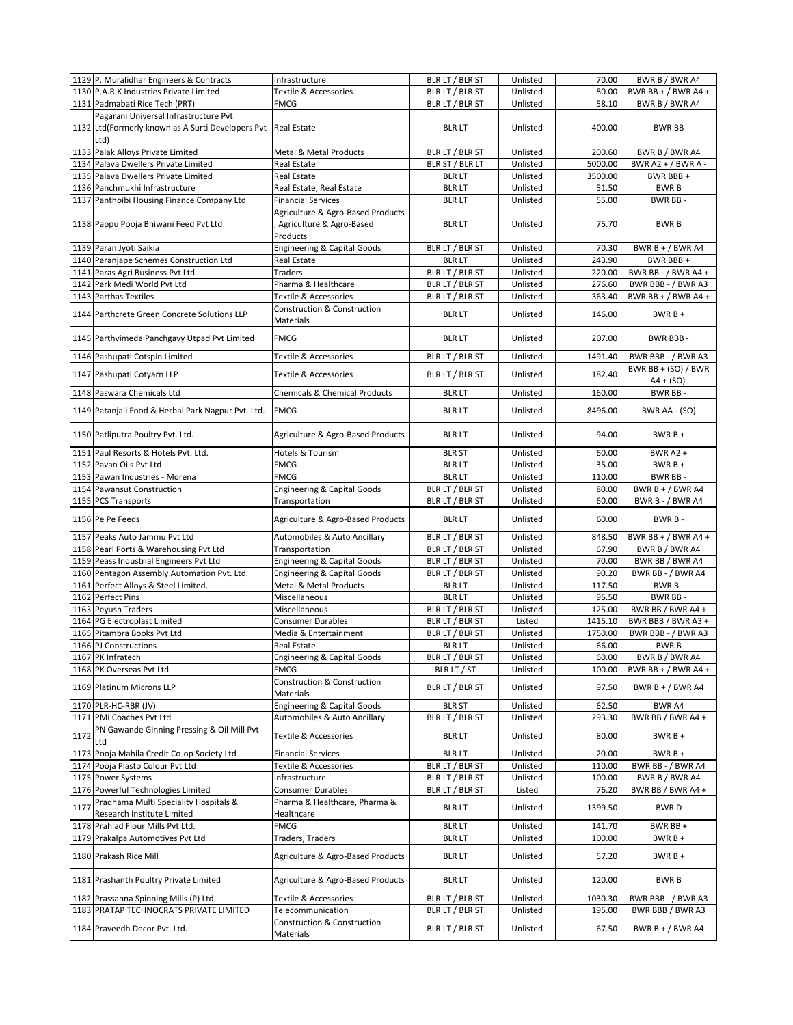|      | 1129 P. Muralidhar Engineers & Contracts           | Infrastructure                           | BLR LT / BLR ST | Unlisted | 70.00   | BWR B / BWR A4        |
|------|----------------------------------------------------|------------------------------------------|-----------------|----------|---------|-----------------------|
|      | 1130 P.A.R.K Industries Private Limited            | Textile & Accessories                    | BLR LT / BLR ST | Unlisted | 80.00   | BWR BB + $/$ BWR A4 + |
|      | 1131 Padmabati Rice Tech (PRT)                     | FMCG                                     | BLR LT / BLR ST | Unlisted | 58.10   | BWR B / BWR A4        |
|      | Pagarani Universal Infrastructure Pvt              |                                          |                 |          |         |                       |
|      | 1132 Ltd (Formerly known as A Surti Developers Pvt | <b>Real Estate</b>                       | <b>BLR LT</b>   | Unlisted | 400.00  | <b>BWR BB</b>         |
|      |                                                    |                                          |                 |          |         |                       |
|      | Ltd)                                               |                                          |                 |          |         |                       |
|      | 1133 Palak Alloys Private Limited                  | Metal & Metal Products                   | BLR LT / BLR ST | Unlisted | 200.60  | BWR B / BWR A4        |
|      | 1134 Palava Dwellers Private Limited               | Real Estate                              | BLR ST / BLR LT | Unlisted | 5000.00 | BWR A2 + / BWR A -    |
|      | 1135 Palava Dwellers Private Limited               | Real Estate                              | <b>BLR LT</b>   | Unlisted | 3500.00 | BWR BBB+              |
|      | 1136 Panchmukhi Infrastructure                     | Real Estate, Real Estate                 | <b>BLR LT</b>   | Unlisted | 51.50   | <b>BWRB</b>           |
|      | 1137 Panthoibi Housing Finance Company Ltd         | <b>Financial Services</b>                | <b>BLR LT</b>   | Unlisted | 55.00   | <b>BWR BB-</b>        |
|      |                                                    | Agriculture & Agro-Based Products        |                 |          |         |                       |
|      | 1138 Pappu Pooja Bhiwani Feed Pvt Ltd              | Agriculture & Agro-Based                 | <b>BLR LT</b>   | Unlisted | 75.70   | <b>BWRB</b>           |
|      |                                                    | Products                                 |                 |          |         |                       |
|      | 1139 Paran Jyoti Saikia                            | <b>Engineering &amp; Capital Goods</b>   | BLR LT / BLR ST | Unlisted | 70.30   | BWR $B + / BWR$ A4    |
|      | 1140 Paranjape Schemes Construction Ltd            |                                          |                 |          |         |                       |
|      |                                                    | Real Estate                              | <b>BLR LT</b>   | Unlisted | 243.90  | BWR BBB+              |
|      | 1141 Paras Agri Business Pvt Ltd                   | Traders                                  | BLR LT / BLR ST | Unlisted | 220.00  | BWR BB - / BWR A4 +   |
|      | 1142 Park Medi World Pvt Ltd                       | Pharma & Healthcare                      | BLR LT / BLR ST | Unlisted | 276.60  | BWR BBB - / BWR A3    |
|      | 1143 Parthas Textiles                              | Textile & Accessories                    | BLR LT / BLR ST | Unlisted | 363.40  | BWR BB + $/$ BWR A4 + |
|      | 1144 Parthcrete Green Concrete Solutions LLP       | <b>Construction &amp; Construction</b>   | <b>BLR LT</b>   | Unlisted | 146.00  | $BWRB +$              |
|      |                                                    | Materials                                |                 |          |         |                       |
|      |                                                    |                                          |                 |          |         |                       |
|      | 1145 Parthvimeda Panchgavy Utpad Pvt Limited       | <b>FMCG</b>                              | <b>BLR LT</b>   | Unlisted | 207.00  | BWR BBB-              |
|      | 1146 Pashupati Cotspin Limited                     | <b>Textile &amp; Accessories</b>         | BLR LT / BLR ST | Unlisted | 1491.40 | BWR BBB - / BWR A3    |
|      |                                                    |                                          |                 |          |         |                       |
|      | 1147 Pashupati Cotyarn LLP                         | Textile & Accessories                    | BLR LT / BLR ST | Unlisted | 182.40  | BWR BB + $(SO)$ / BWR |
|      |                                                    |                                          |                 |          |         | $A4 + (SO)$           |
|      | 1148 Paswara Chemicals Ltd                         | <b>Chemicals &amp; Chemical Products</b> | <b>BLR LT</b>   | Unlisted | 160.00  | BWR BB-               |
|      | 1149 Patanjali Food & Herbal Park Nagpur Pvt. Ltd. | <b>FMCG</b>                              | <b>BLR LT</b>   | Unlisted | 8496.00 | BWR AA - (SO)         |
|      |                                                    |                                          |                 |          |         |                       |
|      |                                                    |                                          |                 |          |         |                       |
|      | 1150 Patliputra Poultry Pvt. Ltd.                  | Agriculture & Agro-Based Products        | <b>BLR LT</b>   | Unlisted | 94.00   | $BWRB+$               |
|      | 1151 Paul Resorts & Hotels Pvt. Ltd.               | Hotels & Tourism                         | <b>BLR ST</b>   | Unlisted | 60.00   | <b>BWR A2 +</b>       |
|      | 1152 Pavan Oils Pvt Ltd                            | <b>FMCG</b>                              | <b>BLR LT</b>   | Unlisted | 35.00   | $BWRB +$              |
|      |                                                    |                                          |                 |          |         |                       |
|      | 1153 Pawan Industries - Morena                     | <b>FMCG</b>                              | <b>BLR LT</b>   | Unlisted | 110.00  | BWR BB-               |
|      | 1154 Pawansut Construction                         | <b>Engineering &amp; Capital Goods</b>   | BLR LT / BLR ST | Unlisted | 80.00   | BWR $B + / BWR$ A4    |
|      | 1155 PCS Transports                                | Transportation                           | BLR LT / BLR ST | Unlisted | 60.00   | BWR B - / BWR A4      |
|      | 1156 Pe Pe Feeds                                   | Agriculture & Agro-Based Products        | <b>BLR LT</b>   | Unlisted | 60.00   | BWR B-                |
|      |                                                    |                                          |                 |          |         |                       |
|      | 1157 Peaks Auto Jammu Pvt Ltd                      | Automobiles & Auto Ancillary             | BLR LT / BLR ST | Unlisted | 848.50  | BWR BB + $/$ BWR A4 + |
|      |                                                    |                                          |                 | Unlisted |         | BWR B / BWR A4        |
|      |                                                    |                                          |                 |          |         |                       |
|      | 1158 Pearl Ports & Warehousing Pvt Ltd             | Transportation                           | BLR LT / BLR ST |          | 67.90   |                       |
|      | 1159 Peass Industrial Engineers Pvt Ltd            | <b>Engineering &amp; Capital Goods</b>   | BLR LT / BLR ST | Unlisted | 70.00   | BWR BB / BWR A4       |
|      | 1160 Pentagon Assembly Automation Pvt. Ltd.        | <b>Engineering &amp; Capital Goods</b>   | BLR LT / BLR ST | Unlisted | 90.20   | BWR BB - / BWR A4     |
|      | 1161 Perfect Alloys & Steel Limited.               | Metal & Metal Products                   | <b>BLR LT</b>   | Unlisted | 117.50  | BWR B-                |
|      | 1162 Perfect Pins                                  | Miscellaneous                            | <b>BLR LT</b>   | Unlisted | 95.50   | BWR BB-               |
|      | 1163 Peyush Traders                                | Miscellaneous                            | BLR LT / BLR ST | Unlisted | 125.00  | BWR BB / BWR A4 +     |
|      | 1164 PG Electroplast Limited                       | <b>Consumer Durables</b>                 | BLR LT / BLR ST | Listed   | 1415.10 | BWR BBB / BWR A3 +    |
|      | 1165 Pitambra Books Pvt Ltd                        | Media & Entertainment                    | BLR LT / BLR ST | Unlisted | 1750.00 | BWR BBB - / BWR A3    |
|      | 1166 PJ Constructions                              | Real Estate                              | <b>BLR LT</b>   | Unlisted | 66.00   | <b>BWRB</b>           |
|      | 1167 PK Infratech                                  | <b>Engineering &amp; Capital Goods</b>   | BLR LT / BLR ST | Unlisted | 60.00   | BWR B / BWR A4        |
|      |                                                    | FMCG                                     |                 |          |         |                       |
|      | 1168 PK Overseas Pvt Ltd                           |                                          | BLR LT / ST     | Unlisted | 100.00  | BWR BB + $/$ BWR A4 + |
|      | 1169 Platinum Microns LLP                          | Construction & Construction              | BLR LT / BLR ST | Unlisted | 97.50   | BWR B + / BWR A4      |
|      |                                                    | Materials                                |                 |          |         |                       |
|      | 1170 PLR-HC-RBR (JV)                               | <b>Engineering &amp; Capital Goods</b>   | <b>BLR ST</b>   | Unlisted | 62.50   | BWR A4                |
|      | 1171 PMI Coaches Pvt Ltd                           | Automobiles & Auto Ancillary             | BLR LT / BLR ST | Unlisted | 293.30  | BWR BB / BWR A4 +     |
|      | PN Gawande Ginning Pressing & Oil Mill Pvt         |                                          |                 |          |         |                       |
| 1172 | Ltd                                                | <b>Textile &amp; Accessories</b>         | <b>BLR LT</b>   | Unlisted | 80.00   | $BWRB+$               |
|      | 1173 Pooja Mahila Credit Co-op Society Ltd         | <b>Financial Services</b>                | <b>BLR LT</b>   | Unlisted | 20.00   | $BWRB +$              |
|      | 1174 Pooja Plasto Colour Pvt Ltd                   | Textile & Accessories                    | BLR LT / BLR ST | Unlisted | 110.00  | BWR BB - / BWR A4     |
|      | 1175 Power Systems                                 | Infrastructure                           |                 | Unlisted | 100.00  | BWR B / BWR A4        |
|      |                                                    |                                          | BLR LT / BLR ST |          |         |                       |
|      | 1176 Powerful Technologies Limited                 | <b>Consumer Durables</b>                 | BLR LT / BLR ST | Listed   | 76.20   | BWR BB / BWR A4 +     |
| 1177 | Pradhama Multi Speciality Hospitals &              | Pharma & Healthcare, Pharma &            | <b>BLR LT</b>   | Unlisted | 1399.50 | <b>BWRD</b>           |
|      | Research Institute Limited                         | Healthcare                               |                 |          |         |                       |
|      | 1178 Prahlad Flour Mills Pvt Ltd.                  | FMCG                                     | <b>BLR LT</b>   | Unlisted | 141.70  | BWR BB +              |
|      | 1179 Prakalpa Automotives Pvt Ltd                  | Traders, Traders                         | <b>BLR LT</b>   | Unlisted | 100.00  | BWR B +               |
|      |                                                    |                                          |                 |          |         |                       |
|      | 1180 Prakash Rice Mill                             | Agriculture & Agro-Based Products        | <b>BLR LT</b>   | Unlisted | 57.20   | $BWRB+$               |
|      |                                                    |                                          |                 |          |         |                       |
|      | 1181 Prashanth Poultry Private Limited             | Agriculture & Agro-Based Products        | <b>BLR LT</b>   | Unlisted | 120.00  | <b>BWRB</b>           |
|      |                                                    |                                          |                 |          |         |                       |
|      | 1182 Prassanna Spinning Mills (P) Ltd.             | Textile & Accessories                    | BLR LT / BLR ST | Unlisted | 1030.30 | BWR BBB - / BWR A3    |
|      | 1183 PRATAP TECHNOCRATS PRIVATE LIMITED            | Telecommunication                        | BLR LT / BLR ST | Unlisted | 195.00  | BWR BBB / BWR A3      |
|      | 1184 Praveedh Decor Pvt. Ltd.                      | Construction & Construction<br>Materials | BLR LT / BLR ST | Unlisted | 67.50   | BWR B + $/$ BWR A4    |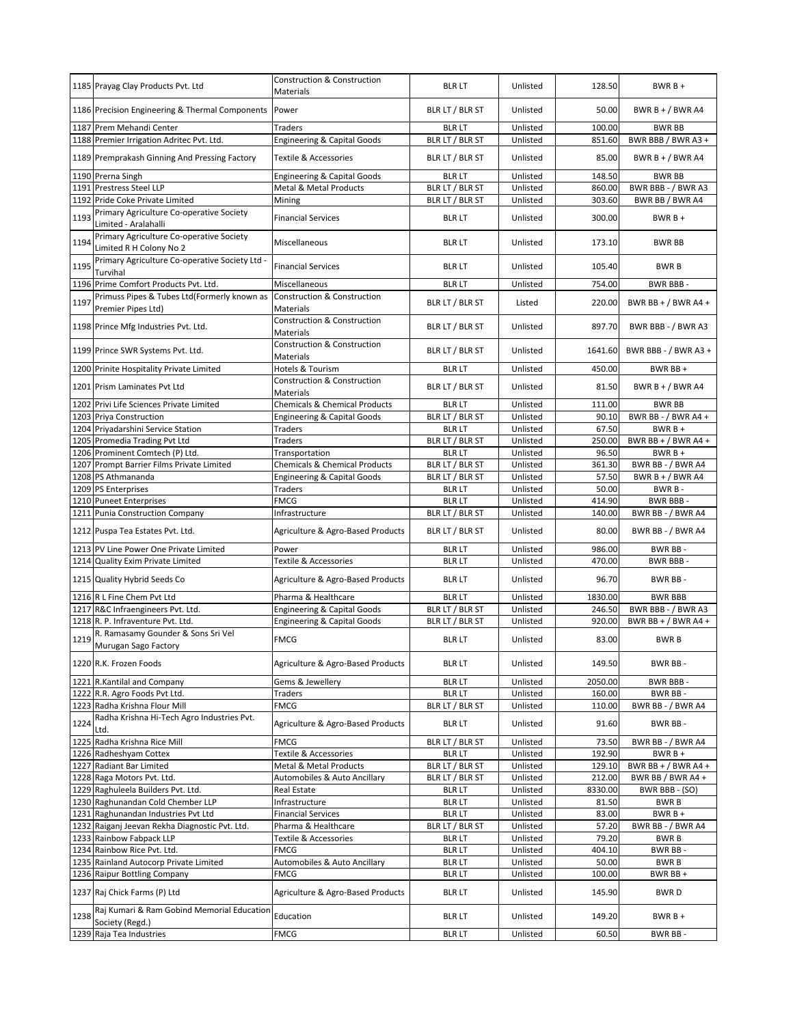|      | 1185 Prayag Clay Products Pvt. Ltd                                          | <b>Construction &amp; Construction</b><br>Materials        | <b>BLR LT</b>                      | Unlisted             | 128.50           | $BWRB +$                                   |
|------|-----------------------------------------------------------------------------|------------------------------------------------------------|------------------------------------|----------------------|------------------|--------------------------------------------|
|      | 1186 Precision Engineering & Thermal Components                             | Power                                                      | BLR LT / BLR ST                    | Unlisted             | 50.00            | BWR B + / BWR A4                           |
|      | 1187 Prem Mehandi Center                                                    | <b>Traders</b>                                             | <b>BLR LT</b>                      | Unlisted             | 100.00           | <b>BWR BB</b>                              |
|      | 1188 Premier Irrigation Adritec Pvt. Ltd.                                   | <b>Engineering &amp; Capital Goods</b>                     | BLR LT / BLR ST                    | Unlisted             | 851.60           | BWR BBB / BWR A3 +                         |
|      | 1189 Premprakash Ginning And Pressing Factory                               | Textile & Accessories                                      | BLR LT / BLR ST                    | Unlisted             | 85.00            | BWR B + / BWR A4                           |
|      | 1190 Prerna Singh                                                           | <b>Engineering &amp; Capital Goods</b>                     | <b>BLR LT</b>                      | Unlisted             | 148.50           | <b>BWR BB</b>                              |
|      | 1191 Prestress Steel LLP                                                    | Metal & Metal Products                                     | BLR LT / BLR ST                    | Unlisted             | 860.00           | BWR BBB - / BWR A3                         |
| 1192 | Pride Coke Private Limited                                                  | Mining                                                     | BLR LT / BLR ST                    | Unlisted             | 303.60           | BWR BB / BWR A4                            |
| 1193 | Primary Agriculture Co-operative Society<br>Limited - Aralahalli            | <b>Financial Services</b>                                  | <b>BLR LT</b>                      | Unlisted             | 300.00           | $BWRB+$                                    |
| 1194 | Primary Agriculture Co-operative Society<br>Limited R H Colony No 2         | Miscellaneous                                              | <b>BLR LT</b>                      | Unlisted             | 173.10           | <b>BWR BB</b>                              |
| 1195 | Primary Agriculture Co-operative Society Ltd -<br>Turvihal                  | <b>Financial Services</b>                                  | <b>BLR LT</b>                      | Unlisted             | 105.40           | <b>BWRB</b>                                |
|      | 1196 Prime Comfort Products Pvt. Ltd.                                       | Miscellaneous                                              | <b>BLR LT</b>                      | Unlisted             | 754.00           | BWR BBB-                                   |
| 1197 | Primuss Pipes & Tubes Ltd(Formerly known as<br>Premier Pipes Ltd)           | <b>Construction &amp; Construction</b><br>Materials        | BLR LT / BLR ST                    | Listed               | 220.00           | BWR BB + $/$ BWR A4 +                      |
|      | 1198 Prince Mfg Industries Pvt. Ltd.                                        | <b>Construction &amp; Construction</b><br><b>Materials</b> | BLR LT / BLR ST                    | Unlisted             | 897.70           | BWR BBB - / BWR A3                         |
|      | 1199 Prince SWR Systems Pvt. Ltd.                                           | <b>Construction &amp; Construction</b><br>Materials        | BLR LT / BLR ST                    | Unlisted             | 1641.60          | BWR BBB - / BWR A3 +                       |
|      | 1200 Prinite Hospitality Private Limited                                    | Hotels & Tourism                                           | <b>BLR LT</b>                      | Unlisted             | 450.00           | BWR BB +                                   |
|      | 1201 Prism Laminates Pvt Ltd                                                | <b>Construction &amp; Construction</b><br><b>Materials</b> | BLR LT / BLR ST                    | Unlisted             | 81.50            | BWR B + $/$ BWR A4                         |
|      | 1202 Privi Life Sciences Private Limited                                    | Chemicals & Chemical Products                              | <b>BLR LT</b>                      | Unlisted             | 111.00           | <b>BWR BB</b>                              |
|      | 1203 Priya Construction                                                     | <b>Engineering &amp; Capital Goods</b>                     | BLR LT / BLR ST                    | Unlisted             | 90.10            | BWR BB - / BWR A4 +                        |
|      | 1204 Priyadarshini Service Station                                          | Traders                                                    | <b>BLR LT</b>                      | Unlisted             | 67.50            | $BWRB +$                                   |
|      | 1205 Promedia Trading Pvt Ltd                                               | Traders                                                    | BLR LT / BLR ST                    | Unlisted             | 250.00           | BWR BB + $/$ BWR A4 +                      |
|      | 1206 Prominent Comtech (P) Ltd.                                             | Transportation                                             | <b>BLR LT</b>                      | Unlisted             | 96.50            | $BWRB +$                                   |
|      | 1207 Prompt Barrier Films Private Limited                                   | Chemicals & Chemical Products                              | BLR LT / BLR ST                    | Unlisted             | 361.30           | BWR BB - / BWR A4                          |
|      | 1208 PS Athmananda<br>1209 PS Enterprises                                   | <b>Engineering &amp; Capital Goods</b>                     | BLR LT / BLR ST<br><b>BLR LT</b>   | Unlisted<br>Unlisted | 57.50<br>50.00   | BWR $B + / BWR$ A4<br>BWR B-               |
|      | 1210 Puneet Enterprises                                                     | Traders<br><b>FMCG</b>                                     | <b>BLR LT</b>                      | Unlisted             | 414.90           | BWR BBB-                                   |
|      | 1211 Punia Construction Company                                             | Infrastructure                                             | BLR LT / BLR ST                    | Unlisted             | 140.00           | BWR BB - / BWR A4                          |
|      | 1212 Puspa Tea Estates Pvt. Ltd.                                            | Agriculture & Agro-Based Products                          | BLR LT / BLR ST                    | Unlisted             | 80.00            | BWR BB - / BWR A4                          |
|      | 1213 PV Line Power One Private Limited                                      | Power                                                      | <b>BLR LT</b>                      | Unlisted             | 986.00           | BWR BB-                                    |
|      | 1214 Quality Exim Private Limited                                           | <b>Textile &amp; Accessories</b>                           | <b>BLR LT</b>                      | Unlisted             | 470.00           | BWR BBB-                                   |
|      | 1215 Quality Hybrid Seeds Co                                                | Agriculture & Agro-Based Products                          | <b>BLR LT</b>                      | Unlisted             | 96.70            | BWR BB-                                    |
|      | 1216 R L Fine Chem Pvt Ltd                                                  | Pharma & Healthcare                                        | <b>BLR LT</b>                      | Unlisted             | 1830.00          | <b>BWR BBB</b>                             |
|      | 1217 R&C Infraengineers Pvt. Ltd.                                           | <b>Engineering &amp; Capital Goods</b>                     | BLR LT / BLR ST                    | Unlisted             | 246.50           | BWR BBB - / BWR A3                         |
|      | 1218 R. P. Infraventure Pvt. Ltd.                                           | <b>Engineering &amp; Capital Goods</b>                     | BLR LT / BLR ST                    | Unlisted             | 920.00           | BWR BB + $/$ BWR A4 +                      |
| 1219 | R. Ramasamy Gounder & Sons Sri Vel<br>Murugan Sago Factory                  | <b>FMCG</b>                                                | <b>BLR LT</b>                      | Unlisted             | 83.00            | <b>BWRB</b>                                |
|      | 1220 R.K. Frozen Foods                                                      | Agriculture & Agro-Based Products                          | <b>BLR LT</b>                      | Unlisted             | 149.50           | BWR BB-                                    |
|      | 1221 R.Kantilal and Company                                                 | Gems & Jewellery                                           | <b>BLR LT</b>                      | Unlisted             | 2050.00          | <b>BWR BBB-</b>                            |
|      | 1222 R.R. Agro Foods Pvt Ltd.                                               | Traders                                                    | <b>BLR LT</b>                      | Unlisted             | 160.00           | BWR BB-                                    |
| 1224 | 1223 Radha Krishna Flour Mill<br>Radha Krishna Hi-Tech Agro Industries Pvt. | <b>FMCG</b><br>Agriculture & Agro-Based Products           | BLR LT / BLR ST<br><b>BLR LT</b>   | Unlisted<br>Unlisted | 110.00<br>91.60  | BWR BB - / BWR A4<br>BWR BB-               |
|      | Ltd.                                                                        |                                                            |                                    |                      |                  |                                            |
|      | 1225 Radha Krishna Rice Mill                                                | <b>FMCG</b>                                                | BLR LT / BLR ST                    | Unlisted             | 73.50            | BWR BB - / BWR A4                          |
|      | 1226 Radheshyam Cottex                                                      | Textile & Accessories<br>Metal & Metal Products            | <b>BLR LT</b>                      | Unlisted             | 192.90           | $BWRB +$                                   |
|      | 1227 Radiant Bar Limited<br>1228 Raga Motors Pvt. Ltd.                      | Automobiles & Auto Ancillary                               | BLR LT / BLR ST<br>BLR LT / BLR ST | Unlisted<br>Unlisted | 129.10<br>212.00 | BWR BB + $/$ BWR A4 +<br>BWR BB / BWR A4 + |
|      | 1229 Raghuleela Builders Pvt. Ltd.                                          | Real Estate                                                | <b>BLR LT</b>                      | Unlisted             | 8330.00          | BWR BBB - (SO)                             |
|      | 1230 Raghunandan Cold Chember LLP                                           | Infrastructure                                             | <b>BLR LT</b>                      | Unlisted             | 81.50            | BWR B                                      |
|      | 1231 Raghunandan Industries Pvt Ltd                                         | <b>Financial Services</b>                                  | <b>BLR LT</b>                      | Unlisted             | 83.00            | BWR B +                                    |
|      | 1232 Raiganj Jeevan Rekha Diagnostic Pvt. Ltd.                              | Pharma & Healthcare                                        | BLR LT / BLR ST                    | Unlisted             | 57.20            | BWR BB - / BWR A4                          |
|      | 1233 Rainbow Fabpack LLP                                                    | Textile & Accessories                                      | <b>BLR LT</b>                      | Unlisted             | 79.20            | <b>BWRB</b>                                |
|      | 1234 Rainbow Rice Pvt. Ltd.                                                 | <b>FMCG</b>                                                | <b>BLR LT</b>                      | Unlisted             | 404.10           | BWR BB-                                    |
|      | 1235 Rainland Autocorp Private Limited                                      | Automobiles & Auto Ancillary                               | <b>BLR LT</b>                      | Unlisted             | 50.00            | <b>BWRB</b>                                |
|      | 1236 Raipur Bottling Company                                                | FMCG                                                       | <b>BLR LT</b>                      | Unlisted             | 100.00           | BWR BB +                                   |
|      | 1237 Raj Chick Farms (P) Ltd                                                | Agriculture & Agro-Based Products                          | <b>BLR LT</b>                      | Unlisted             | 145.90           | <b>BWRD</b>                                |
| 1238 | Raj Kumari & Ram Gobind Memorial Education<br>Society (Regd.)               | Education                                                  | <b>BLR LT</b>                      | Unlisted             | 149.20           | BWR B +                                    |
|      | 1239 Raja Tea Industries                                                    | <b>FMCG</b>                                                | <b>BLR LT</b>                      | Unlisted             | 60.50            | BWR BB-                                    |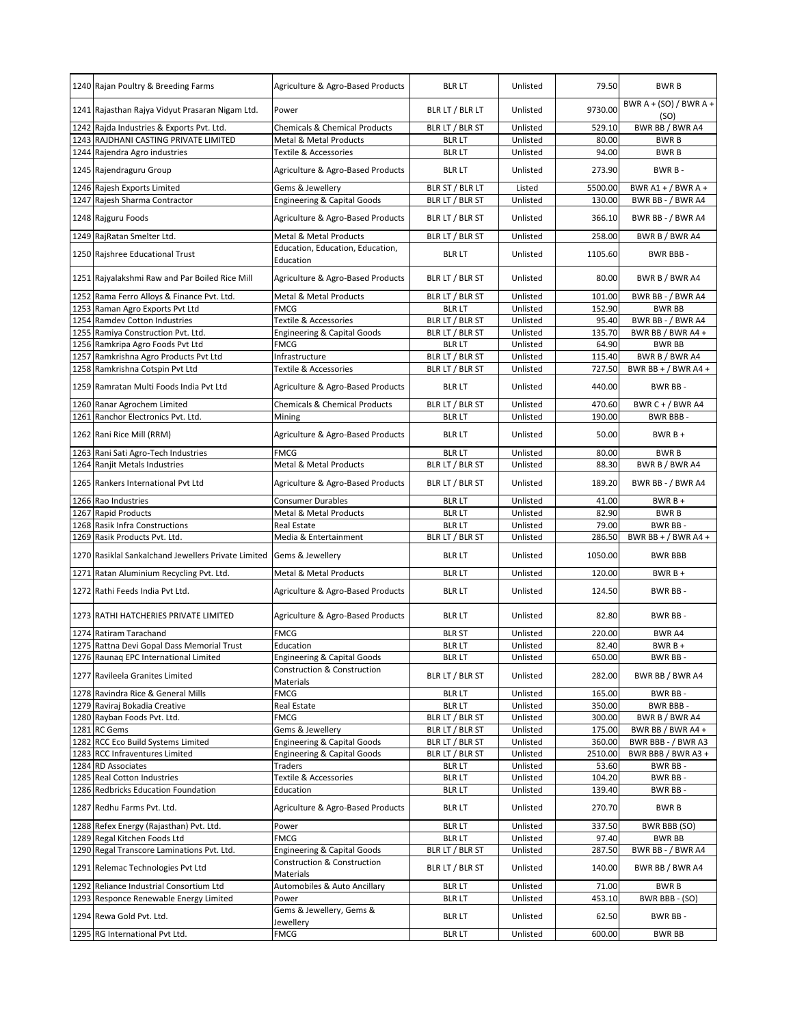|      | 1240 Rajan Poultry & Breeding Farms                                        | Agriculture & Agro-Based Products                                                | <b>BLR LT</b>                      | Unlisted             | 79.50            | <b>BWRB</b>                      |
|------|----------------------------------------------------------------------------|----------------------------------------------------------------------------------|------------------------------------|----------------------|------------------|----------------------------------|
|      | 1241 Rajasthan Rajya Vidyut Prasaran Nigam Ltd.                            | Power                                                                            | BLR LT / BLR LT                    | Unlisted             | 9730.00          | BWR A + (SO) / BWR A +<br>(SO)   |
|      | 1242 Rajda Industries & Exports Pvt. Ltd.                                  | <b>Chemicals &amp; Chemical Products</b>                                         | BLR LT / BLR ST                    | Unlisted             | 529.10           | BWR BB / BWR A4                  |
|      | 1243 RAJDHANI CASTING PRIVATE LIMITED                                      | Metal & Metal Products                                                           | <b>BLR LT</b>                      | Unlisted             | 80.00            | <b>BWRB</b>                      |
|      | 1244 Rajendra Agro industries                                              | Textile & Accessories                                                            | <b>BLR LT</b>                      | Unlisted             | 94.00            | <b>BWRB</b>                      |
|      | 1245 Rajendraguru Group                                                    | Agriculture & Agro-Based Products                                                | <b>BLR LT</b>                      | Unlisted             | 273.90           | BWR B-                           |
|      | 1246 Rajesh Exports Limited                                                | Gems & Jewellery                                                                 | BLR ST / BLR LT                    | Listed               | 5500.00          | BWR A1 + / BWR A +               |
|      | 1247 Rajesh Sharma Contractor                                              | <b>Engineering &amp; Capital Goods</b>                                           | BLR LT / BLR ST                    | Unlisted             | 130.00           | BWR BB - / BWR A4                |
|      | 1248 Rajguru Foods                                                         | Agriculture & Agro-Based Products                                                | BLR LT / BLR ST                    | Unlisted             | 366.10           | BWR BB - / BWR A4                |
|      | 1249 RajRatan Smelter Ltd.                                                 | Metal & Metal Products                                                           | BLR LT / BLR ST                    | Unlisted             | 258.00           | BWR B / BWR A4                   |
|      | 1250 Rajshree Educational Trust                                            | Education, Education, Education,<br>Education                                    | <b>BLR LT</b>                      | Unlisted             | 1105.60          | <b>BWR BBB-</b>                  |
|      | 1251 Rajyalakshmi Raw and Par Boiled Rice Mill                             | Agriculture & Agro-Based Products                                                | BLR LT / BLR ST                    | Unlisted             | 80.00            | BWR B / BWR A4                   |
|      | 1252 Rama Ferro Alloys & Finance Pvt. Ltd.                                 | <b>Metal &amp; Metal Products</b>                                                | BLR LT / BLR ST                    | Unlisted             | 101.00           | BWR BB - / BWR A4                |
|      | 1253 Raman Agro Exports Pvt Ltd                                            | <b>FMCG</b>                                                                      | <b>BLR LT</b>                      | Unlisted             | 152.90           | <b>BWR BB</b>                    |
|      | 1254 Ramdev Cotton Industries                                              | <b>Textile &amp; Accessories</b>                                                 | BLR LT / BLR ST                    | Unlisted             | 95.40            | BWR BB - / BWR A4                |
| 1255 | Ramiya Construction Pvt. Ltd.                                              | <b>Engineering &amp; Capital Goods</b>                                           | BLR LT / BLR ST                    | Unlisted             | 135.70           | BWR BB / BWR A4+                 |
|      | 1256 Ramkripa Agro Foods Pvt Ltd                                           | <b>FMCG</b>                                                                      | <b>BLR LT</b>                      | Unlisted             | 64.90            | <b>BWR BB</b>                    |
| 1257 | Ramkrishna Agro Products Pvt Ltd                                           | Infrastructure                                                                   | BLR LT / BLR ST                    | Unlisted             | 115.40           | BWR B / BWR A4                   |
|      | 1258 Ramkrishna Cotspin Pvt Ltd                                            | Textile & Accessories                                                            | BLR LT / BLR ST                    | Unlisted             | 727.50           | BWR BB + $/$ BWR A4 +            |
|      | 1259 Ramratan Multi Foods India Pvt Ltd                                    | Agriculture & Agro-Based Products                                                | <b>BLR LT</b>                      | Unlisted             | 440.00           | BWR BB-                          |
|      | 1260 Ranar Agrochem Limited                                                | <b>Chemicals &amp; Chemical Products</b>                                         | BLR LT / BLR ST                    | Unlisted             | 470.60           | BWR C + / BWR A4                 |
|      | 1261 Ranchor Electronics Pvt. Ltd.                                         | Mining                                                                           | <b>BLR LT</b>                      | Unlisted             | 190.00           | BWR BBB-                         |
|      | 1262 Rani Rice Mill (RRM)                                                  | Agriculture & Agro-Based Products                                                | <b>BLR LT</b>                      | Unlisted             | 50.00            | $BWRB +$                         |
|      | 1263 Rani Sati Agro-Tech Industries                                        | <b>FMCG</b>                                                                      | <b>BLR LT</b>                      | Unlisted             | 80.00            | <b>BWRB</b>                      |
|      | 1264 Ranjit Metals Industries                                              | Metal & Metal Products                                                           | BLR LT / BLR ST                    | Unlisted             | 88.30            | BWR B / BWR A4                   |
|      | 1265 Rankers International Pvt Ltd                                         | Agriculture & Agro-Based Products                                                | BLR LT / BLR ST                    | Unlisted             | 189.20           | BWR BB - / BWR A4                |
|      | 1266 Rao Industries                                                        | <b>Consumer Durables</b>                                                         | <b>BLR LT</b>                      | Unlisted             | 41.00            | $BWRB+$                          |
|      | 1267 Rapid Products                                                        | Metal & Metal Products                                                           | <b>BLR LT</b>                      | Unlisted             | 82.90            | <b>BWRB</b>                      |
|      | 1268 Rasik Infra Constructions<br>1269 Rasik Products Pvt. Ltd.            | <b>Real Estate</b><br>Media & Entertainment                                      | <b>BLR LT</b><br>BLR LT / BLR ST   | Unlisted<br>Unlisted | 79.00<br>286.50  | BWR BB-<br>BWR BB + $/$ BWR A4 + |
|      | 1270 Rasiklal Sankalchand Jewellers Private Limited                        | Gems & Jewellery                                                                 | <b>BLR LT</b>                      | Unlisted             | 1050.00          | <b>BWR BBB</b>                   |
|      | 1271 Ratan Aluminium Recycling Pvt. Ltd.                                   | Metal & Metal Products                                                           | <b>BLR LT</b>                      | Unlisted             | 120.00           | $BWRB +$                         |
|      | 1272 Rathi Feeds India Pvt Ltd.                                            | Agriculture & Agro-Based Products                                                | <b>BLR LT</b>                      | Unlisted             | 124.50           | BWR BB-                          |
|      | 1273 RATHI HATCHERIES PRIVATE LIMITED                                      | Agriculture & Agro-Based Products                                                | <b>BLR LT</b>                      | Unlisted             | 82.80            | BWR BB-                          |
|      | 1274 Ratiram Tarachand                                                     | <b>FMCG</b>                                                                      | <b>BLR ST</b>                      | Unlisted             | 220.00           | <b>BWRA4</b>                     |
|      | 1275 Rattna Devi Gopal Dass Memorial Trust                                 | Education                                                                        | <b>BLR LT</b>                      | Unlisted             | 82.40            | $BWRB +$                         |
|      | 1276 Raunaq EPC International Limited                                      | <b>Engineering &amp; Capital Goods</b>                                           | <b>BLR LT</b>                      | Unlisted             | 650.00           | BWR BB-                          |
|      | 1277 Ravileela Granites Limited                                            | Construction & Construction<br>Materials                                         | BLR LT / BLR ST                    | Unlisted             | 282.00           | BWR BB / BWR A4                  |
|      | 1278 Ravindra Rice & General Mills                                         | <b>FMCG</b>                                                                      | <b>BLR LT</b>                      | Unlisted             | 165.00           | BWR BB-                          |
|      | 1279 Raviraj Bokadia Creative                                              | Real Estate                                                                      | <b>BLR LT</b>                      | Unlisted             | 350.00           | BWR BBB -                        |
|      | 1280 Rayban Foods Pvt. Ltd.                                                | <b>FMCG</b>                                                                      | BLR LT / BLR ST                    | Unlisted             | 300.00           | BWR B / BWR A4                   |
|      | 1281 RC Gems                                                               | Gems & Jewellery                                                                 | BLR LT / BLR ST                    | Unlisted             | 175.00           | BWR BB / BWR A4 +                |
|      | 1282 RCC Eco Build Systems Limited                                         | <b>Engineering &amp; Capital Goods</b><br><b>Engineering &amp; Capital Goods</b> | BLR LT / BLR ST<br>BLR LT / BLR ST | Unlisted             | 360.00           | BWR BBB - / BWR A3               |
|      | 1283 RCC Infraventures Limited                                             |                                                                                  |                                    |                      |                  |                                  |
|      |                                                                            |                                                                                  |                                    | Unlisted             | 2510.00          | BWR BBB / BWR A3 +               |
|      | 1284 RD Associates<br>1285 Real Cotton Industries                          | Traders                                                                          | <b>BLR LT</b><br><b>BLR LT</b>     | Unlisted<br>Unlisted | 53.60            | BWR BB-                          |
|      |                                                                            | Textile & Accessories                                                            |                                    |                      | 104.20           | BWR BB-                          |
|      | 1286 Redbricks Education Foundation<br>1287 Redhu Farms Pvt. Ltd.          | Education<br>Agriculture & Agro-Based Products                                   | <b>BLR LT</b><br><b>BLR LT</b>     | Unlisted<br>Unlisted | 139.40<br>270.70 | BWR BB-<br><b>BWRB</b>           |
|      |                                                                            |                                                                                  |                                    |                      |                  |                                  |
|      | 1288 Refex Energy (Rajasthan) Pvt. Ltd.                                    | Power<br><b>FMCG</b>                                                             | <b>BLR LT</b><br><b>BLR LT</b>     | Unlisted<br>Unlisted | 337.50           | BWR BBB (SO)<br><b>BWR BB</b>    |
|      | 1289 Regal Kitchen Foods Ltd<br>1290 Regal Transcore Laminations Pvt. Ltd. | <b>Engineering &amp; Capital Goods</b>                                           | BLR LT / BLR ST                    | Unlisted             | 97.40<br>287.50  | BWR BB - / BWR A4                |
|      | 1291 Relemac Technologies Pvt Ltd                                          | Construction & Construction                                                      | BLR LT / BLR ST                    | Unlisted             | 140.00           | BWR BB / BWR A4                  |
|      | 1292 Reliance Industrial Consortium Ltd                                    | Materials                                                                        | <b>BLRLT</b>                       | Unlisted             | 71.00            | <b>BWRB</b>                      |
|      | 1293 Responce Renewable Energy Limited                                     | Automobiles & Auto Ancillary<br>Power                                            | <b>BLR LT</b>                      | Unlisted             | 453.10           | BWR BBB - (SO)                   |
|      | 1294 Rewa Gold Pvt. Ltd.                                                   | Gems & Jewellery, Gems &<br>Jewellery                                            | <b>BLR LT</b>                      | Unlisted             | 62.50            | BWR BB-                          |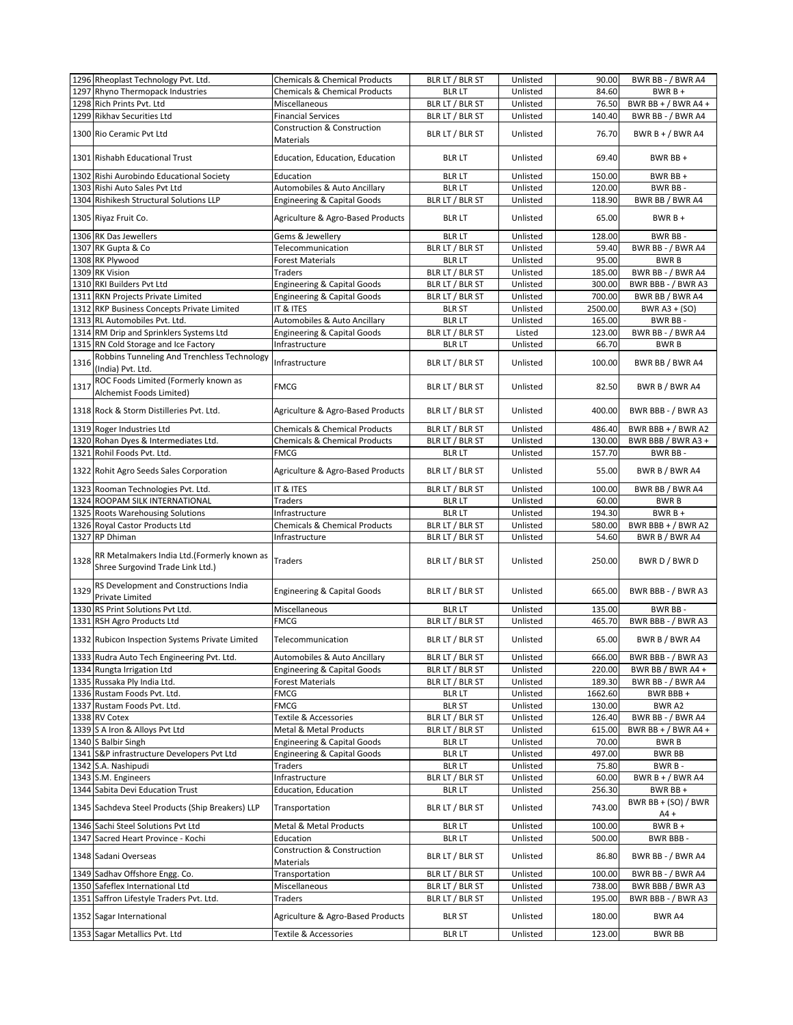| 1297 Rhyno Thermopack Industries<br>Unlisted<br>84.60<br><b>Chemicals &amp; Chemical Products</b><br><b>BLR LT</b><br>$BWRB +$<br>1298 Rich Prints Pvt. Ltd<br>Miscellaneous<br>BLR LT / BLR ST<br>Unlisted<br>76.50<br>BWR BB + $/$ BWR A4 +<br>1299 Rikhav Securities Ltd<br>BLR LT / BLR ST<br>Unlisted<br>140.40<br>BWR BB - / BWR A4<br><b>Financial Services</b><br><b>Construction &amp; Construction</b><br>BLR LT / BLR ST<br>1300 Rio Ceramic Pvt Ltd<br>Unlisted<br>76.70<br>BWR B + / BWR A4<br>Materials<br>1301 Rishabh Educational Trust<br>Education, Education, Education<br><b>BLR LT</b><br>Unlisted<br>69.40<br>BWR BB +<br>150.00<br>1302<br>Rishi Aurobindo Educational Society<br><b>BLR LT</b><br>Unlisted<br>BWR BB +<br>Education<br>Automobiles & Auto Ancillary<br><b>BLR LT</b><br>120.00<br>BWR BB-<br>1303 Rishi Auto Sales Pvt Ltd<br>Unlisted<br>1304 Rishikesh Structural Solutions LLP<br><b>Engineering &amp; Capital Goods</b><br>BLR LT / BLR ST<br>Unlisted<br>118.90<br>BWR BB / BWR A4<br>Agriculture & Agro-Based Products<br><b>BLR LT</b><br>65.00<br>$BWRB +$<br>1305 Riyaz Fruit Co.<br>Unlisted<br>1306 RK Das Jewellers<br>Gems & Jewellery<br><b>BLR LT</b><br>Unlisted<br>128.00<br>BWR BB-<br>1307 RK Gupta & Co<br>59.40<br>Telecommunication<br>BLR LT / BLR ST<br>Unlisted<br>BWR BB - / BWR A4<br>1308 RK Plywood<br><b>BLR LT</b><br>95.00<br><b>BWRB</b><br>Forest Materials<br>Unlisted<br>1309 RK Vision<br>BLR LT / BLR ST<br>Unlisted<br>185.00<br>BWR BB - / BWR A4<br>Traders<br>1310 RKI Builders Pvt Ltd<br><b>Engineering &amp; Capital Goods</b><br>BLR LT / BLR ST<br>Unlisted<br>300.00<br>BWR BBB - / BWR A3<br><b>Engineering &amp; Capital Goods</b><br>700.00<br>BWR BB / BWR A4<br>1311 RKN Projects Private Limited<br>BLR LT / BLR ST<br>Unlisted<br>IT & ITES<br>2500.00<br>BWR A3 + (SO)<br>1312 RKP Business Concepts Private Limited<br><b>BLR ST</b><br>Unlisted<br>Automobiles & Auto Ancillary<br>1313 RL Automobiles Pvt. Ltd.<br><b>BLR LT</b><br>Unlisted<br>165.00<br>BWR BB-<br>1314 RM Drip and Sprinklers Systems Ltd<br>BLR LT / BLR ST<br>123.00<br>BWR BB - / BWR A4<br><b>Engineering &amp; Capital Goods</b><br>Listed<br>1315 RN Cold Storage and Ice Factory<br>Infrastructure<br><b>BLR LT</b><br>Unlisted<br>66.70<br><b>BWRB</b><br>Robbins Tunneling And Trenchless Technology<br>1316<br>Infrastructure<br>BLR LT / BLR ST<br>Unlisted<br>100.00<br>BWR BB / BWR A4<br>(India) Pvt. Ltd.<br>ROC Foods Limited (Formerly known as<br>1317<br><b>FMCG</b><br>BLR LT / BLR ST<br>Unlisted<br>82.50<br>BWR B / BWR A4<br>Alchemist Foods Limited)<br>1318 Rock & Storm Distilleries Pvt. Ltd.<br>Agriculture & Agro-Based Products<br>BLR LT / BLR ST<br>Unlisted<br>400.00<br>BWR BBB - / BWR A3<br>BWR BBB + / BWR A2<br>1319 Roger Industries Ltd<br><b>Chemicals &amp; Chemical Products</b><br>BLR LT / BLR ST<br>Unlisted<br>486.40<br>1320 Rohan Dyes & Intermediates Ltd.<br><b>Chemicals &amp; Chemical Products</b><br>BLR LT / BLR ST<br>Unlisted<br>130.00<br>BWR BBB / BWR A3 +<br>1321<br>Rohil Foods Pvt. Ltd.<br>Unlisted<br>157.70<br>BWR BB-<br>FMCG<br><b>BLR LT</b><br>BWR B / BWR A4<br>1322 Rohit Agro Seeds Sales Corporation<br>Agriculture & Agro-Based Products<br>BLR LT / BLR ST<br>Unlisted<br>55.00<br>100.00<br>BWR BB / BWR A4<br>1323 Rooman Technologies Pvt. Ltd.<br>IT & ITES<br>BLR LT / BLR ST<br>Unlisted<br>1324 ROOPAM SILK INTERNATIONAL<br>60.00<br>Traders<br><b>BLR LT</b><br>Unlisted<br><b>BWRB</b><br>1325 Roots Warehousing Solutions<br><b>BLR LT</b><br>Unlisted<br>194.30<br>$BWRB +$<br>Infrastructure<br>Chemicals & Chemical Products<br>BLR LT / BLR ST<br>580.00<br>BWR BBB + $/$ BWR A2<br>1326 Royal Castor Products Ltd<br>Unlisted<br>BWR B / BWR A4<br>1327 RP Dhiman<br>Infrastructure<br>BLR LT / BLR ST<br>Unlisted<br>54.60<br>RR Metalmakers India Ltd.(Formerly known as<br>BWR D / BWR D<br>1328<br>Traders<br>BLR LT / BLR ST<br>Unlisted<br>250.00<br>Shree Surgovind Trade Link Ltd.)<br>RS Development and Constructions India<br>1329<br><b>Engineering &amp; Capital Goods</b><br>BLR LT / BLR ST<br>Unlisted<br>665.00<br>BWR BBB - / BWR A3<br><b>Private Limited</b><br>1330 RS Print Solutions Pvt Ltd.<br>Miscellaneous<br>135.00<br><b>BLR LT</b><br>Unlisted<br>BWR BB-<br>FMCG<br>BLR LT / BLR ST<br>465.70<br>1331 RSH Agro Products Ltd<br>Unlisted<br>BWR BBB - / BWR A3<br>1332 Rubicon Inspection Systems Private Limited<br>BLR LT / BLR ST<br>65.00<br>BWR B / BWR A4<br>Telecommunication<br>Unlisted<br>1333 Rudra Auto Tech Engineering Pvt. Ltd.<br>Automobiles & Auto Ancillary<br>BLR LT / BLR ST<br>Unlisted<br>666.00<br>BWR BBB - / BWR A3<br>1334 Rungta Irrigation Ltd<br>220.00<br><b>Engineering &amp; Capital Goods</b><br>BLR LT / BLR ST<br>Unlisted<br>BWR BB / BWR A4 +<br>1335 Russaka Ply India Ltd.<br>Unlisted<br><b>Forest Materials</b><br>BLR LT / BLR ST<br>189.30<br>BWR BB - / BWR A4<br>1336 Rustam Foods Pvt. Ltd.<br>FMCG<br>Unlisted<br>1662.60<br>BWR BBB +<br><b>BLR LT</b><br>1337 Rustam Foods Pvt. Ltd.<br>FMCG<br><b>BLR ST</b><br>Unlisted<br>130.00<br>BWR A2<br>1338 RV Cotex<br>Textile & Accessories<br>BLR LT / BLR ST<br>Unlisted<br>126.40<br>BWR BB - / BWR A4<br>1339 S A Iron & Alloys Pvt Ltd<br>BLR LT / BLR ST<br>615.00<br>Metal & Metal Products<br>Unlisted<br>BWR BB + $/$ BWR A4 +<br><b>Engineering &amp; Capital Goods</b><br>1340 S Balbir Singh<br><b>BLR LT</b><br>Unlisted<br>70.00<br><b>BWRB</b><br>1341 S&P infrastructure Developers Pvt Ltd<br><b>Engineering &amp; Capital Goods</b><br>497.00<br><b>BLR LT</b><br>Unlisted<br>BWR BB<br>1342 S.A. Nashipudi<br><b>BLR LT</b><br>Unlisted<br>BWR B-<br>Traders<br>75.80<br>BLR LT / BLR ST<br>1343 S.M. Engineers<br>Infrastructure<br>Unlisted<br>60.00<br>BWR B + $/$ BWR A4<br>1344 Sabita Devi Education Trust<br><b>BLRLT</b><br>BWR BB +<br><b>Education, Education</b><br>Unlisted<br>256.30<br>BWR BB + $(SO)$ / BWR<br>1345 Sachdeva Steel Products (Ship Breakers) LLP<br>Transportation<br>BLR LT / BLR ST<br>Unlisted<br>743.00<br>$AA +$<br>1346 Sachi Steel Solutions Pvt Ltd<br>Metal & Metal Products<br><b>BLR LT</b><br>Unlisted<br>$BWRB +$<br>100.00<br>1347 Sacred Heart Province - Kochi<br><b>BLR LT</b><br>Unlisted<br>500.00<br>BWR BBB-<br>Education<br>Construction & Construction<br>1348 Sadani Overseas<br>BLR LT / BLR ST<br>Unlisted<br>BWR BB - / BWR A4<br>86.80<br>Materials<br>1349 Sadhav Offshore Engg. Co.<br>BLR LT / BLR ST<br>BWR BB - / BWR A4<br>Transportation<br>Unlisted<br>100.00<br>1350 Safeflex International Ltd<br>Miscellaneous<br>BLR LT / BLR ST<br>Unlisted<br>BWR BBB / BWR A3<br>738.00<br>1351 Saffron Lifestyle Traders Pvt. Ltd.<br>BLR LT / BLR ST<br>Traders<br>Unlisted<br>195.00<br>BWR BBB - / BWR A3<br>Agriculture & Agro-Based Products<br>1352 Sagar International<br><b>BLR ST</b><br>Unlisted<br>180.00<br>BWR A4<br>1353 Sagar Metallics Pvt. Ltd<br>Textile & Accessories<br><b>BLR LT</b><br>Unlisted<br>123.00<br>BWR BB | 1296 Rheoplast Technology Pvt. Ltd. | <b>Chemicals &amp; Chemical Products</b> | BLR LT / BLR ST | Unlisted | 90.00 | BWR BB - / BWR A4 |
|------------------------------------------------------------------------------------------------------------------------------------------------------------------------------------------------------------------------------------------------------------------------------------------------------------------------------------------------------------------------------------------------------------------------------------------------------------------------------------------------------------------------------------------------------------------------------------------------------------------------------------------------------------------------------------------------------------------------------------------------------------------------------------------------------------------------------------------------------------------------------------------------------------------------------------------------------------------------------------------------------------------------------------------------------------------------------------------------------------------------------------------------------------------------------------------------------------------------------------------------------------------------------------------------------------------------------------------------------------------------------------------------------------------------------------------------------------------------------------------------------------------------------------------------------------------------------------------------------------------------------------------------------------------------------------------------------------------------------------------------------------------------------------------------------------------------------------------------------------------------------------------------------------------------------------------------------------------------------------------------------------------------------------------------------------------------------------------------------------------------------------------------------------------------------------------------------------------------------------------------------------------------------------------------------------------------------------------------------------------------------------------------------------------------------------------------------------------------------------------------------------------------------------------------------------------------------------------------------------------------------------------------------------------------------------------------------------------------------------------------------------------------------------------------------------------------------------------------------------------------------------------------------------------------------------------------------------------------------------------------------------------------------------------------------------------------------------------------------------------------------------------------------------------------------------------------------------------------------------------------------------------------------------------------------------------------------------------------------------------------------------------------------------------------------------------------------------------------------------------------------------------------------------------------------------------------------------------------------------------------------------------------------------------------------------------------------------------------------------------------------------------------------------------------------------------------------------------------------------------------------------------------------------------------------------------------------------------------------------------------------------------------------------------------------------------------------------------------------------------------------------------------------------------------------------------------------------------------------------------------------------------------------------------------------------------------------------------------------------------------------------------------------------------------------------------------------------------------------------------------------------------------------------------------------------------------------------------------------------------------------------------------------------------------------------------------------------------------------------------------------------------------------------------------------------------------------------------------------------------------------------------------------------------------------------------------------------------------------------------------------------------------------------------------------------------------------------------------------------------------------------------------------------------------------------------------------------------------------------------------------------------------------------------------------------------------------------------------------------------------------------------------------------------------------------------------------------------------------------------------------------------------------------------------------------------------------------------------------------------------------------------------------------------------------------------------------------------------------------------------------------------------------------------------------------------------------------------------------------------------------------------------------------------------------------------------------------------------------------------------------------------------------------------------------------------------------------------------------------------------------------------------------------------------------------------------------------------------------------------------------------------------------------------------------------------------------------------------------------------------------------------------------------------------------------------------------------------------------------------------------------------------------------------------------------------------------------------------------------------------------------------------------------------------------------------------------------------------------------------------------------------------------------------------------------------------------------------------------------------------------------------------------------------------------------------------------------------------------------------------------------------------------------------------------------------------------------------------------------------------|-------------------------------------|------------------------------------------|-----------------|----------|-------|-------------------|
|                                                                                                                                                                                                                                                                                                                                                                                                                                                                                                                                                                                                                                                                                                                                                                                                                                                                                                                                                                                                                                                                                                                                                                                                                                                                                                                                                                                                                                                                                                                                                                                                                                                                                                                                                                                                                                                                                                                                                                                                                                                                                                                                                                                                                                                                                                                                                                                                                                                                                                                                                                                                                                                                                                                                                                                                                                                                                                                                                                                                                                                                                                                                                                                                                                                                                                                                                                                                                                                                                                                                                                                                                                                                                                                                                                                                                                                                                                                                                                                                                                                                                                                                                                                                                                                                                                                                                                                                                                                                                                                                                                                                                                                                                                                                                                                                                                                                                                                                                                                                                                                                                                                                                                                                                                                                                                                                                                                                                                                                                                                                                                                                                                                                                                                                                                                                                                                                                                                                                                                                                                                                                                                                                                                                                                                                                                                                                                                                                                                                                                                                                                                                                                                                                                                                                                                                                                                                                                                                                                                                                                                                                                                        |                                     |                                          |                 |          |       |                   |
|                                                                                                                                                                                                                                                                                                                                                                                                                                                                                                                                                                                                                                                                                                                                                                                                                                                                                                                                                                                                                                                                                                                                                                                                                                                                                                                                                                                                                                                                                                                                                                                                                                                                                                                                                                                                                                                                                                                                                                                                                                                                                                                                                                                                                                                                                                                                                                                                                                                                                                                                                                                                                                                                                                                                                                                                                                                                                                                                                                                                                                                                                                                                                                                                                                                                                                                                                                                                                                                                                                                                                                                                                                                                                                                                                                                                                                                                                                                                                                                                                                                                                                                                                                                                                                                                                                                                                                                                                                                                                                                                                                                                                                                                                                                                                                                                                                                                                                                                                                                                                                                                                                                                                                                                                                                                                                                                                                                                                                                                                                                                                                                                                                                                                                                                                                                                                                                                                                                                                                                                                                                                                                                                                                                                                                                                                                                                                                                                                                                                                                                                                                                                                                                                                                                                                                                                                                                                                                                                                                                                                                                                                                                        |                                     |                                          |                 |          |       |                   |
|                                                                                                                                                                                                                                                                                                                                                                                                                                                                                                                                                                                                                                                                                                                                                                                                                                                                                                                                                                                                                                                                                                                                                                                                                                                                                                                                                                                                                                                                                                                                                                                                                                                                                                                                                                                                                                                                                                                                                                                                                                                                                                                                                                                                                                                                                                                                                                                                                                                                                                                                                                                                                                                                                                                                                                                                                                                                                                                                                                                                                                                                                                                                                                                                                                                                                                                                                                                                                                                                                                                                                                                                                                                                                                                                                                                                                                                                                                                                                                                                                                                                                                                                                                                                                                                                                                                                                                                                                                                                                                                                                                                                                                                                                                                                                                                                                                                                                                                                                                                                                                                                                                                                                                                                                                                                                                                                                                                                                                                                                                                                                                                                                                                                                                                                                                                                                                                                                                                                                                                                                                                                                                                                                                                                                                                                                                                                                                                                                                                                                                                                                                                                                                                                                                                                                                                                                                                                                                                                                                                                                                                                                                                        |                                     |                                          |                 |          |       |                   |
|                                                                                                                                                                                                                                                                                                                                                                                                                                                                                                                                                                                                                                                                                                                                                                                                                                                                                                                                                                                                                                                                                                                                                                                                                                                                                                                                                                                                                                                                                                                                                                                                                                                                                                                                                                                                                                                                                                                                                                                                                                                                                                                                                                                                                                                                                                                                                                                                                                                                                                                                                                                                                                                                                                                                                                                                                                                                                                                                                                                                                                                                                                                                                                                                                                                                                                                                                                                                                                                                                                                                                                                                                                                                                                                                                                                                                                                                                                                                                                                                                                                                                                                                                                                                                                                                                                                                                                                                                                                                                                                                                                                                                                                                                                                                                                                                                                                                                                                                                                                                                                                                                                                                                                                                                                                                                                                                                                                                                                                                                                                                                                                                                                                                                                                                                                                                                                                                                                                                                                                                                                                                                                                                                                                                                                                                                                                                                                                                                                                                                                                                                                                                                                                                                                                                                                                                                                                                                                                                                                                                                                                                                                                        |                                     |                                          |                 |          |       |                   |
|                                                                                                                                                                                                                                                                                                                                                                                                                                                                                                                                                                                                                                                                                                                                                                                                                                                                                                                                                                                                                                                                                                                                                                                                                                                                                                                                                                                                                                                                                                                                                                                                                                                                                                                                                                                                                                                                                                                                                                                                                                                                                                                                                                                                                                                                                                                                                                                                                                                                                                                                                                                                                                                                                                                                                                                                                                                                                                                                                                                                                                                                                                                                                                                                                                                                                                                                                                                                                                                                                                                                                                                                                                                                                                                                                                                                                                                                                                                                                                                                                                                                                                                                                                                                                                                                                                                                                                                                                                                                                                                                                                                                                                                                                                                                                                                                                                                                                                                                                                                                                                                                                                                                                                                                                                                                                                                                                                                                                                                                                                                                                                                                                                                                                                                                                                                                                                                                                                                                                                                                                                                                                                                                                                                                                                                                                                                                                                                                                                                                                                                                                                                                                                                                                                                                                                                                                                                                                                                                                                                                                                                                                                                        |                                     |                                          |                 |          |       |                   |
|                                                                                                                                                                                                                                                                                                                                                                                                                                                                                                                                                                                                                                                                                                                                                                                                                                                                                                                                                                                                                                                                                                                                                                                                                                                                                                                                                                                                                                                                                                                                                                                                                                                                                                                                                                                                                                                                                                                                                                                                                                                                                                                                                                                                                                                                                                                                                                                                                                                                                                                                                                                                                                                                                                                                                                                                                                                                                                                                                                                                                                                                                                                                                                                                                                                                                                                                                                                                                                                                                                                                                                                                                                                                                                                                                                                                                                                                                                                                                                                                                                                                                                                                                                                                                                                                                                                                                                                                                                                                                                                                                                                                                                                                                                                                                                                                                                                                                                                                                                                                                                                                                                                                                                                                                                                                                                                                                                                                                                                                                                                                                                                                                                                                                                                                                                                                                                                                                                                                                                                                                                                                                                                                                                                                                                                                                                                                                                                                                                                                                                                                                                                                                                                                                                                                                                                                                                                                                                                                                                                                                                                                                                                        |                                     |                                          |                 |          |       |                   |
|                                                                                                                                                                                                                                                                                                                                                                                                                                                                                                                                                                                                                                                                                                                                                                                                                                                                                                                                                                                                                                                                                                                                                                                                                                                                                                                                                                                                                                                                                                                                                                                                                                                                                                                                                                                                                                                                                                                                                                                                                                                                                                                                                                                                                                                                                                                                                                                                                                                                                                                                                                                                                                                                                                                                                                                                                                                                                                                                                                                                                                                                                                                                                                                                                                                                                                                                                                                                                                                                                                                                                                                                                                                                                                                                                                                                                                                                                                                                                                                                                                                                                                                                                                                                                                                                                                                                                                                                                                                                                                                                                                                                                                                                                                                                                                                                                                                                                                                                                                                                                                                                                                                                                                                                                                                                                                                                                                                                                                                                                                                                                                                                                                                                                                                                                                                                                                                                                                                                                                                                                                                                                                                                                                                                                                                                                                                                                                                                                                                                                                                                                                                                                                                                                                                                                                                                                                                                                                                                                                                                                                                                                                                        |                                     |                                          |                 |          |       |                   |
|                                                                                                                                                                                                                                                                                                                                                                                                                                                                                                                                                                                                                                                                                                                                                                                                                                                                                                                                                                                                                                                                                                                                                                                                                                                                                                                                                                                                                                                                                                                                                                                                                                                                                                                                                                                                                                                                                                                                                                                                                                                                                                                                                                                                                                                                                                                                                                                                                                                                                                                                                                                                                                                                                                                                                                                                                                                                                                                                                                                                                                                                                                                                                                                                                                                                                                                                                                                                                                                                                                                                                                                                                                                                                                                                                                                                                                                                                                                                                                                                                                                                                                                                                                                                                                                                                                                                                                                                                                                                                                                                                                                                                                                                                                                                                                                                                                                                                                                                                                                                                                                                                                                                                                                                                                                                                                                                                                                                                                                                                                                                                                                                                                                                                                                                                                                                                                                                                                                                                                                                                                                                                                                                                                                                                                                                                                                                                                                                                                                                                                                                                                                                                                                                                                                                                                                                                                                                                                                                                                                                                                                                                                                        |                                     |                                          |                 |          |       |                   |
|                                                                                                                                                                                                                                                                                                                                                                                                                                                                                                                                                                                                                                                                                                                                                                                                                                                                                                                                                                                                                                                                                                                                                                                                                                                                                                                                                                                                                                                                                                                                                                                                                                                                                                                                                                                                                                                                                                                                                                                                                                                                                                                                                                                                                                                                                                                                                                                                                                                                                                                                                                                                                                                                                                                                                                                                                                                                                                                                                                                                                                                                                                                                                                                                                                                                                                                                                                                                                                                                                                                                                                                                                                                                                                                                                                                                                                                                                                                                                                                                                                                                                                                                                                                                                                                                                                                                                                                                                                                                                                                                                                                                                                                                                                                                                                                                                                                                                                                                                                                                                                                                                                                                                                                                                                                                                                                                                                                                                                                                                                                                                                                                                                                                                                                                                                                                                                                                                                                                                                                                                                                                                                                                                                                                                                                                                                                                                                                                                                                                                                                                                                                                                                                                                                                                                                                                                                                                                                                                                                                                                                                                                                                        |                                     |                                          |                 |          |       |                   |
|                                                                                                                                                                                                                                                                                                                                                                                                                                                                                                                                                                                                                                                                                                                                                                                                                                                                                                                                                                                                                                                                                                                                                                                                                                                                                                                                                                                                                                                                                                                                                                                                                                                                                                                                                                                                                                                                                                                                                                                                                                                                                                                                                                                                                                                                                                                                                                                                                                                                                                                                                                                                                                                                                                                                                                                                                                                                                                                                                                                                                                                                                                                                                                                                                                                                                                                                                                                                                                                                                                                                                                                                                                                                                                                                                                                                                                                                                                                                                                                                                                                                                                                                                                                                                                                                                                                                                                                                                                                                                                                                                                                                                                                                                                                                                                                                                                                                                                                                                                                                                                                                                                                                                                                                                                                                                                                                                                                                                                                                                                                                                                                                                                                                                                                                                                                                                                                                                                                                                                                                                                                                                                                                                                                                                                                                                                                                                                                                                                                                                                                                                                                                                                                                                                                                                                                                                                                                                                                                                                                                                                                                                                                        |                                     |                                          |                 |          |       |                   |
|                                                                                                                                                                                                                                                                                                                                                                                                                                                                                                                                                                                                                                                                                                                                                                                                                                                                                                                                                                                                                                                                                                                                                                                                                                                                                                                                                                                                                                                                                                                                                                                                                                                                                                                                                                                                                                                                                                                                                                                                                                                                                                                                                                                                                                                                                                                                                                                                                                                                                                                                                                                                                                                                                                                                                                                                                                                                                                                                                                                                                                                                                                                                                                                                                                                                                                                                                                                                                                                                                                                                                                                                                                                                                                                                                                                                                                                                                                                                                                                                                                                                                                                                                                                                                                                                                                                                                                                                                                                                                                                                                                                                                                                                                                                                                                                                                                                                                                                                                                                                                                                                                                                                                                                                                                                                                                                                                                                                                                                                                                                                                                                                                                                                                                                                                                                                                                                                                                                                                                                                                                                                                                                                                                                                                                                                                                                                                                                                                                                                                                                                                                                                                                                                                                                                                                                                                                                                                                                                                                                                                                                                                                                        |                                     |                                          |                 |          |       |                   |
|                                                                                                                                                                                                                                                                                                                                                                                                                                                                                                                                                                                                                                                                                                                                                                                                                                                                                                                                                                                                                                                                                                                                                                                                                                                                                                                                                                                                                                                                                                                                                                                                                                                                                                                                                                                                                                                                                                                                                                                                                                                                                                                                                                                                                                                                                                                                                                                                                                                                                                                                                                                                                                                                                                                                                                                                                                                                                                                                                                                                                                                                                                                                                                                                                                                                                                                                                                                                                                                                                                                                                                                                                                                                                                                                                                                                                                                                                                                                                                                                                                                                                                                                                                                                                                                                                                                                                                                                                                                                                                                                                                                                                                                                                                                                                                                                                                                                                                                                                                                                                                                                                                                                                                                                                                                                                                                                                                                                                                                                                                                                                                                                                                                                                                                                                                                                                                                                                                                                                                                                                                                                                                                                                                                                                                                                                                                                                                                                                                                                                                                                                                                                                                                                                                                                                                                                                                                                                                                                                                                                                                                                                                                        |                                     |                                          |                 |          |       |                   |
|                                                                                                                                                                                                                                                                                                                                                                                                                                                                                                                                                                                                                                                                                                                                                                                                                                                                                                                                                                                                                                                                                                                                                                                                                                                                                                                                                                                                                                                                                                                                                                                                                                                                                                                                                                                                                                                                                                                                                                                                                                                                                                                                                                                                                                                                                                                                                                                                                                                                                                                                                                                                                                                                                                                                                                                                                                                                                                                                                                                                                                                                                                                                                                                                                                                                                                                                                                                                                                                                                                                                                                                                                                                                                                                                                                                                                                                                                                                                                                                                                                                                                                                                                                                                                                                                                                                                                                                                                                                                                                                                                                                                                                                                                                                                                                                                                                                                                                                                                                                                                                                                                                                                                                                                                                                                                                                                                                                                                                                                                                                                                                                                                                                                                                                                                                                                                                                                                                                                                                                                                                                                                                                                                                                                                                                                                                                                                                                                                                                                                                                                                                                                                                                                                                                                                                                                                                                                                                                                                                                                                                                                                                                        |                                     |                                          |                 |          |       |                   |
|                                                                                                                                                                                                                                                                                                                                                                                                                                                                                                                                                                                                                                                                                                                                                                                                                                                                                                                                                                                                                                                                                                                                                                                                                                                                                                                                                                                                                                                                                                                                                                                                                                                                                                                                                                                                                                                                                                                                                                                                                                                                                                                                                                                                                                                                                                                                                                                                                                                                                                                                                                                                                                                                                                                                                                                                                                                                                                                                                                                                                                                                                                                                                                                                                                                                                                                                                                                                                                                                                                                                                                                                                                                                                                                                                                                                                                                                                                                                                                                                                                                                                                                                                                                                                                                                                                                                                                                                                                                                                                                                                                                                                                                                                                                                                                                                                                                                                                                                                                                                                                                                                                                                                                                                                                                                                                                                                                                                                                                                                                                                                                                                                                                                                                                                                                                                                                                                                                                                                                                                                                                                                                                                                                                                                                                                                                                                                                                                                                                                                                                                                                                                                                                                                                                                                                                                                                                                                                                                                                                                                                                                                                                        |                                     |                                          |                 |          |       |                   |
|                                                                                                                                                                                                                                                                                                                                                                                                                                                                                                                                                                                                                                                                                                                                                                                                                                                                                                                                                                                                                                                                                                                                                                                                                                                                                                                                                                                                                                                                                                                                                                                                                                                                                                                                                                                                                                                                                                                                                                                                                                                                                                                                                                                                                                                                                                                                                                                                                                                                                                                                                                                                                                                                                                                                                                                                                                                                                                                                                                                                                                                                                                                                                                                                                                                                                                                                                                                                                                                                                                                                                                                                                                                                                                                                                                                                                                                                                                                                                                                                                                                                                                                                                                                                                                                                                                                                                                                                                                                                                                                                                                                                                                                                                                                                                                                                                                                                                                                                                                                                                                                                                                                                                                                                                                                                                                                                                                                                                                                                                                                                                                                                                                                                                                                                                                                                                                                                                                                                                                                                                                                                                                                                                                                                                                                                                                                                                                                                                                                                                                                                                                                                                                                                                                                                                                                                                                                                                                                                                                                                                                                                                                                        |                                     |                                          |                 |          |       |                   |
|                                                                                                                                                                                                                                                                                                                                                                                                                                                                                                                                                                                                                                                                                                                                                                                                                                                                                                                                                                                                                                                                                                                                                                                                                                                                                                                                                                                                                                                                                                                                                                                                                                                                                                                                                                                                                                                                                                                                                                                                                                                                                                                                                                                                                                                                                                                                                                                                                                                                                                                                                                                                                                                                                                                                                                                                                                                                                                                                                                                                                                                                                                                                                                                                                                                                                                                                                                                                                                                                                                                                                                                                                                                                                                                                                                                                                                                                                                                                                                                                                                                                                                                                                                                                                                                                                                                                                                                                                                                                                                                                                                                                                                                                                                                                                                                                                                                                                                                                                                                                                                                                                                                                                                                                                                                                                                                                                                                                                                                                                                                                                                                                                                                                                                                                                                                                                                                                                                                                                                                                                                                                                                                                                                                                                                                                                                                                                                                                                                                                                                                                                                                                                                                                                                                                                                                                                                                                                                                                                                                                                                                                                                                        |                                     |                                          |                 |          |       |                   |
|                                                                                                                                                                                                                                                                                                                                                                                                                                                                                                                                                                                                                                                                                                                                                                                                                                                                                                                                                                                                                                                                                                                                                                                                                                                                                                                                                                                                                                                                                                                                                                                                                                                                                                                                                                                                                                                                                                                                                                                                                                                                                                                                                                                                                                                                                                                                                                                                                                                                                                                                                                                                                                                                                                                                                                                                                                                                                                                                                                                                                                                                                                                                                                                                                                                                                                                                                                                                                                                                                                                                                                                                                                                                                                                                                                                                                                                                                                                                                                                                                                                                                                                                                                                                                                                                                                                                                                                                                                                                                                                                                                                                                                                                                                                                                                                                                                                                                                                                                                                                                                                                                                                                                                                                                                                                                                                                                                                                                                                                                                                                                                                                                                                                                                                                                                                                                                                                                                                                                                                                                                                                                                                                                                                                                                                                                                                                                                                                                                                                                                                                                                                                                                                                                                                                                                                                                                                                                                                                                                                                                                                                                                                        |                                     |                                          |                 |          |       |                   |
|                                                                                                                                                                                                                                                                                                                                                                                                                                                                                                                                                                                                                                                                                                                                                                                                                                                                                                                                                                                                                                                                                                                                                                                                                                                                                                                                                                                                                                                                                                                                                                                                                                                                                                                                                                                                                                                                                                                                                                                                                                                                                                                                                                                                                                                                                                                                                                                                                                                                                                                                                                                                                                                                                                                                                                                                                                                                                                                                                                                                                                                                                                                                                                                                                                                                                                                                                                                                                                                                                                                                                                                                                                                                                                                                                                                                                                                                                                                                                                                                                                                                                                                                                                                                                                                                                                                                                                                                                                                                                                                                                                                                                                                                                                                                                                                                                                                                                                                                                                                                                                                                                                                                                                                                                                                                                                                                                                                                                                                                                                                                                                                                                                                                                                                                                                                                                                                                                                                                                                                                                                                                                                                                                                                                                                                                                                                                                                                                                                                                                                                                                                                                                                                                                                                                                                                                                                                                                                                                                                                                                                                                                                                        |                                     |                                          |                 |          |       |                   |
|                                                                                                                                                                                                                                                                                                                                                                                                                                                                                                                                                                                                                                                                                                                                                                                                                                                                                                                                                                                                                                                                                                                                                                                                                                                                                                                                                                                                                                                                                                                                                                                                                                                                                                                                                                                                                                                                                                                                                                                                                                                                                                                                                                                                                                                                                                                                                                                                                                                                                                                                                                                                                                                                                                                                                                                                                                                                                                                                                                                                                                                                                                                                                                                                                                                                                                                                                                                                                                                                                                                                                                                                                                                                                                                                                                                                                                                                                                                                                                                                                                                                                                                                                                                                                                                                                                                                                                                                                                                                                                                                                                                                                                                                                                                                                                                                                                                                                                                                                                                                                                                                                                                                                                                                                                                                                                                                                                                                                                                                                                                                                                                                                                                                                                                                                                                                                                                                                                                                                                                                                                                                                                                                                                                                                                                                                                                                                                                                                                                                                                                                                                                                                                                                                                                                                                                                                                                                                                                                                                                                                                                                                                                        |                                     |                                          |                 |          |       |                   |
|                                                                                                                                                                                                                                                                                                                                                                                                                                                                                                                                                                                                                                                                                                                                                                                                                                                                                                                                                                                                                                                                                                                                                                                                                                                                                                                                                                                                                                                                                                                                                                                                                                                                                                                                                                                                                                                                                                                                                                                                                                                                                                                                                                                                                                                                                                                                                                                                                                                                                                                                                                                                                                                                                                                                                                                                                                                                                                                                                                                                                                                                                                                                                                                                                                                                                                                                                                                                                                                                                                                                                                                                                                                                                                                                                                                                                                                                                                                                                                                                                                                                                                                                                                                                                                                                                                                                                                                                                                                                                                                                                                                                                                                                                                                                                                                                                                                                                                                                                                                                                                                                                                                                                                                                                                                                                                                                                                                                                                                                                                                                                                                                                                                                                                                                                                                                                                                                                                                                                                                                                                                                                                                                                                                                                                                                                                                                                                                                                                                                                                                                                                                                                                                                                                                                                                                                                                                                                                                                                                                                                                                                                                                        |                                     |                                          |                 |          |       |                   |
|                                                                                                                                                                                                                                                                                                                                                                                                                                                                                                                                                                                                                                                                                                                                                                                                                                                                                                                                                                                                                                                                                                                                                                                                                                                                                                                                                                                                                                                                                                                                                                                                                                                                                                                                                                                                                                                                                                                                                                                                                                                                                                                                                                                                                                                                                                                                                                                                                                                                                                                                                                                                                                                                                                                                                                                                                                                                                                                                                                                                                                                                                                                                                                                                                                                                                                                                                                                                                                                                                                                                                                                                                                                                                                                                                                                                                                                                                                                                                                                                                                                                                                                                                                                                                                                                                                                                                                                                                                                                                                                                                                                                                                                                                                                                                                                                                                                                                                                                                                                                                                                                                                                                                                                                                                                                                                                                                                                                                                                                                                                                                                                                                                                                                                                                                                                                                                                                                                                                                                                                                                                                                                                                                                                                                                                                                                                                                                                                                                                                                                                                                                                                                                                                                                                                                                                                                                                                                                                                                                                                                                                                                                                        |                                     |                                          |                 |          |       |                   |
|                                                                                                                                                                                                                                                                                                                                                                                                                                                                                                                                                                                                                                                                                                                                                                                                                                                                                                                                                                                                                                                                                                                                                                                                                                                                                                                                                                                                                                                                                                                                                                                                                                                                                                                                                                                                                                                                                                                                                                                                                                                                                                                                                                                                                                                                                                                                                                                                                                                                                                                                                                                                                                                                                                                                                                                                                                                                                                                                                                                                                                                                                                                                                                                                                                                                                                                                                                                                                                                                                                                                                                                                                                                                                                                                                                                                                                                                                                                                                                                                                                                                                                                                                                                                                                                                                                                                                                                                                                                                                                                                                                                                                                                                                                                                                                                                                                                                                                                                                                                                                                                                                                                                                                                                                                                                                                                                                                                                                                                                                                                                                                                                                                                                                                                                                                                                                                                                                                                                                                                                                                                                                                                                                                                                                                                                                                                                                                                                                                                                                                                                                                                                                                                                                                                                                                                                                                                                                                                                                                                                                                                                                                                        |                                     |                                          |                 |          |       |                   |
|                                                                                                                                                                                                                                                                                                                                                                                                                                                                                                                                                                                                                                                                                                                                                                                                                                                                                                                                                                                                                                                                                                                                                                                                                                                                                                                                                                                                                                                                                                                                                                                                                                                                                                                                                                                                                                                                                                                                                                                                                                                                                                                                                                                                                                                                                                                                                                                                                                                                                                                                                                                                                                                                                                                                                                                                                                                                                                                                                                                                                                                                                                                                                                                                                                                                                                                                                                                                                                                                                                                                                                                                                                                                                                                                                                                                                                                                                                                                                                                                                                                                                                                                                                                                                                                                                                                                                                                                                                                                                                                                                                                                                                                                                                                                                                                                                                                                                                                                                                                                                                                                                                                                                                                                                                                                                                                                                                                                                                                                                                                                                                                                                                                                                                                                                                                                                                                                                                                                                                                                                                                                                                                                                                                                                                                                                                                                                                                                                                                                                                                                                                                                                                                                                                                                                                                                                                                                                                                                                                                                                                                                                                                        |                                     |                                          |                 |          |       |                   |
|                                                                                                                                                                                                                                                                                                                                                                                                                                                                                                                                                                                                                                                                                                                                                                                                                                                                                                                                                                                                                                                                                                                                                                                                                                                                                                                                                                                                                                                                                                                                                                                                                                                                                                                                                                                                                                                                                                                                                                                                                                                                                                                                                                                                                                                                                                                                                                                                                                                                                                                                                                                                                                                                                                                                                                                                                                                                                                                                                                                                                                                                                                                                                                                                                                                                                                                                                                                                                                                                                                                                                                                                                                                                                                                                                                                                                                                                                                                                                                                                                                                                                                                                                                                                                                                                                                                                                                                                                                                                                                                                                                                                                                                                                                                                                                                                                                                                                                                                                                                                                                                                                                                                                                                                                                                                                                                                                                                                                                                                                                                                                                                                                                                                                                                                                                                                                                                                                                                                                                                                                                                                                                                                                                                                                                                                                                                                                                                                                                                                                                                                                                                                                                                                                                                                                                                                                                                                                                                                                                                                                                                                                                                        |                                     |                                          |                 |          |       |                   |
|                                                                                                                                                                                                                                                                                                                                                                                                                                                                                                                                                                                                                                                                                                                                                                                                                                                                                                                                                                                                                                                                                                                                                                                                                                                                                                                                                                                                                                                                                                                                                                                                                                                                                                                                                                                                                                                                                                                                                                                                                                                                                                                                                                                                                                                                                                                                                                                                                                                                                                                                                                                                                                                                                                                                                                                                                                                                                                                                                                                                                                                                                                                                                                                                                                                                                                                                                                                                                                                                                                                                                                                                                                                                                                                                                                                                                                                                                                                                                                                                                                                                                                                                                                                                                                                                                                                                                                                                                                                                                                                                                                                                                                                                                                                                                                                                                                                                                                                                                                                                                                                                                                                                                                                                                                                                                                                                                                                                                                                                                                                                                                                                                                                                                                                                                                                                                                                                                                                                                                                                                                                                                                                                                                                                                                                                                                                                                                                                                                                                                                                                                                                                                                                                                                                                                                                                                                                                                                                                                                                                                                                                                                                        |                                     |                                          |                 |          |       |                   |
|                                                                                                                                                                                                                                                                                                                                                                                                                                                                                                                                                                                                                                                                                                                                                                                                                                                                                                                                                                                                                                                                                                                                                                                                                                                                                                                                                                                                                                                                                                                                                                                                                                                                                                                                                                                                                                                                                                                                                                                                                                                                                                                                                                                                                                                                                                                                                                                                                                                                                                                                                                                                                                                                                                                                                                                                                                                                                                                                                                                                                                                                                                                                                                                                                                                                                                                                                                                                                                                                                                                                                                                                                                                                                                                                                                                                                                                                                                                                                                                                                                                                                                                                                                                                                                                                                                                                                                                                                                                                                                                                                                                                                                                                                                                                                                                                                                                                                                                                                                                                                                                                                                                                                                                                                                                                                                                                                                                                                                                                                                                                                                                                                                                                                                                                                                                                                                                                                                                                                                                                                                                                                                                                                                                                                                                                                                                                                                                                                                                                                                                                                                                                                                                                                                                                                                                                                                                                                                                                                                                                                                                                                                                        |                                     |                                          |                 |          |       |                   |
|                                                                                                                                                                                                                                                                                                                                                                                                                                                                                                                                                                                                                                                                                                                                                                                                                                                                                                                                                                                                                                                                                                                                                                                                                                                                                                                                                                                                                                                                                                                                                                                                                                                                                                                                                                                                                                                                                                                                                                                                                                                                                                                                                                                                                                                                                                                                                                                                                                                                                                                                                                                                                                                                                                                                                                                                                                                                                                                                                                                                                                                                                                                                                                                                                                                                                                                                                                                                                                                                                                                                                                                                                                                                                                                                                                                                                                                                                                                                                                                                                                                                                                                                                                                                                                                                                                                                                                                                                                                                                                                                                                                                                                                                                                                                                                                                                                                                                                                                                                                                                                                                                                                                                                                                                                                                                                                                                                                                                                                                                                                                                                                                                                                                                                                                                                                                                                                                                                                                                                                                                                                                                                                                                                                                                                                                                                                                                                                                                                                                                                                                                                                                                                                                                                                                                                                                                                                                                                                                                                                                                                                                                                                        |                                     |                                          |                 |          |       |                   |
|                                                                                                                                                                                                                                                                                                                                                                                                                                                                                                                                                                                                                                                                                                                                                                                                                                                                                                                                                                                                                                                                                                                                                                                                                                                                                                                                                                                                                                                                                                                                                                                                                                                                                                                                                                                                                                                                                                                                                                                                                                                                                                                                                                                                                                                                                                                                                                                                                                                                                                                                                                                                                                                                                                                                                                                                                                                                                                                                                                                                                                                                                                                                                                                                                                                                                                                                                                                                                                                                                                                                                                                                                                                                                                                                                                                                                                                                                                                                                                                                                                                                                                                                                                                                                                                                                                                                                                                                                                                                                                                                                                                                                                                                                                                                                                                                                                                                                                                                                                                                                                                                                                                                                                                                                                                                                                                                                                                                                                                                                                                                                                                                                                                                                                                                                                                                                                                                                                                                                                                                                                                                                                                                                                                                                                                                                                                                                                                                                                                                                                                                                                                                                                                                                                                                                                                                                                                                                                                                                                                                                                                                                                                        |                                     |                                          |                 |          |       |                   |
|                                                                                                                                                                                                                                                                                                                                                                                                                                                                                                                                                                                                                                                                                                                                                                                                                                                                                                                                                                                                                                                                                                                                                                                                                                                                                                                                                                                                                                                                                                                                                                                                                                                                                                                                                                                                                                                                                                                                                                                                                                                                                                                                                                                                                                                                                                                                                                                                                                                                                                                                                                                                                                                                                                                                                                                                                                                                                                                                                                                                                                                                                                                                                                                                                                                                                                                                                                                                                                                                                                                                                                                                                                                                                                                                                                                                                                                                                                                                                                                                                                                                                                                                                                                                                                                                                                                                                                                                                                                                                                                                                                                                                                                                                                                                                                                                                                                                                                                                                                                                                                                                                                                                                                                                                                                                                                                                                                                                                                                                                                                                                                                                                                                                                                                                                                                                                                                                                                                                                                                                                                                                                                                                                                                                                                                                                                                                                                                                                                                                                                                                                                                                                                                                                                                                                                                                                                                                                                                                                                                                                                                                                                                        |                                     |                                          |                 |          |       |                   |
|                                                                                                                                                                                                                                                                                                                                                                                                                                                                                                                                                                                                                                                                                                                                                                                                                                                                                                                                                                                                                                                                                                                                                                                                                                                                                                                                                                                                                                                                                                                                                                                                                                                                                                                                                                                                                                                                                                                                                                                                                                                                                                                                                                                                                                                                                                                                                                                                                                                                                                                                                                                                                                                                                                                                                                                                                                                                                                                                                                                                                                                                                                                                                                                                                                                                                                                                                                                                                                                                                                                                                                                                                                                                                                                                                                                                                                                                                                                                                                                                                                                                                                                                                                                                                                                                                                                                                                                                                                                                                                                                                                                                                                                                                                                                                                                                                                                                                                                                                                                                                                                                                                                                                                                                                                                                                                                                                                                                                                                                                                                                                                                                                                                                                                                                                                                                                                                                                                                                                                                                                                                                                                                                                                                                                                                                                                                                                                                                                                                                                                                                                                                                                                                                                                                                                                                                                                                                                                                                                                                                                                                                                                                        |                                     |                                          |                 |          |       |                   |
|                                                                                                                                                                                                                                                                                                                                                                                                                                                                                                                                                                                                                                                                                                                                                                                                                                                                                                                                                                                                                                                                                                                                                                                                                                                                                                                                                                                                                                                                                                                                                                                                                                                                                                                                                                                                                                                                                                                                                                                                                                                                                                                                                                                                                                                                                                                                                                                                                                                                                                                                                                                                                                                                                                                                                                                                                                                                                                                                                                                                                                                                                                                                                                                                                                                                                                                                                                                                                                                                                                                                                                                                                                                                                                                                                                                                                                                                                                                                                                                                                                                                                                                                                                                                                                                                                                                                                                                                                                                                                                                                                                                                                                                                                                                                                                                                                                                                                                                                                                                                                                                                                                                                                                                                                                                                                                                                                                                                                                                                                                                                                                                                                                                                                                                                                                                                                                                                                                                                                                                                                                                                                                                                                                                                                                                                                                                                                                                                                                                                                                                                                                                                                                                                                                                                                                                                                                                                                                                                                                                                                                                                                                                        |                                     |                                          |                 |          |       |                   |
|                                                                                                                                                                                                                                                                                                                                                                                                                                                                                                                                                                                                                                                                                                                                                                                                                                                                                                                                                                                                                                                                                                                                                                                                                                                                                                                                                                                                                                                                                                                                                                                                                                                                                                                                                                                                                                                                                                                                                                                                                                                                                                                                                                                                                                                                                                                                                                                                                                                                                                                                                                                                                                                                                                                                                                                                                                                                                                                                                                                                                                                                                                                                                                                                                                                                                                                                                                                                                                                                                                                                                                                                                                                                                                                                                                                                                                                                                                                                                                                                                                                                                                                                                                                                                                                                                                                                                                                                                                                                                                                                                                                                                                                                                                                                                                                                                                                                                                                                                                                                                                                                                                                                                                                                                                                                                                                                                                                                                                                                                                                                                                                                                                                                                                                                                                                                                                                                                                                                                                                                                                                                                                                                                                                                                                                                                                                                                                                                                                                                                                                                                                                                                                                                                                                                                                                                                                                                                                                                                                                                                                                                                                                        |                                     |                                          |                 |          |       |                   |
|                                                                                                                                                                                                                                                                                                                                                                                                                                                                                                                                                                                                                                                                                                                                                                                                                                                                                                                                                                                                                                                                                                                                                                                                                                                                                                                                                                                                                                                                                                                                                                                                                                                                                                                                                                                                                                                                                                                                                                                                                                                                                                                                                                                                                                                                                                                                                                                                                                                                                                                                                                                                                                                                                                                                                                                                                                                                                                                                                                                                                                                                                                                                                                                                                                                                                                                                                                                                                                                                                                                                                                                                                                                                                                                                                                                                                                                                                                                                                                                                                                                                                                                                                                                                                                                                                                                                                                                                                                                                                                                                                                                                                                                                                                                                                                                                                                                                                                                                                                                                                                                                                                                                                                                                                                                                                                                                                                                                                                                                                                                                                                                                                                                                                                                                                                                                                                                                                                                                                                                                                                                                                                                                                                                                                                                                                                                                                                                                                                                                                                                                                                                                                                                                                                                                                                                                                                                                                                                                                                                                                                                                                                                        |                                     |                                          |                 |          |       |                   |
|                                                                                                                                                                                                                                                                                                                                                                                                                                                                                                                                                                                                                                                                                                                                                                                                                                                                                                                                                                                                                                                                                                                                                                                                                                                                                                                                                                                                                                                                                                                                                                                                                                                                                                                                                                                                                                                                                                                                                                                                                                                                                                                                                                                                                                                                                                                                                                                                                                                                                                                                                                                                                                                                                                                                                                                                                                                                                                                                                                                                                                                                                                                                                                                                                                                                                                                                                                                                                                                                                                                                                                                                                                                                                                                                                                                                                                                                                                                                                                                                                                                                                                                                                                                                                                                                                                                                                                                                                                                                                                                                                                                                                                                                                                                                                                                                                                                                                                                                                                                                                                                                                                                                                                                                                                                                                                                                                                                                                                                                                                                                                                                                                                                                                                                                                                                                                                                                                                                                                                                                                                                                                                                                                                                                                                                                                                                                                                                                                                                                                                                                                                                                                                                                                                                                                                                                                                                                                                                                                                                                                                                                                                                        |                                     |                                          |                 |          |       |                   |
|                                                                                                                                                                                                                                                                                                                                                                                                                                                                                                                                                                                                                                                                                                                                                                                                                                                                                                                                                                                                                                                                                                                                                                                                                                                                                                                                                                                                                                                                                                                                                                                                                                                                                                                                                                                                                                                                                                                                                                                                                                                                                                                                                                                                                                                                                                                                                                                                                                                                                                                                                                                                                                                                                                                                                                                                                                                                                                                                                                                                                                                                                                                                                                                                                                                                                                                                                                                                                                                                                                                                                                                                                                                                                                                                                                                                                                                                                                                                                                                                                                                                                                                                                                                                                                                                                                                                                                                                                                                                                                                                                                                                                                                                                                                                                                                                                                                                                                                                                                                                                                                                                                                                                                                                                                                                                                                                                                                                                                                                                                                                                                                                                                                                                                                                                                                                                                                                                                                                                                                                                                                                                                                                                                                                                                                                                                                                                                                                                                                                                                                                                                                                                                                                                                                                                                                                                                                                                                                                                                                                                                                                                                                        |                                     |                                          |                 |          |       |                   |
|                                                                                                                                                                                                                                                                                                                                                                                                                                                                                                                                                                                                                                                                                                                                                                                                                                                                                                                                                                                                                                                                                                                                                                                                                                                                                                                                                                                                                                                                                                                                                                                                                                                                                                                                                                                                                                                                                                                                                                                                                                                                                                                                                                                                                                                                                                                                                                                                                                                                                                                                                                                                                                                                                                                                                                                                                                                                                                                                                                                                                                                                                                                                                                                                                                                                                                                                                                                                                                                                                                                                                                                                                                                                                                                                                                                                                                                                                                                                                                                                                                                                                                                                                                                                                                                                                                                                                                                                                                                                                                                                                                                                                                                                                                                                                                                                                                                                                                                                                                                                                                                                                                                                                                                                                                                                                                                                                                                                                                                                                                                                                                                                                                                                                                                                                                                                                                                                                                                                                                                                                                                                                                                                                                                                                                                                                                                                                                                                                                                                                                                                                                                                                                                                                                                                                                                                                                                                                                                                                                                                                                                                                                                        |                                     |                                          |                 |          |       |                   |
|                                                                                                                                                                                                                                                                                                                                                                                                                                                                                                                                                                                                                                                                                                                                                                                                                                                                                                                                                                                                                                                                                                                                                                                                                                                                                                                                                                                                                                                                                                                                                                                                                                                                                                                                                                                                                                                                                                                                                                                                                                                                                                                                                                                                                                                                                                                                                                                                                                                                                                                                                                                                                                                                                                                                                                                                                                                                                                                                                                                                                                                                                                                                                                                                                                                                                                                                                                                                                                                                                                                                                                                                                                                                                                                                                                                                                                                                                                                                                                                                                                                                                                                                                                                                                                                                                                                                                                                                                                                                                                                                                                                                                                                                                                                                                                                                                                                                                                                                                                                                                                                                                                                                                                                                                                                                                                                                                                                                                                                                                                                                                                                                                                                                                                                                                                                                                                                                                                                                                                                                                                                                                                                                                                                                                                                                                                                                                                                                                                                                                                                                                                                                                                                                                                                                                                                                                                                                                                                                                                                                                                                                                                                        |                                     |                                          |                 |          |       |                   |
|                                                                                                                                                                                                                                                                                                                                                                                                                                                                                                                                                                                                                                                                                                                                                                                                                                                                                                                                                                                                                                                                                                                                                                                                                                                                                                                                                                                                                                                                                                                                                                                                                                                                                                                                                                                                                                                                                                                                                                                                                                                                                                                                                                                                                                                                                                                                                                                                                                                                                                                                                                                                                                                                                                                                                                                                                                                                                                                                                                                                                                                                                                                                                                                                                                                                                                                                                                                                                                                                                                                                                                                                                                                                                                                                                                                                                                                                                                                                                                                                                                                                                                                                                                                                                                                                                                                                                                                                                                                                                                                                                                                                                                                                                                                                                                                                                                                                                                                                                                                                                                                                                                                                                                                                                                                                                                                                                                                                                                                                                                                                                                                                                                                                                                                                                                                                                                                                                                                                                                                                                                                                                                                                                                                                                                                                                                                                                                                                                                                                                                                                                                                                                                                                                                                                                                                                                                                                                                                                                                                                                                                                                                                        |                                     |                                          |                 |          |       |                   |
|                                                                                                                                                                                                                                                                                                                                                                                                                                                                                                                                                                                                                                                                                                                                                                                                                                                                                                                                                                                                                                                                                                                                                                                                                                                                                                                                                                                                                                                                                                                                                                                                                                                                                                                                                                                                                                                                                                                                                                                                                                                                                                                                                                                                                                                                                                                                                                                                                                                                                                                                                                                                                                                                                                                                                                                                                                                                                                                                                                                                                                                                                                                                                                                                                                                                                                                                                                                                                                                                                                                                                                                                                                                                                                                                                                                                                                                                                                                                                                                                                                                                                                                                                                                                                                                                                                                                                                                                                                                                                                                                                                                                                                                                                                                                                                                                                                                                                                                                                                                                                                                                                                                                                                                                                                                                                                                                                                                                                                                                                                                                                                                                                                                                                                                                                                                                                                                                                                                                                                                                                                                                                                                                                                                                                                                                                                                                                                                                                                                                                                                                                                                                                                                                                                                                                                                                                                                                                                                                                                                                                                                                                                                        |                                     |                                          |                 |          |       |                   |
|                                                                                                                                                                                                                                                                                                                                                                                                                                                                                                                                                                                                                                                                                                                                                                                                                                                                                                                                                                                                                                                                                                                                                                                                                                                                                                                                                                                                                                                                                                                                                                                                                                                                                                                                                                                                                                                                                                                                                                                                                                                                                                                                                                                                                                                                                                                                                                                                                                                                                                                                                                                                                                                                                                                                                                                                                                                                                                                                                                                                                                                                                                                                                                                                                                                                                                                                                                                                                                                                                                                                                                                                                                                                                                                                                                                                                                                                                                                                                                                                                                                                                                                                                                                                                                                                                                                                                                                                                                                                                                                                                                                                                                                                                                                                                                                                                                                                                                                                                                                                                                                                                                                                                                                                                                                                                                                                                                                                                                                                                                                                                                                                                                                                                                                                                                                                                                                                                                                                                                                                                                                                                                                                                                                                                                                                                                                                                                                                                                                                                                                                                                                                                                                                                                                                                                                                                                                                                                                                                                                                                                                                                                                        |                                     |                                          |                 |          |       |                   |
|                                                                                                                                                                                                                                                                                                                                                                                                                                                                                                                                                                                                                                                                                                                                                                                                                                                                                                                                                                                                                                                                                                                                                                                                                                                                                                                                                                                                                                                                                                                                                                                                                                                                                                                                                                                                                                                                                                                                                                                                                                                                                                                                                                                                                                                                                                                                                                                                                                                                                                                                                                                                                                                                                                                                                                                                                                                                                                                                                                                                                                                                                                                                                                                                                                                                                                                                                                                                                                                                                                                                                                                                                                                                                                                                                                                                                                                                                                                                                                                                                                                                                                                                                                                                                                                                                                                                                                                                                                                                                                                                                                                                                                                                                                                                                                                                                                                                                                                                                                                                                                                                                                                                                                                                                                                                                                                                                                                                                                                                                                                                                                                                                                                                                                                                                                                                                                                                                                                                                                                                                                                                                                                                                                                                                                                                                                                                                                                                                                                                                                                                                                                                                                                                                                                                                                                                                                                                                                                                                                                                                                                                                                                        |                                     |                                          |                 |          |       |                   |
|                                                                                                                                                                                                                                                                                                                                                                                                                                                                                                                                                                                                                                                                                                                                                                                                                                                                                                                                                                                                                                                                                                                                                                                                                                                                                                                                                                                                                                                                                                                                                                                                                                                                                                                                                                                                                                                                                                                                                                                                                                                                                                                                                                                                                                                                                                                                                                                                                                                                                                                                                                                                                                                                                                                                                                                                                                                                                                                                                                                                                                                                                                                                                                                                                                                                                                                                                                                                                                                                                                                                                                                                                                                                                                                                                                                                                                                                                                                                                                                                                                                                                                                                                                                                                                                                                                                                                                                                                                                                                                                                                                                                                                                                                                                                                                                                                                                                                                                                                                                                                                                                                                                                                                                                                                                                                                                                                                                                                                                                                                                                                                                                                                                                                                                                                                                                                                                                                                                                                                                                                                                                                                                                                                                                                                                                                                                                                                                                                                                                                                                                                                                                                                                                                                                                                                                                                                                                                                                                                                                                                                                                                                                        |                                     |                                          |                 |          |       |                   |
|                                                                                                                                                                                                                                                                                                                                                                                                                                                                                                                                                                                                                                                                                                                                                                                                                                                                                                                                                                                                                                                                                                                                                                                                                                                                                                                                                                                                                                                                                                                                                                                                                                                                                                                                                                                                                                                                                                                                                                                                                                                                                                                                                                                                                                                                                                                                                                                                                                                                                                                                                                                                                                                                                                                                                                                                                                                                                                                                                                                                                                                                                                                                                                                                                                                                                                                                                                                                                                                                                                                                                                                                                                                                                                                                                                                                                                                                                                                                                                                                                                                                                                                                                                                                                                                                                                                                                                                                                                                                                                                                                                                                                                                                                                                                                                                                                                                                                                                                                                                                                                                                                                                                                                                                                                                                                                                                                                                                                                                                                                                                                                                                                                                                                                                                                                                                                                                                                                                                                                                                                                                                                                                                                                                                                                                                                                                                                                                                                                                                                                                                                                                                                                                                                                                                                                                                                                                                                                                                                                                                                                                                                                                        |                                     |                                          |                 |          |       |                   |
|                                                                                                                                                                                                                                                                                                                                                                                                                                                                                                                                                                                                                                                                                                                                                                                                                                                                                                                                                                                                                                                                                                                                                                                                                                                                                                                                                                                                                                                                                                                                                                                                                                                                                                                                                                                                                                                                                                                                                                                                                                                                                                                                                                                                                                                                                                                                                                                                                                                                                                                                                                                                                                                                                                                                                                                                                                                                                                                                                                                                                                                                                                                                                                                                                                                                                                                                                                                                                                                                                                                                                                                                                                                                                                                                                                                                                                                                                                                                                                                                                                                                                                                                                                                                                                                                                                                                                                                                                                                                                                                                                                                                                                                                                                                                                                                                                                                                                                                                                                                                                                                                                                                                                                                                                                                                                                                                                                                                                                                                                                                                                                                                                                                                                                                                                                                                                                                                                                                                                                                                                                                                                                                                                                                                                                                                                                                                                                                                                                                                                                                                                                                                                                                                                                                                                                                                                                                                                                                                                                                                                                                                                                                        |                                     |                                          |                 |          |       |                   |
|                                                                                                                                                                                                                                                                                                                                                                                                                                                                                                                                                                                                                                                                                                                                                                                                                                                                                                                                                                                                                                                                                                                                                                                                                                                                                                                                                                                                                                                                                                                                                                                                                                                                                                                                                                                                                                                                                                                                                                                                                                                                                                                                                                                                                                                                                                                                                                                                                                                                                                                                                                                                                                                                                                                                                                                                                                                                                                                                                                                                                                                                                                                                                                                                                                                                                                                                                                                                                                                                                                                                                                                                                                                                                                                                                                                                                                                                                                                                                                                                                                                                                                                                                                                                                                                                                                                                                                                                                                                                                                                                                                                                                                                                                                                                                                                                                                                                                                                                                                                                                                                                                                                                                                                                                                                                                                                                                                                                                                                                                                                                                                                                                                                                                                                                                                                                                                                                                                                                                                                                                                                                                                                                                                                                                                                                                                                                                                                                                                                                                                                                                                                                                                                                                                                                                                                                                                                                                                                                                                                                                                                                                                                        |                                     |                                          |                 |          |       |                   |
|                                                                                                                                                                                                                                                                                                                                                                                                                                                                                                                                                                                                                                                                                                                                                                                                                                                                                                                                                                                                                                                                                                                                                                                                                                                                                                                                                                                                                                                                                                                                                                                                                                                                                                                                                                                                                                                                                                                                                                                                                                                                                                                                                                                                                                                                                                                                                                                                                                                                                                                                                                                                                                                                                                                                                                                                                                                                                                                                                                                                                                                                                                                                                                                                                                                                                                                                                                                                                                                                                                                                                                                                                                                                                                                                                                                                                                                                                                                                                                                                                                                                                                                                                                                                                                                                                                                                                                                                                                                                                                                                                                                                                                                                                                                                                                                                                                                                                                                                                                                                                                                                                                                                                                                                                                                                                                                                                                                                                                                                                                                                                                                                                                                                                                                                                                                                                                                                                                                                                                                                                                                                                                                                                                                                                                                                                                                                                                                                                                                                                                                                                                                                                                                                                                                                                                                                                                                                                                                                                                                                                                                                                                                        |                                     |                                          |                 |          |       |                   |
|                                                                                                                                                                                                                                                                                                                                                                                                                                                                                                                                                                                                                                                                                                                                                                                                                                                                                                                                                                                                                                                                                                                                                                                                                                                                                                                                                                                                                                                                                                                                                                                                                                                                                                                                                                                                                                                                                                                                                                                                                                                                                                                                                                                                                                                                                                                                                                                                                                                                                                                                                                                                                                                                                                                                                                                                                                                                                                                                                                                                                                                                                                                                                                                                                                                                                                                                                                                                                                                                                                                                                                                                                                                                                                                                                                                                                                                                                                                                                                                                                                                                                                                                                                                                                                                                                                                                                                                                                                                                                                                                                                                                                                                                                                                                                                                                                                                                                                                                                                                                                                                                                                                                                                                                                                                                                                                                                                                                                                                                                                                                                                                                                                                                                                                                                                                                                                                                                                                                                                                                                                                                                                                                                                                                                                                                                                                                                                                                                                                                                                                                                                                                                                                                                                                                                                                                                                                                                                                                                                                                                                                                                                                        |                                     |                                          |                 |          |       |                   |
|                                                                                                                                                                                                                                                                                                                                                                                                                                                                                                                                                                                                                                                                                                                                                                                                                                                                                                                                                                                                                                                                                                                                                                                                                                                                                                                                                                                                                                                                                                                                                                                                                                                                                                                                                                                                                                                                                                                                                                                                                                                                                                                                                                                                                                                                                                                                                                                                                                                                                                                                                                                                                                                                                                                                                                                                                                                                                                                                                                                                                                                                                                                                                                                                                                                                                                                                                                                                                                                                                                                                                                                                                                                                                                                                                                                                                                                                                                                                                                                                                                                                                                                                                                                                                                                                                                                                                                                                                                                                                                                                                                                                                                                                                                                                                                                                                                                                                                                                                                                                                                                                                                                                                                                                                                                                                                                                                                                                                                                                                                                                                                                                                                                                                                                                                                                                                                                                                                                                                                                                                                                                                                                                                                                                                                                                                                                                                                                                                                                                                                                                                                                                                                                                                                                                                                                                                                                                                                                                                                                                                                                                                                                        |                                     |                                          |                 |          |       |                   |
|                                                                                                                                                                                                                                                                                                                                                                                                                                                                                                                                                                                                                                                                                                                                                                                                                                                                                                                                                                                                                                                                                                                                                                                                                                                                                                                                                                                                                                                                                                                                                                                                                                                                                                                                                                                                                                                                                                                                                                                                                                                                                                                                                                                                                                                                                                                                                                                                                                                                                                                                                                                                                                                                                                                                                                                                                                                                                                                                                                                                                                                                                                                                                                                                                                                                                                                                                                                                                                                                                                                                                                                                                                                                                                                                                                                                                                                                                                                                                                                                                                                                                                                                                                                                                                                                                                                                                                                                                                                                                                                                                                                                                                                                                                                                                                                                                                                                                                                                                                                                                                                                                                                                                                                                                                                                                                                                                                                                                                                                                                                                                                                                                                                                                                                                                                                                                                                                                                                                                                                                                                                                                                                                                                                                                                                                                                                                                                                                                                                                                                                                                                                                                                                                                                                                                                                                                                                                                                                                                                                                                                                                                                                        |                                     |                                          |                 |          |       |                   |
|                                                                                                                                                                                                                                                                                                                                                                                                                                                                                                                                                                                                                                                                                                                                                                                                                                                                                                                                                                                                                                                                                                                                                                                                                                                                                                                                                                                                                                                                                                                                                                                                                                                                                                                                                                                                                                                                                                                                                                                                                                                                                                                                                                                                                                                                                                                                                                                                                                                                                                                                                                                                                                                                                                                                                                                                                                                                                                                                                                                                                                                                                                                                                                                                                                                                                                                                                                                                                                                                                                                                                                                                                                                                                                                                                                                                                                                                                                                                                                                                                                                                                                                                                                                                                                                                                                                                                                                                                                                                                                                                                                                                                                                                                                                                                                                                                                                                                                                                                                                                                                                                                                                                                                                                                                                                                                                                                                                                                                                                                                                                                                                                                                                                                                                                                                                                                                                                                                                                                                                                                                                                                                                                                                                                                                                                                                                                                                                                                                                                                                                                                                                                                                                                                                                                                                                                                                                                                                                                                                                                                                                                                                                        |                                     |                                          |                 |          |       |                   |
|                                                                                                                                                                                                                                                                                                                                                                                                                                                                                                                                                                                                                                                                                                                                                                                                                                                                                                                                                                                                                                                                                                                                                                                                                                                                                                                                                                                                                                                                                                                                                                                                                                                                                                                                                                                                                                                                                                                                                                                                                                                                                                                                                                                                                                                                                                                                                                                                                                                                                                                                                                                                                                                                                                                                                                                                                                                                                                                                                                                                                                                                                                                                                                                                                                                                                                                                                                                                                                                                                                                                                                                                                                                                                                                                                                                                                                                                                                                                                                                                                                                                                                                                                                                                                                                                                                                                                                                                                                                                                                                                                                                                                                                                                                                                                                                                                                                                                                                                                                                                                                                                                                                                                                                                                                                                                                                                                                                                                                                                                                                                                                                                                                                                                                                                                                                                                                                                                                                                                                                                                                                                                                                                                                                                                                                                                                                                                                                                                                                                                                                                                                                                                                                                                                                                                                                                                                                                                                                                                                                                                                                                                                                        |                                     |                                          |                 |          |       |                   |
|                                                                                                                                                                                                                                                                                                                                                                                                                                                                                                                                                                                                                                                                                                                                                                                                                                                                                                                                                                                                                                                                                                                                                                                                                                                                                                                                                                                                                                                                                                                                                                                                                                                                                                                                                                                                                                                                                                                                                                                                                                                                                                                                                                                                                                                                                                                                                                                                                                                                                                                                                                                                                                                                                                                                                                                                                                                                                                                                                                                                                                                                                                                                                                                                                                                                                                                                                                                                                                                                                                                                                                                                                                                                                                                                                                                                                                                                                                                                                                                                                                                                                                                                                                                                                                                                                                                                                                                                                                                                                                                                                                                                                                                                                                                                                                                                                                                                                                                                                                                                                                                                                                                                                                                                                                                                                                                                                                                                                                                                                                                                                                                                                                                                                                                                                                                                                                                                                                                                                                                                                                                                                                                                                                                                                                                                                                                                                                                                                                                                                                                                                                                                                                                                                                                                                                                                                                                                                                                                                                                                                                                                                                                        |                                     |                                          |                 |          |       |                   |
|                                                                                                                                                                                                                                                                                                                                                                                                                                                                                                                                                                                                                                                                                                                                                                                                                                                                                                                                                                                                                                                                                                                                                                                                                                                                                                                                                                                                                                                                                                                                                                                                                                                                                                                                                                                                                                                                                                                                                                                                                                                                                                                                                                                                                                                                                                                                                                                                                                                                                                                                                                                                                                                                                                                                                                                                                                                                                                                                                                                                                                                                                                                                                                                                                                                                                                                                                                                                                                                                                                                                                                                                                                                                                                                                                                                                                                                                                                                                                                                                                                                                                                                                                                                                                                                                                                                                                                                                                                                                                                                                                                                                                                                                                                                                                                                                                                                                                                                                                                                                                                                                                                                                                                                                                                                                                                                                                                                                                                                                                                                                                                                                                                                                                                                                                                                                                                                                                                                                                                                                                                                                                                                                                                                                                                                                                                                                                                                                                                                                                                                                                                                                                                                                                                                                                                                                                                                                                                                                                                                                                                                                                                                        |                                     |                                          |                 |          |       |                   |
|                                                                                                                                                                                                                                                                                                                                                                                                                                                                                                                                                                                                                                                                                                                                                                                                                                                                                                                                                                                                                                                                                                                                                                                                                                                                                                                                                                                                                                                                                                                                                                                                                                                                                                                                                                                                                                                                                                                                                                                                                                                                                                                                                                                                                                                                                                                                                                                                                                                                                                                                                                                                                                                                                                                                                                                                                                                                                                                                                                                                                                                                                                                                                                                                                                                                                                                                                                                                                                                                                                                                                                                                                                                                                                                                                                                                                                                                                                                                                                                                                                                                                                                                                                                                                                                                                                                                                                                                                                                                                                                                                                                                                                                                                                                                                                                                                                                                                                                                                                                                                                                                                                                                                                                                                                                                                                                                                                                                                                                                                                                                                                                                                                                                                                                                                                                                                                                                                                                                                                                                                                                                                                                                                                                                                                                                                                                                                                                                                                                                                                                                                                                                                                                                                                                                                                                                                                                                                                                                                                                                                                                                                                                        |                                     |                                          |                 |          |       |                   |
|                                                                                                                                                                                                                                                                                                                                                                                                                                                                                                                                                                                                                                                                                                                                                                                                                                                                                                                                                                                                                                                                                                                                                                                                                                                                                                                                                                                                                                                                                                                                                                                                                                                                                                                                                                                                                                                                                                                                                                                                                                                                                                                                                                                                                                                                                                                                                                                                                                                                                                                                                                                                                                                                                                                                                                                                                                                                                                                                                                                                                                                                                                                                                                                                                                                                                                                                                                                                                                                                                                                                                                                                                                                                                                                                                                                                                                                                                                                                                                                                                                                                                                                                                                                                                                                                                                                                                                                                                                                                                                                                                                                                                                                                                                                                                                                                                                                                                                                                                                                                                                                                                                                                                                                                                                                                                                                                                                                                                                                                                                                                                                                                                                                                                                                                                                                                                                                                                                                                                                                                                                                                                                                                                                                                                                                                                                                                                                                                                                                                                                                                                                                                                                                                                                                                                                                                                                                                                                                                                                                                                                                                                                                        |                                     |                                          |                 |          |       |                   |
|                                                                                                                                                                                                                                                                                                                                                                                                                                                                                                                                                                                                                                                                                                                                                                                                                                                                                                                                                                                                                                                                                                                                                                                                                                                                                                                                                                                                                                                                                                                                                                                                                                                                                                                                                                                                                                                                                                                                                                                                                                                                                                                                                                                                                                                                                                                                                                                                                                                                                                                                                                                                                                                                                                                                                                                                                                                                                                                                                                                                                                                                                                                                                                                                                                                                                                                                                                                                                                                                                                                                                                                                                                                                                                                                                                                                                                                                                                                                                                                                                                                                                                                                                                                                                                                                                                                                                                                                                                                                                                                                                                                                                                                                                                                                                                                                                                                                                                                                                                                                                                                                                                                                                                                                                                                                                                                                                                                                                                                                                                                                                                                                                                                                                                                                                                                                                                                                                                                                                                                                                                                                                                                                                                                                                                                                                                                                                                                                                                                                                                                                                                                                                                                                                                                                                                                                                                                                                                                                                                                                                                                                                                                        |                                     |                                          |                 |          |       |                   |
|                                                                                                                                                                                                                                                                                                                                                                                                                                                                                                                                                                                                                                                                                                                                                                                                                                                                                                                                                                                                                                                                                                                                                                                                                                                                                                                                                                                                                                                                                                                                                                                                                                                                                                                                                                                                                                                                                                                                                                                                                                                                                                                                                                                                                                                                                                                                                                                                                                                                                                                                                                                                                                                                                                                                                                                                                                                                                                                                                                                                                                                                                                                                                                                                                                                                                                                                                                                                                                                                                                                                                                                                                                                                                                                                                                                                                                                                                                                                                                                                                                                                                                                                                                                                                                                                                                                                                                                                                                                                                                                                                                                                                                                                                                                                                                                                                                                                                                                                                                                                                                                                                                                                                                                                                                                                                                                                                                                                                                                                                                                                                                                                                                                                                                                                                                                                                                                                                                                                                                                                                                                                                                                                                                                                                                                                                                                                                                                                                                                                                                                                                                                                                                                                                                                                                                                                                                                                                                                                                                                                                                                                                                                        |                                     |                                          |                 |          |       |                   |
|                                                                                                                                                                                                                                                                                                                                                                                                                                                                                                                                                                                                                                                                                                                                                                                                                                                                                                                                                                                                                                                                                                                                                                                                                                                                                                                                                                                                                                                                                                                                                                                                                                                                                                                                                                                                                                                                                                                                                                                                                                                                                                                                                                                                                                                                                                                                                                                                                                                                                                                                                                                                                                                                                                                                                                                                                                                                                                                                                                                                                                                                                                                                                                                                                                                                                                                                                                                                                                                                                                                                                                                                                                                                                                                                                                                                                                                                                                                                                                                                                                                                                                                                                                                                                                                                                                                                                                                                                                                                                                                                                                                                                                                                                                                                                                                                                                                                                                                                                                                                                                                                                                                                                                                                                                                                                                                                                                                                                                                                                                                                                                                                                                                                                                                                                                                                                                                                                                                                                                                                                                                                                                                                                                                                                                                                                                                                                                                                                                                                                                                                                                                                                                                                                                                                                                                                                                                                                                                                                                                                                                                                                                                        |                                     |                                          |                 |          |       |                   |
|                                                                                                                                                                                                                                                                                                                                                                                                                                                                                                                                                                                                                                                                                                                                                                                                                                                                                                                                                                                                                                                                                                                                                                                                                                                                                                                                                                                                                                                                                                                                                                                                                                                                                                                                                                                                                                                                                                                                                                                                                                                                                                                                                                                                                                                                                                                                                                                                                                                                                                                                                                                                                                                                                                                                                                                                                                                                                                                                                                                                                                                                                                                                                                                                                                                                                                                                                                                                                                                                                                                                                                                                                                                                                                                                                                                                                                                                                                                                                                                                                                                                                                                                                                                                                                                                                                                                                                                                                                                                                                                                                                                                                                                                                                                                                                                                                                                                                                                                                                                                                                                                                                                                                                                                                                                                                                                                                                                                                                                                                                                                                                                                                                                                                                                                                                                                                                                                                                                                                                                                                                                                                                                                                                                                                                                                                                                                                                                                                                                                                                                                                                                                                                                                                                                                                                                                                                                                                                                                                                                                                                                                                                                        |                                     |                                          |                 |          |       |                   |
|                                                                                                                                                                                                                                                                                                                                                                                                                                                                                                                                                                                                                                                                                                                                                                                                                                                                                                                                                                                                                                                                                                                                                                                                                                                                                                                                                                                                                                                                                                                                                                                                                                                                                                                                                                                                                                                                                                                                                                                                                                                                                                                                                                                                                                                                                                                                                                                                                                                                                                                                                                                                                                                                                                                                                                                                                                                                                                                                                                                                                                                                                                                                                                                                                                                                                                                                                                                                                                                                                                                                                                                                                                                                                                                                                                                                                                                                                                                                                                                                                                                                                                                                                                                                                                                                                                                                                                                                                                                                                                                                                                                                                                                                                                                                                                                                                                                                                                                                                                                                                                                                                                                                                                                                                                                                                                                                                                                                                                                                                                                                                                                                                                                                                                                                                                                                                                                                                                                                                                                                                                                                                                                                                                                                                                                                                                                                                                                                                                                                                                                                                                                                                                                                                                                                                                                                                                                                                                                                                                                                                                                                                                                        |                                     |                                          |                 |          |       |                   |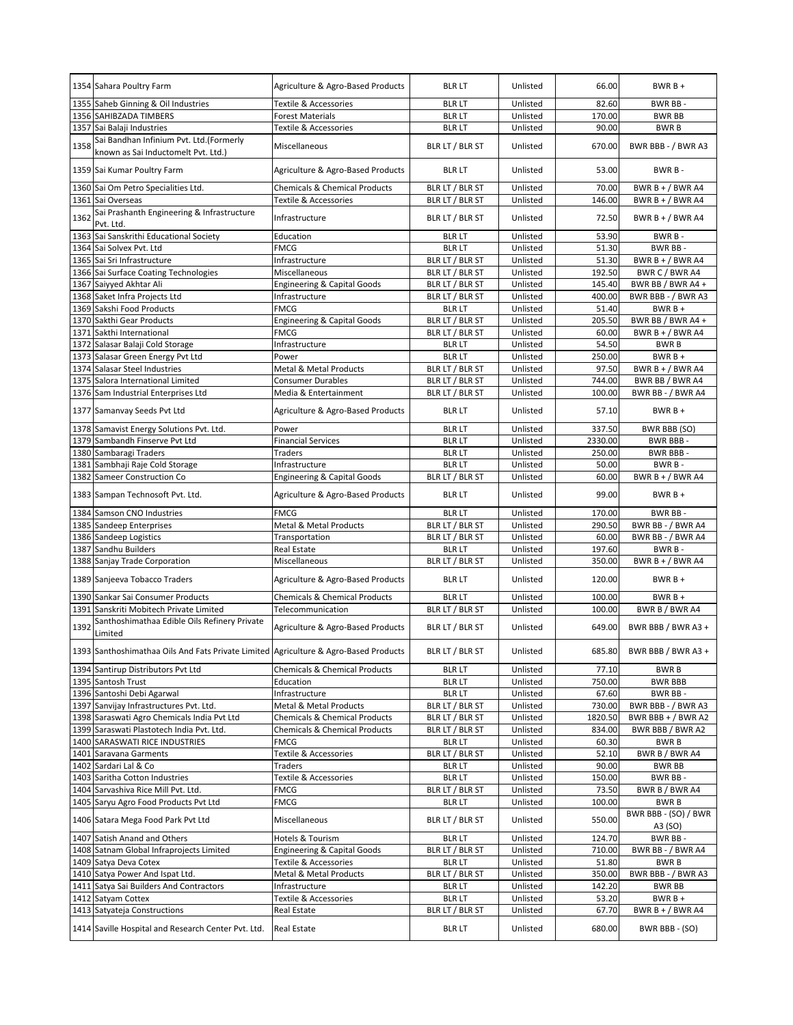|      | 1354 Sahara Poultry Farm                                                             | Agriculture & Agro-Based Products        | <b>BLR LT</b>   | Unlisted | 66.00   | $BWRB+$                         |
|------|--------------------------------------------------------------------------------------|------------------------------------------|-----------------|----------|---------|---------------------------------|
|      | 1355 Saheb Ginning & Oil Industries                                                  | Textile & Accessories                    | <b>BLR LT</b>   | Unlisted | 82.60   | BWR BB-                         |
|      | 1356 SAHIBZADA TIMBERS                                                               | <b>Forest Materials</b>                  | <b>BLR LT</b>   | Unlisted | 170.00  | <b>BWR BB</b>                   |
|      | 1357 Sai Balaji Industries                                                           | Textile & Accessories                    | <b>BLR LT</b>   | Unlisted | 90.00   | <b>BWRB</b>                     |
| 1358 | Sai Bandhan Infinium Pvt. Ltd.(Formerly<br>known as Sai Inductomelt Pvt. Ltd.)       | Miscellaneous                            | BLR LT / BLR ST | Unlisted | 670.00  | BWR BBB - / BWR A3              |
|      | 1359 Sai Kumar Poultry Farm                                                          | Agriculture & Agro-Based Products        | <b>BLR LT</b>   | Unlisted | 53.00   | BWR B-                          |
|      | 1360 Sai Om Petro Specialities Ltd.                                                  | <b>Chemicals &amp; Chemical Products</b> | BLR LT / BLR ST | Unlisted | 70.00   | BWR $B + / BWR$ A4              |
|      | 1361 Sai Overseas                                                                    | Textile & Accessories                    | BLR LT / BLR ST | Unlisted | 146.00  | BWR B + / BWR A4                |
| 1362 | Sai Prashanth Engineering & Infrastructure<br>Pvt. Ltd.                              | Infrastructure                           | BLR LT / BLR ST | Unlisted | 72.50   | BWR B + $/$ BWR A4              |
|      | 1363 Sai Sanskrithi Educational Society                                              | Education                                | <b>BLRLT</b>    | Unlisted | 53.90   | BWR B-                          |
|      | 1364 Sai Solvex Pvt. Ltd                                                             | <b>FMCG</b>                              | <b>BLR LT</b>   | Unlisted | 51.30   | BWR BB-                         |
|      | 1365 Sai Sri Infrastructure                                                          | Infrastructure                           | BLR LT / BLR ST | Unlisted | 51.30   | BWR B + $/$ BWR A4              |
|      | 1366 Sai Surface Coating Technologies                                                | Miscellaneous                            | BLR LT / BLR ST | Unlisted | 192.50  | BWR C / BWR A4                  |
| 1367 | Saiyyed Akhtar Ali                                                                   | <b>Engineering &amp; Capital Goods</b>   | BLR LT / BLR ST | Unlisted | 145.40  | BWR BB / BWR A4 +               |
|      | 1368 Saket Infra Projects Ltd                                                        | Infrastructure                           | BLR LT / BLR ST | Unlisted | 400.00  | BWR BBB - / BWR A3              |
|      | 1369 Sakshi Food Products                                                            | FMCG                                     | <b>BLR LT</b>   | Unlisted | 51.40   | $BWRB +$                        |
|      | 1370 Sakthi Gear Products                                                            | <b>Engineering &amp; Capital Goods</b>   | BLR LT / BLR ST | Unlisted | 205.50  | BWR BB / BWR A4 +               |
| 1371 | Sakthi International                                                                 | FMCG                                     | BLR LT / BLR ST | Unlisted | 60.00   | BWR $B + / BWR$ A4              |
|      | 1372 Salasar Balaji Cold Storage                                                     | Infrastructure                           | <b>BLR LT</b>   | Unlisted | 54.50   | <b>BWRB</b>                     |
| 1373 | Salasar Green Energy Pvt Ltd                                                         | Power                                    | <b>BLR LT</b>   | Unlisted | 250.00  | $BWRB +$                        |
|      | 1374 Salasar Steel Industries                                                        | Metal & Metal Products                   | BLR LT / BLR ST | Unlisted | 97.50   | BWR B + $/$ BWR A4              |
| 1375 | Salora International Limited                                                         | <b>Consumer Durables</b>                 | BLR LT / BLR ST | Unlisted | 744.00  | BWR BB / BWR A4                 |
|      | 1376 Sam Industrial Enterprises Ltd                                                  | Media & Entertainment                    | BLR LT / BLR ST | Unlisted | 100.00  | BWR BB - / BWR A4               |
|      | 1377 Samanvay Seeds Pvt Ltd                                                          | Agriculture & Agro-Based Products        | <b>BLR LT</b>   | Unlisted | 57.10   | $BWRB +$                        |
|      | 1378 Samavist Energy Solutions Pvt. Ltd.                                             | Power                                    | <b>BLR LT</b>   | Unlisted | 337.50  | BWR BBB (SO)                    |
|      | 1379 Sambandh Finserve Pvt Ltd                                                       | <b>Financial Services</b>                | <b>BLR LT</b>   | Unlisted | 2330.00 | BWR BBB-                        |
|      | 1380 Sambaragi Traders                                                               | Traders                                  | <b>BLR LT</b>   | Unlisted | 250.00  | BWR BBB-                        |
|      | 1381 Sambhaji Raje Cold Storage                                                      | Infrastructure                           | <b>BLR LT</b>   | Unlisted | 50.00   | BWR B-                          |
|      | 1382 Sameer Construction Co                                                          | <b>Engineering &amp; Capital Goods</b>   | BLR LT / BLR ST | Unlisted | 60.00   | BWR B + $/$ BWR A4              |
|      | 1383 Sampan Technosoft Pvt. Ltd.                                                     | Agriculture & Agro-Based Products        | <b>BLR LT</b>   | Unlisted | 99.00   | $BWRB+$                         |
|      |                                                                                      |                                          |                 |          |         |                                 |
|      | 1384 Samson CNO Industries                                                           | FMCG                                     | <b>BLR LT</b>   | Unlisted | 170.00  | BWR BB-                         |
|      | 1385 Sandeep Enterprises                                                             | Metal & Metal Products                   | BLR LT / BLR ST | Unlisted | 290.50  | BWR BB - / BWR A4               |
|      | 1386 Sandeep Logistics                                                               | Transportation                           | BLR LT / BLR ST | Unlisted | 60.00   | BWR BB - / BWR A4               |
| 1387 | Sandhu Builders                                                                      | Real Estate                              | <b>BLR LT</b>   | Unlisted | 197.60  | BWR B-                          |
|      | 1388 Sanjay Trade Corporation                                                        | Miscellaneous                            | BLR LT / BLR ST | Unlisted | 350.00  | BWR B + $/$ BWR A4              |
|      | 1389 Sanjeeva Tobacco Traders                                                        | Agriculture & Agro-Based Products        | <b>BLR LT</b>   | Unlisted | 120.00  | $BWRB +$                        |
|      | 1390 Sankar Sai Consumer Products                                                    | <b>Chemicals &amp; Chemical Products</b> | <b>BLR LT</b>   | Unlisted | 100.00  | $BWRB +$                        |
|      | 1391 Sanskriti Mobitech Private Limited                                              | Telecommunication                        | BLR LT / BLR ST | Unlisted | 100.00  | BWR B / BWR A4                  |
| 1392 | Santhoshimathaa Edible Oils Refinery Private<br>Limited                              | Agriculture & Agro-Based Products        | BLR LT / BLR ST | Unlisted | 649.00  | BWR BBB / BWR A3 +              |
|      | 1393 Santhoshimathaa Oils And Fats Private Limited Agriculture & Agro-Based Products |                                          | BLR LT / BLR ST | Unlisted | 685.80  | BWR BBB / BWR A3 +              |
|      | 1394 Santirup Distributors Pvt Ltd                                                   | <b>Chemicals &amp; Chemical Products</b> | <b>BLR LT</b>   | Unlisted | 77.10   | <b>BWRB</b>                     |
|      | 1395 Santosh Trust                                                                   | Education                                | <b>BLR LT</b>   | Unlisted | 750.00  | <b>BWR BBB</b>                  |
|      | 1396 Santoshi Debi Agarwal                                                           | Infrastructure                           | <b>BLR LT</b>   | Unlisted | 67.60   | BWR BB-                         |
|      | 1397 Sanvijay Infrastructures Pvt. Ltd.                                              | Metal & Metal Products                   | BLR LT / BLR ST | Unlisted | 730.00  | BWR BBB - / BWR A3              |
|      | 1398 Saraswati Agro Chemicals India Pvt Ltd                                          | <b>Chemicals &amp; Chemical Products</b> | BLR LT / BLR ST | Unlisted | 1820.50 | BWR BBB + $/$ BWR A2            |
|      | 1399 Saraswati Plastotech India Pvt. Ltd.                                            | <b>Chemicals &amp; Chemical Products</b> | BLR LT / BLR ST | Unlisted | 834.00  | BWR BBB / BWR A2                |
|      | 1400 SARASWATI RICE INDUSTRIES                                                       | FMCG                                     | <b>BLR LT</b>   | Unlisted | 60.30   | <b>BWRB</b>                     |
|      | 1401 Saravana Garments                                                               | Textile & Accessories                    | BLR LT / BLR ST | Unlisted | 52.10   | BWR B / BWR A4                  |
|      | 1402 Sardari Lal & Co                                                                | Traders                                  | <b>BLR LT</b>   | Unlisted | 90.00   | <b>BWR BB</b>                   |
|      | 1403 Saritha Cotton Industries                                                       | Textile & Accessories                    | <b>BLR LT</b>   | Unlisted | 150.00  | BWR BB-                         |
|      | 1404 Sarvashiva Rice Mill Pvt. Ltd.                                                  | FMCG                                     | BLR LT / BLR ST | Unlisted | 73.50   | BWR B / BWR A4                  |
|      | 1405 Saryu Agro Food Products Pvt Ltd                                                | FMCG                                     | <b>BLR LT</b>   | Unlisted | 100.00  | <b>BWRB</b>                     |
|      | 1406 Satara Mega Food Park Pvt Ltd                                                   | Miscellaneous                            | BLR LT / BLR ST | Unlisted | 550.00  | BWR BBB - (SO) / BWR<br>A3 (SO) |
|      | 1407 Satish Anand and Others                                                         | Hotels & Tourism                         | <b>BLR LT</b>   | Unlisted | 124.70  | BWR BB-                         |
|      | 1408 Satnam Global Infraprojects Limited                                             | Engineering & Capital Goods              | BLR LT / BLR ST | Unlisted | 710.00  | BWR BB - / BWR A4               |
|      | 1409 Satya Deva Cotex                                                                | Textile & Accessories                    | <b>BLR LT</b>   | Unlisted | 51.80   | <b>BWRB</b>                     |
|      | 1410 Satya Power And Ispat Ltd.                                                      | Metal & Metal Products                   | BLR LT / BLR ST | Unlisted | 350.00  | BWR BBB - / BWR A3              |
|      | 1411 Satya Sai Builders And Contractors                                              | Infrastructure                           | <b>BLR LT</b>   | Unlisted | 142.20  | BWR BB                          |
|      | 1412 Satyam Cottex                                                                   | Textile & Accessories                    | <b>BLR LT</b>   | Unlisted | 53.20   | $BWRB +$                        |
|      | 1413 Satyateja Constructions                                                         | Real Estate                              | BLR LT / BLR ST | Unlisted | 67.70   | BWR B + / BWR A4                |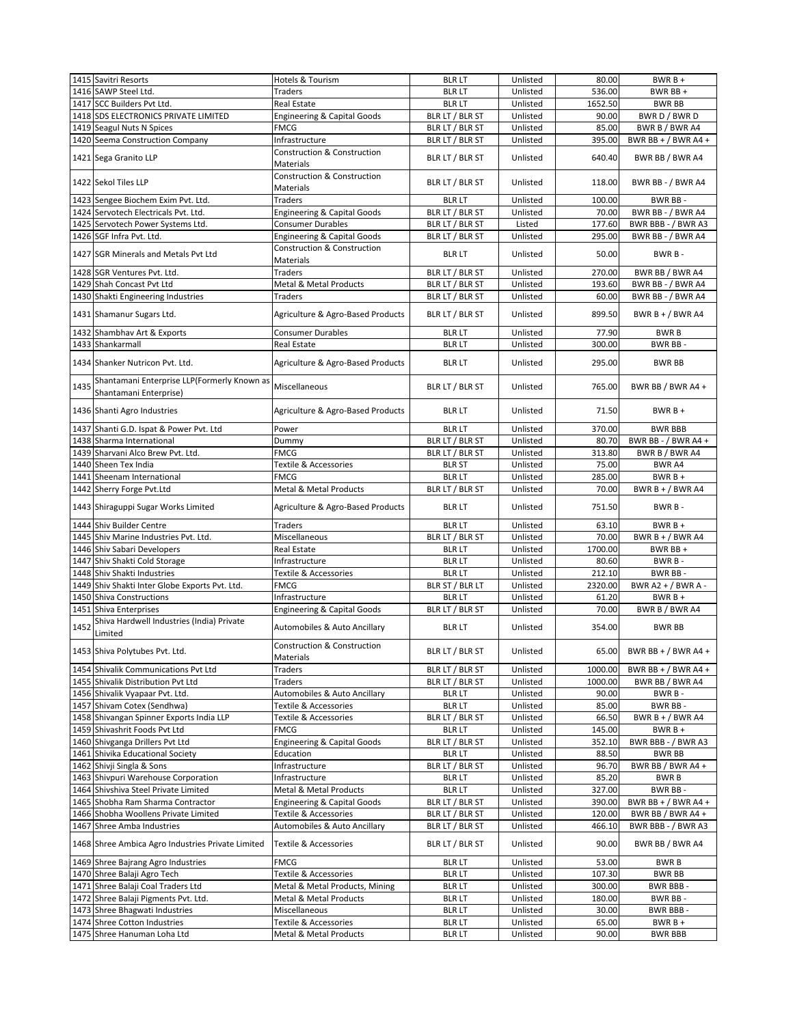|      | 1415 Savitri Resorts                                                  | Hotels & Tourism                                           | <b>BLR LT</b>   | Unlisted | 80.00   | $BWRB +$              |
|------|-----------------------------------------------------------------------|------------------------------------------------------------|-----------------|----------|---------|-----------------------|
|      | 1416 SAWP Steel Ltd.                                                  | <b>Traders</b>                                             | <b>BLR LT</b>   | Unlisted | 536.00  | BWR BB +              |
|      | 1417 SCC Builders Pvt Ltd.                                            | Real Estate                                                | <b>BLR LT</b>   | Unlisted | 1652.50 | <b>BWR BB</b>         |
|      | 1418 SDS ELECTRONICS PRIVATE LIMITED                                  | <b>Engineering &amp; Capital Goods</b>                     | BLR LT / BLR ST | Unlisted | 90.00   | BWR D / BWR D         |
|      | 1419 Seagul Nuts N Spices                                             | FMCG                                                       | BLR LT / BLR ST | Unlisted | 85.00   | BWR B / BWR A4        |
|      | 1420 Seema Construction Company                                       | Infrastructure                                             | BLR LT / BLR ST | Unlisted | 395.00  | BWR BB + $/$ BWR A4 + |
|      | 1421 Sega Granito LLP                                                 | Construction & Construction<br><b>Materials</b>            | BLR LT / BLR ST | Unlisted | 640.40  | BWR BB / BWR A4       |
|      | 1422 Sekol Tiles LLP                                                  | Construction & Construction<br>Materials                   | BLR LT / BLR ST | Unlisted | 118.00  | BWR BB - / BWR A4     |
|      | 1423 Sengee Biochem Exim Pvt. Ltd.                                    | <b>Traders</b>                                             | <b>BLR LT</b>   | Unlisted | 100.00  | BWR BB-               |
|      | 1424 Servotech Electricals Pvt. Ltd.                                  | <b>Engineering &amp; Capital Goods</b>                     | BLR LT / BLR ST | Unlisted | 70.00   | BWR BB - / BWR A4     |
|      | 1425 Servotech Power Systems Ltd.                                     | Consumer Durables                                          | BLR LT / BLR ST | Listed   | 177.60  | BWR BBB - / BWR A3    |
|      | 1426 SGF Infra Pvt. Ltd.                                              | <b>Engineering &amp; Capital Goods</b>                     | BLR LT / BLR ST | Unlisted | 295.00  | BWR BB - / BWR A4     |
|      | 1427 SGR Minerals and Metals Pvt Ltd                                  | <b>Construction &amp; Construction</b><br><b>Materials</b> | <b>BLR LT</b>   | Unlisted | 50.00   | BWR B-                |
|      |                                                                       |                                                            |                 |          |         |                       |
|      | 1428 SGR Ventures Pvt. Ltd.                                           | <b>Traders</b>                                             | BLR LT / BLR ST | Unlisted | 270.00  | BWR BB / BWR A4       |
|      | 1429 Shah Concast Pvt Ltd                                             | Metal & Metal Products                                     | BLR LT / BLR ST | Unlisted | 193.60  | BWR BB - / BWR A4     |
|      | 1430 Shakti Engineering Industries                                    | Traders                                                    | BLR LT / BLR ST | Unlisted | 60.00   | BWR BB - / BWR A4     |
|      | 1431 Shamanur Sugars Ltd.                                             | Agriculture & Agro-Based Products                          | BLR LT / BLR ST | Unlisted | 899.50  | BWR $B + / BWR$ A4    |
|      | 1432 Shambhav Art & Exports                                           | <b>Consumer Durables</b>                                   | <b>BLR LT</b>   | Unlisted | 77.90   | <b>BWRB</b>           |
|      | 1433 Shankarmall                                                      | <b>Real Estate</b>                                         | <b>BLR LT</b>   | Unlisted | 300.00  | BWR BB-               |
|      | 1434 Shanker Nutricon Pvt. Ltd.                                       | Agriculture & Agro-Based Products                          | <b>BLR LT</b>   | Unlisted | 295.00  | <b>BWR BB</b>         |
| 1435 | Shantamani Enterprise LLP(Formerly Known as<br>Shantamani Enterprise) | Miscellaneous                                              | BLR LT / BLR ST | Unlisted | 765.00  | BWR BB / BWR A4 +     |
|      | 1436 Shanti Agro Industries                                           | Agriculture & Agro-Based Products                          | <b>BLR LT</b>   | Unlisted | 71.50   | $BWRB +$              |
|      | 1437 Shanti G.D. Ispat & Power Pvt. Ltd                               | Power                                                      | <b>BLR LT</b>   | Unlisted | 370.00  | <b>BWR BBB</b>        |
|      | 1438 Sharma International                                             | Dummy                                                      | BLR LT / BLR ST | Unlisted | 80.70   | BWR BB - / BWR A4 +   |
|      | 1439 Sharvani Alco Brew Pvt. Ltd.                                     | <b>FMCG</b>                                                | BLR LT / BLR ST | Unlisted | 313.80  | BWR B / BWR A4        |
|      | 1440 Sheen Tex India                                                  | Textile & Accessories                                      | <b>BLR ST</b>   | Unlisted | 75.00   | BWR A4                |
|      | 1441 Sheenam International                                            | <b>FMCG</b>                                                | <b>BLR LT</b>   | Unlisted | 285.00  | $BWRB +$              |
|      | 1442 Sherry Forge Pvt.Ltd                                             | Metal & Metal Products                                     | BLR LT / BLR ST | Unlisted | 70.00   | BWR B + $/$ BWR A4    |
|      | 1443 Shiraguppi Sugar Works Limited                                   | Agriculture & Agro-Based Products                          | <b>BLR LT</b>   | Unlisted | 751.50  | BWR B-                |
|      | 1444 Shiv Builder Centre                                              | <b>Traders</b>                                             | <b>BLR LT</b>   | Unlisted | 63.10   | $BWRB +$              |
|      | 1445 Shiv Marine Industries Pvt. Ltd.                                 | Miscellaneous                                              | BLR LT / BLR ST | Unlisted | 70.00   | BWR $B + / BWR$ A4    |
|      | 1446 Shiv Sabari Developers                                           | Real Estate                                                | <b>BLR LT</b>   | Unlisted | 1700.00 | BWR BB+               |
|      | 1447 Shiv Shakti Cold Storage                                         | Infrastructure                                             | <b>BLR LT</b>   | Unlisted | 80.60   | BWR B-                |
|      | 1448 Shiv Shakti Industries                                           | Textile & Accessories                                      | <b>BLR LT</b>   | Unlisted | 212.10  | BWR BB-               |
|      | 1449 Shiv Shakti Inter Globe Exports Pvt. Ltd.                        | <b>FMCG</b>                                                | BLR ST / BLR LT | Unlisted | 2320.00 | BWR A2 + / BWR A -    |
|      | 1450 Shiva Constructions                                              | Infrastructure                                             | <b>BLR LT</b>   | Unlisted | 61.20   | $BWRB +$              |
|      | 1451 Shiva Enterprises                                                | <b>Engineering &amp; Capital Goods</b>                     | BLR LT / BLR ST | Unlisted | 70.00   | BWR B / BWR A4        |
| 1452 | Shiva Hardwell Industries (India) Private<br>Limited                  | Automobiles & Auto Ancillary                               | <b>BLR LT</b>   | Unlisted | 354.00  | <b>BWR BB</b>         |
|      | 1453 Shiva Polytubes Pvt. Ltd.                                        | <b>Construction &amp; Construction</b><br>Materials        | BLR LT / BLR ST | Unlisted | 65.00   | BWR BB + / BWR A4 +   |
|      | 1454 Shivalik Communications Pvt Ltd                                  | Traders                                                    | BLR LT / BLR ST | Unlisted | 1000.00 | BWR BB + $/$ BWR A4 + |
|      | 1455 Shivalik Distribution Pvt Ltd                                    | Traders                                                    | BLR LT / BLR ST | Unlisted | 1000.00 | BWR BB / BWR A4       |
|      | 1456 Shivalik Vyapaar Pvt. Ltd.                                       | Automobiles & Auto Ancillary                               | <b>BLR LT</b>   | Unlisted | 90.00   | BWR B-                |
|      | 1457 Shivam Cotex (Sendhwa)                                           | <b>Textile &amp; Accessories</b>                           | <b>BLR LT</b>   | Unlisted | 85.00   | BWR BB-               |
|      | 1458 Shivangan Spinner Exports India LLP                              | Textile & Accessories                                      | BLR LT / BLR ST | Unlisted | 66.50   | BWR $B + / BWR$ A4    |
|      | 1459 Shivashrit Foods Pvt Ltd                                         | FMCG                                                       | <b>BLR LT</b>   | Unlisted | 145.00  | $BWRB +$              |
|      | 1460 Shivganga Drillers Pvt Ltd                                       | <b>Engineering &amp; Capital Goods</b>                     | BLR LT / BLR ST | Unlisted | 352.10  | BWR BBB - / BWR A3    |
|      | 1461 Shivika Educational Society                                      | Education                                                  | <b>BLR LT</b>   | Unlisted | 88.50   | BWR BB                |
|      | 1462 Shivji Singla & Sons                                             | Infrastructure                                             | BLR LT / BLR ST | Unlisted | 96.70   | BWR BB / BWR A4 +     |
|      | 1463 Shivpuri Warehouse Corporation                                   | Infrastructure                                             | <b>BLR LT</b>   | Unlisted | 85.20   | <b>BWRB</b>           |
|      | 1464 Shivshiva Steel Private Limited                                  | Metal & Metal Products                                     | <b>BLR LT</b>   | Unlisted | 327.00  | BWR BB-               |
|      | 1465 Shobha Ram Sharma Contractor                                     | <b>Engineering &amp; Capital Goods</b>                     | BLR LT / BLR ST | Unlisted | 390.00  | BWR BB + $/$ BWR A4 + |
|      | 1466 Shobha Woollens Private Limited                                  | Textile & Accessories                                      | BLR LT / BLR ST | Unlisted | 120.00  | BWR BB / BWR A4 +     |
|      | 1467 Shree Amba Industries                                            | Automobiles & Auto Ancillary                               | BLR LT / BLR ST | Unlisted | 466.10  | BWR BBB - / BWR A3    |
|      | 1468 Shree Ambica Agro Industries Private Limited                     | <b>Textile &amp; Accessories</b>                           | BLR LT / BLR ST | Unlisted | 90.00   | BWR BB / BWR A4       |
|      |                                                                       |                                                            |                 |          |         | <b>BWRB</b>           |
|      | 1469 Shree Bajrang Agro Industries                                    | FMCG                                                       | <b>BLR LT</b>   | Unlisted | 53.00   |                       |
|      | 1470 Shree Balaji Agro Tech                                           | Textile & Accessories                                      | <b>BLR LT</b>   | Unlisted | 107.30  | BWR BB                |
|      | 1471 Shree Balaji Coal Traders Ltd                                    | Metal & Metal Products, Mining                             | <b>BLR LT</b>   | Unlisted | 300.00  | BWR BBB -             |
|      | 1472 Shree Balaji Pigments Pvt. Ltd.                                  | Metal & Metal Products                                     | <b>BLR LT</b>   | Unlisted | 180.00  | BWR BB-               |
|      | 1473 Shree Bhagwati Industries                                        | Miscellaneous                                              | <b>BLR LT</b>   | Unlisted | 30.00   | BWR BBB -             |
|      | 1474 Shree Cotton Industries                                          | Textile & Accessories                                      | <b>BLR LT</b>   | Unlisted | 65.00   | $BWRB +$              |
|      | 1475 Shree Hanuman Loha Ltd                                           | Metal & Metal Products                                     | <b>BLR LT</b>   | Unlisted | 90.00   | <b>BWR BBB</b>        |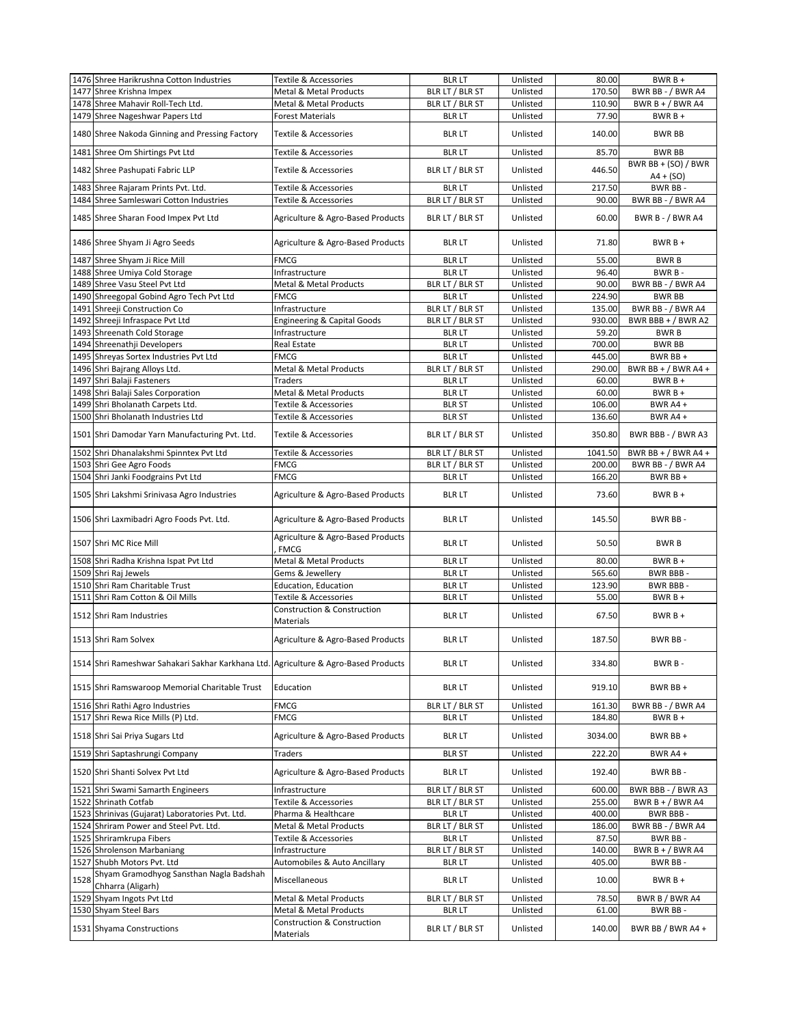|      | 1476 Shree Harikrushna Cotton Industries                                            | Textile & Accessories                            | <b>BLR LT</b>   | Unlisted | 80.00   | $BWRB +$                |
|------|-------------------------------------------------------------------------------------|--------------------------------------------------|-----------------|----------|---------|-------------------------|
|      |                                                                                     |                                                  |                 |          |         |                         |
|      | 1477 Shree Krishna Impex                                                            | Metal & Metal Products                           | BLR LT / BLR ST | Unlisted | 170.50  | BWR BB - / BWR A4       |
|      | 1478 Shree Mahavir Roll-Tech Ltd.                                                   | <b>Metal &amp; Metal Products</b>                | BLR LT / BLR ST | Unlisted | 110.90  | BWR $B + / BWR$ A4      |
|      | 1479 Shree Nageshwar Papers Ltd                                                     | <b>Forest Materials</b>                          | <b>BLR LT</b>   | Unlisted | 77.90   | $BWRB +$                |
|      | 1480 Shree Nakoda Ginning and Pressing Factory                                      | Textile & Accessories                            | <b>BLR LT</b>   | Unlisted | 140.00  | <b>BWR BB</b>           |
|      | 1481 Shree Om Shirtings Pvt Ltd                                                     | Textile & Accessories                            | <b>BLR LT</b>   | Unlisted | 85.70   | BWR BB                  |
|      |                                                                                     |                                                  |                 |          |         | BWR BB + $(SO)$ / BWR   |
|      | 1482 Shree Pashupati Fabric LLP                                                     | <b>Textile &amp; Accessories</b>                 | BLR LT / BLR ST | Unlisted | 446.50  | $A4 + (SO)$             |
|      | 1483 Shree Rajaram Prints Pvt. Ltd.                                                 | Textile & Accessories                            | <b>BLR LT</b>   | Unlisted | 217.50  | BWR BB-                 |
|      |                                                                                     |                                                  |                 |          |         |                         |
|      | 1484 Shree Samleswari Cotton Industries                                             | Textile & Accessories                            | BLR LT / BLR ST | Unlisted | 90.00   | BWR BB - / BWR A4       |
|      | 1485 Shree Sharan Food Impex Pvt Ltd                                                | Agriculture & Agro-Based Products                | BLR LT / BLR ST | Unlisted | 60.00   | <b>BWR B - / BWR A4</b> |
|      | 1486 Shree Shyam Ji Agro Seeds                                                      | Agriculture & Agro-Based Products                | <b>BLR LT</b>   | Unlisted | 71.80   | $BWRB +$                |
|      | 1487 Shree Shyam Ji Rice Mill                                                       | <b>FMCG</b>                                      | <b>BLR LT</b>   | Unlisted | 55.00   | <b>BWRB</b>             |
|      | 1488 Shree Umiya Cold Storage                                                       | Infrastructure                                   | <b>BLR LT</b>   | Unlisted | 96.40   | BWR B-                  |
|      | 1489 Shree Vasu Steel Pvt Ltd                                                       | Metal & Metal Products                           | BLR LT / BLR ST | Unlisted | 90.00   | BWR BB - / BWR A4       |
|      |                                                                                     |                                                  |                 |          |         |                         |
|      | 1490 Shreegopal Gobind Agro Tech Pvt Ltd                                            | FMCG                                             | <b>BLR LT</b>   | Unlisted | 224.90  | <b>BWR BB</b>           |
|      | 1491 Shreeji Construction Co                                                        | Infrastructure                                   | BLR LT / BLR ST | Unlisted | 135.00  | BWR BB - / BWR A4       |
|      | 1492 Shreeji Infraspace Pvt Ltd                                                     | <b>Engineering &amp; Capital Goods</b>           | BLR LT / BLR ST | Unlisted | 930.00  | BWR BBB + / BWR A2      |
|      | 1493 Shreenath Cold Storage                                                         | Infrastructure                                   | <b>BLR LT</b>   | Unlisted | 59.20   | <b>BWRB</b>             |
|      | 1494 Shreenathji Developers                                                         | Real Estate                                      | <b>BLR LT</b>   | Unlisted | 700.00  | <b>BWR BB</b>           |
|      | 1495 Shreyas Sortex Industries Pvt Ltd                                              | FMCG                                             | <b>BLR LT</b>   | Unlisted | 445.00  | BWR BB +                |
|      |                                                                                     | Metal & Metal Products                           |                 | Unlisted | 290.00  | BWR BB + $/$ BWR A4 +   |
|      | 1496 Shri Bajrang Alloys Ltd.                                                       |                                                  | BLR LT / BLR ST |          |         |                         |
|      | 1497 Shri Balaji Fasteners                                                          | Traders                                          | <b>BLR LT</b>   | Unlisted | 60.00   | $BWRB +$                |
|      | 1498 Shri Balaji Sales Corporation                                                  | Metal & Metal Products                           | <b>BLR LT</b>   | Unlisted | 60.00   | $BWRB +$                |
|      | 1499 Shri Bholanath Carpets Ltd.                                                    | Textile & Accessories                            | <b>BLR ST</b>   | Unlisted | 106.00  | BWR A4+                 |
|      | 1500 Shri Bholanath Industries Ltd                                                  | Textile & Accessories                            | <b>BLR ST</b>   | Unlisted | 136.60  | BWR A4+                 |
|      | 1501 Shri Damodar Yarn Manufacturing Pvt. Ltd.                                      | <b>Textile &amp; Accessories</b>                 | BLR LT / BLR ST | Unlisted | 350.80  | BWR BBB - / BWR A3      |
|      |                                                                                     |                                                  |                 |          |         |                         |
|      | 1502 Shri Dhanalakshmi Spinntex Pvt Ltd                                             | Textile & Accessories                            | BLR LT / BLR ST | Unlisted | 1041.50 | BWR BB + $/$ BWR A4 +   |
|      | 1503 Shri Gee Agro Foods                                                            | FMCG                                             | BLR LT / BLR ST | Unlisted | 200.00  | BWR BB - / BWR A4       |
|      | 1504 Shri Janki Foodgrains Pvt Ltd                                                  | FMCG                                             | <b>BLR LT</b>   | Unlisted | 166.20  | BWR BB +                |
|      | 1505 Shri Lakshmi Srinivasa Agro Industries                                         | Agriculture & Agro-Based Products                | <b>BLR LT</b>   | Unlisted | 73.60   | $BWRB +$                |
|      | 1506 Shri Laxmibadri Agro Foods Pvt. Ltd.                                           | Agriculture & Agro-Based Products                | <b>BLR LT</b>   | Unlisted | 145.50  | BWR BB-                 |
|      | 1507 Shri MC Rice Mill                                                              | Agriculture & Agro-Based Products<br><b>FMCG</b> | <b>BLR LT</b>   | Unlisted | 50.50   | <b>BWRB</b>             |
|      | 1508 Shri Radha Krishna Ispat Pvt Ltd                                               | Metal & Metal Products                           | <b>BLR LT</b>   | Unlisted | 80.00   | $BWRB +$                |
|      | 1509 Shri Raj Jewels                                                                | Gems & Jewellery                                 | <b>BLR LT</b>   | Unlisted | 565.60  | <b>BWR BBB-</b>         |
|      | 1510 Shri Ram Charitable Trust                                                      | Education, Education                             | <b>BLR LT</b>   | Unlisted | 123.90  | <b>BWR BBB</b>          |
|      | 1511 Shri Ram Cotton & Oil Mills                                                    | Textile & Accessories                            | <b>BLR LT</b>   | Unlisted | 55.00   | $BWRB +$                |
|      |                                                                                     |                                                  |                 |          |         |                         |
|      | 1512 Shri Ram Industries                                                            | Construction & Construction<br>Materials         | <b>BLR LT</b>   | Unlisted | 67.50   | $BWRB +$                |
|      | 1513 Shri Ram Solvex                                                                | Agriculture & Agro-Based Products                | <b>BLR LT</b>   | Unlisted | 187.50  | BWR BB-                 |
|      | 1514 Shri Rameshwar Sahakari Sakhar Karkhana Ltd. Agriculture & Agro-Based Products |                                                  | <b>BLR LT</b>   | Unlisted | 334.80  | BWR B-                  |
|      | 1515 Shri Ramswaroop Memorial Charitable Trust                                      | Education                                        | <b>BLR LT</b>   | Unlisted | 919.10  | BWR BB +                |
|      | 1516 Shri Rathi Agro Industries                                                     | FMCG                                             | BLR LT / BLR ST | Unlisted | 161.30  | BWR BB - / BWR A4       |
|      | 1517 Shri Rewa Rice Mills (P) Ltd.                                                  | FMCG                                             | <b>BLR LT</b>   | Unlisted | 184.80  | $BWRB +$                |
|      | 1518 Shri Sai Priya Sugars Ltd                                                      | Agriculture & Agro-Based Products                | <b>BLR LT</b>   | Unlisted | 3034.00 | BWR BB +                |
|      | 1519 Shri Saptashrungi Company                                                      | Traders                                          | <b>BLR ST</b>   | Unlisted | 222.20  | BWR A4+                 |
|      | 1520 Shri Shanti Solvex Pvt Ltd                                                     | Agriculture & Agro-Based Products                | <b>BLR LT</b>   | Unlisted | 192.40  | BWR BB-                 |
|      | 1521 Shri Swami Samarth Engineers                                                   | Infrastructure                                   | BLR LT / BLR ST | Unlisted | 600.00  | BWR BBB - / BWR A3      |
|      | 1522 Shrinath Cotfab                                                                | Textile & Accessories                            | BLR LT / BLR ST | Unlisted | 255.00  | BWR $B + / BWR$ A4      |
|      | 1523 Shrinivas (Gujarat) Laboratories Pvt. Ltd.                                     | Pharma & Healthcare                              | <b>BLR LT</b>   | Unlisted | 400.00  | <b>BWR BBB-</b>         |
|      |                                                                                     |                                                  |                 |          |         |                         |
|      | 1524 Shriram Power and Steel Pvt. Ltd.                                              | Metal & Metal Products                           | BLR LT / BLR ST | Unlisted | 186.00  | BWR BB - / BWR A4       |
|      | 1525 Shriramkrupa Fibers                                                            | Textile & Accessories                            | <b>BLR LT</b>   | Unlisted | 87.50   | BWR BB-                 |
|      | 1526 Shrolenson Marbaniang                                                          | Infrastructure                                   | BLR LT / BLR ST | Unlisted | 140.00  | BWR $B + / BWR$ A4      |
|      | 1527 Shubh Motors Pvt. Ltd                                                          | Automobiles & Auto Ancillary                     | <b>BLR LT</b>   | Unlisted | 405.00  | BWR BB-                 |
| 1528 | Shyam Gramodhyog Sansthan Nagla Badshah<br>Chharra (Aligarh)                        | Miscellaneous                                    | <b>BLR LT</b>   | Unlisted | 10.00   | $BWRB +$                |
|      | 1529 Shyam Ingots Pvt Ltd                                                           | Metal & Metal Products                           | BLR LT / BLR ST | Unlisted | 78.50   | BWR B / BWR A4          |
|      | 1530 Shyam Steel Bars                                                               | Metal & Metal Products                           | <b>BLR LT</b>   | Unlisted | 61.00   | BWR BB-                 |
|      |                                                                                     |                                                  |                 |          |         |                         |
|      | 1531 Shyama Constructions                                                           | Construction & Construction<br>Materials         | BLR LT / BLR ST | Unlisted | 140.00  | BWR BB / BWR A4 +       |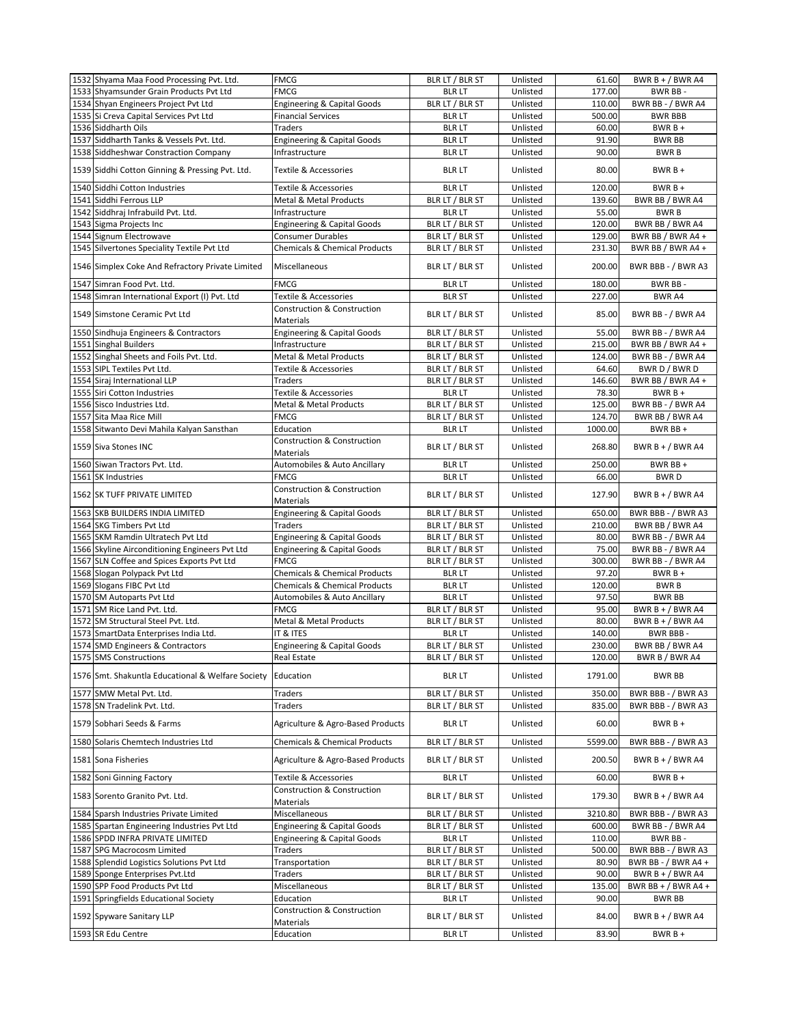|      | 1532 Shyama Maa Food Processing Pvt. Ltd.         | <b>FMCG</b>                                           | BLR LT / BLR ST | Unlisted | 61.60             | BWR B + $/$ BWR A4           |
|------|---------------------------------------------------|-------------------------------------------------------|-----------------|----------|-------------------|------------------------------|
|      | 1533 Shyamsunder Grain Products Pvt Ltd           | <b>FMCG</b>                                           | <b>BLR LT</b>   | Unlisted | 177.00            | BWR BB-                      |
|      | 1534 Shyan Engineers Project Pvt Ltd              | <b>Engineering &amp; Capital Goods</b>                | BLR LT / BLR ST | Unlisted | 110.00            | BWR BB - / BWR A4            |
|      | 1535 Si Creva Capital Services Pvt Ltd            | <b>Financial Services</b>                             | <b>BLR LT</b>   | Unlisted | 500.00            | <b>BWR BBB</b>               |
|      | 1536 Siddharth Oils                               | <b>Traders</b>                                        | <b>BLR LT</b>   | Unlisted | 60.00             | $BWRB +$                     |
|      |                                                   |                                                       |                 |          |                   |                              |
|      | 1537 Siddharth Tanks & Vessels Pvt. Ltd.          | <b>Engineering &amp; Capital Goods</b>                | <b>BLRLT</b>    | Unlisted | 91.90             | <b>BWR BB</b>                |
| 1538 | Siddheshwar Constraction Company                  | Infrastructure                                        | <b>BLR LT</b>   | Unlisted | 90.00             | <b>BWRB</b>                  |
|      | 1539 Siddhi Cotton Ginning & Pressing Pvt. Ltd.   | <b>Textile &amp; Accessories</b>                      | <b>BLR LT</b>   | Unlisted | 80.00             | $BWRB +$                     |
|      | 1540 Siddhi Cotton Industries                     | Textile & Accessories                                 | <b>BLR LT</b>   | Unlisted | 120.00            | $BWRB +$                     |
|      | 1541 Siddhi Ferrous LLP                           | <b>Metal &amp; Metal Products</b>                     | BLR LT / BLR ST | Unlisted | 139.60            | BWR BB / BWR A4              |
|      | 1542 Siddhraj Infrabuild Pvt. Ltd.                | Infrastructure                                        | <b>BLR LT</b>   | Unlisted | 55.00             | <b>BWRB</b>                  |
|      | 1543 Sigma Projects Inc                           | <b>Engineering &amp; Capital Goods</b>                | BLR LT / BLR ST | Unlisted | 120.00            | BWR BB / BWR A4              |
|      | 1544 Signum Electrowave                           | <b>Consumer Durables</b>                              | BLR LT / BLR ST | Unlisted | 129.00            | BWR BB / BWR A4 +            |
|      | 1545 Silvertones Speciality Textile Pvt Ltd       | <b>Chemicals &amp; Chemical Products</b>              | BLR LT / BLR ST | Unlisted | 231.30            | BWR BB / BWR A4 +            |
|      | 1546 Simplex Coke And Refractory Private Limited  | Miscellaneous                                         | BLR LT / BLR ST | Unlisted | 200.00            | BWR BBB - / BWR A3           |
|      |                                                   |                                                       |                 |          | 180.00            | BWR BB-                      |
|      | 1547 Simran Food Pvt. Ltd.                        | <b>FMCG</b>                                           | <b>BLR LT</b>   | Unlisted |                   |                              |
|      | 1548 Simran International Export (I) Pvt. Ltd     | Textile & Accessories                                 | <b>BLR ST</b>   | Unlisted | 227.00            | BWR A4                       |
|      | 1549 Simstone Ceramic Pvt Ltd                     | <b>Construction &amp; Construction</b><br>Materials   | BLR LT / BLR ST | Unlisted | 85.00             | BWR BB - / BWR A4            |
|      | 1550 Sindhuja Engineers & Contractors             | <b>Engineering &amp; Capital Goods</b>                | BLR LT / BLR ST | Unlisted | 55.00             | BWR BB - / BWR A4            |
|      | 1551 Singhal Builders                             | Infrastructure                                        | BLR LT / BLR ST | Unlisted | 215.00            | BWR BB / BWR A4 +            |
|      | 1552 Singhal Sheets and Foils Pvt. Ltd.           | Metal & Metal Products                                | BLR LT / BLR ST | Unlisted | 124.00            | BWR BB - / BWR A4            |
|      | 1553 SIPL Textiles Pvt Ltd.                       | Textile & Accessories                                 | BLR LT / BLR ST | Unlisted | 64.60             | BWR D / BWR D                |
|      | 1554 Siraj International LLP                      | <b>Traders</b>                                        | BLR LT / BLR ST | Unlisted | 146.60            | BWR BB / BWR A4 +            |
|      | 1555 Siri Cotton Industries                       | Textile & Accessories                                 | <b>BLR LT</b>   | Unlisted | 78.30             | $BWRB +$                     |
|      | 1556 Sisco Industries Ltd.                        | Metal & Metal Products                                | BLR LT / BLR ST | Unlisted | 125.00            | BWR BB - / BWR A4            |
|      | 1557 Sita Maa Rice Mill                           | <b>FMCG</b>                                           | BLR LT / BLR ST | Unlisted | 124.70            | BWR BB / BWR A4              |
|      | 1558 Sitwanto Devi Mahila Kalyan Sansthan         | Education                                             | <b>BLR LT</b>   | Unlisted |                   |                              |
|      | 1559 Siva Stones INC                              | Construction & Construction                           | BLR LT / BLR ST | Unlisted | 1000.00<br>268.80 | BWR BB +<br>BWR B + / BWR A4 |
|      |                                                   | Materials                                             |                 |          |                   |                              |
|      | 1560 Siwan Tractors Pvt. Ltd.                     | Automobiles & Auto Ancillary                          | <b>BLR LT</b>   | Unlisted | 250.00            | BWR BB +                     |
|      | 1561 SK Industries                                | <b>FMCG</b>                                           | <b>BLR LT</b>   | Unlisted | 66.00             | <b>BWRD</b>                  |
|      | 1562 SK TUFF PRIVATE LIMITED                      | Construction & Construction<br>Materials              | BLR LT / BLR ST | Unlisted | 127.90            | BWR B + $/$ BWR A4           |
|      |                                                   |                                                       |                 |          |                   |                              |
|      | 1563 SKB BUILDERS INDIA LIMITED                   | <b>Engineering &amp; Capital Goods</b>                | BLR LT / BLR ST | Unlisted | 650.00            | BWR BBB - / BWR A3           |
|      | 1564 SKG Timbers Pvt Ltd                          | <b>Traders</b>                                        | BLR LT / BLR ST | Unlisted | 210.00            | BWR BB / BWR A4              |
|      | 1565 SKM Ramdin Ultratech Pvt Ltd                 |                                                       |                 | Unlisted | 80.00             | BWR BB - / BWR A4            |
|      |                                                   | <b>Engineering &amp; Capital Goods</b>                | BLR LT / BLR ST | Unlisted | 75.00             |                              |
|      | 1566 Skyline Airconditioning Engineers Pvt Ltd    | <b>Engineering &amp; Capital Goods</b><br><b>FMCG</b> | BLR LT / BLR ST |          |                   | BWR BB - / BWR A4            |
|      | 1567 SLN Coffee and Spices Exports Pvt Ltd        |                                                       | BLR LT / BLR ST | Unlisted | 300.00            | BWR BB - / BWR A4            |
|      | 1568 Slogan Polypack Pvt Ltd                      | <b>Chemicals &amp; Chemical Products</b>              | <b>BLR LT</b>   | Unlisted | 97.20             | $BWRB +$                     |
|      | 1569 Slogans FIBC Pvt Ltd                         | <b>Chemicals &amp; Chemical Products</b>              | <b>BLR LT</b>   | Unlisted | 120.00            | <b>BWRB</b>                  |
|      | 1570 SM Autoparts Pvt Ltd                         | Automobiles & Auto Ancillary                          | <b>BLR LT</b>   | Unlisted | 97.50             | <b>BWR BB</b>                |
|      | 1571 SM Rice Land Pvt. Ltd.                       | <b>FMCG</b>                                           | BLR LT / BLR ST | Unlisted | 95.00             | BWR $B + / BWR$ A4           |
|      | 1572 SM Structural Steel Pvt. Ltd.                | Metal & Metal Products                                | BLR LT / BLR ST | Unlisted | 80.00             | BWR B + / BWR A4             |
|      | 1573 SmartData Enterprises India Ltd.             | IT & ITES                                             | <b>BLR LT</b>   | Unlisted | 140.00            | BWR BBB-                     |
|      | 1574 SMD Engineers & Contractors                  | <b>Engineering &amp; Capital Goods</b>                | BLR LT / BLR ST | Unlisted | 230.00            | BWR BB / BWR A4              |
|      | 1575 SMS Constructions                            | Real Estate                                           | BLR LT / BLR ST | Unlisted | 120.00            | BWR B / BWR A4               |
|      | 1576 Smt. Shakuntla Educational & Welfare Society | Education                                             | <b>BLR LT</b>   | Unlisted | 1791.00           | <b>BWR BB</b>                |
|      | 1577 SMW Metal Pvt. Ltd.                          | <b>Traders</b>                                        | BLR LT / BLR ST | Unlisted | 350.00            | BWR BBB - / BWR A3           |
|      | 1578 SN Tradelink Pvt. Ltd.                       | Traders                                               | BLR LT / BLR ST | Unlisted | 835.00            | BWR BBB - / BWR A3           |
|      | 1579 Sobhari Seeds & Farms                        | Agriculture & Agro-Based Products                     | <b>BLR LT</b>   | Unlisted | 60.00             | $BWRB +$                     |
|      | 1580 Solaris Chemtech Industries Ltd              | <b>Chemicals &amp; Chemical Products</b>              | BLR LT / BLR ST | Unlisted | 5599.00           | BWR BBB - / BWR A3           |
|      | 1581 Sona Fisheries                               | Agriculture & Agro-Based Products                     | BLR LT / BLR ST | Unlisted | 200.50            | BWR B + / BWR A4             |
|      | 1582 Soni Ginning Factory                         | Textile & Accessories                                 | <b>BLR LT</b>   | Unlisted | 60.00             | BWR B +                      |
|      | 1583 Sorento Granito Pvt. Ltd.                    | Construction & Construction                           | BLR LT / BLR ST | Unlisted | 179.30            | BWR B + / BWR A4             |
|      |                                                   | Materials                                             |                 |          |                   |                              |
|      | 1584 Sparsh Industries Private Limited            | Miscellaneous                                         | BLR LT / BLR ST | Unlisted | 3210.80           | BWR BBB - / BWR A3           |
|      | 1585 Spartan Engineering Industries Pvt Ltd       | <b>Engineering &amp; Capital Goods</b>                | BLR LT / BLR ST | Unlisted | 600.00            | BWR BB - / BWR A4            |
|      | 1586 SPDD INFRA PRIVATE LIMITED                   | <b>Engineering &amp; Capital Goods</b>                | <b>BLR LT</b>   | Unlisted | 110.00            | BWR BB -                     |
|      | 1587 SPG Macrocosm Limited                        | Traders                                               | BLR LT / BLR ST | Unlisted | 500.00            | BWR BBB - / BWR A3           |
|      | 1588 Splendid Logistics Solutions Pvt Ltd         | Transportation                                        | BLR LT / BLR ST | Unlisted | 80.90             | BWR BB - / BWR A4 +          |
|      | 1589 Sponge Enterprises Pvt.Ltd                   | Traders                                               | BLR LT / BLR ST | Unlisted | 90.00             | BWR B + / BWR A4             |
|      | 1590 SPP Food Products Pvt Ltd                    | Miscellaneous                                         | BLR LT / BLR ST | Unlisted | 135.00            | BWR BB + $/$ BWR A4 +        |
|      | 1591 Springfields Educational Society             | Education                                             | <b>BLR LT</b>   | Unlisted | 90.00             | BWR BB                       |
|      | 1592 Spyware Sanitary LLP                         | <b>Construction &amp; Construction</b><br>Materials   | BLR LT / BLR ST | Unlisted | 84.00             | BWR B + / BWR A4             |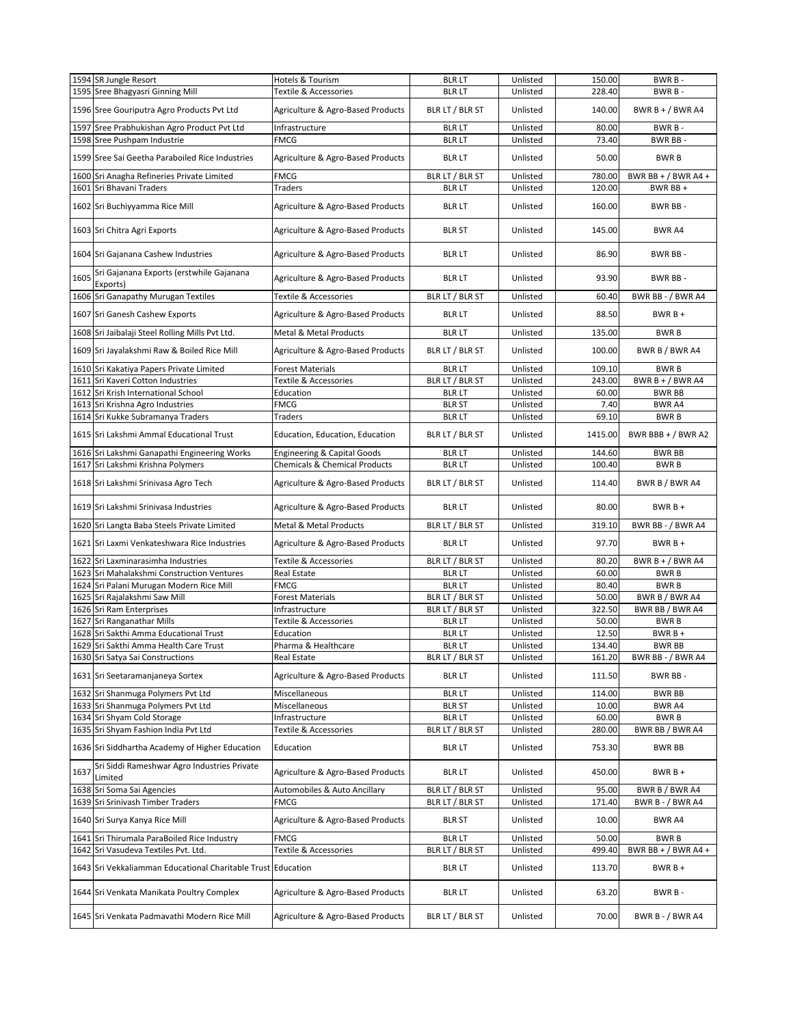|      | 1594 SR Jungle Resort<br>1595 Sree Bhagyasri Ginning Mill                           | Hotels & Tourism<br>Textile & Accessories | <b>BLR LT</b><br><b>BLR LT</b>   | Unlisted<br>Unlisted | 150.00<br>228.40 | BWR B-<br>BWR B-                     |
|------|-------------------------------------------------------------------------------------|-------------------------------------------|----------------------------------|----------------------|------------------|--------------------------------------|
|      |                                                                                     |                                           |                                  |                      |                  |                                      |
|      | 1596 Sree Gouriputra Agro Products Pvt Ltd                                          | Agriculture & Agro-Based Products         | BLR LT / BLR ST                  | Unlisted             | 140.00           | BWR B + / BWR A4                     |
| 1597 | Sree Prabhukishan Agro Product Pvt Ltd<br>1598 Sree Pushpam Industrie               | Infrastructure<br>FMCG                    | <b>BLR LT</b><br><b>BLR LT</b>   | Unlisted<br>Unlisted | 80.00<br>73.40   | BWR B-<br><b>BWR BB-</b>             |
|      | 1599 Sree Sai Geetha Paraboiled Rice Industries                                     | Agriculture & Agro-Based Products         | <b>BLR LT</b>                    | Unlisted             | 50.00            | <b>BWRB</b>                          |
|      | 1600 Sri Anagha Refineries Private Limited                                          | FMCG                                      | BLR LT / BLR ST                  | Unlisted             | 780.00           | BWR BB + $/$ BWR A4 +                |
|      | 1601 Sri Bhavani Traders                                                            | <b>Traders</b>                            | <b>BLR LT</b>                    | Unlisted             | 120.00           | BWR BB+                              |
|      | 1602 Sri Buchiyyamma Rice Mill                                                      | Agriculture & Agro-Based Products         | <b>BLR LT</b>                    | Unlisted             | 160.00           | BWR BB-                              |
|      | 1603 Sri Chitra Agri Exports                                                        | Agriculture & Agro-Based Products         | <b>BLR ST</b>                    | Unlisted             | 145.00           | <b>BWR A4</b>                        |
|      | 1604 Sri Gajanana Cashew Industries                                                 | Agriculture & Agro-Based Products         | <b>BLR LT</b>                    | Unlisted             | 86.90            | BWR BB-                              |
| 1605 | Sri Gajanana Exports (erstwhile Gajanana<br>Exports)                                | Agriculture & Agro-Based Products         | <b>BLR LT</b>                    | Unlisted             | 93.90            | BWR BB-                              |
|      | 1606 Sri Ganapathy Murugan Textiles                                                 | Textile & Accessories                     | BLR LT / BLR ST                  | Unlisted             | 60.40            | BWR BB - / BWR A4                    |
|      | 1607 Sri Ganesh Cashew Exports                                                      | Agriculture & Agro-Based Products         | <b>BLR LT</b>                    | Unlisted             | 88.50            | $BWRB +$                             |
|      | 1608 Sri Jaibalaji Steel Rolling Mills Pvt Ltd.                                     | Metal & Metal Products                    | <b>BLR LT</b>                    | Unlisted             | 135.00           | <b>BWRB</b>                          |
|      | 1609 Sri Jayalakshmi Raw & Boiled Rice Mill                                         | Agriculture & Agro-Based Products         | BLR LT / BLR ST                  | Unlisted             | 100.00           | BWR B / BWR A4                       |
|      | 1610 Sri Kakatiya Papers Private Limited                                            | <b>Forest Materials</b>                   | <b>BLR LT</b>                    | Unlisted             | 109.10           | <b>BWRB</b>                          |
|      | 1611 Sri Kaveri Cotton Industries                                                   | Textile & Accessories                     | BLR LT / BLR ST                  | Unlisted             | 243.00           | BWR B + $/$ BWR A4                   |
|      | 1612 Sri Krish International School<br>1613 Sri Krishna Agro Industries             | Education<br>FMCG                         | <b>BLR LT</b><br><b>BLR ST</b>   | Unlisted<br>Unlisted | 60.00<br>7.40    | <b>BWR BB</b><br>BWR A4              |
|      | 1614 Sri Kukke Subramanya Traders                                                   | <b>Traders</b>                            | <b>BLR LT</b>                    | Unlisted             | 69.10            | <b>BWRB</b>                          |
|      | 1615 Sri Lakshmi Ammal Educational Trust                                            | Education, Education, Education           | BLR LT / BLR ST                  | Unlisted             | 1415.00          | BWR BBB + $/$ BWR A2                 |
|      | 1616 Sri Lakshmi Ganapathi Engineering Works                                        | <b>Engineering &amp; Capital Goods</b>    | <b>BLR LT</b>                    | Unlisted             | 144.60           | <b>BWR BB</b>                        |
|      | 1617 Sri Lakshmi Krishna Polymers                                                   | <b>Chemicals &amp; Chemical Products</b>  | <b>BLR LT</b>                    | Unlisted             | 100.40           | <b>BWRB</b>                          |
|      | 1618 Sri Lakshmi Srinivasa Agro Tech                                                | Agriculture & Agro-Based Products         | BLR LT / BLR ST                  | Unlisted             | 114.40           | BWR B / BWR A4                       |
|      | 1619 Sri Lakshmi Srinivasa Industries                                               | Agriculture & Agro-Based Products         | <b>BLR LT</b>                    | Unlisted             | 80.00            | $BWRB +$                             |
|      | 1620 Sri Langta Baba Steels Private Limited                                         | <b>Metal &amp; Metal Products</b>         | BLR LT / BLR ST                  | Unlisted             | 319.10           | BWR BB - / BWR A4                    |
|      | 1621 Sri Laxmi Venkateshwara Rice Industries                                        | Agriculture & Agro-Based Products         | <b>BLR LT</b>                    | Unlisted             | 97.70            | $BWRB +$                             |
|      | 1622 Sri Laxminarasimha Industries                                                  | Textile & Accessories                     | BLR LT / BLR ST                  | Unlisted             | 80.20            | BWR $B + / BWR$ A4                   |
|      | 1623 Sri Mahalakshmi Construction Ventures                                          | Real Estate                               | <b>BLR LT</b>                    | Unlisted             | 60.00            | <b>BWRB</b>                          |
|      | 1624 Sri Palani Murugan Modern Rice Mill                                            | FMCG                                      | <b>BLR LT</b>                    | Unlisted             | 80.40            | <b>BWRB</b>                          |
|      | 1625 Sri Rajalakshmi Saw Mill                                                       | Forest Materials<br>Infrastructure        | BLR LT / BLR ST                  | Unlisted<br>Unlisted | 50.00<br>322.50  | BWR B / BWR A4                       |
|      | 1626 Sri Ram Enterprises<br>1627 Sri Ranganathar Mills                              | Textile & Accessories                     | BLR LT / BLR ST<br><b>BLR LT</b> | Unlisted             | 50.00            | BWR BB / BWR A4<br><b>BWRB</b>       |
|      | 1628 Sri Sakthi Amma Educational Trust                                              | Education                                 | <b>BLR LT</b>                    | Unlisted             | 12.50            | $BWRB +$                             |
|      | 1629 Sri Sakthi Amma Health Care Trust                                              | Pharma & Healthcare                       | <b>BLR LT</b>                    | Unlisted             | 134.40           | <b>BWR BB</b>                        |
|      | 1630 Sri Satya Sai Constructions                                                    | <b>Real Estate</b>                        | BLR LT / BLR ST                  | Unlisted             | 161.20           | BWR BB - / BWR A4                    |
|      | 1631 Sri Seetaramanjaneya Sortex                                                    | Agriculture & Agro-Based Products         | <b>BLR LT</b>                    | Unlisted             | 111.50           | BWR BB-                              |
|      | 1632 Sri Shanmuga Polymers Pvt Ltd                                                  | Miscellaneous                             | <b>BLR LT</b>                    | Unlisted             | 114.00           | <b>BWR BB</b>                        |
|      | 1633 Sri Shanmuga Polymers Pvt Ltd                                                  | Miscellaneous                             | <b>BLR ST</b>                    | Unlisted             | 10.00            | BWR A4                               |
|      | 1634 Sri Shyam Cold Storage                                                         | Infrastructure                            | <b>BLR LT</b>                    | Unlisted             | 60.00            | <b>BWRB</b>                          |
|      | 1635 Sri Shyam Fashion India Pvt Ltd                                                | Textile & Accessories                     | BLR LT / BLR ST                  | Unlisted             | 280.00           | BWR BB / BWR A4                      |
|      | 1636 Sri Siddhartha Academy of Higher Education                                     | Education                                 | <b>BLR LT</b>                    | Unlisted             | 753.30           | BWR BB                               |
| 1637 | Sri Siddi Rameshwar Agro Industries Private<br>Limited                              | Agriculture & Agro-Based Products         | <b>BLR LT</b>                    | Unlisted             | 450.00           | $BWRB +$                             |
|      | 1638 Sri Soma Sai Agencies                                                          | Automobiles & Auto Ancillary              | BLR LT / BLR ST                  | Unlisted             | 95.00            | BWR B / BWR A4                       |
|      | 1639 Sri Srinivash Timber Traders                                                   | FMCG                                      | BLR LT / BLR ST                  | Unlisted             | 171.40           | BWR B - / BWR A4                     |
|      | 1640 Sri Surya Kanya Rice Mill                                                      | Agriculture & Agro-Based Products         | <b>BLR ST</b>                    | Unlisted             | 10.00            | <b>BWR A4</b>                        |
|      | 1641 Sri Thirumala ParaBoiled Rice Industry<br>1642 Sri Vasudeva Textiles Pvt. Ltd. | FMCG<br>Textile & Accessories             | <b>BLR LT</b><br>BLR LT / BLR ST | Unlisted<br>Unlisted | 50.00<br>499.40  | <b>BWRB</b><br>BWR BB + $/$ BWR A4 + |
|      |                                                                                     |                                           |                                  |                      |                  |                                      |
|      | 1643 Sri Vekkaliamman Educational Charitable Trust Education                        |                                           | <b>BLR LT</b>                    | Unlisted             | 113.70           | $BWRB +$                             |
|      | 1644 Sri Venkata Manikata Poultry Complex                                           | Agriculture & Agro-Based Products         | <b>BLR LT</b>                    | Unlisted             | 63.20            | BWR B-                               |
|      | 1645 Sri Venkata Padmavathi Modern Rice Mill                                        | Agriculture & Agro-Based Products         | BLR LT / BLR ST                  | Unlisted             | 70.00            | BWR B - / BWR A4                     |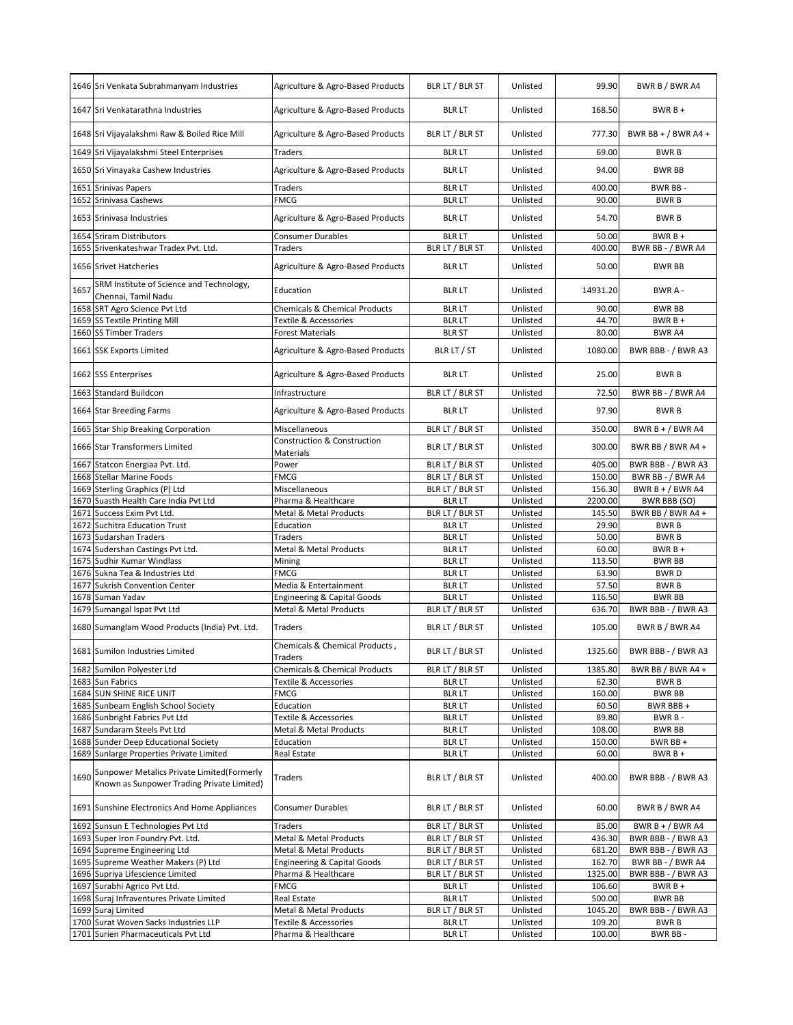|      | 1646 Sri Venkata Subrahmanyam Industries                                                 | Agriculture & Agro-Based Products                   | BLR LT / BLR ST | Unlisted | 99.90    | BWR B / BWR A4        |
|------|------------------------------------------------------------------------------------------|-----------------------------------------------------|-----------------|----------|----------|-----------------------|
|      | 1647 Sri Venkatarathna Industries                                                        | Agriculture & Agro-Based Products                   | <b>BLR LT</b>   | Unlisted | 168.50   | $BWRB +$              |
|      | 1648 Sri Vijayalakshmi Raw & Boiled Rice Mill                                            | Agriculture & Agro-Based Products                   | BLR LT / BLR ST | Unlisted | 777.30   | BWR BB + $/$ BWR A4 + |
|      | 1649 Sri Vijayalakshmi Steel Enterprises                                                 | Traders                                             | <b>BLR LT</b>   | Unlisted | 69.00    | <b>BWRB</b>           |
|      | 1650 Sri Vinayaka Cashew Industries                                                      | Agriculture & Agro-Based Products                   | <b>BLR LT</b>   | Unlisted | 94.00    | <b>BWR BB</b>         |
|      | 1651 Srinivas Papers                                                                     | Traders                                             | <b>BLR LT</b>   | Unlisted | 400.00   | BWR BB-               |
| 1652 | Srinivasa Cashews                                                                        | <b>FMCG</b>                                         | <b>BLR LT</b>   | Unlisted | 90.00    | <b>BWRB</b>           |
|      | 1653 Srinivasa Industries                                                                | Agriculture & Agro-Based Products                   | <b>BLR LT</b>   | Unlisted | 54.70    | <b>BWRB</b>           |
|      | 1654 Sriram Distributors                                                                 | Consumer Durables                                   | <b>BLR LT</b>   | Unlisted | 50.00    | $BWRB +$              |
|      | 1655 Srivenkateshwar Tradex Pvt. Ltd.                                                    | Traders                                             | BLR LT / BLR ST | Unlisted | 400.00   | BWR BB - / BWR A4     |
|      | 1656 Srivet Hatcheries                                                                   | Agriculture & Agro-Based Products                   | <b>BLR LT</b>   | Unlisted | 50.00    | <b>BWR BB</b>         |
| 1657 | SRM Institute of Science and Technology,<br>Chennai, Tamil Nadu                          | Education                                           | <b>BLR LT</b>   | Unlisted | 14931.20 | BWR A-                |
|      | 1658 SRT Agro Science Pvt Ltd                                                            | Chemicals & Chemical Products                       | <b>BLR LT</b>   | Unlisted | 90.00    | <b>BWR BB</b>         |
|      | 1659 SS Textile Printing Mill                                                            | Textile & Accessories                               | <b>BLR LT</b>   | Unlisted | 44.70    | $BWRB +$              |
|      | 1660 SS Timber Traders                                                                   | Forest Materials                                    | <b>BLR ST</b>   | Unlisted | 80.00    | <b>BWR A4</b>         |
|      | 1661 SSK Exports Limited                                                                 | Agriculture & Agro-Based Products                   | BLR LT / ST     | Unlisted | 1080.00  | BWR BBB - / BWR A3    |
|      | 1662 SSS Enterprises                                                                     | Agriculture & Agro-Based Products                   | <b>BLR LT</b>   | Unlisted | 25.00    | <b>BWRB</b>           |
|      | 1663 Standard Buildcon                                                                   | Infrastructure                                      | BLR LT / BLR ST | Unlisted | 72.50    | BWR BB - / BWR A4     |
|      | 1664 Star Breeding Farms                                                                 | Agriculture & Agro-Based Products                   | <b>BLR LT</b>   | Unlisted | 97.90    | <b>BWRB</b>           |
|      | 1665 Star Ship Breaking Corporation                                                      | Miscellaneous                                       | BLR LT / BLR ST | Unlisted | 350.00   | BWR B + $/$ BWR A4    |
|      | 1666 Star Transformers Limited                                                           | <b>Construction &amp; Construction</b><br>Materials | BLR LT / BLR ST | Unlisted | 300.00   | BWR BB / BWR A4 +     |
| 1667 | Statcon Energiaa Pvt. Ltd.                                                               | Power                                               | BLR LT / BLR ST | Unlisted | 405.00   | BWR BBB - / BWR A3    |
|      | 1668 Stellar Marine Foods                                                                | <b>FMCG</b>                                         | BLR LT / BLR ST | Unlisted | 150.00   | BWR BB - / BWR A4     |
|      | 1669 Sterling Graphics (P) Ltd                                                           | Miscellaneous                                       | BLR LT / BLR ST | Unlisted | 156.30   | BWR B + / BWR A4      |
|      | 1670 Suasth Health Care India Pvt Ltd                                                    | Pharma & Healthcare                                 | <b>BLR LT</b>   | Unlisted | 2200.00  | BWR BBB (SO)          |
| 1671 | Success Exim Pvt Ltd.                                                                    | Metal & Metal Products                              | BLR LT / BLR ST | Unlisted | 145.50   | BWR BB / BWR A4 +     |
| 1672 | <b>Suchitra Education Trust</b>                                                          | Education                                           | <b>BLR LT</b>   | Unlisted | 29.90    | <b>BWRB</b>           |
| 1673 | Sudarshan Traders                                                                        | <b>Traders</b>                                      | <b>BLR LT</b>   | Unlisted | 50.00    | <b>BWRB</b>           |
| 1674 | Sudershan Castings Pvt Ltd.                                                              | Metal & Metal Products                              | <b>BLR LT</b>   | Unlisted | 60.00    | $BWRB +$              |
|      | 1675 Sudhir Kumar Windlass                                                               | Mining                                              | <b>BLR LT</b>   | Unlisted | 113.50   | <b>BWR BB</b>         |
| 1676 | Sukna Tea & Industries Ltd                                                               | <b>FMCG</b>                                         | <b>BLR LT</b>   | Unlisted | 63.90    | <b>BWRD</b>           |
| 1677 | <b>Sukrish Convention Center</b>                                                         | Media & Entertainment                               | <b>BLR LT</b>   | Unlisted | 57.50    | <b>BWRB</b>           |
| 1678 | Suman Yadav                                                                              | <b>Engineering &amp; Capital Goods</b>              | <b>BLR LT</b>   | Unlisted | 116.50   | <b>BWR BB</b>         |
| 1679 | Sumangal Ispat Pvt Ltd                                                                   | <b>Metal &amp; Metal Products</b>                   | BLR LT / BLR ST | Unlisted | 636.70   | BWR BBB - / BWR A3    |
|      | 1680 Sumanglam Wood Products (India) Pvt. Ltd.                                           | Traders                                             | BLR LT / BLR ST | Unlisted | 105.00   | BWR B / BWR A4        |
|      | 1681 Sumilon Industries Limited                                                          | Chemicals & Chemical Products,<br>Traders           | BLR LT / BLR ST | Unlisted | 1325.60  | BWR BBB - / BWR A3    |
|      | 1682 Sumilon Polyester Ltd                                                               | <b>Chemicals &amp; Chemical Products</b>            | BLR LT / BLR ST | Unlisted | 1385.80  | BWR BB / BWR A4 +     |
|      | 1683 Sun Fabrics                                                                         | Textile & Accessories                               | <b>BLR LT</b>   | Unlisted | 62.30    | <b>BWRB</b>           |
|      | 1684 SUN SHINE RICE UNIT                                                                 | FMCG                                                | <b>BLR LT</b>   | Unlisted | 160.00   | <b>BWR BB</b>         |
|      | 1685 Sunbeam English School Society                                                      | Education                                           | <b>BLRLT</b>    | Unlisted | 60.50    | BWR BBB+              |
|      | 1686 Sunbright Fabrics Pvt Ltd                                                           | Textile & Accessories                               | <b>BLR LT</b>   | Unlisted | 89.80    | BWR B-                |
| 1687 | Sundaram Steels Pvt Ltd                                                                  | Metal & Metal Products                              | <b>BLR LT</b>   | Unlisted | 108.00   | BWR BB                |
| 1688 | Sunder Deep Educational Society                                                          | Education                                           | <b>BLR LT</b>   | Unlisted | 150.00   | BWR BB +              |
|      | 1689 Sunlarge Properties Private Limited                                                 | Real Estate                                         | <b>BLR LT</b>   | Unlisted | 60.00    | $BWRB +$              |
| 1690 | Sunpower Metalics Private Limited(Formerly<br>Known as Sunpower Trading Private Limited) | Traders                                             | BLR LT / BLR ST | Unlisted | 400.00   | BWR BBB - / BWR A3    |
|      | 1691 Sunshine Electronics And Home Appliances                                            | <b>Consumer Durables</b>                            | BLR LT / BLR ST | Unlisted | 60.00    | BWR B / BWR A4        |
|      | 1692 Sunsun E Technologies Pvt Ltd                                                       | Traders                                             | BLR LT / BLR ST | Unlisted | 85.00    | BWR B + / BWR A4      |
|      | 1693 Super Iron Foundry Pvt. Ltd.                                                        | Metal & Metal Products                              | BLR LT / BLR ST | Unlisted | 436.30   | BWR BBB - / BWR A3    |
|      | 1694 Supreme Engineering Ltd                                                             | Metal & Metal Products                              | BLR LT / BLR ST | Unlisted | 681.20   | BWR BBB - / BWR A3    |
|      | 1695 Supreme Weather Makers (P) Ltd                                                      | <b>Engineering &amp; Capital Goods</b>              | BLR LT / BLR ST | Unlisted | 162.70   | BWR BB - / BWR A4     |
|      | 1696 Supriya Lifescience Limited                                                         | Pharma & Healthcare                                 | BLR LT / BLR ST | Unlisted | 1325.00  | BWR BBB - / BWR A3    |
|      | 1697 Surabhi Agrico Pvt Ltd.                                                             | FMCG                                                | <b>BLR LT</b>   | Unlisted | 106.60   | $BWRB +$              |
|      | 1698 Suraj Infraventures Private Limited                                                 | Real Estate                                         | <b>BLR LT</b>   | Unlisted | 500.00   | BWR BB                |
|      | 1699 Suraj Limited                                                                       | Metal & Metal Products                              | BLR LT / BLR ST | Unlisted | 1045.20  | BWR BBB - / BWR A3    |
|      | 1700 Surat Woven Sacks Industries LLP                                                    | Textile & Accessories                               | <b>BLR LT</b>   | Unlisted | 109.20   | <b>BWRB</b>           |
|      | 1701 Surien Pharmaceuticals Pvt Ltd                                                      | Pharma & Healthcare                                 | <b>BLR LT</b>   | Unlisted | 100.00   | BWR BB-               |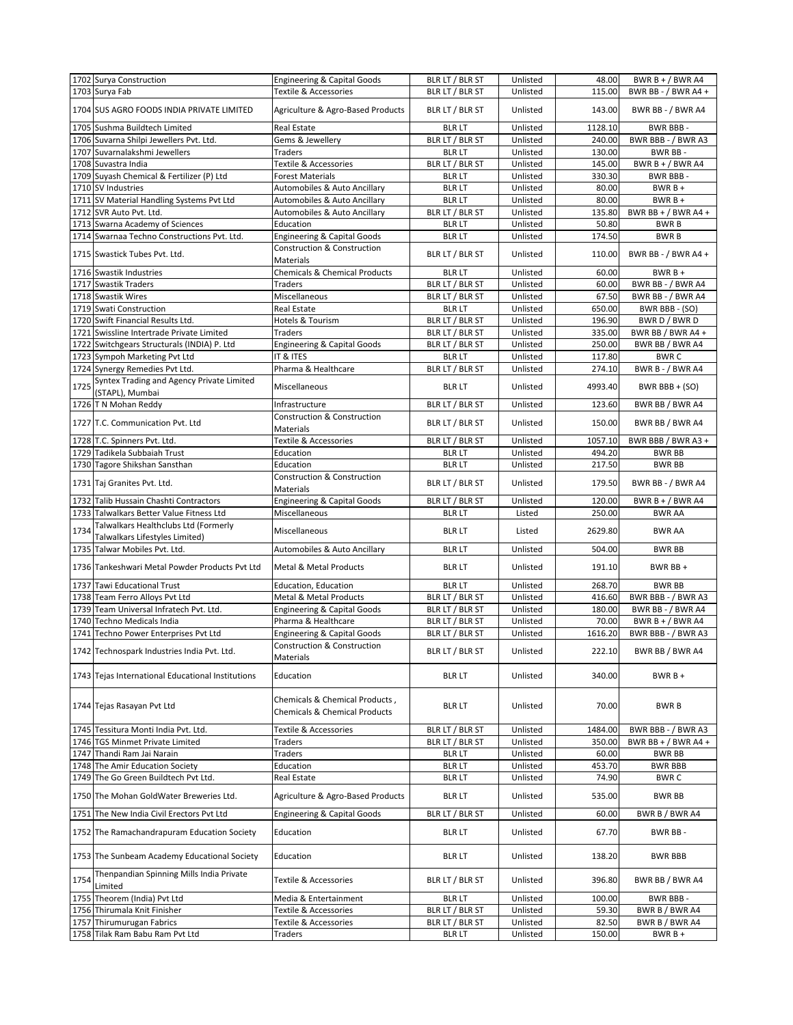|      | 1702 Surya Construction                                      | <b>Engineering &amp; Capital Goods</b>                                     | BLR LT / BLR ST                  | Unlisted             | 48.00           | BWR B + $/$ BWR A4         |
|------|--------------------------------------------------------------|----------------------------------------------------------------------------|----------------------------------|----------------------|-----------------|----------------------------|
|      | 1703 Surya Fab                                               | <b>Textile &amp; Accessories</b>                                           | BLR LT / BLR ST                  | Unlisted             | 115.00          | BWR BB - / BWR A4 +        |
|      |                                                              |                                                                            |                                  |                      |                 |                            |
|      | 1704 SUS AGRO FOODS INDIA PRIVATE LIMITED                    | Agriculture & Agro-Based Products                                          | BLR LT / BLR ST                  | Unlisted             | 143.00          | BWR BB - / BWR A4          |
|      | 1705 Sushma Buildtech Limited                                | Real Estate                                                                | <b>BLR LT</b>                    | Unlisted             | 1128.10         | BWR BBB-                   |
|      | 1706 Suvarna Shilpi Jewellers Pvt. Ltd.                      | Gems & Jewellery                                                           | BLR LT / BLR ST                  | Unlisted             | 240.00          | BWR BBB - / BWR A3         |
|      | 1707 Suvarnalakshmi Jewellers                                | Traders                                                                    | <b>BLR LT</b>                    | Unlisted             | 130.00          | BWR BB-                    |
|      | 1708 Suvastra India                                          | Textile & Accessories                                                      | BLR LT / BLR ST                  | Unlisted             | 145.00          | BWR B + $/$ BWR A4         |
|      | 1709 Suyash Chemical & Fertilizer (P) Ltd                    | <b>Forest Materials</b>                                                    | <b>BLR LT</b>                    | Unlisted             | 330.30          | BWR BBB-                   |
|      | 1710 SV Industries                                           | Automobiles & Auto Ancillary                                               | <b>BLR LT</b>                    | Unlisted             | 80.00           | $BWRB +$                   |
|      |                                                              |                                                                            |                                  |                      |                 |                            |
|      | 1711 SV Material Handling Systems Pvt Ltd                    | Automobiles & Auto Ancillary                                               | <b>BLR LT</b>                    | Unlisted             | 80.00           | $BWRB +$                   |
|      | 1712 SVR Auto Pvt. Ltd.                                      | Automobiles & Auto Ancillary                                               | BLR LT / BLR ST                  | Unlisted             | 135.80          | BWR BB + $/$ BWR A4 +      |
|      | 1713 Swarna Academy of Sciences                              | Education                                                                  | <b>BLR LT</b>                    | Unlisted             | 50.80           | <b>BWRB</b>                |
|      | 1714 Swarnaa Techno Constructions Pvt. Ltd.                  | <b>Engineering &amp; Capital Goods</b>                                     | <b>BLR LT</b>                    | Unlisted             | 174.50          | <b>BWRB</b>                |
|      | 1715 Swastick Tubes Pvt. Ltd.                                | Construction & Construction                                                | BLR LT / BLR ST                  | Unlisted             | 110.00          | BWR BB - / BWR A4 +        |
|      |                                                              | <b>Materials</b>                                                           |                                  |                      |                 |                            |
|      | 1716 Swastik Industries                                      | Chemicals & Chemical Products                                              | <b>BLR LT</b>                    | Unlisted             | 60.00           | $BWRB +$                   |
|      | 1717 Swastik Traders                                         | Traders                                                                    | BLR LT / BLR ST                  | Unlisted             | 60.00           | BWR BB - / BWR A4          |
|      | 1718 Swastik Wires                                           | Miscellaneous                                                              | BLR LT / BLR ST                  | Unlisted             | 67.50           | BWR BB - / BWR A4          |
|      | 1719 Swati Construction                                      | <b>Real Estate</b>                                                         | <b>BLR LT</b>                    | Unlisted             | 650.00          | BWR BBB - (SO)             |
|      | 1720 Swift Financial Results Ltd.                            | Hotels & Tourism                                                           | BLR LT / BLR ST                  | Unlisted             | 196.90          | BWR D / BWR D              |
|      | 1721 Swissline Intertrade Private Limited                    | Traders                                                                    | BLR LT / BLR ST                  | Unlisted             | 335.00          | BWR BB / BWR A4 +          |
|      |                                                              |                                                                            |                                  |                      |                 |                            |
|      | 1722 Switchgears Structurals (INDIA) P. Ltd                  | <b>Engineering &amp; Capital Goods</b>                                     | BLR LT / BLR ST                  | Unlisted             | 250.00          | BWR BB / BWR A4            |
|      | 1723 Sympoh Marketing Pvt Ltd                                | IT & ITES                                                                  | <b>BLR LT</b>                    | Unlisted             | 117.80          | <b>BWRC</b>                |
|      | 1724 Synergy Remedies Pvt Ltd.                               | Pharma & Healthcare                                                        | BLR LT / BLR ST                  | Unlisted             | 274.10          | BWR B - / BWR A4           |
| 1725 | Syntex Trading and Agency Private Limited                    | Miscellaneous                                                              | <b>BLR LT</b>                    | Unlisted             | 4993.40         | BWR BBB + $(SO)$           |
|      | (STAPL), Mumbai                                              |                                                                            |                                  |                      |                 |                            |
|      | 1726 T N Mohan Reddy                                         | Infrastructure<br>Construction & Construction                              | BLR LT / BLR ST                  | Unlisted             | 123.60          | BWR BB / BWR A4            |
|      | 1727 T.C. Communication Pyt. Ltd                             | Materials                                                                  | BLR LT / BLR ST                  | Unlisted             | 150.00          | BWR BB / BWR A4            |
|      | 1728 T.C. Spinners Pvt. Ltd.                                 | <b>Textile &amp; Accessories</b>                                           | BLR LT / BLR ST                  | Unlisted             | 1057.10         | BWR BBB / BWR A3 +         |
|      |                                                              |                                                                            |                                  |                      |                 |                            |
|      | 1729 Tadikela Subbaiah Trust                                 | Education                                                                  | <b>BLR LT</b>                    | Unlisted             | 494.20          | <b>BWR BB</b>              |
|      | 1730 Tagore Shikshan Sansthan                                | Education                                                                  | <b>BLR LT</b>                    | Unlisted             | 217.50          | <b>BWR BB</b>              |
|      | 1731 Taj Granites Pvt. Ltd.                                  | Construction & Construction<br>Materials                                   | BLR LT / BLR ST                  | Unlisted             | 179.50          | BWR BB - / BWR A4          |
|      | 1732 Talib Hussain Chashti Contractors                       | <b>Engineering &amp; Capital Goods</b>                                     | BLR LT / BLR ST                  | Unlisted             | 120.00          | BWR $B + / BWR$ A4         |
|      | 1733 Talwalkars Better Value Fitness Ltd                     | Miscellaneous                                                              | <b>BLR LT</b>                    | Listed               | 250.00          | <b>BWR AA</b>              |
|      | Talwalkars Healthclubs Ltd (Formerly                         |                                                                            |                                  |                      |                 |                            |
| 1734 | Talwalkars Lifestyles Limited)                               | Miscellaneous                                                              | <b>BLR LT</b>                    | Listed               | 2629.80         | <b>BWR AA</b>              |
|      | 1735 Talwar Mobiles Pvt. Ltd.                                | Automobiles & Auto Ancillary                                               | <b>BLR LT</b>                    | Unlisted             | 504.00          | <b>BWR BB</b>              |
|      | 1736 Tankeshwari Metal Powder Products Pvt Ltd               | <b>Metal &amp; Metal Products</b>                                          | <b>BLR LT</b>                    | Unlisted             | 191.10          | BWR BB +                   |
|      |                                                              |                                                                            |                                  |                      |                 |                            |
|      | 1737 Tawi Educational Trust                                  | <b>Education, Education</b>                                                | <b>BLRLT</b>                     | Unlisted             | 268.70          | <b>BWR BB</b>              |
|      | 1738 Team Ferro Alloys Pvt Ltd                               | <b>Metal &amp; Metal Products</b>                                          | BLR LT / BLR ST                  | Unlisted             | 416.60          | BWR BBB - / BWR A3         |
|      | 1739 Team Universal Infratech Pvt. Ltd.                      | <b>Engineering &amp; Capital Goods</b>                                     | BLR LT / BLR ST                  | Unlisted             | 180.00          | BWR BB - / BWR A4          |
|      | 1740 Techno Medicals India                                   | Pharma & Healthcare                                                        | BLR LT / BLR ST                  | Unlisted             | 70.00           | BWR $B + / BWR$ A4         |
|      | 1741 Techno Power Enterprises Pvt Ltd                        | <b>Engineering &amp; Capital Goods</b>                                     | BLR LT / BLR ST                  | Unlisted             | 1616.20         | BWR BBB - / BWR A3         |
|      |                                                              | Construction & Construction                                                |                                  |                      |                 |                            |
|      | 1742 Technospark Industries India Pvt. Ltd.                  | Materials                                                                  | BLR LT / BLR ST                  | Unlisted             | 222.10          | BWR BB / BWR A4            |
|      | 1743 Tejas International Educational Institutions            | Education                                                                  | <b>BLR LT</b>                    | Unlisted             | 340.00          | $BWRB +$                   |
|      |                                                              |                                                                            |                                  |                      |                 |                            |
|      | 1744 Tejas Rasayan Pvt Ltd                                   | Chemicals & Chemical Products,<br><b>Chemicals &amp; Chemical Products</b> | <b>BLR LT</b>                    | Unlisted             | 70.00           | <b>BWRB</b>                |
|      | 1745 Tessitura Monti India Pvt. Ltd.                         | Textile & Accessories                                                      | BLR LT / BLR ST                  | Unlisted             | 1484.00         | BWR BBB - / BWR A3         |
|      | 1746 TGS Minmet Private Limited                              | Traders                                                                    | BLR LT / BLR ST                  | Unlisted             | 350.00          | BWR BB + $/$ BWR A4 +      |
|      | 1747 Thandi Ram Jai Narain                                   | Traders                                                                    | <b>BLR LT</b>                    | Unlisted             | 60.00           | <b>BWR BB</b>              |
|      | 1748 The Amir Education Society                              | Education                                                                  | <b>BLR LT</b>                    | Unlisted             | 453.70          | <b>BWR BBB</b>             |
|      | 1749 The Go Green Buildtech Pvt Ltd.                         |                                                                            |                                  |                      |                 |                            |
|      | 1750 The Mohan GoldWater Breweries Ltd.                      | Real Estate<br>Agriculture & Agro-Based Products                           | <b>BLR LT</b><br><b>BLR LT</b>   | Unlisted<br>Unlisted | 74.90<br>535.00 | BWR C<br>BWR BB            |
|      |                                                              |                                                                            |                                  |                      |                 |                            |
|      | 1751 The New India Civil Erectors Pvt Ltd                    | <b>Engineering &amp; Capital Goods</b>                                     | BLR LT / BLR ST                  | Unlisted             | 60.00           | BWR B / BWR A4             |
|      | 1752 The Ramachandrapuram Education Society                  | Education                                                                  | <b>BLR LT</b>                    | Unlisted             | 67.70           | BWR BB-                    |
|      | 1753 The Sunbeam Academy Educational Society                 | Education                                                                  | <b>BLR LT</b>                    | Unlisted             | 138.20          | <b>BWR BBB</b>             |
| 1754 | Thenpandian Spinning Mills India Private<br>Limited          | Textile & Accessories                                                      | BLR LT / BLR ST                  | Unlisted             | 396.80          | BWR BB / BWR A4            |
|      |                                                              |                                                                            | <b>BLR LT</b>                    | Unlisted             | 100.00          | BWR BBB -                  |
|      | 1755 Theorem (India) Pvt Ltd                                 | Media & Entertainment                                                      |                                  |                      |                 |                            |
|      | 1756 Thirumala Knit Finisher                                 | Textile & Accessories                                                      |                                  | Unlisted             | 59.30           |                            |
|      |                                                              |                                                                            | BLR LT / BLR ST                  |                      |                 | BWR B / BWR A4             |
|      | 1757 Thirumurugan Fabrics<br>1758 Tilak Ram Babu Ram Pvt Ltd | Textile & Accessories<br>Traders                                           | BLR LT / BLR ST<br><b>BLR LT</b> | Unlisted<br>Unlisted | 82.50<br>150.00 | BWR B / BWR A4<br>$BWRB +$ |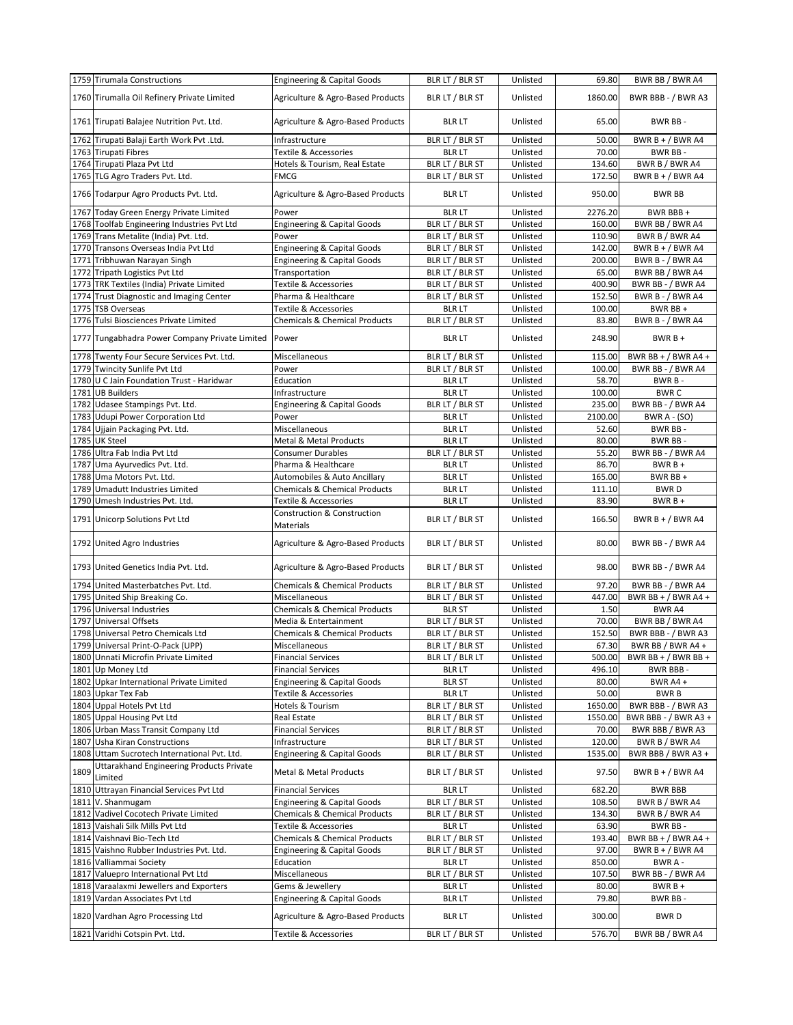|      | 1759 Tirumala Constructions                                                              | <b>Engineering &amp; Capital Goods</b>              | BLR LT / BLR ST                  | Unlisted             | 69.80           | BWR BB / BWR A4                    |
|------|------------------------------------------------------------------------------------------|-----------------------------------------------------|----------------------------------|----------------------|-----------------|------------------------------------|
|      | 1760 Tirumalla Oil Refinery Private Limited                                              | Agriculture & Agro-Based Products                   | BLR LT / BLR ST                  | Unlisted             | 1860.00         | BWR BBB - / BWR A3                 |
|      | 1761 Tirupati Balajee Nutrition Pvt. Ltd.                                                | Agriculture & Agro-Based Products                   | <b>BLR LT</b>                    | Unlisted             | 65.00           | BWR BB-                            |
|      | 1762 Tirupati Balaji Earth Work Pvt .Ltd.                                                | Infrastructure                                      | BLR LT / BLR ST                  | Unlisted             | 50.00           | BWR B + / BWR A4                   |
|      | 1763 Tirupati Fibres                                                                     | Textile & Accessories                               | <b>BLR LT</b>                    | Unlisted             | 70.00           | BWR BB-                            |
|      | 1764 Tirupati Plaza Pvt Ltd                                                              | Hotels & Tourism, Real Estate                       | BLR LT / BLR ST                  | Unlisted             | 134.60          | BWR B / BWR A4                     |
|      | 1765 TLG Agro Traders Pvt. Ltd.                                                          | FMCG                                                | BLR LT / BLR ST                  | Unlisted             | 172.50          | BWR $B + / BWR$ A4                 |
|      | 1766 Todarpur Agro Products Pvt. Ltd.                                                    | Agriculture & Agro-Based Products                   | <b>BLR LT</b>                    | Unlisted             | 950.00          | <b>BWR BB</b>                      |
|      | 1767 Today Green Energy Private Limited                                                  | Power                                               | <b>BLR LT</b>                    | Unlisted             | 2276.20         | BWR BBB+                           |
|      | 1768 Toolfab Engineering Industries Pvt Ltd                                              | <b>Engineering &amp; Capital Goods</b>              | BLR LT / BLR ST                  | Unlisted             | 160.00          | BWR BB / BWR A4                    |
|      | 1769 Trans Metalite (India) Pvt. Ltd.                                                    | Power                                               | BLR LT / BLR ST                  | Unlisted             | 110.90          | BWR B / BWR A4                     |
|      | 1770 Transons Overseas India Pvt Ltd                                                     | <b>Engineering &amp; Capital Goods</b>              | BLR LT / BLR ST                  | Unlisted             | 142.00          | BWR $B + / BWR$ A4                 |
|      | 1771 Tribhuwan Narayan Singh                                                             | <b>Engineering &amp; Capital Goods</b>              | BLR LT / BLR ST                  | Unlisted             | 200.00          | <b>BWR B - / BWR A4</b>            |
|      | 1772 Tripath Logistics Pvt Ltd                                                           | Transportation                                      | BLR LT / BLR ST                  | Unlisted             | 65.00           | BWR BB / BWR A4                    |
|      | 1773 TRK Textiles (India) Private Limited                                                | Textile & Accessories                               | BLR LT / BLR ST                  | Unlisted             | 400.90          | BWR BB - / BWR A4                  |
|      | 1774 Trust Diagnostic and Imaging Center                                                 | Pharma & Healthcare                                 | BLR LT / BLR ST                  | Unlisted             | 152.50          | BWR B - / BWR A4                   |
|      | 1775 TSB Overseas                                                                        | Textile & Accessories                               | <b>BLR LT</b>                    | Unlisted             | 100.00          | BWR BB +                           |
|      | 1776 Tulsi Biosciences Private Limited                                                   | <b>Chemicals &amp; Chemical Products</b>            | BLR LT / BLR ST                  | Unlisted             | 83.80           | <b>BWR B - / BWR A4</b>            |
|      | 1777 Tungabhadra Power Company Private Limited                                           | Power                                               | <b>BLR LT</b>                    | Unlisted             | 248.90          | $BWRB +$                           |
|      | 1778 Twenty Four Secure Services Pvt. Ltd.                                               | Miscellaneous                                       | BLR LT / BLR ST                  | Unlisted             | 115.00          | BWR BB + $/$ BWR A4 +              |
|      | 1779 Twincity Sunlife Pvt Ltd                                                            | Power                                               | BLR LT / BLR ST                  | Unlisted             | 100.00          | BWR BB - / BWR A4                  |
|      | 1780 U C Jain Foundation Trust - Haridwar                                                | Education                                           | <b>BLRLT</b>                     | Unlisted             | 58.70           | BWR B-                             |
|      | 1781 UB Builders                                                                         | Infrastructure                                      | <b>BLR LT</b>                    | Unlisted             | 100.00          | <b>BWRC</b>                        |
|      | 1782 Udasee Stampings Pvt. Ltd.                                                          | <b>Engineering &amp; Capital Goods</b>              | BLR LT / BLR ST                  | Unlisted             | 235.00          | BWR BB - / BWR A4                  |
|      | 1783 Udupi Power Corporation Ltd                                                         | Power                                               | <b>BLR LT</b>                    | Unlisted             | 2100.00         | <b>BWR A - (SO)</b>                |
|      | 1784 Ujjain Packaging Pvt. Ltd.                                                          | Miscellaneous                                       | <b>BLR LT</b>                    | Unlisted             | 52.60           | BWR BB-                            |
|      | 1785 UK Steel                                                                            | Metal & Metal Products                              | <b>BLR LT</b>                    | Unlisted             | 80.00           | BWR BB-                            |
|      | 1786 Ultra Fab India Pvt Ltd                                                             | <b>Consumer Durables</b>                            | BLR LT / BLR ST                  | Unlisted             | 55.20           | BWR BB - / BWR A4                  |
| 1787 | Uma Ayurvedics Pvt. Ltd.                                                                 | Pharma & Healthcare                                 | <b>BLR LT</b>                    | Unlisted             | 86.70           | $BWRB +$                           |
|      | 1788 Uma Motors Pvt. Ltd.                                                                | Automobiles & Auto Ancillary                        | <b>BLR LT</b>                    | Unlisted             | 165.00          | BWR BB+                            |
| 1789 | Umadutt Industries Limited                                                               | Chemicals & Chemical Products                       | <b>BLR LT</b>                    | Unlisted             | 111.10          | <b>BWRD</b>                        |
|      | 1790 Umesh Industries Pvt. Ltd.                                                          | Textile & Accessories                               | <b>BLR LT</b>                    | Unlisted             | 83.90           | $BWRB +$                           |
|      | 1791 Unicorp Solutions Pvt Ltd                                                           | Construction & Construction<br>Materials            | BLR LT / BLR ST                  | Unlisted             | 166.50          | BWR B + / BWR A4                   |
|      | 1792 United Agro Industries                                                              | Agriculture & Agro-Based Products                   | BLR LT / BLR ST                  | Unlisted             | 80.00           | BWR BB - / BWR A4                  |
|      | 1793 United Genetics India Pvt. Ltd.                                                     | Agriculture & Agro-Based Products                   | BLR LT / BLR ST                  | Unlisted             | 98.00           | BWR BB - / BWR A4                  |
|      | 1794 United Masterbatches Pvt. Ltd.                                                      | <b>Chemicals &amp; Chemical Products</b>            | BLR LT / BLR ST                  | Unlisted             | 97.20           | BWR BB - / BWR A4                  |
|      | 1795 United Ship Breaking Co.                                                            | Miscellaneous                                       | BLR LT / BLR ST                  | Unlisted             | 447.00          | BWR BB + $/$ BWR A4 +              |
|      | 1796 Universal Industries                                                                | <b>Chemicals &amp; Chemical Products</b>            | <b>BLR ST</b>                    | Unlisted             | 1.50            | BWR A4                             |
|      | 1797 Universal Offsets                                                                   | Media & Entertainment                               | BLR LT / BLR ST                  | Unlisted             | 70.00           | BWR BB / BWR A4                    |
|      | 1798 Universal Petro Chemicals Ltd                                                       | <b>Chemicals &amp; Chemical Products</b>            | BLR LT / BLR ST                  | Unlisted             | 152.50          | BWR BBB - / BWR A3                 |
|      | 1799 Universal Print-O-Pack (UPP)                                                        | Miscellaneous                                       | BLR LT / BLR ST                  | Unlisted             | 67.30           | BWR BB / BWR A4 +                  |
|      | 1800 Unnati Microfin Private Limited                                                     | <b>Financial Services</b>                           | BLR LT / BLR LT                  | Unlisted             | 500.00          | BWR BB + / BWR BB +                |
|      | 1801 Up Money Ltd                                                                        | <b>Financial Services</b>                           | <b>BLR LT</b>                    | Unlisted             | 496.10          | BWR BBB -                          |
|      | 1802 Upkar International Private Limited                                                 | <b>Engineering &amp; Capital Goods</b>              | <b>BLR ST</b>                    | Unlisted             | 80.00           | BWR A4 +                           |
|      | 1803 Upkar Tex Fab                                                                       | Textile & Accessories                               | <b>BLR LT</b>                    | Unlisted             | 50.00           | BWR B                              |
|      | 1804 Uppal Hotels Pvt Ltd                                                                | Hotels & Tourism                                    | BLR LT / BLR ST                  | Unlisted             | 1650.00         | BWR BBB - / BWR A3                 |
|      | 1805 Uppal Housing Pvt Ltd                                                               | Real Estate                                         | BLR LT / BLR ST                  | Unlisted             | 1550.00         | BWR BBB - / BWR A3 +               |
|      | 1806 Urban Mass Transit Company Ltd                                                      | <b>Financial Services</b>                           | BLR LT / BLR ST                  | Unlisted             | 70.00           | BWR BBB / BWR A3                   |
| 1807 | <b>Usha Kiran Constructions</b>                                                          | Infrastructure                                      | BLR LT / BLR ST                  | Unlisted             | 120.00          | BWR B / BWR A4                     |
|      | 1808 Uttam Sucrotech International Pvt. Ltd.<br>Uttarakhand Engineering Products Private | <b>Engineering &amp; Capital Goods</b>              | BLR LT / BLR ST                  | Unlisted             | 1535.00         | BWR BBB / BWR A3 +                 |
| 1809 | Limited<br>1810 Uttrayan Financial Services Pvt Ltd                                      | Metal & Metal Products<br><b>Financial Services</b> | BLR LT / BLR ST<br><b>BLR LT</b> | Unlisted<br>Unlisted | 97.50<br>682.20 | BWR B + / BWR A4<br><b>BWR BBB</b> |
|      | 1811 V. Shanmugam                                                                        | <b>Engineering &amp; Capital Goods</b>              | BLR LT / BLR ST                  | Unlisted             | 108.50          | BWR B / BWR A4                     |
|      | 1812 Vadivel Cocotech Private Limited                                                    | <b>Chemicals &amp; Chemical Products</b>            | BLR LT / BLR ST                  | Unlisted             | 134.30          | BWR B / BWR A4                     |
|      | 1813 Vaishali Silk Mills Pvt Ltd                                                         | Textile & Accessories                               | <b>BLR LT</b>                    | Unlisted             | 63.90           | BWR BB-                            |
|      | 1814 Vaishnavi Bio-Tech Ltd                                                              | <b>Chemicals &amp; Chemical Products</b>            | BLR LT / BLR ST                  | Unlisted             | 193.40          | BWR BB + $/$ BWR A4 +              |
|      | 1815 Vaishno Rubber Industries Pvt. Ltd.                                                 | Engineering & Capital Goods                         | BLR LT / BLR ST                  | Unlisted             | 97.00           | BWR $B + / BWR$ A4                 |
|      | 1816 Valliammai Society                                                                  | Education                                           | <b>BLR LT</b>                    | Unlisted             | 850.00          | BWR A -                            |
|      | 1817 Valuepro International Pvt Ltd                                                      | Miscellaneous                                       | BLR LT / BLR ST                  | Unlisted             | 107.50          | BWR BB - / BWR A4                  |
|      | 1818 Varaalaxmi Jewellers and Exporters                                                  | Gems & Jewellery                                    | <b>BLR LT</b>                    | Unlisted             | 80.00           | $BWRB +$                           |
|      | 1819 Vardan Associates Pvt Ltd                                                           | <b>Engineering &amp; Capital Goods</b>              | <b>BLR LT</b>                    | Unlisted             | 79.80           | BWR BB-                            |
|      | 1820 Vardhan Agro Processing Ltd                                                         | Agriculture & Agro-Based Products                   | <b>BLR LT</b>                    | Unlisted             | 300.00          | <b>BWRD</b>                        |
|      | 1821 Varidhi Cotspin Pvt. Ltd.                                                           | Textile & Accessories                               | BLR LT / BLR ST                  | Unlisted             | 576.70          | BWR BB / BWR A4                    |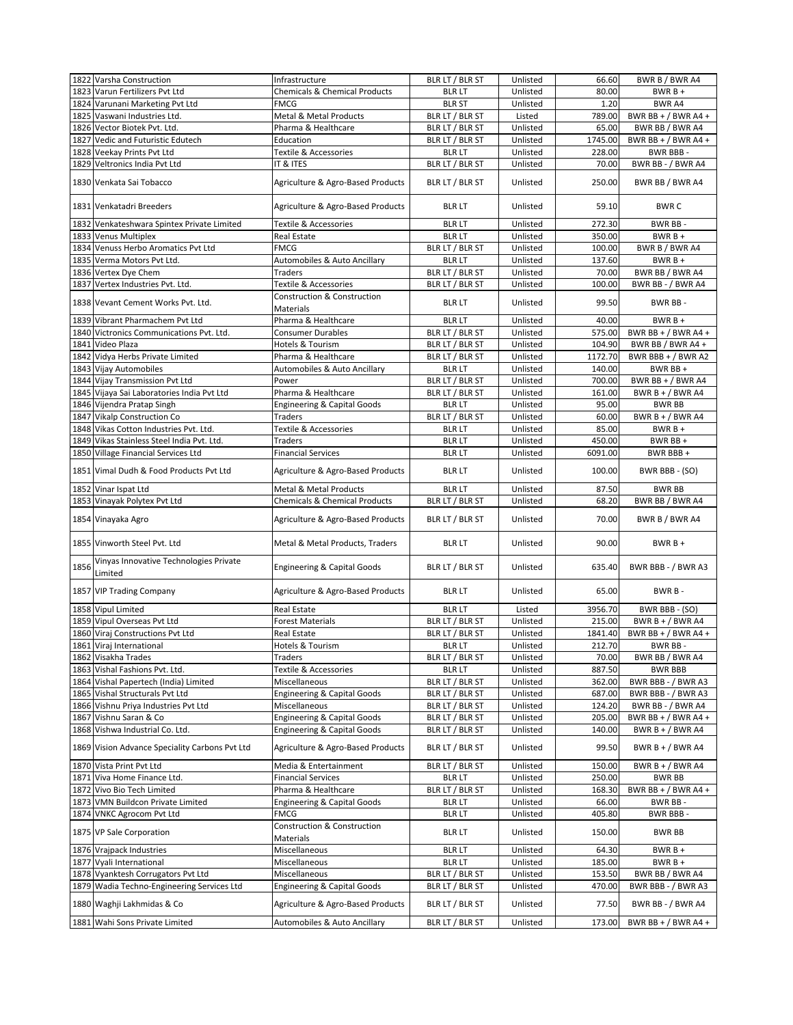|      | 1822 Varsha Construction                                                      | Infrastructure                                                  | BLR LT / BLR ST                  | Unlisted             | 66.60           | BWR B / BWR A4                      |
|------|-------------------------------------------------------------------------------|-----------------------------------------------------------------|----------------------------------|----------------------|-----------------|-------------------------------------|
|      | 1823 Varun Fertilizers Pvt Ltd                                                | <b>Chemicals &amp; Chemical Products</b>                        | <b>BLR LT</b>                    | Unlisted             | 80.00           | $BWRB +$                            |
|      | 1824 Varunani Marketing Pvt Ltd                                               | <b>FMCG</b>                                                     | <b>BLR ST</b>                    | Unlisted             | 1.20            | <b>BWR A4</b>                       |
|      | 1825 Vaswani Industries Ltd.                                                  | Metal & Metal Products                                          | BLR LT / BLR ST                  | Listed               | 789.00          | BWR BB + $/$ BWR A4 +               |
|      | 1826 Vector Biotek Pvt. Ltd.                                                  | Pharma & Healthcare                                             | BLR LT / BLR ST                  | Unlisted             | 65.00           | BWR BB / BWR A4                     |
|      | 1827 Vedic and Futuristic Edutech                                             | Education                                                       | BLR LT / BLR ST                  | Unlisted             | 1745.00         | BWR BB + $/$ BWR A4 +               |
|      | 1828 Veekay Prints Pvt Ltd                                                    | Textile & Accessories<br>IT & ITES                              | <b>BLR LT</b>                    | Unlisted             | 228.00          | BWR BBB-                            |
|      | 1829 Veltronics India Pvt Ltd                                                 |                                                                 | BLR LT / BLR ST                  | Unlisted             | 70.00           | BWR BB - / BWR A4                   |
|      | 1830 Venkata Sai Tobacco                                                      | Agriculture & Agro-Based Products                               | BLR LT / BLR ST                  | Unlisted             | 250.00          | BWR BB / BWR A4                     |
|      | 1831 Venkatadri Breeders                                                      | Agriculture & Agro-Based Products                               | <b>BLR LT</b>                    | Unlisted             | 59.10           | <b>BWRC</b>                         |
|      | 1832 Venkateshwara Spintex Private Limited                                    | <b>Textile &amp; Accessories</b>                                | <b>BLR LT</b>                    | Unlisted             | 272.30          | BWR BB-                             |
|      | 1833 Venus Multiplex                                                          | Real Estate                                                     | <b>BLR LT</b>                    | Unlisted             | 350.00          | $BWRB +$                            |
|      | 1834 Venuss Herbo Aromatics Pvt Ltd                                           | <b>FMCG</b>                                                     | BLR LT / BLR ST                  | Unlisted             | 100.00          | BWR B / BWR A4                      |
|      | 1835 Verma Motors Pvt Ltd.                                                    | Automobiles & Auto Ancillary                                    | <b>BLR LT</b>                    | Unlisted             | 137.60          | $BWRB +$                            |
|      | 1836 Vertex Dye Chem                                                          | <b>Traders</b>                                                  | BLR LT / BLR ST                  | Unlisted             | 70.00           | BWR BB / BWR A4                     |
|      | 1837 Vertex Industries Pvt. Ltd.                                              | Textile & Accessories<br><b>Construction &amp; Construction</b> | BLR LT / BLR ST                  | Unlisted             | 100.00          | BWR BB - / BWR A4                   |
|      | 1838 Vevant Cement Works Pvt. Ltd.                                            | Materials                                                       | <b>BLR LT</b>                    | Unlisted             | 99.50           | BWR BB-                             |
|      | 1839 Vibrant Pharmachem Pvt Ltd                                               | Pharma & Healthcare                                             | <b>BLR LT</b>                    | Unlisted             | 40.00           | $BWRB +$                            |
|      | 1840 Victronics Communications Pvt. Ltd.                                      | <b>Consumer Durables</b>                                        | BLR LT / BLR ST                  | Unlisted             | 575.00          | BWR BB + $/$ BWR A4 +               |
|      | 1841 Video Plaza                                                              | Hotels & Tourism                                                | BLR LT / BLR ST                  | Unlisted             | 104.90          | BWR BB / BWR A4 +                   |
|      | 1842 Vidya Herbs Private Limited                                              | Pharma & Healthcare                                             | BLR LT / BLR ST                  | Unlisted             | 1172.70         | BWR BBB + / BWR A2                  |
|      | 1843 Vijay Automobiles                                                        | Automobiles & Auto Ancillary                                    | <b>BLR LT</b>                    | Unlisted             | 140.00          | BWR BB +                            |
|      | 1844 Vijay Transmission Pvt Ltd<br>1845 Vijaya Sai Laboratories India Pvt Ltd | Power                                                           | BLR LT / BLR ST                  | Unlisted             | 700.00          | BWR BB + $/$ BWR A4                 |
|      | 1846 Vijendra Pratap Singh                                                    | Pharma & Healthcare<br><b>Engineering &amp; Capital Goods</b>   | BLR LT / BLR ST<br><b>BLR LT</b> | Unlisted<br>Unlisted | 161.00<br>95.00 | BWR B + $/$ BWR A4<br><b>BWR BB</b> |
|      | 1847 Vikalp Construction Co                                                   | <b>Traders</b>                                                  | BLR LT / BLR ST                  | Unlisted             | 60.00           | BWR $B + / BWR$ A4                  |
|      | 1848 Vikas Cotton Industries Pvt. Ltd.                                        | Textile & Accessories                                           | <b>BLR LT</b>                    | Unlisted             | 85.00           | $BWRB +$                            |
|      | 1849 Vikas Stainless Steel India Pvt. Ltd.                                    | <b>Traders</b>                                                  | <b>BLR LT</b>                    | Unlisted             | 450.00          | BWR BB +                            |
|      | 1850 Village Financial Services Ltd                                           | <b>Financial Services</b>                                       | <b>BLR LT</b>                    | Unlisted             | 6091.00         | BWR BBB+                            |
|      | 1851 Vimal Dudh & Food Products Pvt Ltd                                       | Agriculture & Agro-Based Products                               | <b>BLR LT</b>                    | Unlisted             | 100.00          | BWR BBB - (SO)                      |
|      | 1852 Vinar Ispat Ltd                                                          | Metal & Metal Products                                          | <b>BLR LT</b>                    | Unlisted             | 87.50           | <b>BWR BB</b>                       |
|      | 1853 Vinayak Polytex Pvt Ltd                                                  | Chemicals & Chemical Products                                   | BLR LT / BLR ST                  | Unlisted             | 68.20           | BWR BB / BWR A4                     |
|      | 1854 Vinayaka Agro                                                            | Agriculture & Agro-Based Products                               | BLR LT / BLR ST                  | Unlisted             | 70.00           | BWR B / BWR A4                      |
|      | 1855 Vinworth Steel Pvt. Ltd                                                  | Metal & Metal Products, Traders                                 | <b>BLR LT</b>                    | Unlisted             | 90.00           | $BWRB +$                            |
| 1856 | Vinyas Innovative Technologies Private<br>Limited                             | <b>Engineering &amp; Capital Goods</b>                          | BLR LT / BLR ST                  | Unlisted             | 635.40          | BWR BBB - / BWR A3                  |
|      | 1857 VIP Trading Company                                                      | Agriculture & Agro-Based Products                               | <b>BLR LT</b>                    | Unlisted             | 65.00           | BWR B-                              |
|      | 1858 Vipul Limited                                                            | <b>Real Estate</b>                                              | <b>BLR LT</b>                    | Listed               | 3956.70         | BWR BBB - (SO)                      |
|      | 1859 Vipul Overseas Pvt Ltd                                                   | <b>Forest Materials</b>                                         | BLR LT / BLR ST                  | Unlisted             | 215.00          | BWR B + $/$ BWR A4                  |
|      | 1860 Viraj Constructions Pvt Ltd                                              | <b>Real Estate</b>                                              | BLR LT / BLR ST                  | Unlisted             | 1841.40         | BWR BB + $/$ BWR A4 +               |
|      | 1861 Viraj International                                                      | Hotels & Tourism                                                | <b>BLR LT</b>                    | Unlisted             | 212.70          | BWR BB-                             |
|      | 1862 Visakha Trades                                                           | Traders                                                         | BLR LT / BLR ST                  | Unlisted             | 70.00           | BWR BB / BWR A4                     |
|      | 1863 Vishal Fashions Pvt. Ltd.                                                | <b>Textile &amp; Accessories</b>                                | <b>BLR LT</b>                    | Unlisted             | 887.50          | <b>BWR BBB</b>                      |
|      | 1864 Vishal Papertech (India) Limited                                         | Miscellaneous                                                   | BLR LT / BLR ST                  | Unlisted             | 362.00          | BWR BBB - / BWR A3                  |
|      | 1865 Vishal Structurals Pvt Ltd                                               | <b>Engineering &amp; Capital Goods</b>                          | BLR LT / BLR ST                  | Unlisted             | 687.00          | BWR BBB - / BWR A3                  |
|      | 1866 Vishnu Priya Industries Pvt Ltd                                          | Miscellaneous                                                   | BLR LT / BLR ST                  | Unlisted             | 124.20          | BWR BB - / BWR A4                   |
|      | 1867 Vishnu Saran & Co                                                        | <b>Engineering &amp; Capital Goods</b>                          | BLR LT / BLR ST                  | Unlisted             | 205.00          | BWR BB + $/$ BWR A4 +               |
|      | 1868 Vishwa Industrial Co. Ltd.                                               | <b>Engineering &amp; Capital Goods</b>                          | BLR LT / BLR ST                  | Unlisted             | 140.00          | BWR B + $/$ BWR A4                  |
|      | 1869 Vision Advance Speciality Carbons Pvt Ltd                                | Agriculture & Agro-Based Products                               | BLR LT / BLR ST                  | Unlisted             | 99.50           | BWR B + / BWR A4                    |
|      | 1870 Vista Print Pvt Ltd                                                      | Media & Entertainment                                           | BLR LT / BLR ST                  | Unlisted             | 150.00          | BWR B + $/$ BWR A4                  |
|      | 1871 Viva Home Finance Ltd.                                                   | <b>Financial Services</b>                                       | <b>BLR LT</b>                    | Unlisted             | 250.00          | <b>BWR BB</b>                       |
|      | 1872 Vivo Bio Tech Limited                                                    | Pharma & Healthcare                                             | BLR LT / BLR ST                  | Unlisted             | 168.30          | BWR BB + $/$ BWR A4 +               |
|      | 1873 VMN Buildcon Private Limited<br>1874 VNKC Agrocom Pvt Ltd                | <b>Engineering &amp; Capital Goods</b><br>FMCG                  | <b>BLR LT</b><br><b>BLR LT</b>   | Unlisted<br>Unlisted | 66.00<br>405.80 | BWR BB-<br>BWR BBB-                 |
|      | 1875 VP Sale Corporation                                                      | Construction & Construction                                     | <b>BLR LT</b>                    | Unlisted             | 150.00          | BWR BB                              |
|      | 1876 Vrajpack Industries                                                      | Materials<br>Miscellaneous                                      | <b>BLR LT</b>                    | Unlisted             | 64.30           | BWR B +                             |
|      | 1877 Vyali International                                                      | Miscellaneous                                                   | <b>BLR LT</b>                    | Unlisted             | 185.00          | BWR B +                             |
|      | 1878 Vyanktesh Corrugators Pvt Ltd                                            | Miscellaneous                                                   | BLR LT / BLR ST                  | Unlisted             | 153.50          | BWR BB / BWR A4                     |
|      | 1879 Wadia Techno-Engineering Services Ltd                                    | <b>Engineering &amp; Capital Goods</b>                          | BLR LT / BLR ST                  | Unlisted             | 470.00          | BWR BBB - / BWR A3                  |
|      | 1880 Waghji Lakhmidas & Co                                                    | Agriculture & Agro-Based Products                               | BLR LT / BLR ST                  | Unlisted             | 77.50           | BWR BB - / BWR A4                   |
|      | 1881 Wahi Sons Private Limited                                                | Automobiles & Auto Ancillary                                    | BLR LT / BLR ST                  | Unlisted             | 173.00          | BWR BB + $/$ BWR A4 +               |